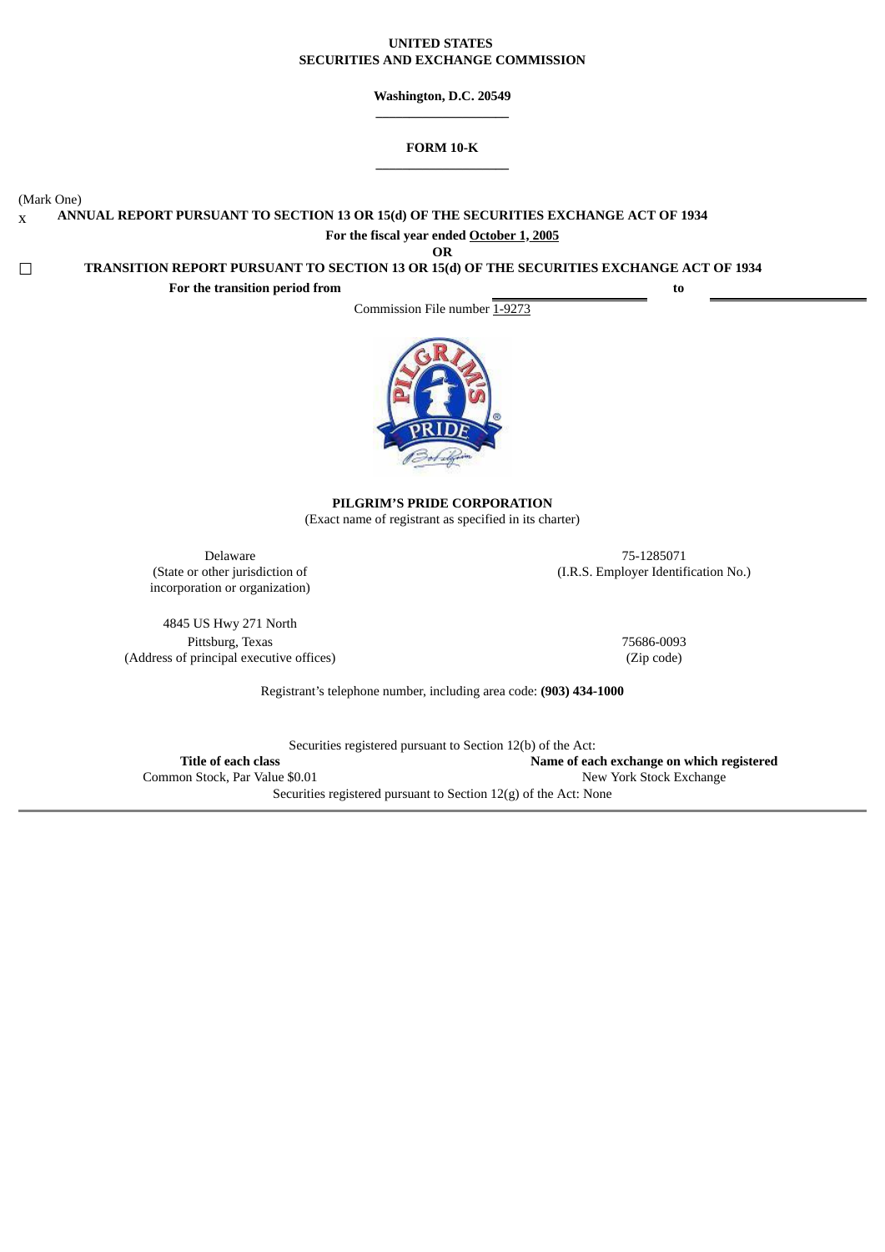# **UNITED STATES SECURITIES AND EXCHANGE COMMISSION**

**Washington, D.C. 20549 \_\_\_\_\_\_\_\_\_\_\_\_\_\_\_\_\_\_\_\_**

## **FORM 10-K \_\_\_\_\_\_\_\_\_\_\_\_\_\_\_\_\_\_\_\_**

(Mark One)

x **ANNUAL REPORT PURSUANT TO SECTION 13 OR 15(d) OF THE SECURITIES EXCHANGE ACT OF 1934 For the fiscal year ended October 1, 2005**

**OR**

☐ **TRANSITION REPORT PURSUANT TO SECTION 13 OR 15(d) OF THE SECURITIES EXCHANGE ACT OF 1934**

**For the transition period from to**

Commission File number 1-9273



**PILGRIM'S PRIDE CORPORATION** (Exact name of registrant as specified in its charter)

Delaware 75-1285071 (State or other jurisdiction of (I.R.S. Employer Identification No.) incorporation or organization)

4845 US Hwy 271 North Pittsburg, Texas 75686-0093 (Address of principal executive offices) (Zip code)

Registrant's telephone number, including area code: **(903) 434-1000**

Securities registered pursuant to Section 12(b) of the Act: **Title** of each class<br>
on Stock, Par Value \$0.01 **CO**<br>
Name of each exchange on which registered<br>
New York Stock Exchange Common Stock, Par Value \$0.01 Securities registered pursuant to Section 12(g) of the Act: None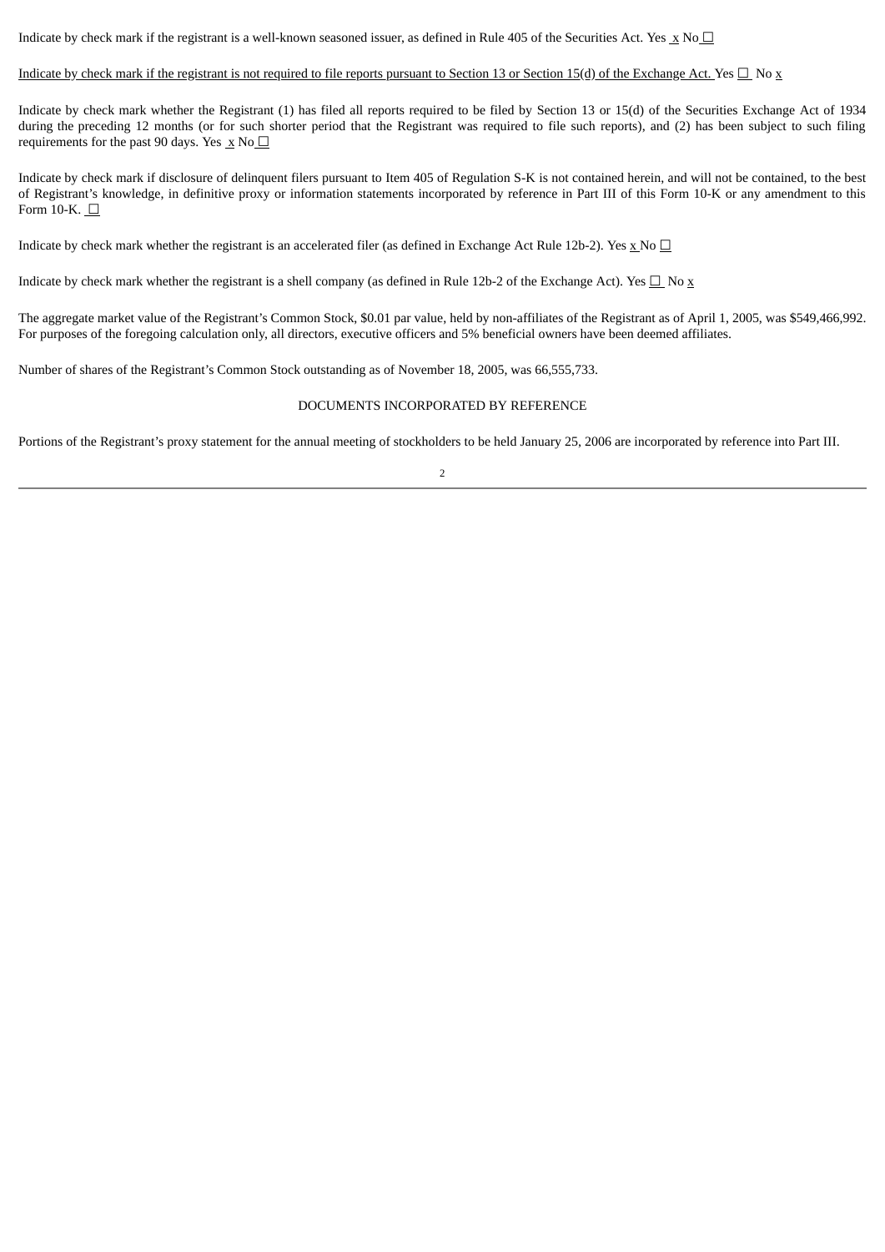Indicate by check mark if the registrant is a well-known seasoned issuer, as defined in Rule 405 of the Securities Act. Yes  $\frac{1}{2}$  No  $\Box$ 

Indicate by check mark if the registrant is not required to file reports pursuant to Section 13 or Section 15(d) of the Exchange Act. Yes  $\Box$  No x

Indicate by check mark whether the Registrant (1) has filed all reports required to be filed by Section 13 or 15(d) of the Securities Exchange Act of 1934 during the preceding 12 months (or for such shorter period that the Registrant was required to file such reports), and (2) has been subject to such filing requirements for the past 90 days. Yes  $x$  No  $\Box$ 

Indicate by check mark if disclosure of delinquent filers pursuant to Item 405 of Regulation S-K is not contained herein, and will not be contained, to the best of Registrant's knowledge, in definitive proxy or information statements incorporated by reference in Part III of this Form 10-K or any amendment to this Form 10-K.  $\Box$ 

Indicate by check mark whether the registrant is an accelerated filer (as defined in Exchange Act Rule 12b-2). Yes  $\times$  No  $\Box$ 

Indicate by check mark whether the registrant is a shell company (as defined in Rule 12b-2 of the Exchange Act). Yes  $\Box$  No  $\angle$ 

The aggregate market value of the Registrant's Common Stock, \$0.01 par value, held by non-affiliates of the Registrant as of April 1, 2005, was \$549,466,992. For purposes of the foregoing calculation only, all directors, executive officers and 5% beneficial owners have been deemed affiliates.

Number of shares of the Registrant's Common Stock outstanding as of November 18, 2005, was 66,555,733.

## DOCUMENTS INCORPORATED BY REFERENCE

Portions of the Registrant's proxy statement for the annual meeting of stockholders to be held January 25, 2006 are incorporated by reference into Part III.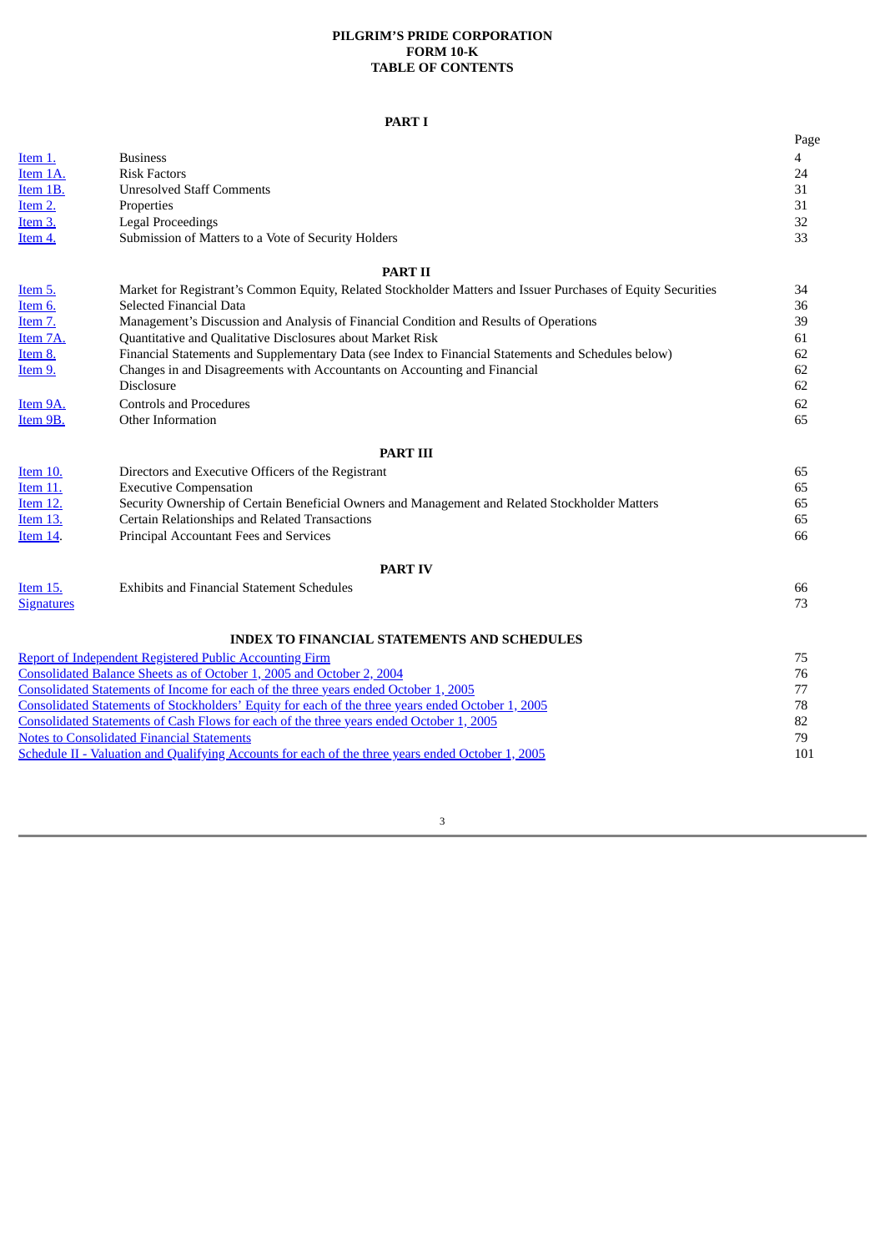# **PILGRIM'S PRIDE CORPORATION FORM 10-K TABLE OF CONTENTS**

# **PART I**

|                   |                                                                                                              | Page |
|-------------------|--------------------------------------------------------------------------------------------------------------|------|
| Item 1.           | <b>Business</b>                                                                                              | 4    |
| Item 1A.          | <b>Risk Factors</b>                                                                                          | 24   |
| Item 1B.          | <b>Unresolved Staff Comments</b>                                                                             | 31   |
| <u>Item 2.</u>    | Properties                                                                                                   | 31   |
| Item 3.           | <b>Legal Proceedings</b>                                                                                     | 32   |
| Item 4.           | Submission of Matters to a Vote of Security Holders                                                          | 33   |
|                   | <b>PART II</b>                                                                                               |      |
| <u>Item 5.</u>    | Market for Registrant's Common Equity, Related Stockholder Matters and Issuer Purchases of Equity Securities | 34   |
| Item 6.           | Selected Financial Data                                                                                      | 36   |
| Item 7.           | Management's Discussion and Analysis of Financial Condition and Results of Operations                        | 39   |
| Item 7A.          | Quantitative and Qualitative Disclosures about Market Risk                                                   | 61   |
| Item 8.           | Financial Statements and Supplementary Data (see Index to Financial Statements and Schedules below)          | 62   |
| Item 9.           | Changes in and Disagreements with Accountants on Accounting and Financial                                    | 62   |
|                   | Disclosure                                                                                                   | 62   |
| Item 9A.          | <b>Controls and Procedures</b>                                                                               | 62   |
| Item 9B.          | Other Information                                                                                            | 65   |
|                   | <b>PART III</b>                                                                                              |      |
| Item 10.          | Directors and Executive Officers of the Registrant                                                           | 65   |
| Item 11.          | <b>Executive Compensation</b>                                                                                | 65   |
| Item 12.          | Security Ownership of Certain Beneficial Owners and Management and Related Stockholder Matters               | 65   |
| Item 13.          | Certain Relationships and Related Transactions                                                               | 65   |
| Item 14.          | Principal Accountant Fees and Services                                                                       | 66   |
|                   |                                                                                                              |      |
|                   | <b>PART IV</b>                                                                                               |      |
| <b>Item 15.</b>   | <b>Exhibits and Financial Statement Schedules</b>                                                            | 66   |
| <b>Signatures</b> |                                                                                                              | 73   |
|                   | <b>INDEX TO FINANCIAL STATEMENTS AND SCHEDULES</b>                                                           |      |
|                   | Report of Independent Registered Public Accounting Firm                                                      | 75   |
|                   | Consolidated Balance Sheets as of October 1, 2005 and October 2, 2004                                        | 76   |
|                   | Consolidated Statements of Income for each of the three years ended October 1, 2005                          | 77   |
|                   | Consolidated Statements of Stockholders' Equity for each of the three years ended October 1, 2005            | 78   |
|                   | Consolidated Statements of Cash Flows for each of the three years ended October 1, 2005                      | 82   |
|                   | <b>Notes to Consolidated Financial Statements</b>                                                            | 79   |
|                   | Schedule II - Valuation and Qualifying Accounts for each of the three years ended October 1, 2005            | 101  |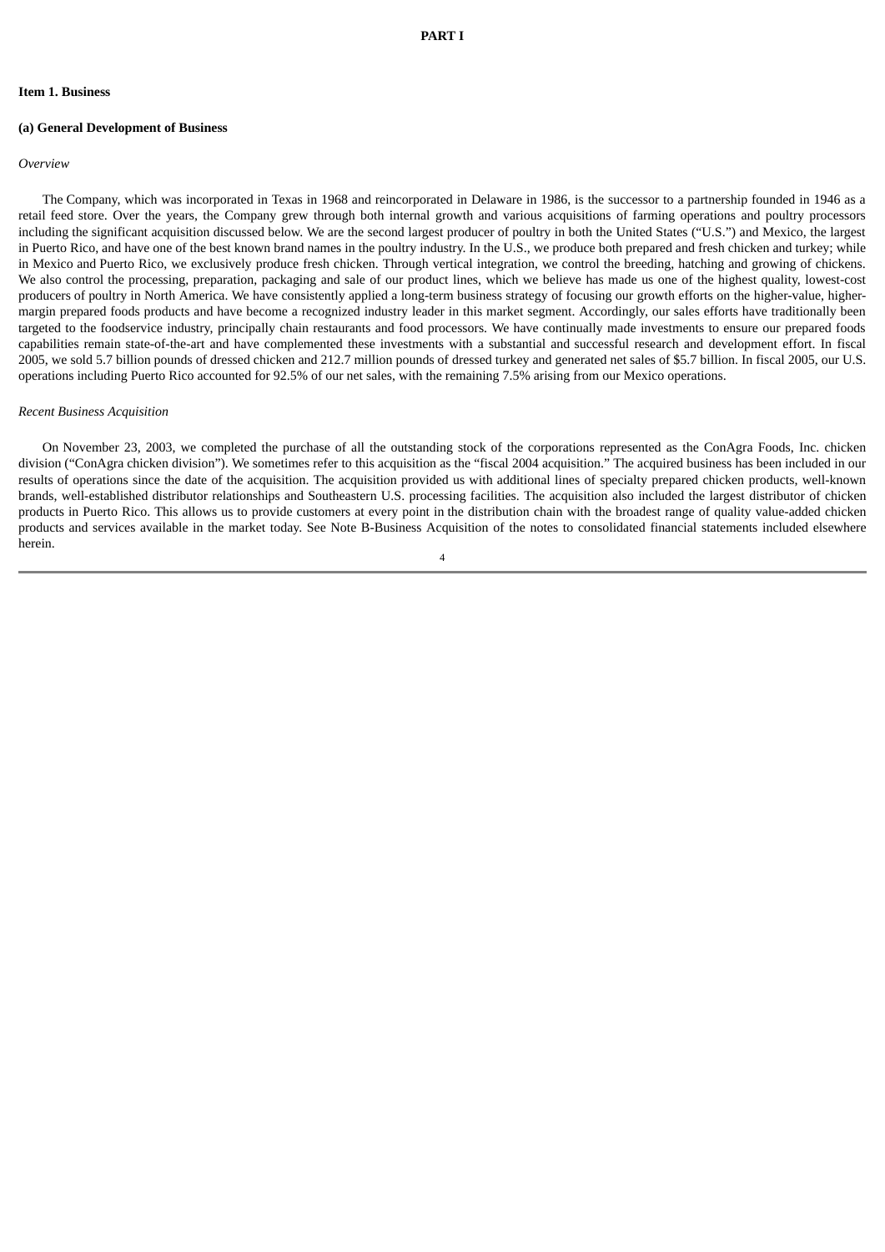### **Item 1. Business**

#### **(a) General Development of Business**

#### *Overview*

The Company, which was incorporated in Texas in 1968 and reincorporated in Delaware in 1986, is the successor to a partnership founded in 1946 as a retail feed store. Over the years, the Company grew through both internal growth and various acquisitions of farming operations and poultry processors including the significant acquisition discussed below. We are the second largest producer of poultry in both the United States ("U.S.") and Mexico, the largest in Puerto Rico, and have one of the best known brand names in the poultry industry. In the U.S., we produce both prepared and fresh chicken and turkey; while in Mexico and Puerto Rico, we exclusively produce fresh chicken. Through vertical integration, we control the breeding, hatching and growing of chickens. We also control the processing, preparation, packaging and sale of our product lines, which we believe has made us one of the highest quality, lowest-cost producers of poultry in North America. We have consistently applied a long-term business strategy of focusing our growth efforts on the higher-value, highermargin prepared foods products and have become a recognized industry leader in this market segment. Accordingly, our sales efforts have traditionally been targeted to the foodservice industry, principally chain restaurants and food processors. We have continually made investments to ensure our prepared foods capabilities remain state-of-the-art and have complemented these investments with a substantial and successful research and development effort. In fiscal 2005, we sold 5.7 billion pounds of dressed chicken and 212.7 million pounds of dressed turkey and generated net sales of \$5.7 billion. In fiscal 2005, our U.S. operations including Puerto Rico accounted for 92.5% of our net sales, with the remaining 7.5% arising from our Mexico operations.

#### *Recent Business Acquisition*

On November 23, 2003, we completed the purchase of all the outstanding stock of the corporations represented as the ConAgra Foods, Inc. chicken division ("ConAgra chicken division"). We sometimes refer to this acquisition as the "fiscal 2004 acquisition." The acquired business has been included in our results of operations since the date of the acquisition. The acquisition provided us with additional lines of specialty prepared chicken products, well-known brands, well-established distributor relationships and Southeastern U.S. processing facilities. The acquisition also included the largest distributor of chicken products in Puerto Rico. This allows us to provide customers at every point in the distribution chain with the broadest range of quality value-added chicken products and services available in the market today. See Note B-Business Acquisition of the notes to consolidated financial statements included elsewhere herein.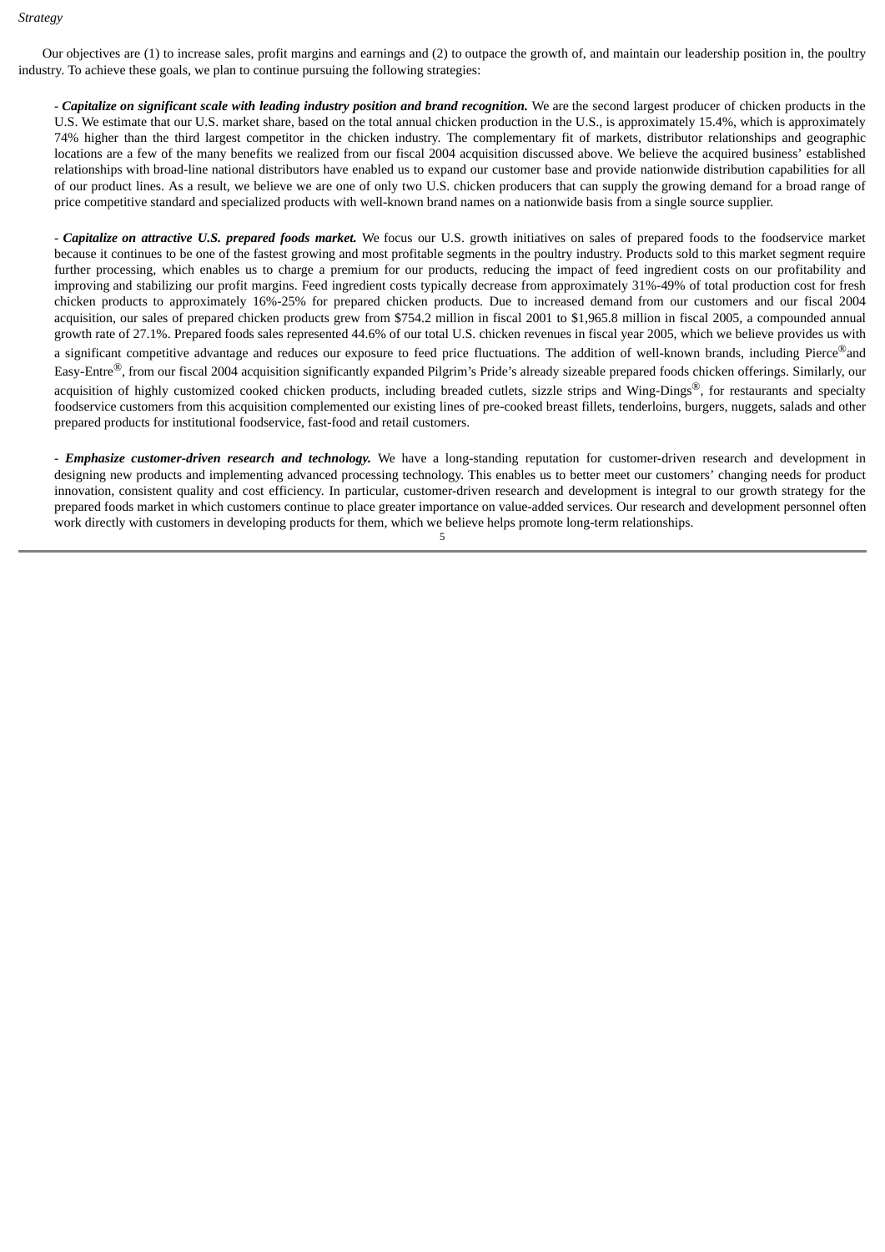Our objectives are (1) to increase sales, profit margins and earnings and (2) to outpace the growth of, and maintain our leadership position in, the poultry industry. To achieve these goals, we plan to continue pursuing the following strategies:

- Capitalize on significant scale with leading industry position and brand recognition. We are the second largest producer of chicken products in the U.S. We estimate that our U.S. market share, based on the total annual chicken production in the U.S., is approximately 15.4%, which is approximately 74% higher than the third largest competitor in the chicken industry. The complementary fit of markets, distributor relationships and geographic locations are a few of the many benefits we realized from our fiscal 2004 acquisition discussed above. We believe the acquired business' established relationships with broad-line national distributors have enabled us to expand our customer base and provide nationwide distribution capabilities for all of our product lines. As a result, we believe we are one of only two U.S. chicken producers that can supply the growing demand for a broad range of price competitive standard and specialized products with well-known brand names on a nationwide basis from a single source supplier.

*- Capitalize on attractive U.S. prepared foods market.* We focus our U.S. growth initiatives on sales of prepared foods to the foodservice market because it continues to be one of the fastest growing and most profitable segments in the poultry industry. Products sold to this market segment require further processing, which enables us to charge a premium for our products, reducing the impact of feed ingredient costs on our profitability and improving and stabilizing our profit margins. Feed ingredient costs typically decrease from approximately 31%-49% of total production cost for fresh chicken products to approximately 16%-25% for prepared chicken products. Due to increased demand from our customers and our fiscal 2004 acquisition, our sales of prepared chicken products grew from \$754.2 million in fiscal 2001 to \$1,965.8 million in fiscal 2005, a compounded annual growth rate of 27.1%. Prepared foods sales represented 44.6% of our total U.S. chicken revenues in fiscal year 2005, which we believe provides us with a significant competitive advantage and reduces our exposure to feed price fluctuations. The addition of well-known brands, including Pierce®and Easy-Entre®, from our fiscal 2004 acquisition significantly expanded Pilgrim's Pride's already sizeable prepared foods chicken offerings. Similarly, our acquisition of highly customized cooked chicken products, including breaded cutlets, sizzle strips and Wing-Dings®, for restaurants and specialty foodservice customers from this acquisition complemented our existing lines of pre-cooked breast fillets, tenderloins, burgers, nuggets, salads and other prepared products for institutional foodservice, fast-food and retail customers.

- *Emphasize customer-driven research and technology.* We have a long-standing reputation for customer-driven research and development in designing new products and implementing advanced processing technology. This enables us to better meet our customers' changing needs for product innovation, consistent quality and cost efficiency. In particular, customer-driven research and development is integral to our growth strategy for the prepared foods market in which customers continue to place greater importance on value-added services. Our research and development personnel often work directly with customers in developing products for them, which we believe helps promote long-term relationships.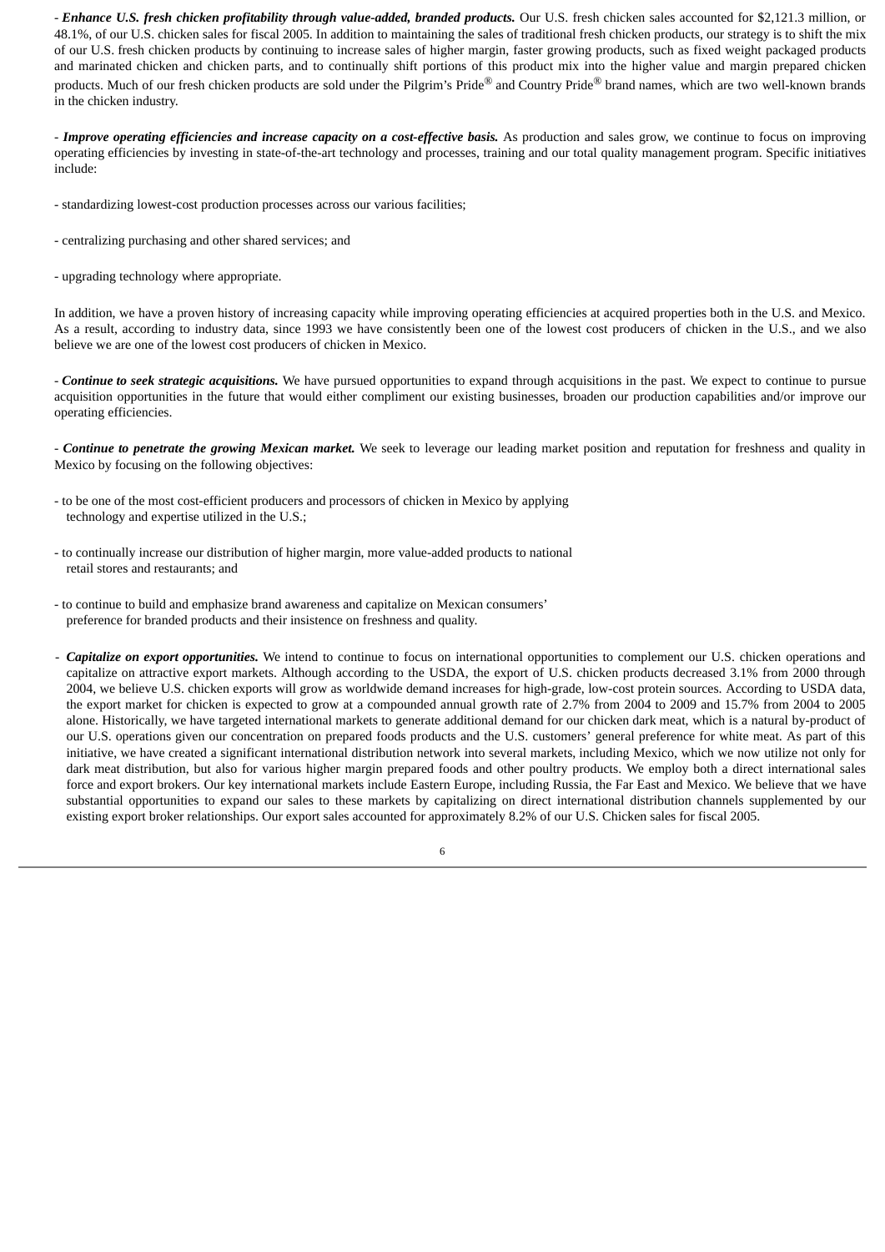- *Enhance U.S. fresh chicken profitability through value-added, branded products.* Our U.S. fresh chicken sales accounted for \$2,121.3 million, or 48.1%, of our U.S. chicken sales for fiscal 2005. In addition to maintaining the sales of traditional fresh chicken products, our strategy is to shift the mix of our U.S. fresh chicken products by continuing to increase sales of higher margin, faster growing products, such as fixed weight packaged products and marinated chicken and chicken parts, and to continually shift portions of this product mix into the higher value and margin prepared chicken products. Much of our fresh chicken products are sold under the Pilgrim's Pride® and Country Pride® brand names, which are two well-known brands in the chicken industry.

- *Improve operating efficiencies and increase capacity on a cost-effective basis.* As production and sales grow, we continue to focus on improving operating efficiencies by investing in state-of-the-art technology and processes, training and our total quality management program. Specific initiatives include:

- standardizing lowest-cost production processes across our various facilities;

- centralizing purchasing and other shared services; and
- upgrading technology where appropriate.

In addition, we have a proven history of increasing capacity while improving operating efficiencies at acquired properties both in the U.S. and Mexico. As a result, according to industry data, since 1993 we have consistently been one of the lowest cost producers of chicken in the U.S., and we also believe we are one of the lowest cost producers of chicken in Mexico.

- *Continue to seek strategic acquisitions.* We have pursued opportunities to expand through acquisitions in the past. We expect to continue to pursue acquisition opportunities in the future that would either compliment our existing businesses, broaden our production capabilities and/or improve our operating efficiencies.

- *Continue to penetrate the growing Mexican market.* We seek to leverage our leading market position and reputation for freshness and quality in Mexico by focusing on the following objectives:

- to be one of the most cost-efficient producers and processors of chicken in Mexico by applying technology and expertise utilized in the U.S.;
- to continually increase our distribution of higher margin, more value-added products to national retail stores and restaurants; and
- to continue to build and emphasize brand awareness and capitalize on Mexican consumers' preference for branded products and their insistence on freshness and quality.
- *Capitalize on export opportunities.* We intend to continue to focus on international opportunities to complement our U.S. chicken operations and capitalize on attractive export markets. Although according to the USDA, the export of U.S. chicken products decreased 3.1% from 2000 through 2004, we believe U.S. chicken exports will grow as worldwide demand increases for high-grade, low-cost protein sources. According to USDA data, the export market for chicken is expected to grow at a compounded annual growth rate of 2.7% from 2004 to 2009 and 15.7% from 2004 to 2005 alone. Historically, we have targeted international markets to generate additional demand for our chicken dark meat, which is a natural by-product of our U.S. operations given our concentration on prepared foods products and the U.S. customers' general preference for white meat. As part of this initiative, we have created a significant international distribution network into several markets, including Mexico, which we now utilize not only for dark meat distribution, but also for various higher margin prepared foods and other poultry products. We employ both a direct international sales force and export brokers. Our key international markets include Eastern Europe, including Russia, the Far East and Mexico. We believe that we have substantial opportunities to expand our sales to these markets by capitalizing on direct international distribution channels supplemented by our existing export broker relationships. Our export sales accounted for approximately 8.2% of our U.S. Chicken sales for fiscal 2005.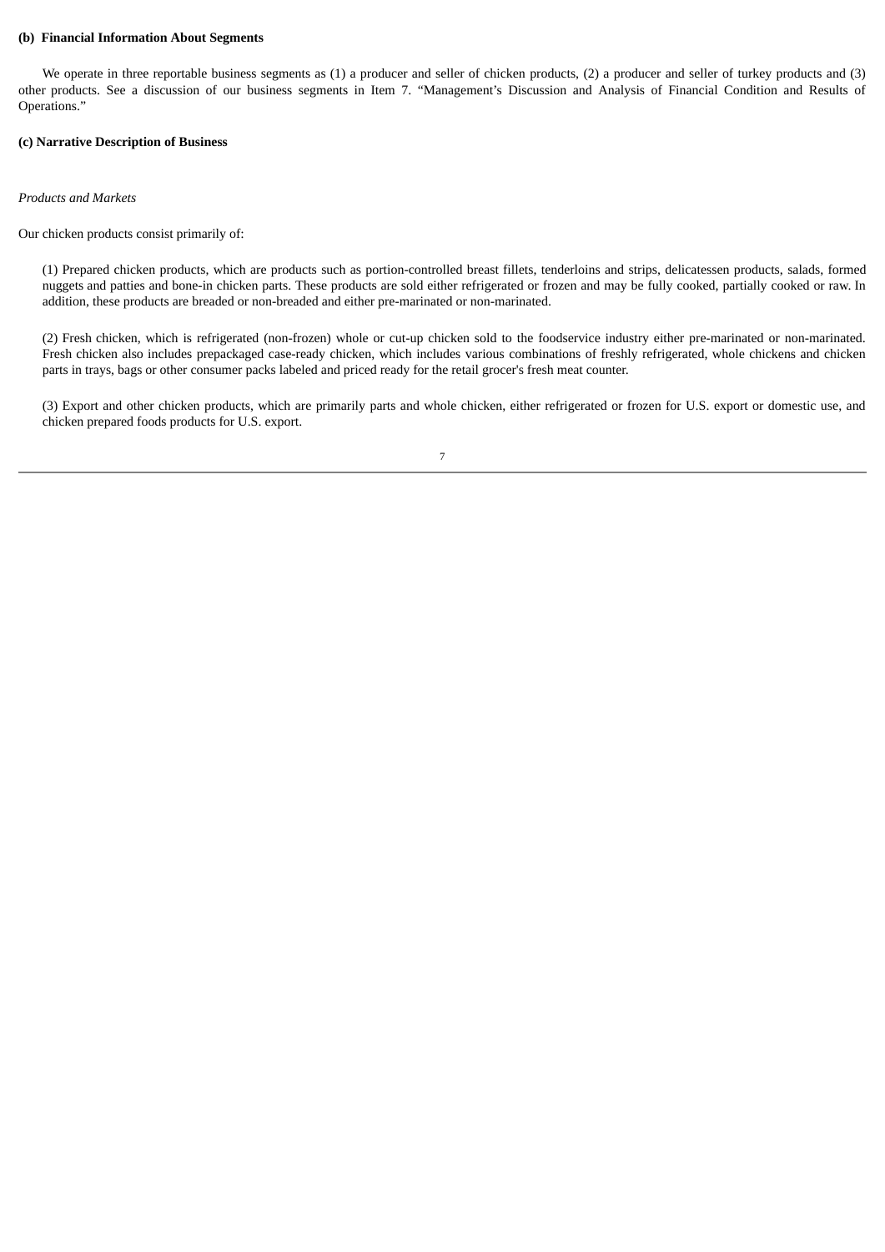### **(b) Financial Information About Segments**

We operate in three reportable business segments as (1) a producer and seller of chicken products, (2) a producer and seller of turkey products and (3) other products. See a discussion of our business segments in Item 7. "Management's Discussion and Analysis of Financial Condition and Results of Operations."

## **(c) Narrative Description of Business**

*Products and Markets*

Our chicken products consist primarily of:

(1) Prepared chicken products, which are products such as portion-controlled breast fillets, tenderloins and strips, delicatessen products, salads, formed nuggets and patties and bone-in chicken parts. These products are sold either refrigerated or frozen and may be fully cooked, partially cooked or raw. In addition, these products are breaded or non-breaded and either pre-marinated or non-marinated.

(2) Fresh chicken, which is refrigerated (non-frozen) whole or cut-up chicken sold to the foodservice industry either pre-marinated or non-marinated. Fresh chicken also includes prepackaged case-ready chicken, which includes various combinations of freshly refrigerated, whole chickens and chicken parts in trays, bags or other consumer packs labeled and priced ready for the retail grocer's fresh meat counter.

(3) Export and other chicken products, which are primarily parts and whole chicken, either refrigerated or frozen for U.S. export or domestic use, and chicken prepared foods products for U.S. export.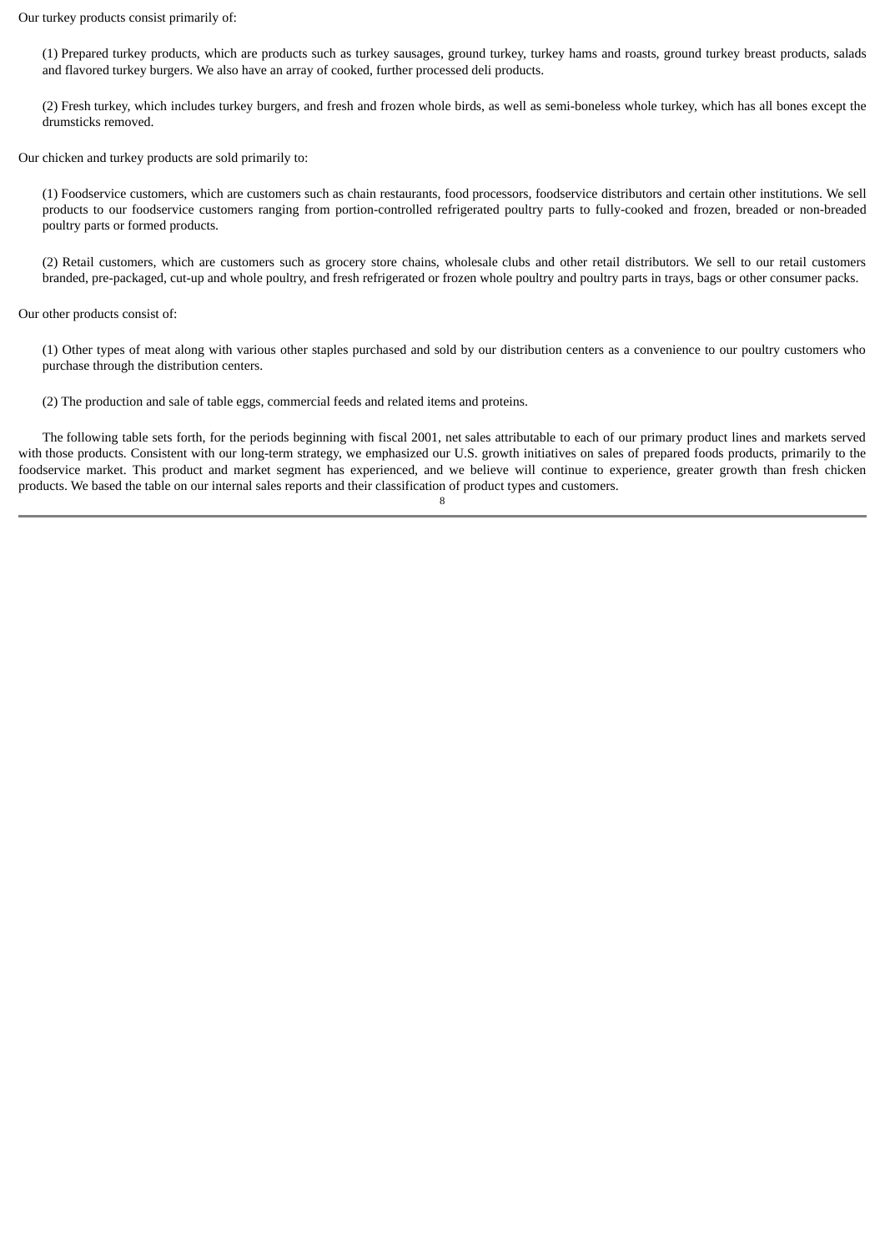Our turkey products consist primarily of:

(1) Prepared turkey products, which are products such as turkey sausages, ground turkey, turkey hams and roasts, ground turkey breast products, salads and flavored turkey burgers. We also have an array of cooked, further processed deli products.

(2) Fresh turkey, which includes turkey burgers, and fresh and frozen whole birds, as well as semi-boneless whole turkey, which has all bones except the drumsticks removed.

Our chicken and turkey products are sold primarily to:

(1) Foodservice customers, which are customers such as chain restaurants, food processors, foodservice distributors and certain other institutions. We sell products to our foodservice customers ranging from portion-controlled refrigerated poultry parts to fully-cooked and frozen, breaded or non-breaded poultry parts or formed products.

(2) Retail customers, which are customers such as grocery store chains, wholesale clubs and other retail distributors. We sell to our retail customers branded, pre-packaged, cut-up and whole poultry, and fresh refrigerated or frozen whole poultry and poultry parts in trays, bags or other consumer packs.

Our other products consist of:

(1) Other types of meat along with various other staples purchased and sold by our distribution centers as a convenience to our poultry customers who purchase through the distribution centers.

(2) The production and sale of table eggs, commercial feeds and related items and proteins.

The following table sets forth, for the periods beginning with fiscal 2001, net sales attributable to each of our primary product lines and markets served with those products. Consistent with our long-term strategy, we emphasized our U.S. growth initiatives on sales of prepared foods products, primarily to the foodservice market. This product and market segment has experienced, and we believe will continue to experience, greater growth than fresh chicken products. We based the table on our internal sales reports and their classification of product types and customers.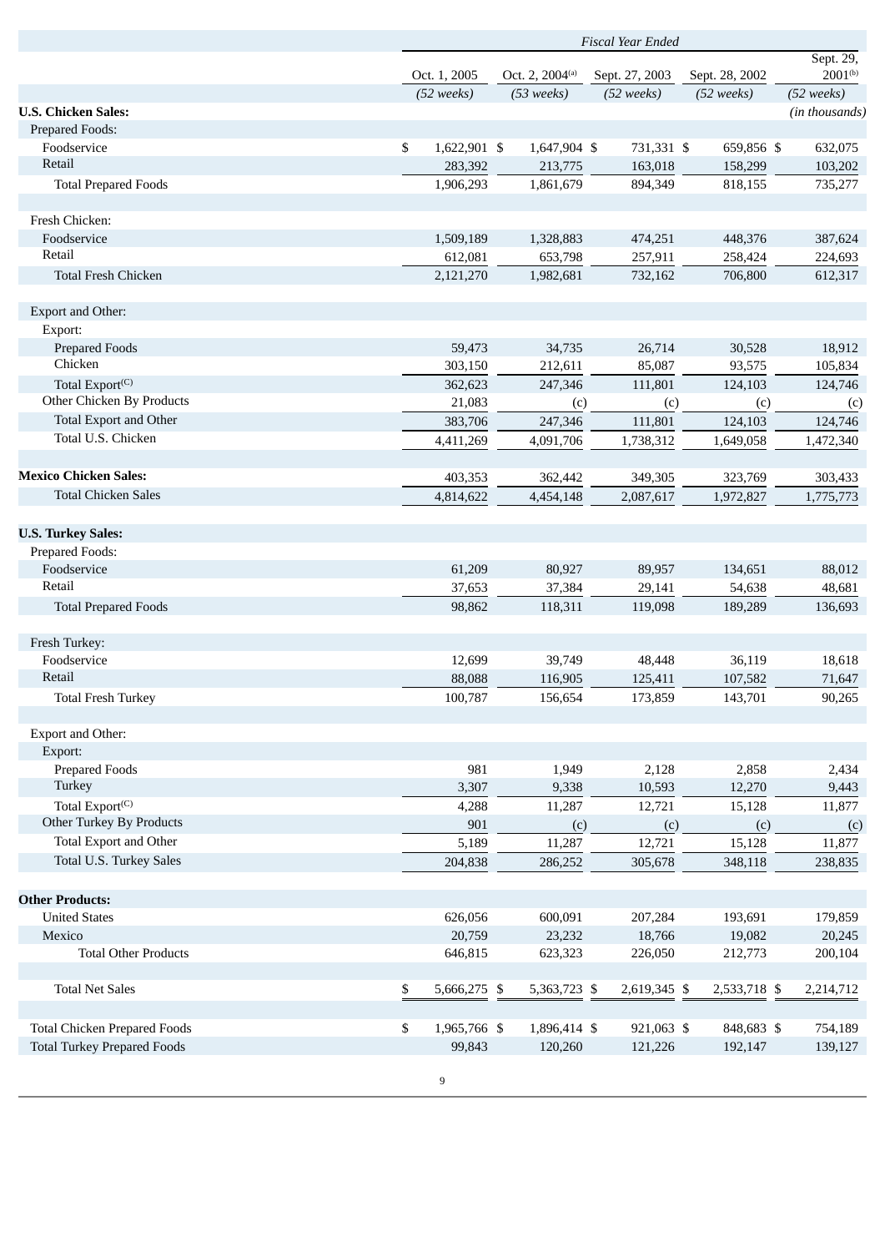|                                     | <b>Fiscal Year Ended</b> |  |                             |                      |                      |                           |
|-------------------------------------|--------------------------|--|-----------------------------|----------------------|----------------------|---------------------------|
|                                     | Oct. 1, 2005             |  | Oct. 2, 2004 <sup>(a)</sup> | Sept. 27, 2003       | Sept. 28, 2002       | Sept. 29,<br>$2001^{(b)}$ |
|                                     | $(52 \text{ weeks})$     |  | $(53$ weeks)                | $(52 \text{ weeks})$ | $(52 \text{ weeks})$ | $(52 \text{ weeks})$      |
| <b>U.S. Chicken Sales:</b>          |                          |  |                             |                      |                      | (in thousands)            |
| Prepared Foods:                     |                          |  |                             |                      |                      |                           |
| Foodservice                         | \$<br>1,622,901 \$       |  | 1,647,904 \$                | 731,331 \$           | 659,856 \$           | 632,075                   |
| Retail                              | 283,392                  |  | 213,775                     | 163,018              | 158,299              | 103,202                   |
| <b>Total Prepared Foods</b>         | 1,906,293                |  | 1,861,679                   | 894,349              | 818,155              | 735,277                   |
| Fresh Chicken:                      |                          |  |                             |                      |                      |                           |
| Foodservice                         | 1,509,189                |  | 1,328,883                   | 474,251              | 448,376              | 387,624                   |
| Retail                              | 612,081                  |  | 653,798                     | 257,911              | 258,424              | 224,693                   |
| <b>Total Fresh Chicken</b>          | 2,121,270                |  | 1,982,681                   | 732,162              | 706,800              | 612,317                   |
| <b>Export and Other:</b>            |                          |  |                             |                      |                      |                           |
| Export:                             |                          |  |                             |                      |                      |                           |
| <b>Prepared Foods</b>               | 59,473                   |  | 34,735                      | 26,714               | 30,528               | 18,912                    |
| Chicken                             | 303,150                  |  | 212,611                     | 85,087               | 93,575               | 105,834                   |
| Total Export <sup>(C)</sup>         | 362,623                  |  | 247,346                     | 111,801              | 124,103              | 124,746                   |
| Other Chicken By Products           | 21,083                   |  | (c)                         | (c)                  | (c)                  | (c)                       |
| Total Export and Other              | 383,706                  |  | 247,346                     | 111,801              | 124,103              | 124,746                   |
| Total U.S. Chicken                  | 4,411,269                |  | 4,091,706                   | 1,738,312            | 1,649,058            | 1,472,340                 |
|                                     |                          |  |                             |                      |                      |                           |
| <b>Mexico Chicken Sales:</b>        | 403,353                  |  | 362,442                     | 349,305              | 323,769              | 303,433                   |
| <b>Total Chicken Sales</b>          | 4,814,622                |  | 4,454,148                   | 2,087,617            | 1,972,827            | 1,775,773                 |
| <b>U.S. Turkey Sales:</b>           |                          |  |                             |                      |                      |                           |
| Prepared Foods:                     |                          |  |                             |                      |                      |                           |
| Foodservice                         | 61,209                   |  | 80,927                      | 89,957               | 134,651              | 88,012                    |
| Retail                              | 37,653                   |  | 37,384                      | 29,141               | 54,638               | 48,681                    |
| <b>Total Prepared Foods</b>         | 98,862                   |  | 118,311                     | 119,098              | 189,289              | 136,693                   |
| Fresh Turkey:                       |                          |  |                             |                      |                      |                           |
| Foodservice                         | 12,699                   |  | 39,749                      | 48,448               | 36,119               | 18,618                    |
| Retail                              | 88,088                   |  | 116,905                     | 125,411              | 107,582              | 71,647                    |
| <b>Total Fresh Turkey</b>           | 100,787                  |  | 156,654                     | 173,859              | 143,701              | 90,265                    |
| Export and Other:                   |                          |  |                             |                      |                      |                           |
| Export:                             |                          |  |                             |                      |                      |                           |
| <b>Prepared Foods</b>               | 981                      |  | 1,949                       | 2,128                | 2,858                | 2,434                     |
| Turkey                              | 3,307                    |  | 9,338                       | 10,593               | 12,270               | 9,443                     |
| Total Export <sup>(C)</sup>         | 4,288                    |  | 11,287                      | 12,721               | 15,128               | 11,877                    |
| Other Turkey By Products            | 901                      |  |                             |                      |                      |                           |
| Total Export and Other              | 5,189                    |  | (c)<br>11,287               | (c)                  | (c)                  | (c)                       |
| Total U.S. Turkey Sales             | 204,838                  |  | 286,252                     | 12,721<br>305,678    | 15,128<br>348,118    | 11,877<br>238,835         |
|                                     |                          |  |                             |                      |                      |                           |
| <b>Other Products:</b>              |                          |  |                             |                      |                      |                           |
| <b>United States</b>                | 626,056                  |  | 600,091                     | 207,284              | 193,691              | 179,859                   |
| Mexico                              | 20,759                   |  | 23,232                      | 18,766               | 19,082               | 20,245                    |
| <b>Total Other Products</b>         | 646,815                  |  | 623,323                     | 226,050              | 212,773              | 200,104                   |
| <b>Total Net Sales</b>              | \$<br>5,666,275 \$       |  | 5,363,723 \$                | 2,619,345 \$         | 2,533,718 \$         | 2,214,712                 |
| <b>Total Chicken Prepared Foods</b> | \$<br>1,965,766 \$       |  |                             | 921,063 \$           | 848,683 \$           |                           |
| <b>Total Turkey Prepared Foods</b>  | 99,843                   |  | 1,896,414 \$<br>120,260     | 121,226              | 192,147              | 754,189<br>139,127        |
|                                     |                          |  |                             |                      |                      |                           |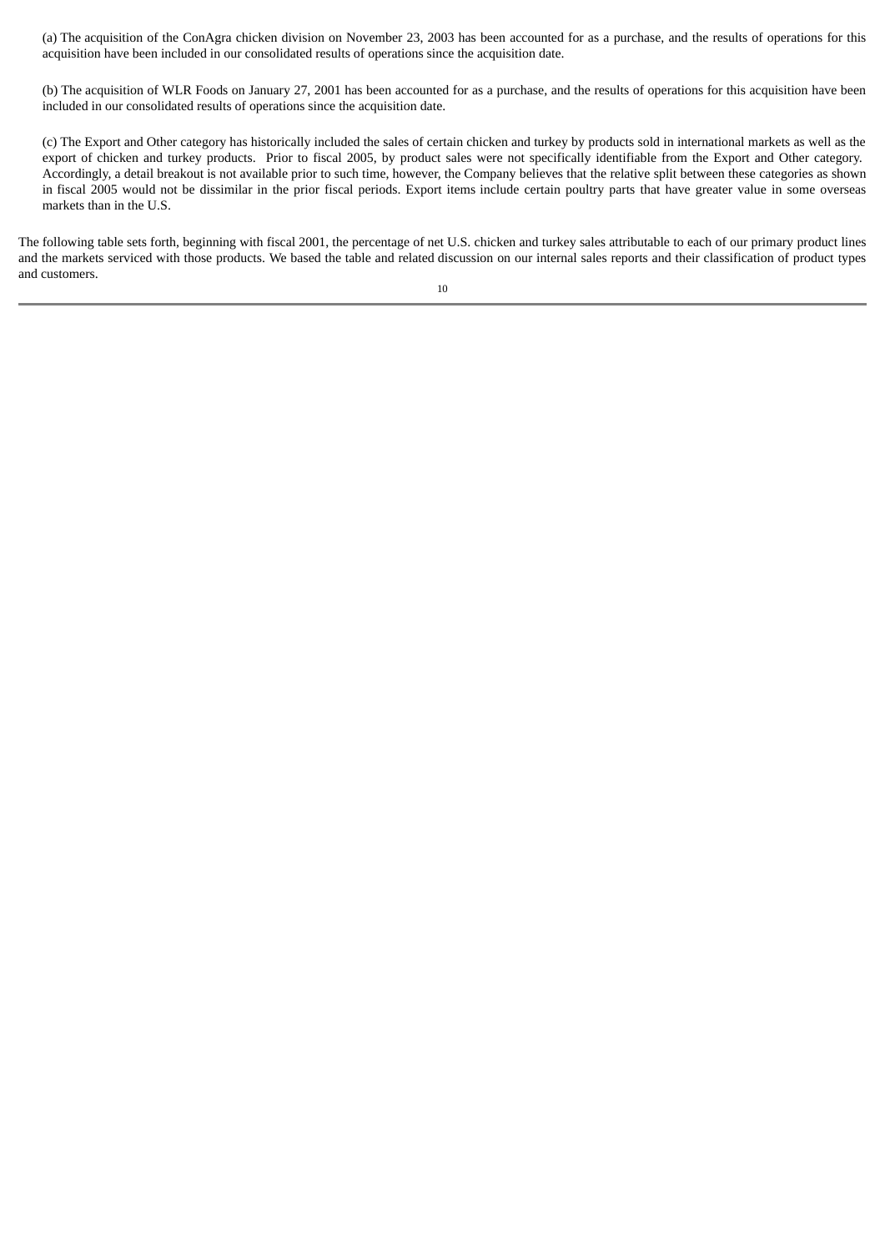(a) The acquisition of the ConAgra chicken division on November 23, 2003 has been accounted for as a purchase, and the results of operations for this acquisition have been included in our consolidated results of operations since the acquisition date.

(b) The acquisition of WLR Foods on January 27, 2001 has been accounted for as a purchase, and the results of operations for this acquisition have been included in our consolidated results of operations since the acquisition date.

(c) The Export and Other category has historically included the sales of certain chicken and turkey by products sold in international markets as well as the export of chicken and turkey products. Prior to fiscal 2005, by product sales were not specifically identifiable from the Export and Other category. Accordingly, a detail breakout is not available prior to such time, however, the Company believes that the relative split between these categories as shown in fiscal 2005 would not be dissimilar in the prior fiscal periods. Export items include certain poultry parts that have greater value in some overseas markets than in the U.S.

The following table sets forth, beginning with fiscal 2001, the percentage of net U.S. chicken and turkey sales attributable to each of our primary product lines and the markets serviced with those products. We based the table and related discussion on our internal sales reports and their classification of product types and customers.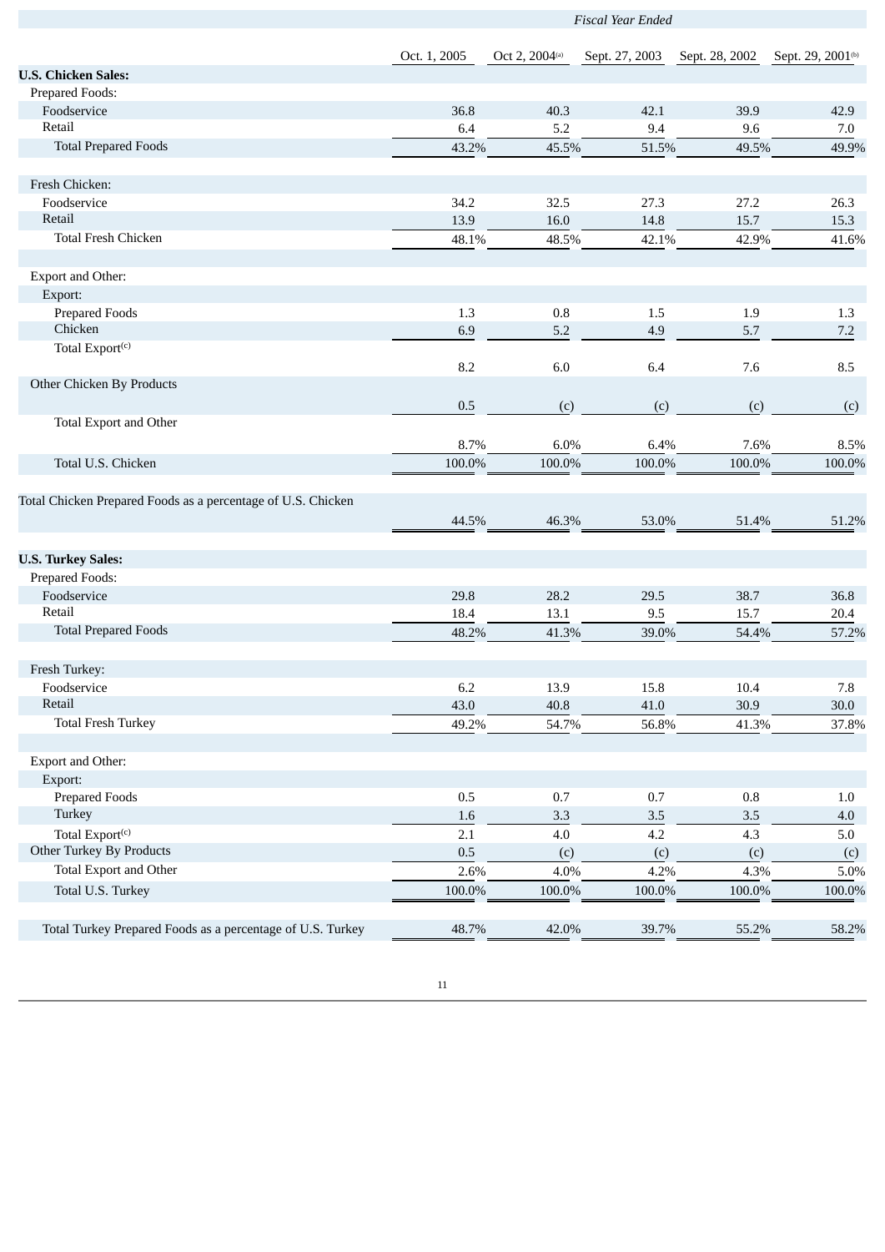|                                                              | Fiscal Year Ended |                |                |                |                               |  |
|--------------------------------------------------------------|-------------------|----------------|----------------|----------------|-------------------------------|--|
|                                                              | Oct. 1, 2005      | Oct 2, 2004(a) | Sept. 27, 2003 | Sept. 28, 2002 | Sept. 29, 2001 <sup>(b)</sup> |  |
| <b>U.S. Chicken Sales:</b>                                   |                   |                |                |                |                               |  |
| Prepared Foods:                                              |                   |                |                |                |                               |  |
| Foodservice                                                  | 36.8              | 40.3           | 42.1           | 39.9           | 42.9                          |  |
| Retail                                                       | 6.4               | 5.2            | 9.4            | 9.6            | $7.0\,$                       |  |
| <b>Total Prepared Foods</b>                                  | 43.2%             | 45.5%          | 51.5%          | 49.5%          | 49.9%                         |  |
| Fresh Chicken:                                               |                   |                |                |                |                               |  |
| Foodservice                                                  | 34.2              | 32.5           | 27.3           | 27.2           | 26.3                          |  |
| Retail                                                       | 13.9              | 16.0           | 14.8           | 15.7           | 15.3                          |  |
| <b>Total Fresh Chicken</b>                                   | 48.1%             | 48.5%          | 42.1%          | 42.9%          | 41.6%                         |  |
| Export and Other:                                            |                   |                |                |                |                               |  |
| Export:                                                      |                   |                |                |                |                               |  |
| <b>Prepared Foods</b>                                        | 1.3               | 0.8            | 1.5            | 1.9            | 1.3                           |  |
| Chicken                                                      | 6.9               | 5.2            | 4.9            | 5.7            | $7.2\,$                       |  |
| Total Export(c)                                              |                   |                |                |                |                               |  |
|                                                              | 8.2               | 6.0            | 6.4            | 7.6            | 8.5                           |  |
| Other Chicken By Products                                    |                   |                |                |                |                               |  |
| <b>Total Export and Other</b>                                | 0.5               | (c)            | (c)            | (c)            | (c)                           |  |
|                                                              |                   |                |                |                |                               |  |
| Total U.S. Chicken                                           | 8.7%<br>100.0%    | 6.0%<br>100.0% | 6.4%<br>100.0% | 7.6%<br>100.0% | 8.5%<br>100.0%                |  |
| Total Chicken Prepared Foods as a percentage of U.S. Chicken | 44.5%             | 46.3%          | 53.0%          | 51.4%          | 51.2%                         |  |
| <b>U.S. Turkey Sales:</b>                                    |                   |                |                |                |                               |  |
| Prepared Foods:                                              |                   |                |                |                |                               |  |
| Foodservice                                                  | 29.8              | 28.2           | 29.5           | 38.7           | 36.8                          |  |
| Retail                                                       | 18.4              | 13.1           | 9.5            | 15.7           | 20.4                          |  |
| <b>Total Prepared Foods</b>                                  | 48.2%             | 41.3%          | 39.0%          | 54.4%          | 57.2%                         |  |
| Fresh Turkey:                                                |                   |                |                |                |                               |  |
| Foodservice                                                  | 6.2               | 13.9           | 15.8           | 10.4           | 7.8                           |  |
| Retail                                                       | 43.0              | 40.8           | 41.0           | 30.9           | 30.0                          |  |
| <b>Total Fresh Turkey</b>                                    | 49.2%             | 54.7%          | 56.8%          | 41.3%          | 37.8%                         |  |
| <b>Export and Other:</b>                                     |                   |                |                |                |                               |  |
| Export:                                                      |                   |                |                |                |                               |  |
| <b>Prepared Foods</b>                                        | 0.5               | $0.7\,$        | $0.7\,$        | $\rm 0.8$      | $1.0\,$                       |  |
| Turkey                                                       | 1.6               | 3.3            | $3.5\,$        | $3.5\,$        | $4.0\,$                       |  |
| Total Export(c)                                              | 2.1               | 4.0            | 4.2            | 4.3            | 5.0                           |  |
| Other Turkey By Products                                     | $0.5\,$           | (c)            | (c)            | (c)            | (c)                           |  |
| <b>Total Export and Other</b>                                | 2.6%              | 4.0%           | 4.2%           | 4.3%           | 5.0%                          |  |
| Total U.S. Turkey                                            | 100.0%            | 100.0%         | 100.0%         | 100.0%         | 100.0%                        |  |
|                                                              |                   |                |                |                |                               |  |
| Total Turkey Prepared Foods as a percentage of U.S. Turkey   | 48.7%             | 42.0%          | 39.7%          | 55.2%          | 58.2%                         |  |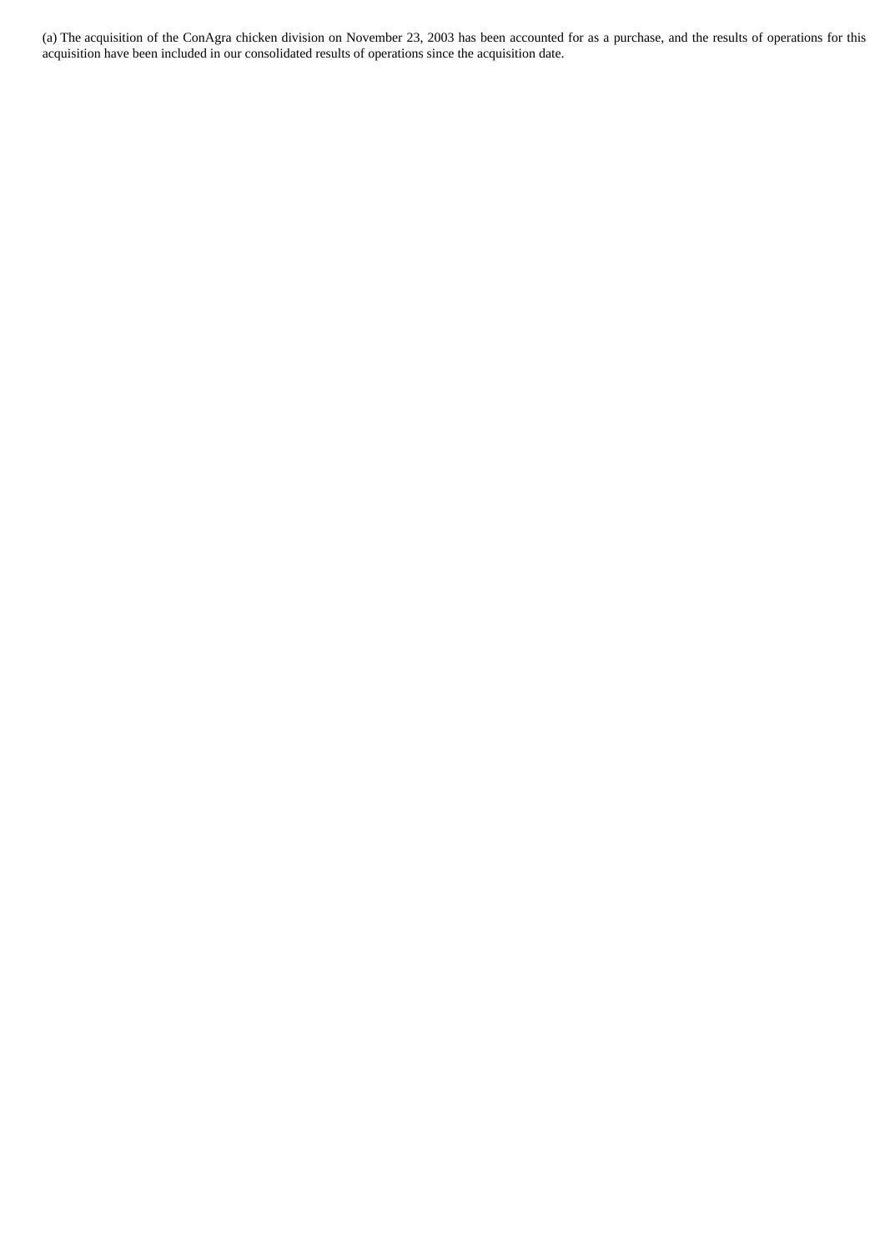(a) The acquisition of the ConAgra chicken division on November 23, 2003 has been accounted for as a purchase, and the results of operations for this acquisition have been included in our consolidated results of operations since the acquisition date.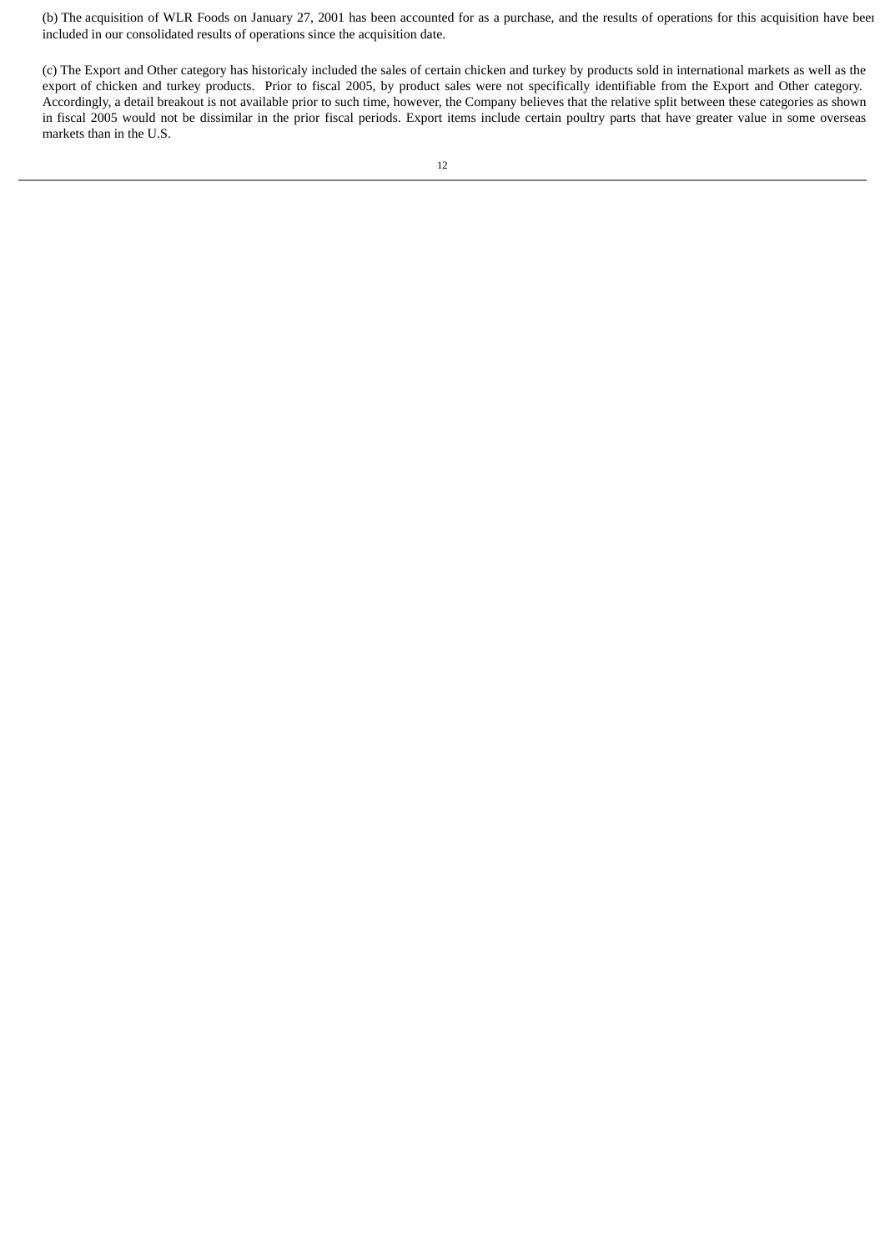(b) The acquisition of WLR Foods on January 27, 2001 has been accounted for as a purchase, and the results of operations for this acquisition have been included in our consolidated results of operations since the acquisition date.

(c) The Export and Other category has historicaly included the sales of certain chicken and turkey by products sold in international markets as well as the export of chicken and turkey products. Prior to fiscal 2005, by product sales were not specifically identifiable from the Export and Other category. Accordingly, a detail breakout is not available prior to such time, however, the Company believes that the relative split between these categories as shown in fiscal 2005 would not be dissimilar in the prior fiscal periods. Export items include certain poultry parts that have greater value in some overseas markets than in the U.S.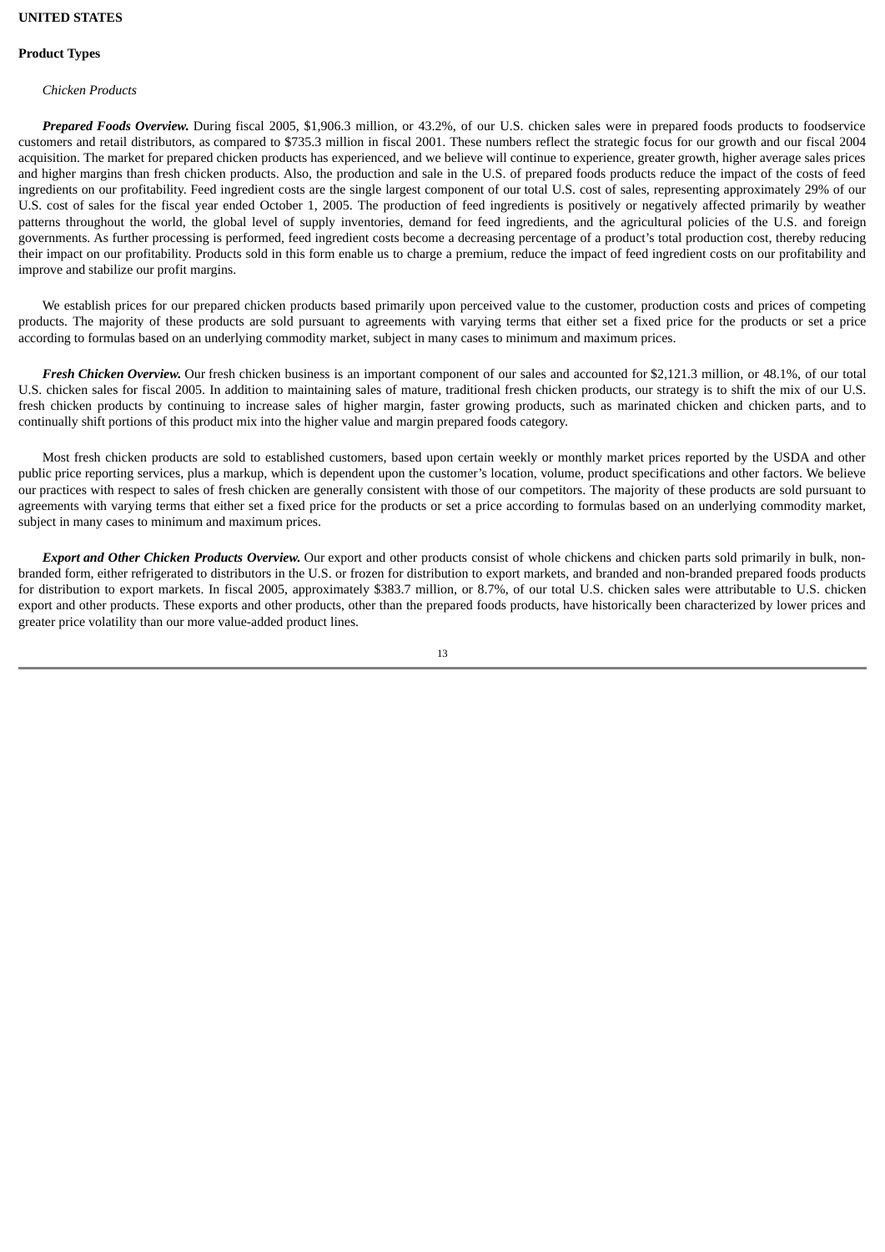# **UNITED STATES**

## **Product Types**

### *Chicken Products*

*Prepared Foods Overview.* During fiscal 2005, \$1,906.3 million, or 43.2%, of our U.S. chicken sales were in prepared foods products to foodservice customers and retail distributors, as compared to \$735.3 million in fiscal 2001. These numbers reflect the strategic focus for our growth and our fiscal 2004 acquisition. The market for prepared chicken products has experienced, and we believe will continue to experience, greater growth, higher average sales prices and higher margins than fresh chicken products. Also, the production and sale in the U.S. of prepared foods products reduce the impact of the costs of feed ingredients on our profitability. Feed ingredient costs are the single largest component of our total U.S. cost of sales, representing approximately 29% of our U.S. cost of sales for the fiscal year ended October 1, 2005. The production of feed ingredients is positively or negatively affected primarily by weather patterns throughout the world, the global level of supply inventories, demand for feed ingredients, and the agricultural policies of the U.S. and foreign governments. As further processing is performed, feed ingredient costs become a decreasing percentage of a product's total production cost, thereby reducing their impact on our profitability. Products sold in this form enable us to charge a premium, reduce the impact of feed ingredient costs on our profitability and improve and stabilize our profit margins.

We establish prices for our prepared chicken products based primarily upon perceived value to the customer, production costs and prices of competing products. The majority of these products are sold pursuant to agreements with varying terms that either set a fixed price for the products or set a price according to formulas based on an underlying commodity market, subject in many cases to minimum and maximum prices.

*Fresh Chicken Overview.* Our fresh chicken business is an important component of our sales and accounted for \$2,121.3 million, or 48.1%, of our total U.S. chicken sales for fiscal 2005. In addition to maintaining sales of mature, traditional fresh chicken products, our strategy is to shift the mix of our U.S. fresh chicken products by continuing to increase sales of higher margin, faster growing products, such as marinated chicken and chicken parts, and to continually shift portions of this product mix into the higher value and margin prepared foods category.

Most fresh chicken products are sold to established customers, based upon certain weekly or monthly market prices reported by the USDA and other public price reporting services, plus a markup, which is dependent upon the customer's location, volume, product specifications and other factors. We believe our practices with respect to sales of fresh chicken are generally consistent with those of our competitors. The majority of these products are sold pursuant to agreements with varying terms that either set a fixed price for the products or set a price according to formulas based on an underlying commodity market, subject in many cases to minimum and maximum prices.

*Export and Other Chicken Products Overview.* Our export and other products consist of whole chickens and chicken parts sold primarily in bulk, nonbranded form, either refrigerated to distributors in the U.S. or frozen for distribution to export markets, and branded and non-branded prepared foods products for distribution to export markets. In fiscal 2005, approximately \$383.7 million, or 8.7%, of our total U.S. chicken sales were attributable to U.S. chicken export and other products. These exports and other products, other than the prepared foods products, have historically been characterized by lower prices and greater price volatility than our more value-added product lines.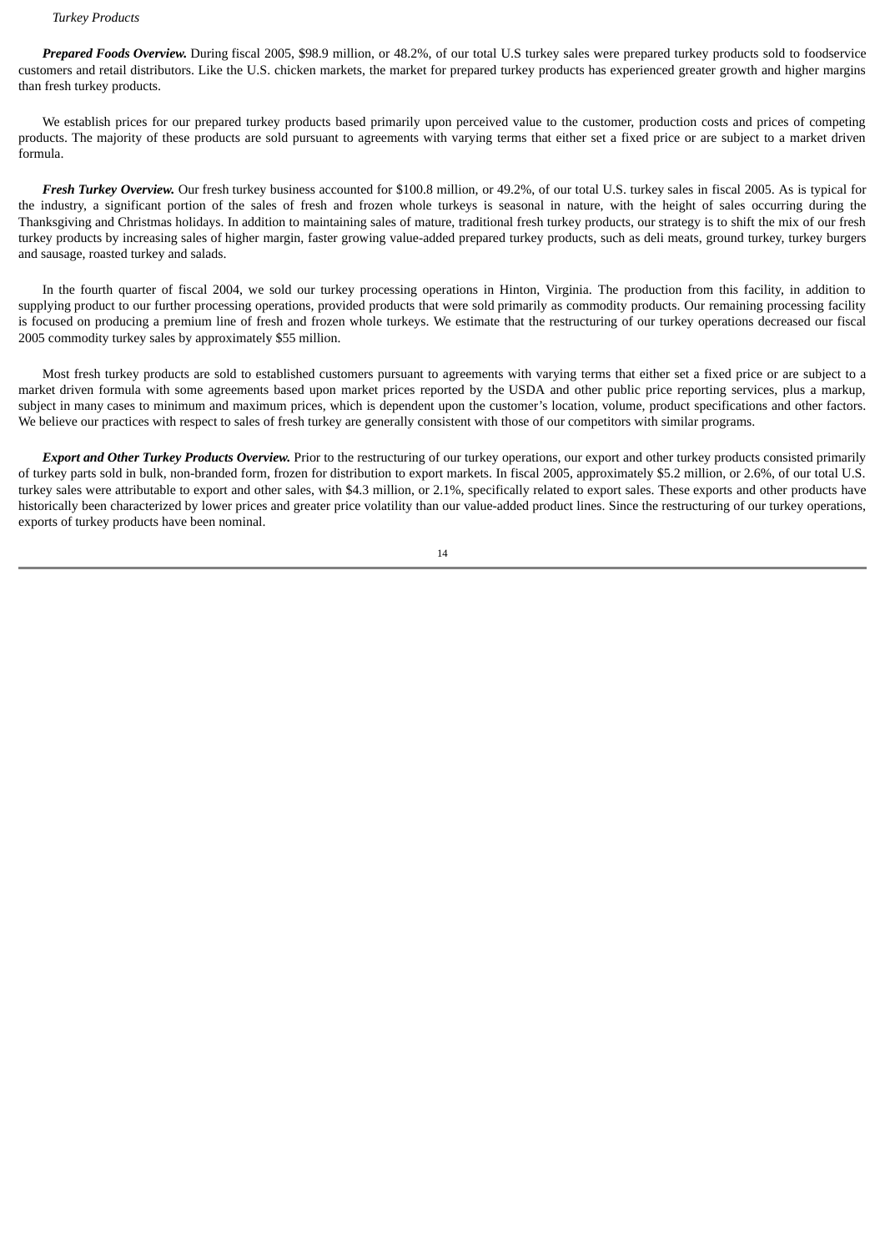## *Turkey Products*

*Prepared Foods Overview.* During fiscal 2005, \$98.9 million, or 48.2%, of our total U.S turkey sales were prepared turkey products sold to foodservice customers and retail distributors. Like the U.S. chicken markets, the market for prepared turkey products has experienced greater growth and higher margins than fresh turkey products.

We establish prices for our prepared turkey products based primarily upon perceived value to the customer, production costs and prices of competing products. The majority of these products are sold pursuant to agreements with varying terms that either set a fixed price or are subject to a market driven formula.

*Fresh Turkey Overview.* Our fresh turkey business accounted for \$100.8 million, or 49.2%, of our total U.S. turkey sales in fiscal 2005. As is typical for the industry, a significant portion of the sales of fresh and frozen whole turkeys is seasonal in nature, with the height of sales occurring during the Thanksgiving and Christmas holidays. In addition to maintaining sales of mature, traditional fresh turkey products, our strategy is to shift the mix of our fresh turkey products by increasing sales of higher margin, faster growing value-added prepared turkey products, such as deli meats, ground turkey, turkey burgers and sausage, roasted turkey and salads.

In the fourth quarter of fiscal 2004, we sold our turkey processing operations in Hinton, Virginia. The production from this facility, in addition to supplying product to our further processing operations, provided products that were sold primarily as commodity products. Our remaining processing facility is focused on producing a premium line of fresh and frozen whole turkeys. We estimate that the restructuring of our turkey operations decreased our fiscal 2005 commodity turkey sales by approximately \$55 million.

Most fresh turkey products are sold to established customers pursuant to agreements with varying terms that either set a fixed price or are subject to a market driven formula with some agreements based upon market prices reported by the USDA and other public price reporting services, plus a markup, subject in many cases to minimum and maximum prices, which is dependent upon the customer's location, volume, product specifications and other factors. We believe our practices with respect to sales of fresh turkey are generally consistent with those of our competitors with similar programs.

*Export and Other Turkey Products Overview.* Prior to the restructuring of our turkey operations, our export and other turkey products consisted primarily of turkey parts sold in bulk, non-branded form, frozen for distribution to export markets. In fiscal 2005, approximately \$5.2 million, or 2.6%, of our total U.S. turkey sales were attributable to export and other sales, with \$4.3 million, or 2.1%, specifically related to export sales. These exports and other products have historically been characterized by lower prices and greater price volatility than our value-added product lines. Since the restructuring of our turkey operations, exports of turkey products have been nominal.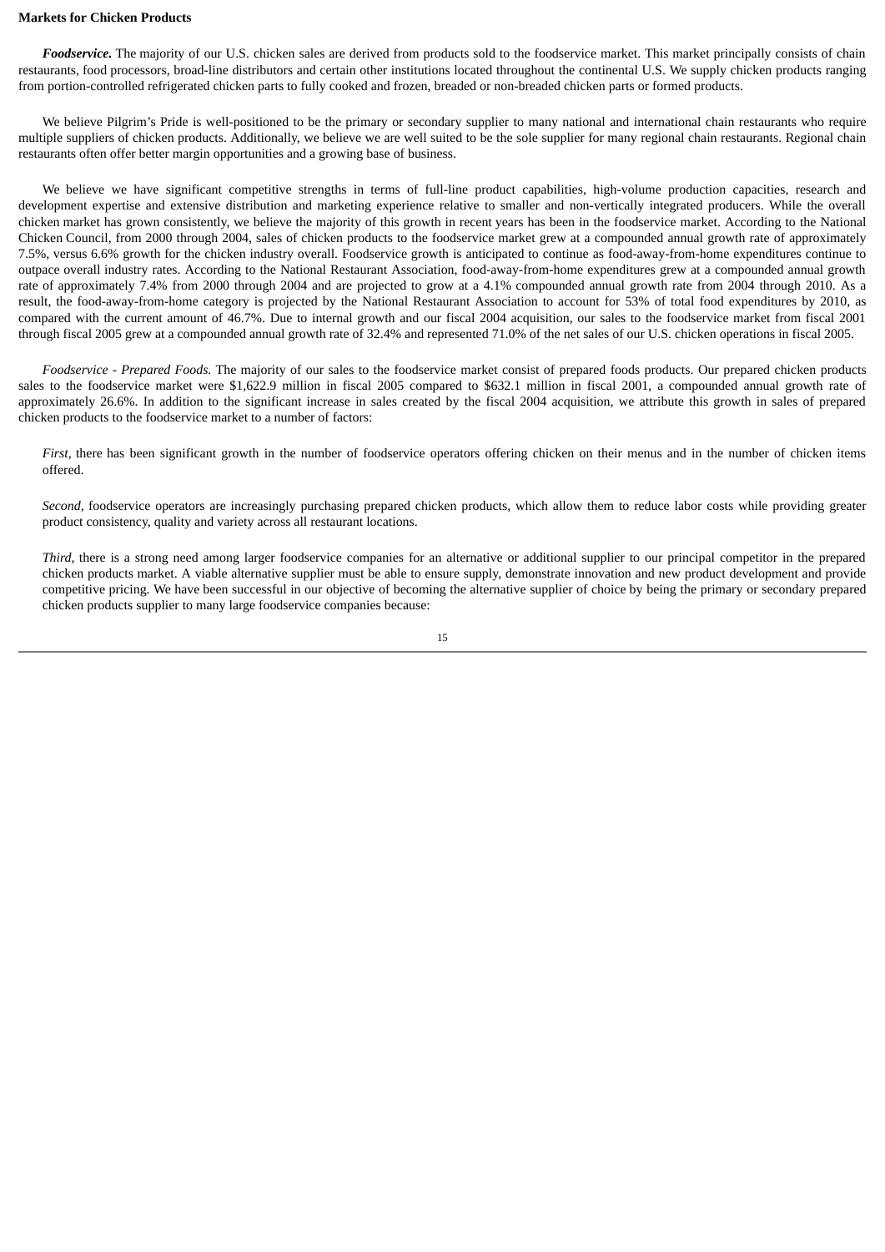#### **Markets for Chicken Products**

*Foodservice.* The majority of our U.S. chicken sales are derived from products sold to the foodservice market. This market principally consists of chain restaurants, food processors, broad-line distributors and certain other institutions located throughout the continental U.S. We supply chicken products ranging from portion-controlled refrigerated chicken parts to fully cooked and frozen, breaded or non-breaded chicken parts or formed products.

We believe Pilgrim's Pride is well-positioned to be the primary or secondary supplier to many national and international chain restaurants who require multiple suppliers of chicken products. Additionally, we believe we are well suited to be the sole supplier for many regional chain restaurants. Regional chain restaurants often offer better margin opportunities and a growing base of business.

We believe we have significant competitive strengths in terms of full-line product capabilities, high-volume production capacities, research and development expertise and extensive distribution and marketing experience relative to smaller and non-vertically integrated producers. While the overall chicken market has grown consistently, we believe the majority of this growth in recent years has been in the foodservice market. According to the National Chicken Council, from 2000 through 2004, sales of chicken products to the foodservice market grew at a compounded annual growth rate of approximately 7.5%, versus 6.6% growth for the chicken industry overall. Foodservice growth is anticipated to continue as food-away-from-home expenditures continue to outpace overall industry rates. According to the National Restaurant Association, food-away-from-home expenditures grew at a compounded annual growth rate of approximately 7.4% from 2000 through 2004 and are projected to grow at a 4.1% compounded annual growth rate from 2004 through 2010. As a result, the food-away-from-home category is projected by the National Restaurant Association to account for 53% of total food expenditures by 2010, as compared with the current amount of 46.7%. Due to internal growth and our fiscal 2004 acquisition, our sales to the foodservice market from fiscal 2001 through fiscal 2005 grew at a compounded annual growth rate of 32.4% and represented 71.0% of the net sales of our U.S. chicken operations in fiscal 2005.

*Foodservice - Prepared Foods.* The majority of our sales to the foodservice market consist of prepared foods products. Our prepared chicken products sales to the foodservice market were \$1,622.9 million in fiscal 2005 compared to \$632.1 million in fiscal 2001, a compounded annual growth rate of approximately 26.6%. In addition to the significant increase in sales created by the fiscal 2004 acquisition, we attribute this growth in sales of prepared chicken products to the foodservice market to a number of factors:

*First,* there has been significant growth in the number of foodservice operators offering chicken on their menus and in the number of chicken items offered.

*Second,* foodservice operators are increasingly purchasing prepared chicken products, which allow them to reduce labor costs while providing greater product consistency, quality and variety across all restaurant locations.

*Third,* there is a strong need among larger foodservice companies for an alternative or additional supplier to our principal competitor in the prepared chicken products market. A viable alternative supplier must be able to ensure supply, demonstrate innovation and new product development and provide competitive pricing. We have been successful in our objective of becoming the alternative supplier of choice by being the primary or secondary prepared chicken products supplier to many large foodservice companies because: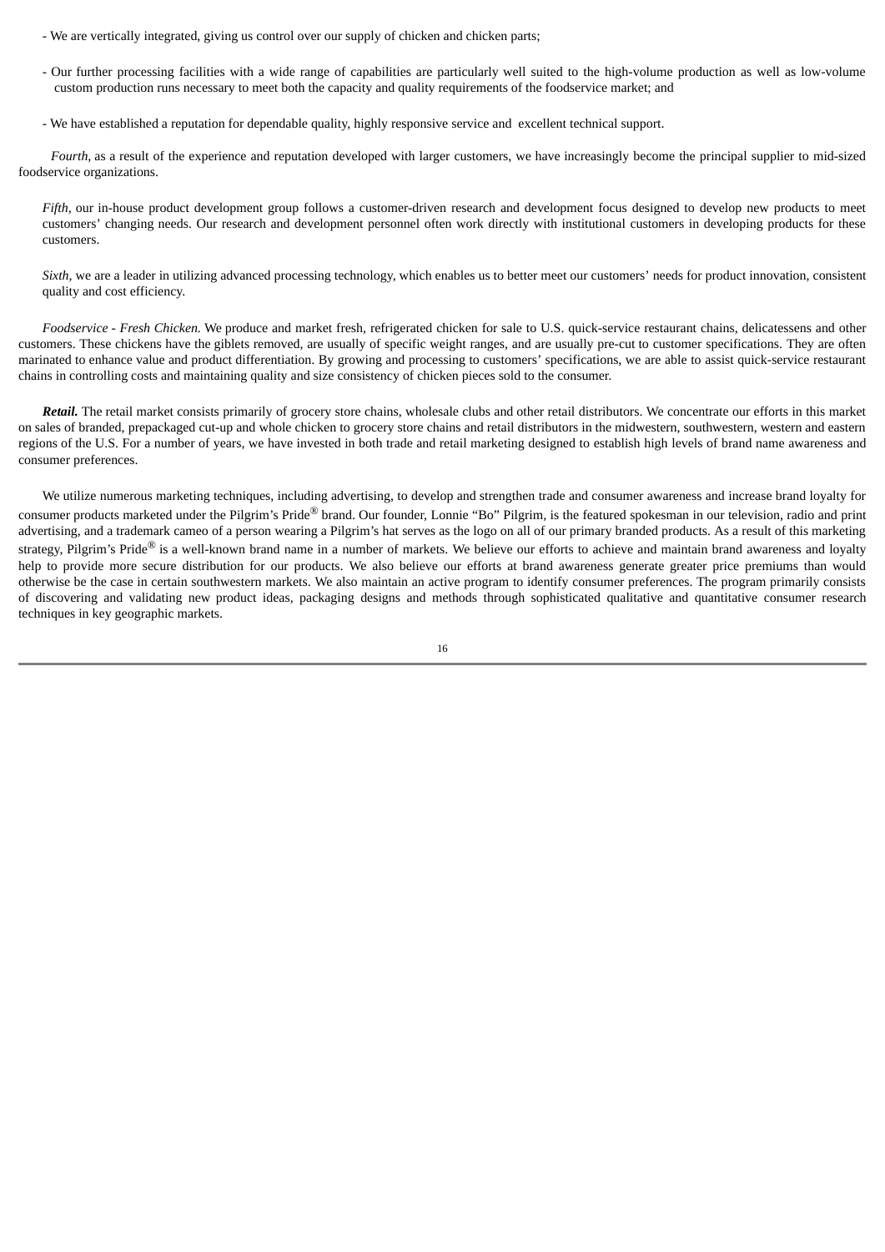- We are vertically integrated, giving us control over our supply of chicken and chicken parts;
- Our further processing facilities with a wide range of capabilities are particularly well suited to the high-volume production as well as low-volume custom production runs necessary to meet both the capacity and quality requirements of the foodservice market; and
- We have established a reputation for dependable quality, highly responsive service and excellent technical support.

*Fourth,* as a result of the experience and reputation developed with larger customers, we have increasingly become the principal supplier to mid-sized foodservice organizations.

*Fifth,* our in-house product development group follows a customer-driven research and development focus designed to develop new products to meet customers' changing needs. Our research and development personnel often work directly with institutional customers in developing products for these customers.

*Sixth*, we are a leader in utilizing advanced processing technology, which enables us to better meet our customers' needs for product innovation, consistent quality and cost efficiency.

*Foodservice - Fresh Chicken.* We produce and market fresh, refrigerated chicken for sale to U.S. quick-service restaurant chains, delicatessens and other customers. These chickens have the giblets removed, are usually of specific weight ranges, and are usually pre-cut to customer specifications. They are often marinated to enhance value and product differentiation. By growing and processing to customers' specifications, we are able to assist quick-service restaurant chains in controlling costs and maintaining quality and size consistency of chicken pieces sold to the consumer.

*Retail.* The retail market consists primarily of grocery store chains, wholesale clubs and other retail distributors. We concentrate our efforts in this market on sales of branded, prepackaged cut-up and whole chicken to grocery store chains and retail distributors in the midwestern, southwestern, western and eastern regions of the U.S. For a number of years, we have invested in both trade and retail marketing designed to establish high levels of brand name awareness and consumer preferences.

We utilize numerous marketing techniques, including advertising, to develop and strengthen trade and consumer awareness and increase brand loyalty for consumer products marketed under the Pilgrim's Pride® brand. Our founder, Lonnie "Bo" Pilgrim, is the featured spokesman in our television, radio and print advertising, and a trademark cameo of a person wearing a Pilgrim's hat serves as the logo on all of our primary branded products. As a result of this marketing strategy, Pilgrim's Pride® is a well-known brand name in a number of markets. We believe our efforts to achieve and maintain brand awareness and loyalty help to provide more secure distribution for our products. We also believe our efforts at brand awareness generate greater price premiums than would otherwise be the case in certain southwestern markets. We also maintain an active program to identify consumer preferences. The program primarily consists of discovering and validating new product ideas, packaging designs and methods through sophisticated qualitative and quantitative consumer research techniques in key geographic markets.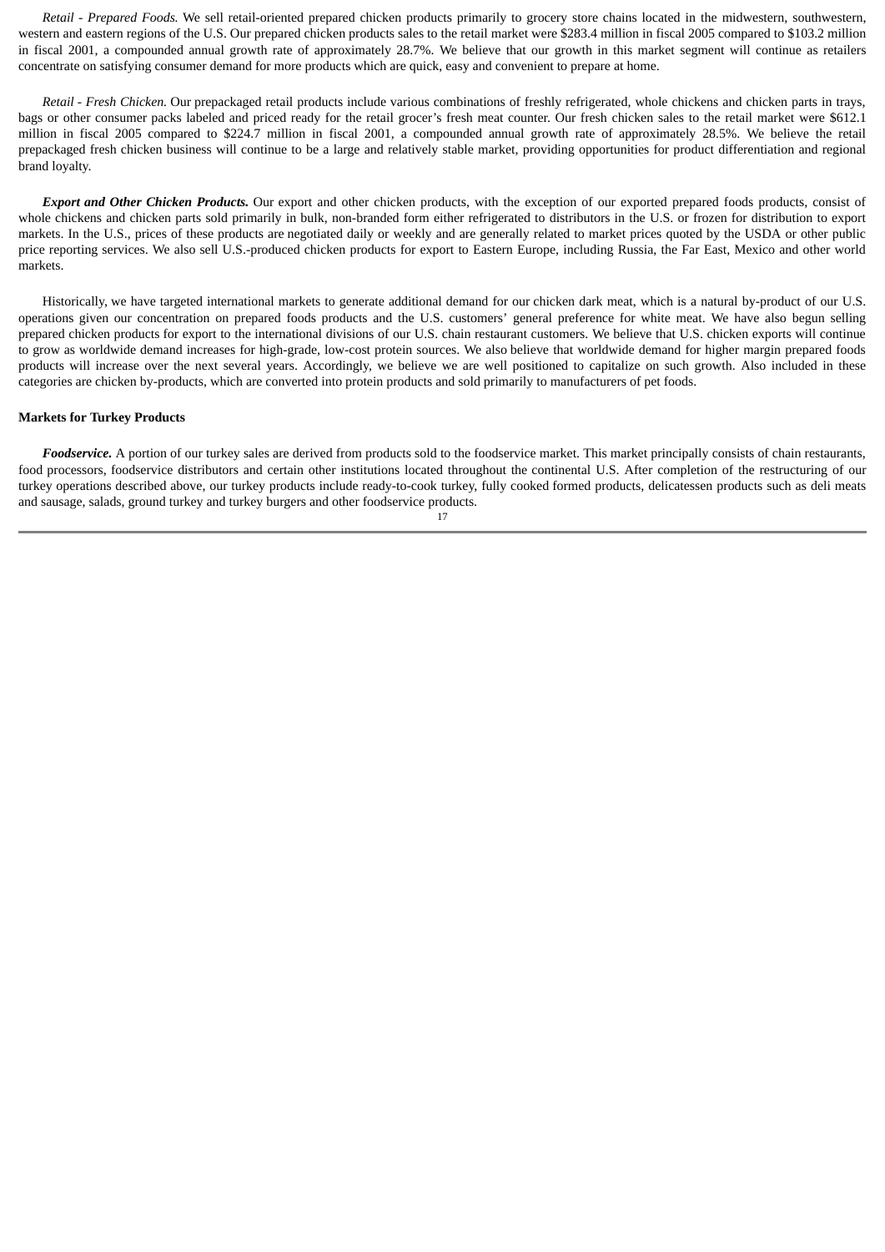*Retail - Prepared Foods.* We sell retail-oriented prepared chicken products primarily to grocery store chains located in the midwestern, southwestern, western and eastern regions of the U.S. Our prepared chicken products sales to the retail market were \$283.4 million in fiscal 2005 compared to \$103.2 million in fiscal 2001, a compounded annual growth rate of approximately 28.7%. We believe that our growth in this market segment will continue as retailers concentrate on satisfying consumer demand for more products which are quick, easy and convenient to prepare at home.

*Retail - Fresh Chicken.* Our prepackaged retail products include various combinations of freshly refrigerated, whole chickens and chicken parts in trays, bags or other consumer packs labeled and priced ready for the retail grocer's fresh meat counter. Our fresh chicken sales to the retail market were \$612.1 million in fiscal 2005 compared to \$224.7 million in fiscal 2001, a compounded annual growth rate of approximately 28.5%. We believe the retail prepackaged fresh chicken business will continue to be a large and relatively stable market, providing opportunities for product differentiation and regional brand loyalty.

*Export and Other Chicken Products.* Our export and other chicken products, with the exception of our exported prepared foods products, consist of whole chickens and chicken parts sold primarily in bulk, non-branded form either refrigerated to distributors in the U.S. or frozen for distribution to export markets. In the U.S., prices of these products are negotiated daily or weekly and are generally related to market prices quoted by the USDA or other public price reporting services. We also sell U.S.-produced chicken products for export to Eastern Europe, including Russia, the Far East, Mexico and other world markets.

Historically, we have targeted international markets to generate additional demand for our chicken dark meat, which is a natural by-product of our U.S. operations given our concentration on prepared foods products and the U.S. customers' general preference for white meat. We have also begun selling prepared chicken products for export to the international divisions of our U.S. chain restaurant customers. We believe that U.S. chicken exports will continue to grow as worldwide demand increases for high-grade, low-cost protein sources. We also believe that worldwide demand for higher margin prepared foods products will increase over the next several years. Accordingly, we believe we are well positioned to capitalize on such growth. Also included in these categories are chicken by-products, which are converted into protein products and sold primarily to manufacturers of pet foods.

## **Markets for Turkey Products**

*Foodservice.* A portion of our turkey sales are derived from products sold to the foodservice market. This market principally consists of chain restaurants, food processors, foodservice distributors and certain other institutions located throughout the continental U.S. After completion of the restructuring of our turkey operations described above, our turkey products include ready-to-cook turkey, fully cooked formed products, delicatessen products such as deli meats and sausage, salads, ground turkey and turkey burgers and other foodservice products.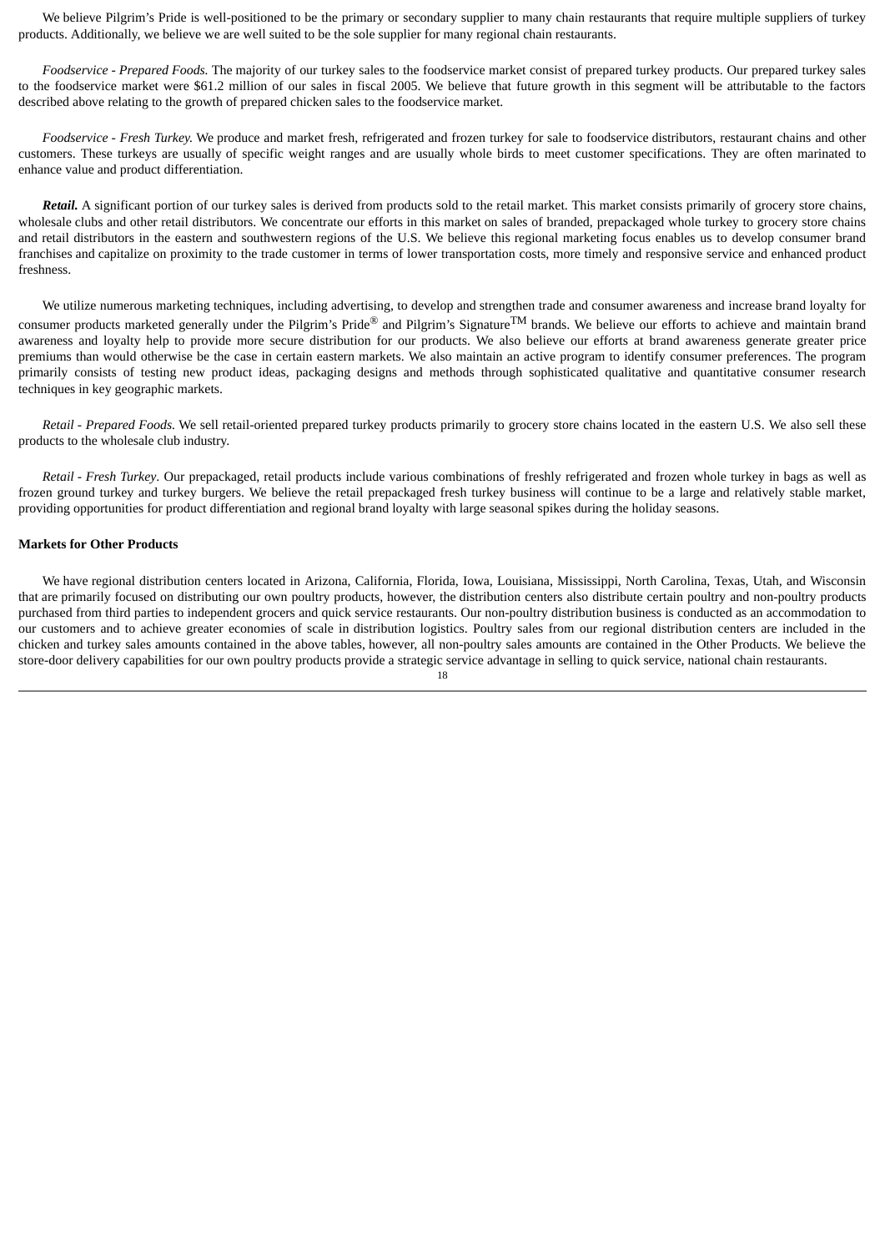We believe Pilgrim's Pride is well-positioned to be the primary or secondary supplier to many chain restaurants that require multiple suppliers of turkey products. Additionally, we believe we are well suited to be the sole supplier for many regional chain restaurants.

*Foodservice - Prepared Foods.* The majority of our turkey sales to the foodservice market consist of prepared turkey products. Our prepared turkey sales to the foodservice market were \$61.2 million of our sales in fiscal 2005. We believe that future growth in this segment will be attributable to the factors described above relating to the growth of prepared chicken sales to the foodservice market.

*Foodservice - Fresh Turkey.* We produce and market fresh, refrigerated and frozen turkey for sale to foodservice distributors, restaurant chains and other customers. These turkeys are usually of specific weight ranges and are usually whole birds to meet customer specifications. They are often marinated to enhance value and product differentiation.

*Retail.* A significant portion of our turkey sales is derived from products sold to the retail market. This market consists primarily of grocery store chains, wholesale clubs and other retail distributors. We concentrate our efforts in this market on sales of branded, prepackaged whole turkey to grocery store chains and retail distributors in the eastern and southwestern regions of the U.S. We believe this regional marketing focus enables us to develop consumer brand franchises and capitalize on proximity to the trade customer in terms of lower transportation costs, more timely and responsive service and enhanced product freshness.

We utilize numerous marketing techniques, including advertising, to develop and strengthen trade and consumer awareness and increase brand loyalty for consumer products marketed generally under the Pilgrim's Pride® and Pilgrim's Signature<sup>TM</sup> brands. We believe our efforts to achieve and maintain brand awareness and loyalty help to provide more secure distribution for our products. We also believe our efforts at brand awareness generate greater price premiums than would otherwise be the case in certain eastern markets. We also maintain an active program to identify consumer preferences. The program primarily consists of testing new product ideas, packaging designs and methods through sophisticated qualitative and quantitative consumer research techniques in key geographic markets.

*Retail - Prepared Foods.* We sell retail-oriented prepared turkey products primarily to grocery store chains located in the eastern U.S. We also sell these products to the wholesale club industry.

*Retail - Fresh Turkey*. Our prepackaged, retail products include various combinations of freshly refrigerated and frozen whole turkey in bags as well as frozen ground turkey and turkey burgers. We believe the retail prepackaged fresh turkey business will continue to be a large and relatively stable market, providing opportunities for product differentiation and regional brand loyalty with large seasonal spikes during the holiday seasons.

### **Markets for Other Products**

We have regional distribution centers located in Arizona, California, Florida, Iowa, Louisiana, Mississippi, North Carolina, Texas, Utah, and Wisconsin that are primarily focused on distributing our own poultry products, however, the distribution centers also distribute certain poultry and non-poultry products purchased from third parties to independent grocers and quick service restaurants. Our non-poultry distribution business is conducted as an accommodation to our customers and to achieve greater economies of scale in distribution logistics. Poultry sales from our regional distribution centers are included in the chicken and turkey sales amounts contained in the above tables, however, all non-poultry sales amounts are contained in the Other Products. We believe the store-door delivery capabilities for our own poultry products provide a strategic service advantage in selling to quick service, national chain restaurants.

<sup>18</sup>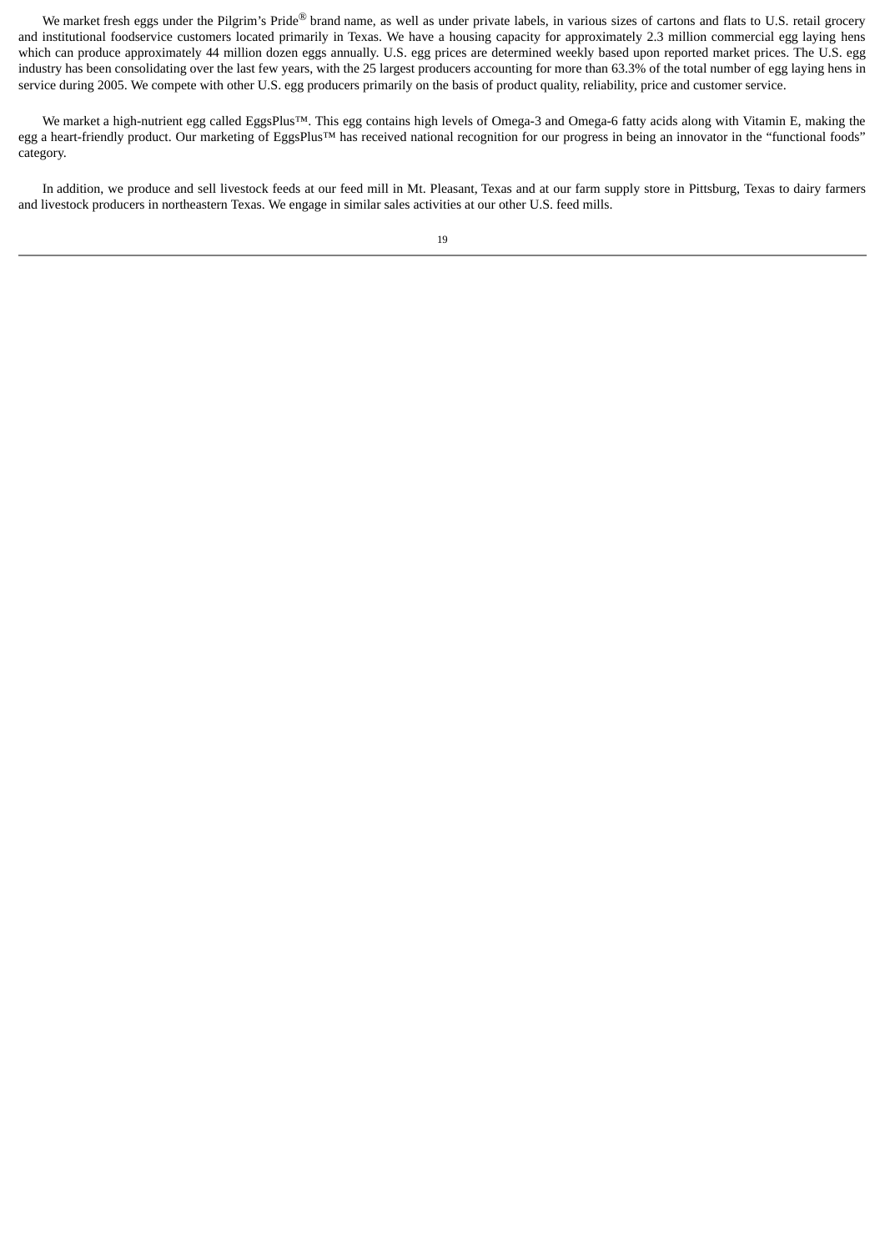We market fresh eggs under the Pilgrim's Pride® brand name, as well as under private labels, in various sizes of cartons and flats to U.S. retail grocery and institutional foodservice customers located primarily in Texas. We have a housing capacity for approximately 2.3 million commercial egg laying hens which can produce approximately 44 million dozen eggs annually. U.S. egg prices are determined weekly based upon reported market prices. The U.S. egg industry has been consolidating over the last few years, with the 25 largest producers accounting for more than 63.3% of the total number of egg laying hens in service during 2005. We compete with other U.S. egg producers primarily on the basis of product quality, reliability, price and customer service.

We market a high-nutrient egg called EggsPlus™. This egg contains high levels of Omega-3 and Omega-6 fatty acids along with Vitamin E, making the egg a heart-friendly product. Our marketing of EggsPlus™ has received national recognition for our progress in being an innovator in the "functional foods" category.

In addition, we produce and sell livestock feeds at our feed mill in Mt. Pleasant, Texas and at our farm supply store in Pittsburg, Texas to dairy farmers and livestock producers in northeastern Texas. We engage in similar sales activities at our other U.S. feed mills.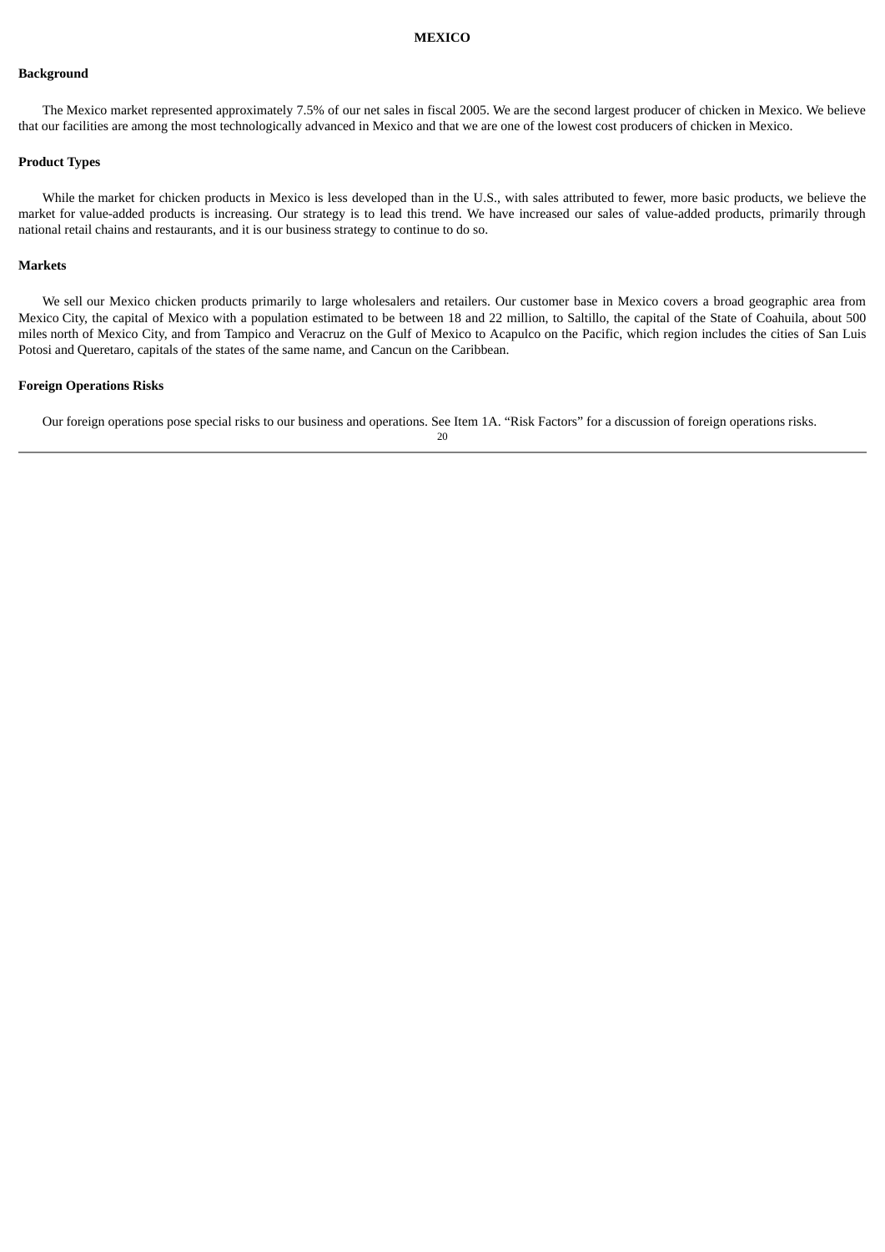### **MEXICO**

### **Background**

The Mexico market represented approximately 7.5% of our net sales in fiscal 2005. We are the second largest producer of chicken in Mexico. We believe that our facilities are among the most technologically advanced in Mexico and that we are one of the lowest cost producers of chicken in Mexico.

#### **Product Types**

While the market for chicken products in Mexico is less developed than in the U.S., with sales attributed to fewer, more basic products, we believe the market for value-added products is increasing. Our strategy is to lead this trend. We have increased our sales of value-added products, primarily through national retail chains and restaurants, and it is our business strategy to continue to do so.

#### **Markets**

We sell our Mexico chicken products primarily to large wholesalers and retailers. Our customer base in Mexico covers a broad geographic area from Mexico City, the capital of Mexico with a population estimated to be between 18 and 22 million, to Saltillo, the capital of the State of Coahuila, about 500 miles north of Mexico City, and from Tampico and Veracruz on the Gulf of Mexico to Acapulco on the Pacific, which region includes the cities of San Luis Potosi and Queretaro, capitals of the states of the same name, and Cancun on the Caribbean.

### **Foreign Operations Risks**

Our foreign operations pose special risks to our business and operations. See Item 1A. "Risk Factors" for a discussion of foreign operations risks.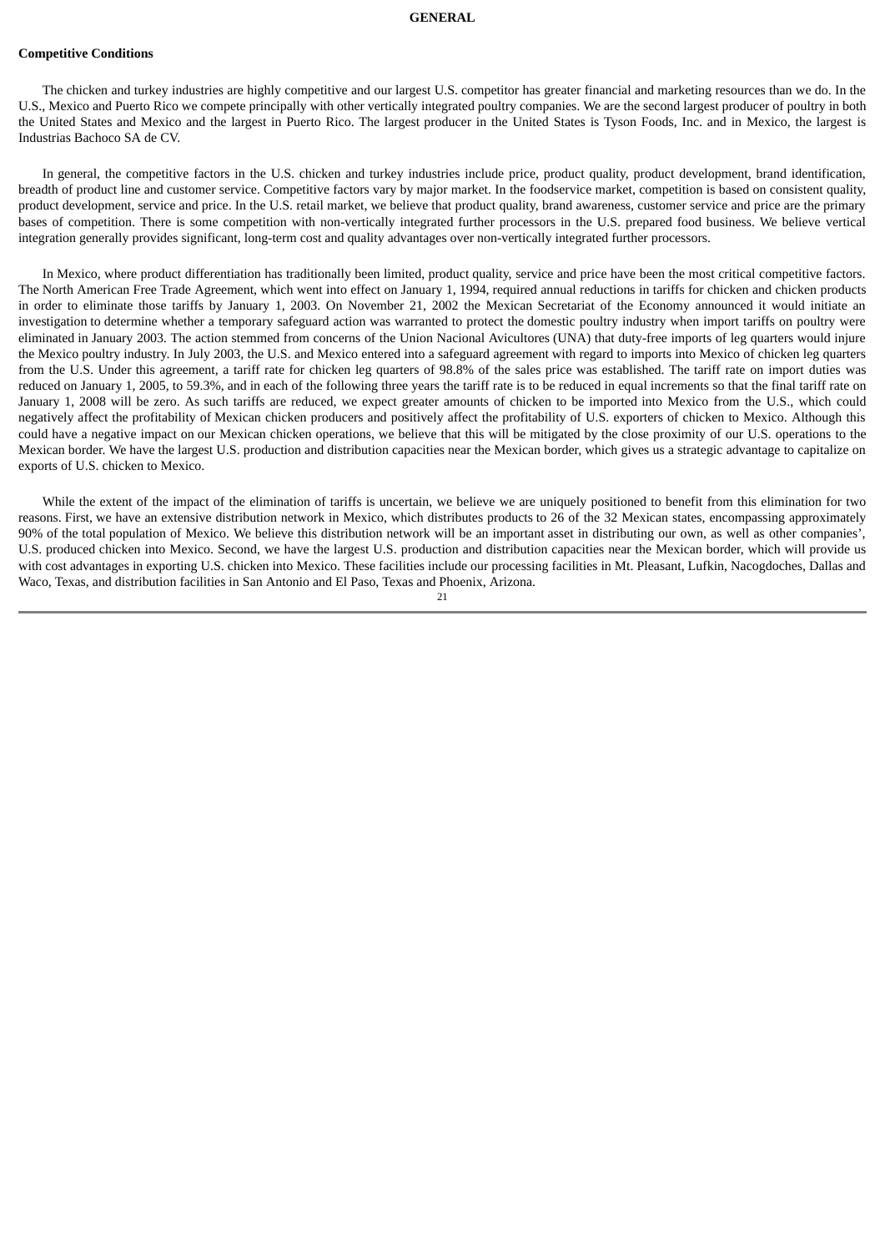## **GENERAL**

#### **Competitive Conditions**

The chicken and turkey industries are highly competitive and our largest U.S. competitor has greater financial and marketing resources than we do. In the U.S., Mexico and Puerto Rico we compete principally with other vertically integrated poultry companies. We are the second largest producer of poultry in both the United States and Mexico and the largest in Puerto Rico. The largest producer in the United States is Tyson Foods, Inc. and in Mexico, the largest is Industrias Bachoco SA de CV.

In general, the competitive factors in the U.S. chicken and turkey industries include price, product quality, product development, brand identification, breadth of product line and customer service. Competitive factors vary by major market. In the foodservice market, competition is based on consistent quality, product development, service and price. In the U.S. retail market, we believe that product quality, brand awareness, customer service and price are the primary bases of competition. There is some competition with non-vertically integrated further processors in the U.S. prepared food business. We believe vertical integration generally provides significant, long-term cost and quality advantages over non-vertically integrated further processors.

In Mexico, where product differentiation has traditionally been limited, product quality, service and price have been the most critical competitive factors. The North American Free Trade Agreement, which went into effect on January 1, 1994, required annual reductions in tariffs for chicken and chicken products in order to eliminate those tariffs by January 1, 2003. On November 21, 2002 the Mexican Secretariat of the Economy announced it would initiate an investigation to determine whether a temporary safeguard action was warranted to protect the domestic poultry industry when import tariffs on poultry were eliminated in January 2003. The action stemmed from concerns of the Union Nacional Avicultores (UNA) that duty-free imports of leg quarters would injure the Mexico poultry industry. In July 2003, the U.S. and Mexico entered into a safeguard agreement with regard to imports into Mexico of chicken leg quarters from the U.S. Under this agreement, a tariff rate for chicken leg quarters of 98.8% of the sales price was established. The tariff rate on import duties was reduced on January 1, 2005, to 59.3%, and in each of the following three years the tariff rate is to be reduced in equal increments so that the final tariff rate on January 1, 2008 will be zero. As such tariffs are reduced, we expect greater amounts of chicken to be imported into Mexico from the U.S., which could negatively affect the profitability of Mexican chicken producers and positively affect the profitability of U.S. exporters of chicken to Mexico. Although this could have a negative impact on our Mexican chicken operations, we believe that this will be mitigated by the close proximity of our U.S. operations to the Mexican border. We have the largest U.S. production and distribution capacities near the Mexican border, which gives us a strategic advantage to capitalize on exports of U.S. chicken to Mexico.

While the extent of the impact of the elimination of tariffs is uncertain, we believe we are uniquely positioned to benefit from this elimination for two reasons. First, we have an extensive distribution network in Mexico, which distributes products to 26 of the 32 Mexican states, encompassing approximately 90% of the total population of Mexico. We believe this distribution network will be an important asset in distributing our own, as well as other companies', U.S. produced chicken into Mexico. Second, we have the largest U.S. production and distribution capacities near the Mexican border, which will provide us with cost advantages in exporting U.S. chicken into Mexico. These facilities include our processing facilities in Mt. Pleasant, Lufkin, Nacogdoches, Dallas and Waco, Texas, and distribution facilities in San Antonio and El Paso, Texas and Phoenix, Arizona.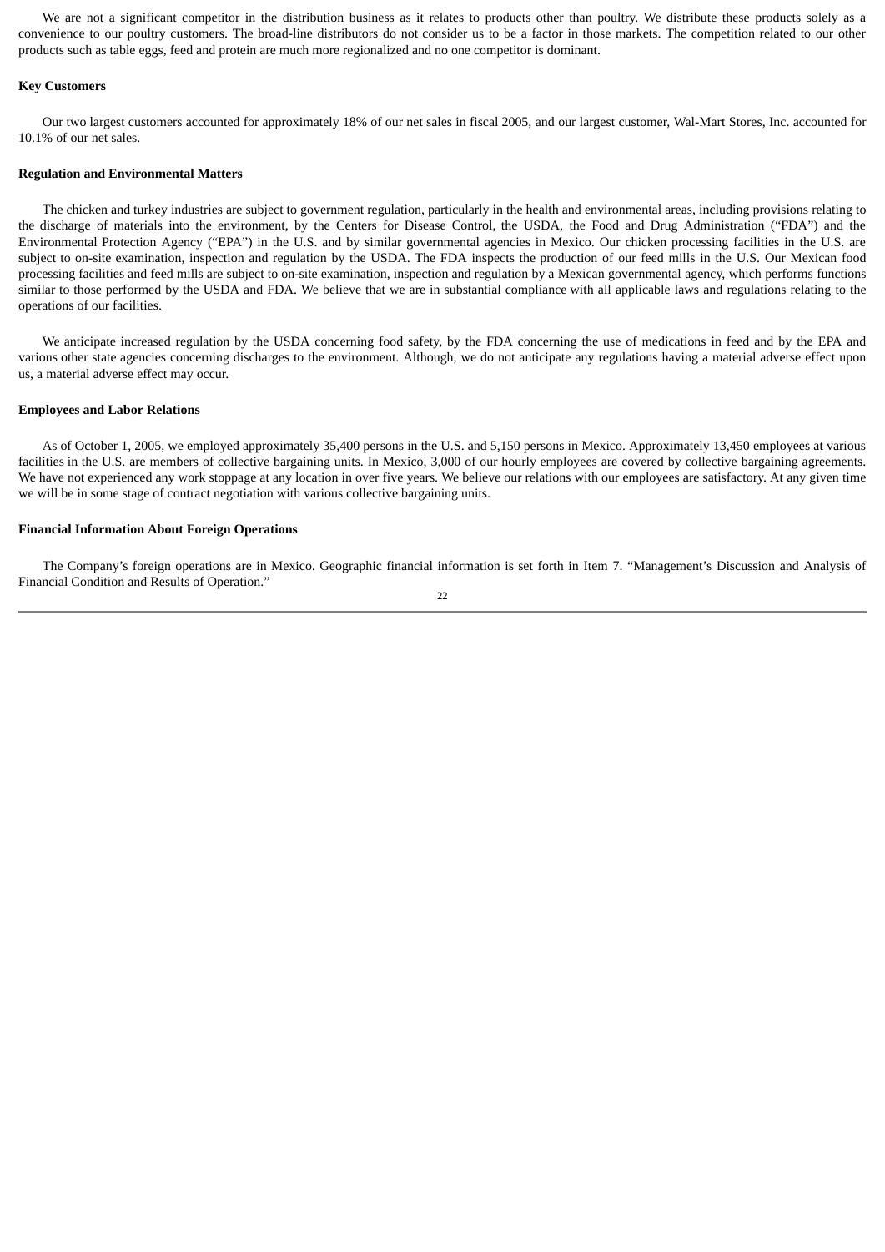We are not a significant competitor in the distribution business as it relates to products other than poultry. We distribute these products solely as a convenience to our poultry customers. The broad-line distributors do not consider us to be a factor in those markets. The competition related to our other products such as table eggs, feed and protein are much more regionalized and no one competitor is dominant.

### **Key Customers**

Our two largest customers accounted for approximately 18% of our net sales in fiscal 2005, and our largest customer, Wal-Mart Stores, Inc. accounted for 10.1% of our net sales.

### **Regulation and Environmental Matters**

The chicken and turkey industries are subject to government regulation, particularly in the health and environmental areas, including provisions relating to the discharge of materials into the environment, by the Centers for Disease Control, the USDA, the Food and Drug Administration ("FDA") and the Environmental Protection Agency ("EPA") in the U.S. and by similar governmental agencies in Mexico. Our chicken processing facilities in the U.S. are subject to on-site examination, inspection and regulation by the USDA. The FDA inspects the production of our feed mills in the U.S. Our Mexican food processing facilities and feed mills are subject to on-site examination, inspection and regulation by a Mexican governmental agency, which performs functions similar to those performed by the USDA and FDA. We believe that we are in substantial compliance with all applicable laws and regulations relating to the operations of our facilities.

We anticipate increased regulation by the USDA concerning food safety, by the FDA concerning the use of medications in feed and by the EPA and various other state agencies concerning discharges to the environment. Although, we do not anticipate any regulations having a material adverse effect upon us, a material adverse effect may occur.

#### **Employees and Labor Relations**

As of October 1, 2005, we employed approximately 35,400 persons in the U.S. and 5,150 persons in Mexico. Approximately 13,450 employees at various facilities in the U.S. are members of collective bargaining units. In Mexico, 3,000 of our hourly employees are covered by collective bargaining agreements. We have not experienced any work stoppage at any location in over five years. We believe our relations with our employees are satisfactory. At any given time we will be in some stage of contract negotiation with various collective bargaining units.

# **Financial Information About Foreign Operations**

The Company's foreign operations are in Mexico. Geographic financial information is set forth in Item 7. "Management's Discussion and Analysis of Financial Condition and Results of Operation."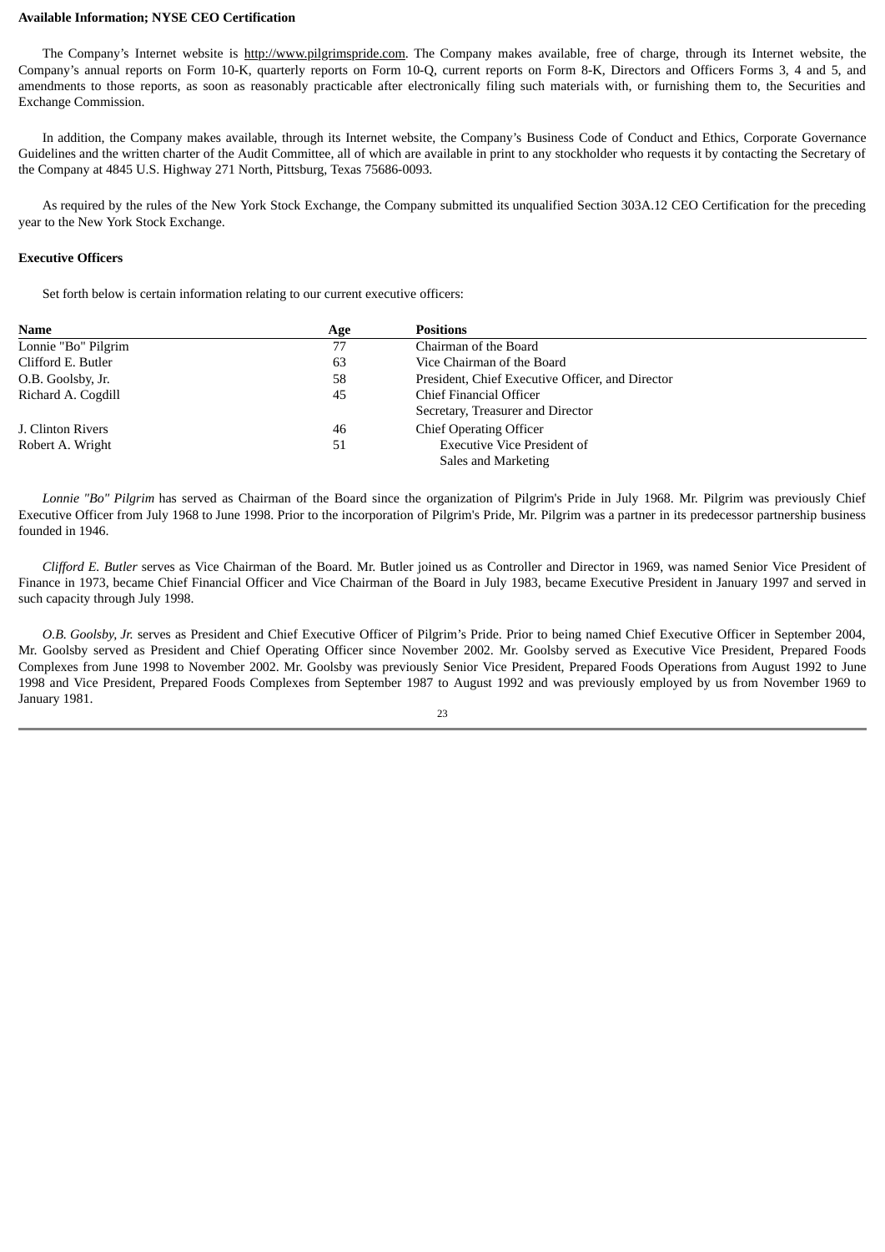#### **Available Information; NYSE CEO Certification**

The Company's Internet website is http://www.pilgrimspride.com. The Company makes available, free of charge, through its Internet website, the Company's annual reports on Form 10-K, quarterly reports on Form 10-Q, current reports on Form 8-K, Directors and Officers Forms 3, 4 and 5, and amendments to those reports, as soon as reasonably practicable after electronically filing such materials with, or furnishing them to, the Securities and Exchange Commission.

In addition, the Company makes available, through its Internet website, the Company's Business Code of Conduct and Ethics, Corporate Governance Guidelines and the written charter of the Audit Committee, all of which are available in print to any stockholder who requests it by contacting the Secretary of the Company at 4845 U.S. Highway 271 North, Pittsburg, Texas 75686-0093.

As required by the rules of the New York Stock Exchange, the Company submitted its unqualified Section 303A.12 CEO Certification for the preceding year to the New York Stock Exchange.

## **Executive Officers**

Set forth below is certain information relating to our current executive officers:

| Name                | Age | <b>Positions</b>                                 |  |
|---------------------|-----|--------------------------------------------------|--|
| Lonnie "Bo" Pilgrim | 77  | Chairman of the Board                            |  |
| Clifford E. Butler  | 63  | Vice Chairman of the Board                       |  |
| O.B. Goolsby, Jr.   | 58  | President, Chief Executive Officer, and Director |  |
| Richard A. Cogdill  | 45  | Chief Financial Officer                          |  |
|                     |     | Secretary, Treasurer and Director                |  |
| J. Clinton Rivers   | 46  | <b>Chief Operating Officer</b>                   |  |
| Robert A. Wright    | 51  | <b>Executive Vice President of</b>               |  |
|                     |     | Sales and Marketing                              |  |

*Lonnie "Bo" Pilgrim* has served as Chairman of the Board since the organization of Pilgrim's Pride in July 1968. Mr. Pilgrim was previously Chief Executive Officer from July 1968 to June 1998. Prior to the incorporation of Pilgrim's Pride, Mr. Pilgrim was a partner in its predecessor partnership business founded in 1946.

*Clifford E. Butler* serves as Vice Chairman of the Board. Mr. Butler joined us as Controller and Director in 1969, was named Senior Vice President of Finance in 1973, became Chief Financial Officer and Vice Chairman of the Board in July 1983, became Executive President in January 1997 and served in such capacity through July 1998.

*O.B. Goolsby, Jr.* serves as President and Chief Executive Officer of Pilgrim's Pride. Prior to being named Chief Executive Officer in September 2004, Mr. Goolsby served as President and Chief Operating Officer since November 2002. Mr. Goolsby served as Executive Vice President, Prepared Foods Complexes from June 1998 to November 2002. Mr. Goolsby was previously Senior Vice President, Prepared Foods Operations from August 1992 to June 1998 and Vice President, Prepared Foods Complexes from September 1987 to August 1992 and was previously employed by us from November 1969 to January 1981.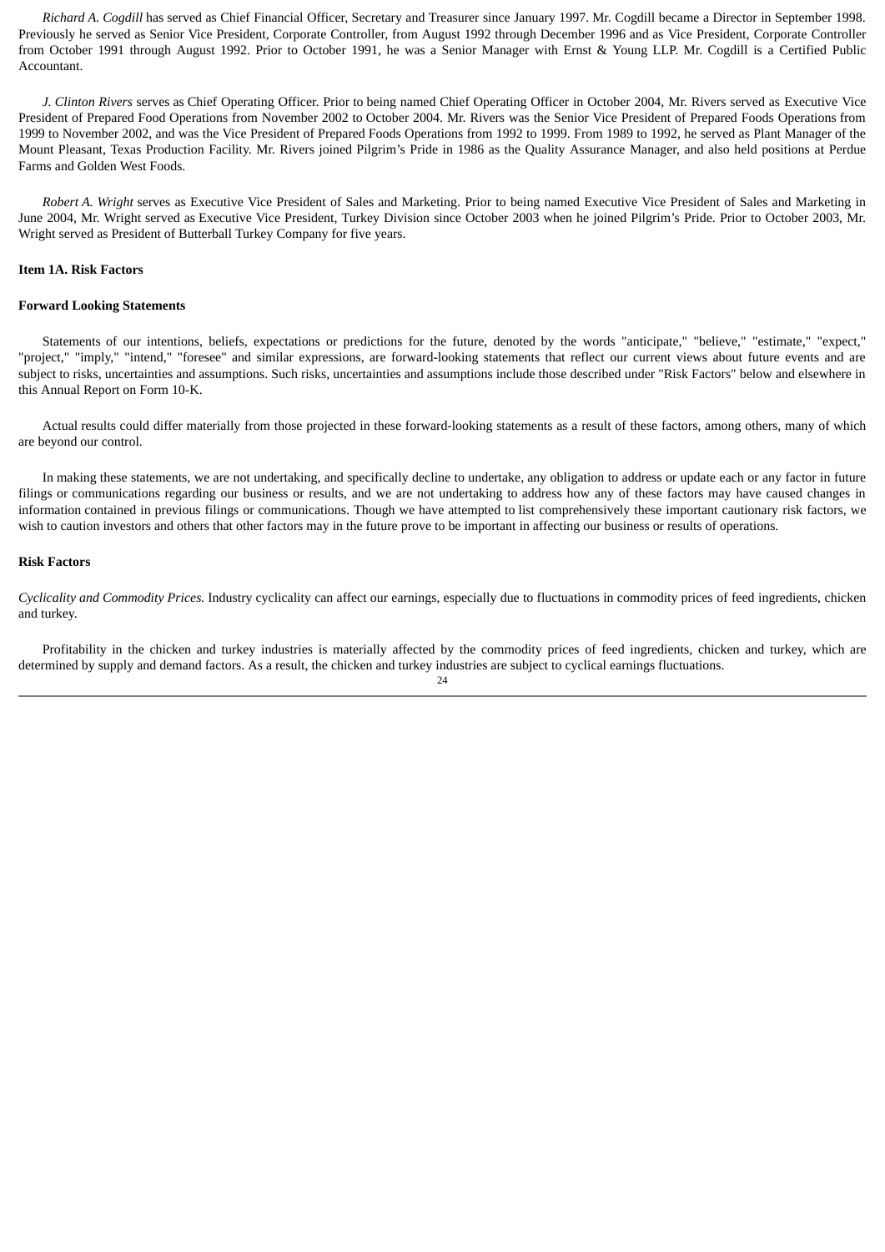*Richard A. Cogdill* has served as Chief Financial Officer, Secretary and Treasurer since January 1997. Mr. Cogdill became a Director in September 1998. Previously he served as Senior Vice President, Corporate Controller, from August 1992 through December 1996 and as Vice President, Corporate Controller from October 1991 through August 1992. Prior to October 1991, he was a Senior Manager with Ernst & Young LLP. Mr. Cogdill is a Certified Public Accountant.

*J. Clinton Rivers* serves as Chief Operating Officer. Prior to being named Chief Operating Officer in October 2004, Mr. Rivers served as Executive Vice President of Prepared Food Operations from November 2002 to October 2004. Mr. Rivers was the Senior Vice President of Prepared Foods Operations from 1999 to November 2002, and was the Vice President of Prepared Foods Operations from 1992 to 1999. From 1989 to 1992, he served as Plant Manager of the Mount Pleasant, Texas Production Facility. Mr. Rivers joined Pilgrim's Pride in 1986 as the Quality Assurance Manager, and also held positions at Perdue Farms and Golden West Foods.

*Robert A. Wright* serves as Executive Vice President of Sales and Marketing. Prior to being named Executive Vice President of Sales and Marketing in June 2004, Mr. Wright served as Executive Vice President, Turkey Division since October 2003 when he joined Pilgrim's Pride. Prior to October 2003, Mr. Wright served as President of Butterball Turkey Company for five years.

### <span id="page-28-0"></span>**Item 1A. Risk Factors**

## **Forward Looking Statements**

Statements of our intentions, beliefs, expectations or predictions for the future, denoted by the words "anticipate," "believe," "estimate," "expect," "project," "imply," "intend," "foresee" and similar expressions, are forward-looking statements that reflect our current views about future events and are subject to risks, uncertainties and assumptions. Such risks, uncertainties and assumptions include those described under "Risk Factors" below and elsewhere in this Annual Report on Form 10-K.

Actual results could differ materially from those projected in these forward-looking statements as a result of these factors, among others, many of which are beyond our control.

In making these statements, we are not undertaking, and specifically decline to undertake, any obligation to address or update each or any factor in future filings or communications regarding our business or results, and we are not undertaking to address how any of these factors may have caused changes in information contained in previous filings or communications. Though we have attempted to list comprehensively these important cautionary risk factors, we wish to caution investors and others that other factors may in the future prove to be important in affecting our business or results of operations.

#### **Risk Factors**

*Cyclicality and Commodity Prices.* Industry cyclicality can affect our earnings, especially due to fluctuations in commodity prices of feed ingredients, chicken and turkey.

Profitability in the chicken and turkey industries is materially affected by the commodity prices of feed ingredients, chicken and turkey, which are determined by supply and demand factors. As a result, the chicken and turkey industries are subject to cyclical earnings fluctuations.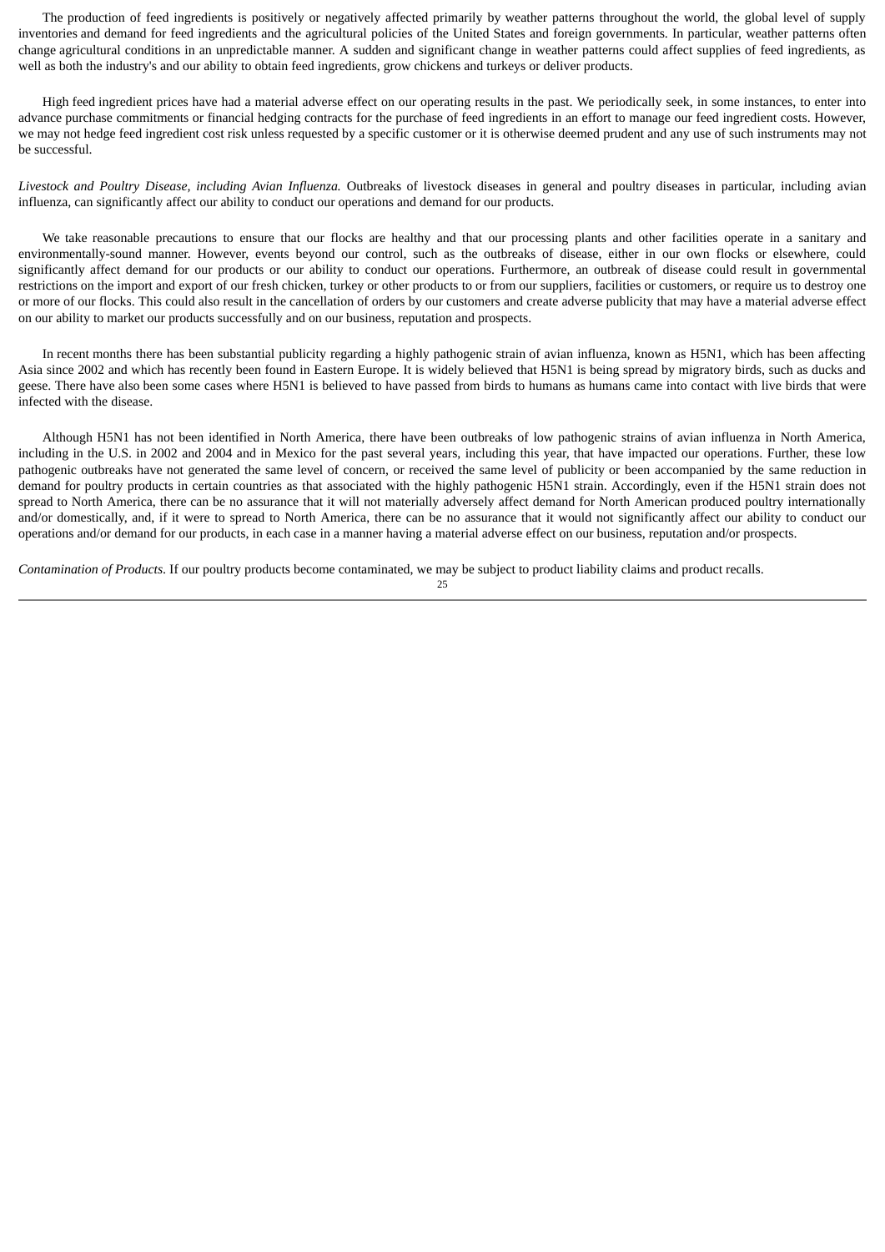The production of feed ingredients is positively or negatively affected primarily by weather patterns throughout the world, the global level of supply inventories and demand for feed ingredients and the agricultural policies of the United States and foreign governments. In particular, weather patterns often change agricultural conditions in an unpredictable manner. A sudden and significant change in weather patterns could affect supplies of feed ingredients, as well as both the industry's and our ability to obtain feed ingredients, grow chickens and turkeys or deliver products.

High feed ingredient prices have had a material adverse effect on our operating results in the past. We periodically seek, in some instances, to enter into advance purchase commitments or financial hedging contracts for the purchase of feed ingredients in an effort to manage our feed ingredient costs. However, we may not hedge feed ingredient cost risk unless requested by a specific customer or it is otherwise deemed prudent and any use of such instruments may not be successful.

*Livestock and Poultry Disease, including Avian Influenza.* Outbreaks of livestock diseases in general and poultry diseases in particular, including avian influenza, can significantly affect our ability to conduct our operations and demand for our products.

We take reasonable precautions to ensure that our flocks are healthy and that our processing plants and other facilities operate in a sanitary and environmentally-sound manner. However, events beyond our control, such as the outbreaks of disease, either in our own flocks or elsewhere, could significantly affect demand for our products or our ability to conduct our operations. Furthermore, an outbreak of disease could result in governmental restrictions on the import and export of our fresh chicken, turkey or other products to or from our suppliers, facilities or customers, or require us to destroy one or more of our flocks. This could also result in the cancellation of orders by our customers and create adverse publicity that may have a material adverse effect on our ability to market our products successfully and on our business, reputation and prospects.

In recent months there has been substantial publicity regarding a highly pathogenic strain of avian influenza, known as H5N1, which has been affecting Asia since 2002 and which has recently been found in Eastern Europe. It is widely believed that H5N1 is being spread by migratory birds, such as ducks and geese. There have also been some cases where H5N1 is believed to have passed from birds to humans as humans came into contact with live birds that were infected with the disease.

Although H5N1 has not been identified in North America, there have been outbreaks of low pathogenic strains of avian influenza in North America, including in the U.S. in 2002 and 2004 and in Mexico for the past several years, including this year, that have impacted our operations. Further, these low pathogenic outbreaks have not generated the same level of concern, or received the same level of publicity or been accompanied by the same reduction in demand for poultry products in certain countries as that associated with the highly pathogenic H5N1 strain. Accordingly, even if the H5N1 strain does not spread to North America, there can be no assurance that it will not materially adversely affect demand for North American produced poultry internationally and/or domestically, and, if it were to spread to North America, there can be no assurance that it would not significantly affect our ability to conduct our operations and/or demand for our products, in each case in a manner having a material adverse effect on our business, reputation and/or prospects.

*Contamination of Products*. If our poultry products become contaminated, we may be subject to product liability claims and product recalls.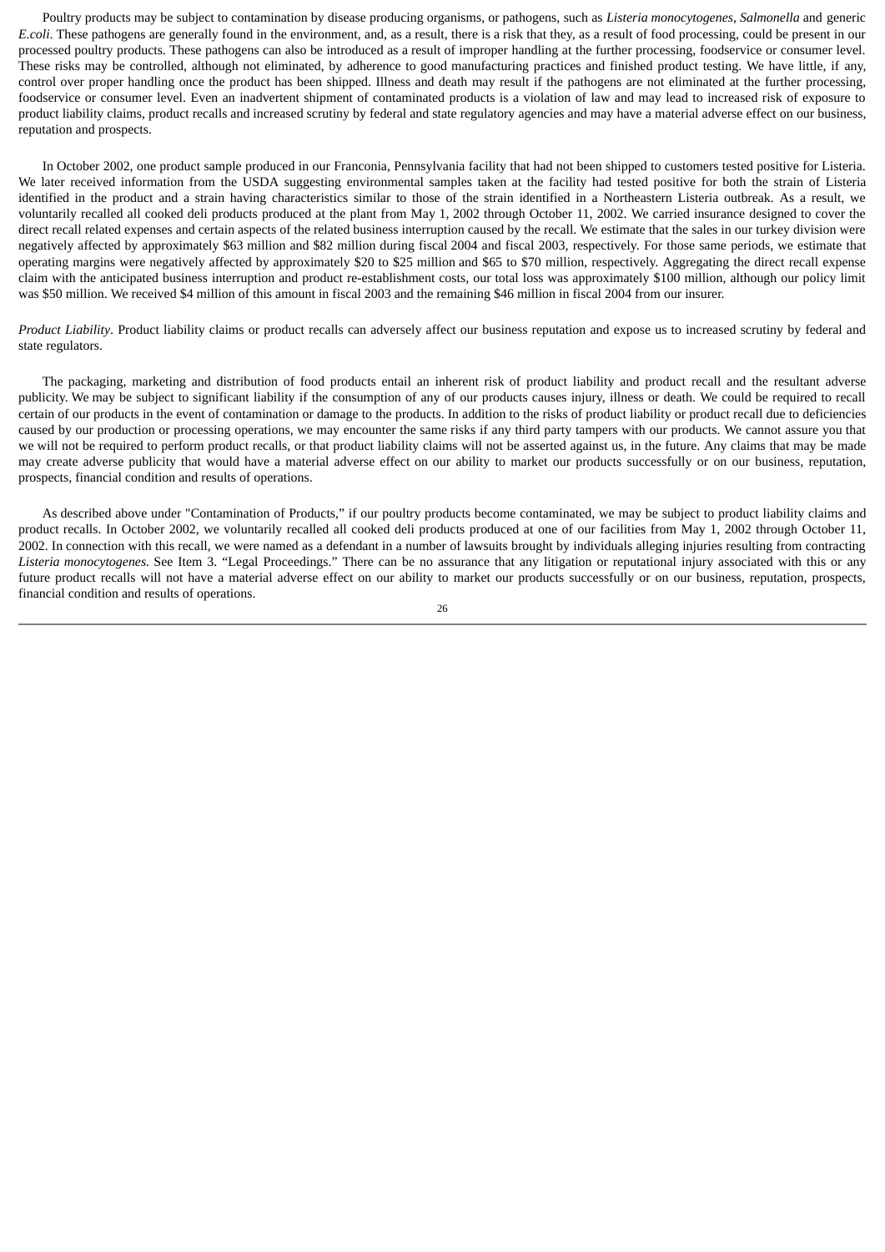Poultry products may be subject to contamination by disease producing organisms, or pathogens, such as *Listeria monocytogenes*, *Salmonella* and generic *E.coli*. These pathogens are generally found in the environment, and, as a result, there is a risk that they, as a result of food processing, could be present in our processed poultry products. These pathogens can also be introduced as a result of improper handling at the further processing, foodservice or consumer level. These risks may be controlled, although not eliminated, by adherence to good manufacturing practices and finished product testing. We have little, if any, control over proper handling once the product has been shipped. Illness and death may result if the pathogens are not eliminated at the further processing, foodservice or consumer level. Even an inadvertent shipment of contaminated products is a violation of law and may lead to increased risk of exposure to product liability claims, product recalls and increased scrutiny by federal and state regulatory agencies and may have a material adverse effect on our business, reputation and prospects.

In October 2002, one product sample produced in our Franconia, Pennsylvania facility that had not been shipped to customers tested positive for Listeria. We later received information from the USDA suggesting environmental samples taken at the facility had tested positive for both the strain of Listeria identified in the product and a strain having characteristics similar to those of the strain identified in a Northeastern Listeria outbreak. As a result, we voluntarily recalled all cooked deli products produced at the plant from May 1, 2002 through October 11, 2002. We carried insurance designed to cover the direct recall related expenses and certain aspects of the related business interruption caused by the recall. We estimate that the sales in our turkey division were negatively affected by approximately \$63 million and \$82 million during fiscal 2004 and fiscal 2003, respectively. For those same periods, we estimate that operating margins were negatively affected by approximately \$20 to \$25 million and \$65 to \$70 million, respectively. Aggregating the direct recall expense claim with the anticipated business interruption and product re-establishment costs, our total loss was approximately \$100 million, although our policy limit was \$50 million. We received \$4 million of this amount in fiscal 2003 and the remaining \$46 million in fiscal 2004 from our insurer.

*Product Liability*. Product liability claims or product recalls can adversely affect our business reputation and expose us to increased scrutiny by federal and state regulators.

The packaging, marketing and distribution of food products entail an inherent risk of product liability and product recall and the resultant adverse publicity. We may be subject to significant liability if the consumption of any of our products causes injury, illness or death. We could be required to recall certain of our products in the event of contamination or damage to the products. In addition to the risks of product liability or product recall due to deficiencies caused by our production or processing operations, we may encounter the same risks if any third party tampers with our products. We cannot assure you that we will not be required to perform product recalls, or that product liability claims will not be asserted against us, in the future. Any claims that may be made may create adverse publicity that would have a material adverse effect on our ability to market our products successfully or on our business, reputation, prospects, financial condition and results of operations.

As described above under "Contamination of Products," if our poultry products become contaminated, we may be subject to product liability claims and product recalls. In October 2002, we voluntarily recalled all cooked deli products produced at one of our facilities from May 1, 2002 through October 11, 2002. In connection with this recall, we were named as a defendant in a number of lawsuits brought by individuals alleging injuries resulting from contracting *Listeria monocytogenes.* See Item 3. "Legal Proceedings." There can be no assurance that any litigation or reputational injury associated with this or any future product recalls will not have a material adverse effect on our ability to market our products successfully or on our business, reputation, prospects, financial condition and results of operations.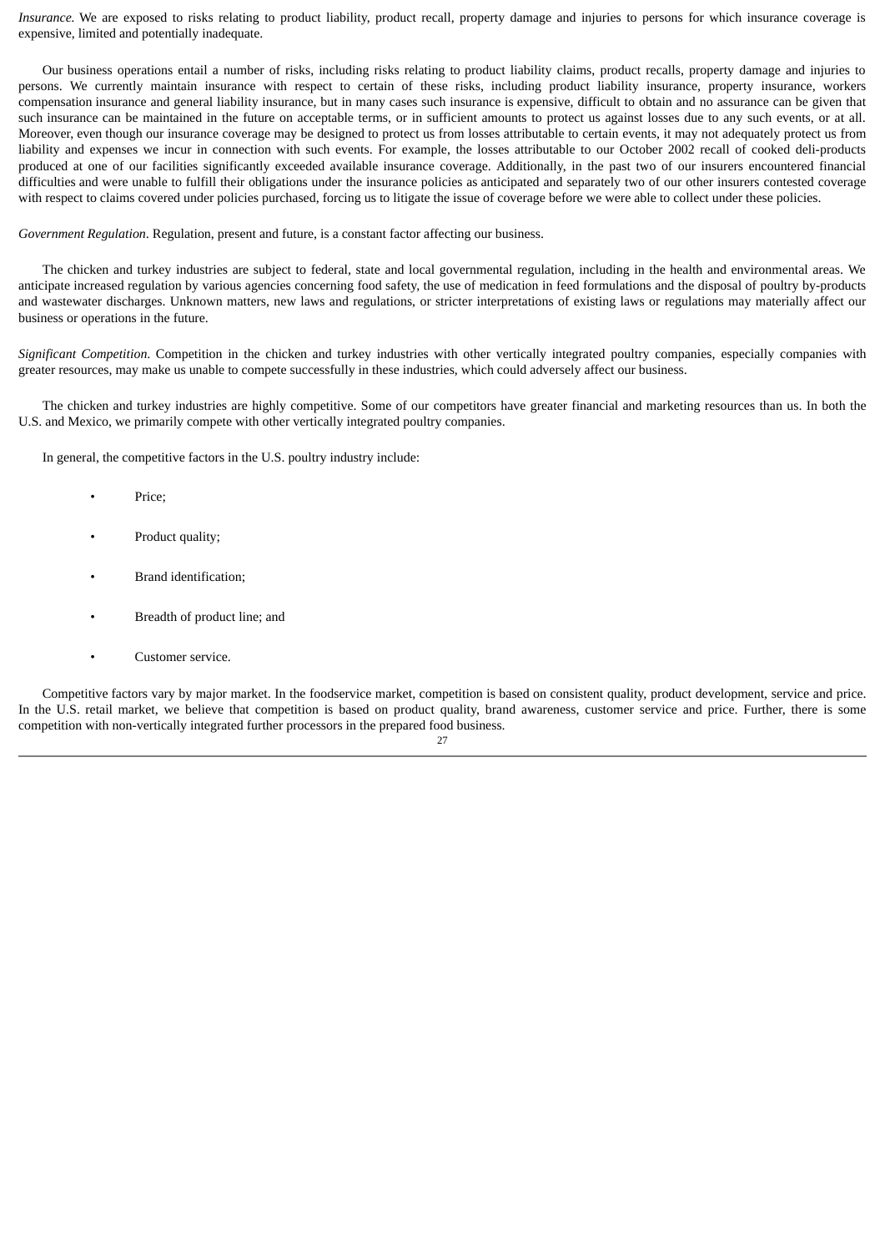*Insurance.* We are exposed to risks relating to product liability, product recall, property damage and injuries to persons for which insurance coverage is expensive, limited and potentially inadequate.

Our business operations entail a number of risks, including risks relating to product liability claims, product recalls, property damage and injuries to persons. We currently maintain insurance with respect to certain of these risks, including product liability insurance, property insurance, workers compensation insurance and general liability insurance, but in many cases such insurance is expensive, difficult to obtain and no assurance can be given that such insurance can be maintained in the future on acceptable terms, or in sufficient amounts to protect us against losses due to any such events, or at all. Moreover, even though our insurance coverage may be designed to protect us from losses attributable to certain events, it may not adequately protect us from liability and expenses we incur in connection with such events. For example, the losses attributable to our October 2002 recall of cooked deli-products produced at one of our facilities significantly exceeded available insurance coverage. Additionally, in the past two of our insurers encountered financial difficulties and were unable to fulfill their obligations under the insurance policies as anticipated and separately two of our other insurers contested coverage with respect to claims covered under policies purchased, forcing us to litigate the issue of coverage before we were able to collect under these policies.

*Government Regulation*. Regulation, present and future, is a constant factor affecting our business.

The chicken and turkey industries are subject to federal, state and local governmental regulation, including in the health and environmental areas. We anticipate increased regulation by various agencies concerning food safety, the use of medication in feed formulations and the disposal of poultry by-products and wastewater discharges. Unknown matters, new laws and regulations, or stricter interpretations of existing laws or regulations may materially affect our business or operations in the future.

*Significant Competition*. Competition in the chicken and turkey industries with other vertically integrated poultry companies, especially companies with greater resources, may make us unable to compete successfully in these industries, which could adversely affect our business.

The chicken and turkey industries are highly competitive. Some of our competitors have greater financial and marketing resources than us. In both the U.S. and Mexico, we primarily compete with other vertically integrated poultry companies.

In general, the competitive factors in the U.S. poultry industry include:

- Price;
- Product quality;
- Brand identification;
- Breadth of product line; and
- Customer service.

Competitive factors vary by major market. In the foodservice market, competition is based on consistent quality, product development, service and price. In the U.S. retail market, we believe that competition is based on product quality, brand awareness, customer service and price. Further, there is some competition with non-vertically integrated further processors in the prepared food business.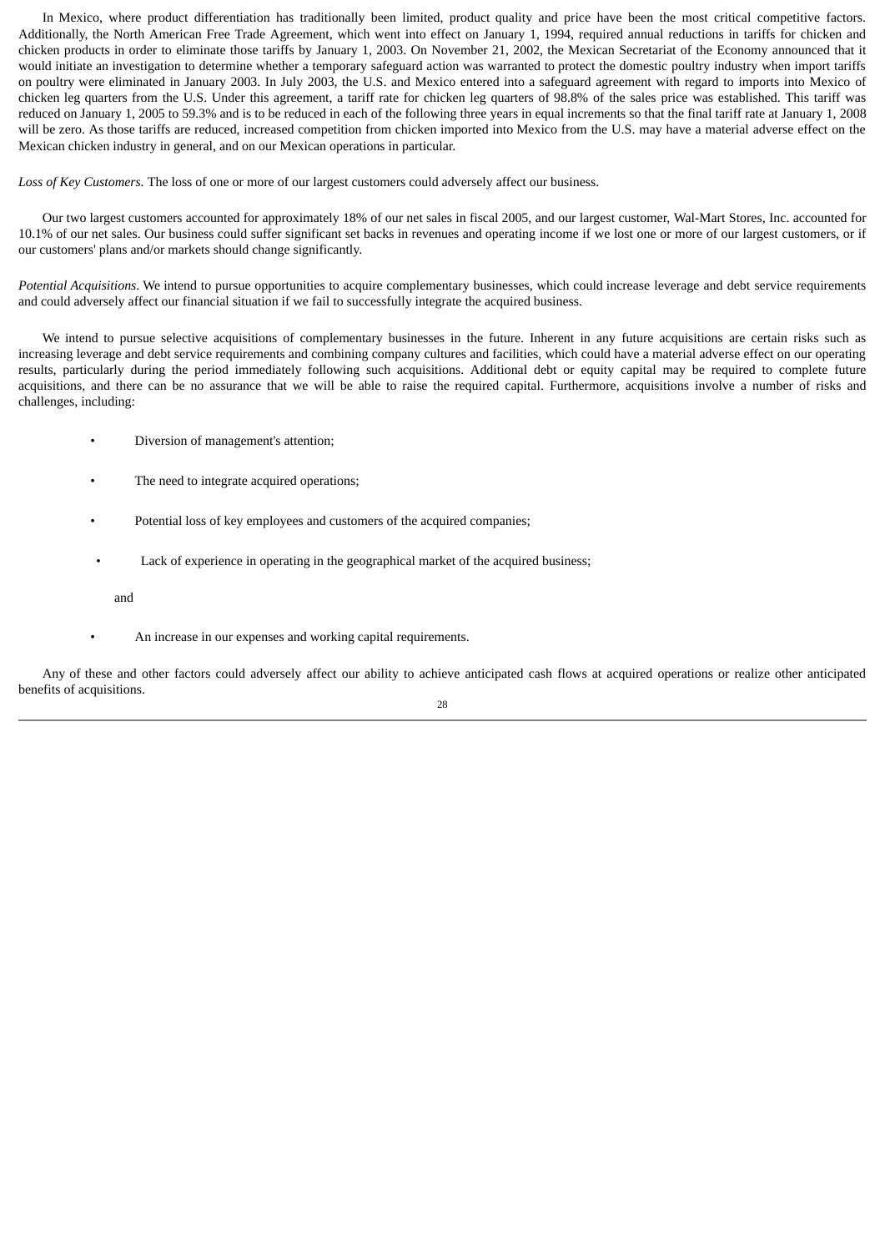In Mexico, where product differentiation has traditionally been limited, product quality and price have been the most critical competitive factors. Additionally, the North American Free Trade Agreement, which went into effect on January 1, 1994, required annual reductions in tariffs for chicken and chicken products in order to eliminate those tariffs by January 1, 2003. On November 21, 2002, the Mexican Secretariat of the Economy announced that it would initiate an investigation to determine whether a temporary safeguard action was warranted to protect the domestic poultry industry when import tariffs on poultry were eliminated in January 2003. In July 2003, the U.S. and Mexico entered into a safeguard agreement with regard to imports into Mexico of chicken leg quarters from the U.S. Under this agreement, a tariff rate for chicken leg quarters of 98.8% of the sales price was established. This tariff was reduced on January 1, 2005 to 59.3% and is to be reduced in each of the following three years in equal increments so that the final tariff rate at January 1, 2008 will be zero. As those tariffs are reduced, increased competition from chicken imported into Mexico from the U.S. may have a material adverse effect on the Mexican chicken industry in general, and on our Mexican operations in particular.

*Loss of Key Customers.* The loss of one or more of our largest customers could adversely affect our business.

Our two largest customers accounted for approximately 18% of our net sales in fiscal 2005, and our largest customer, Wal-Mart Stores, Inc. accounted for 10.1% of our net sales. Our business could suffer significant set backs in revenues and operating income if we lost one or more of our largest customers, or if our customers' plans and/or markets should change significantly.

*Potential Acquisitions*. We intend to pursue opportunities to acquire complementary businesses, which could increase leverage and debt service requirements and could adversely affect our financial situation if we fail to successfully integrate the acquired business.

We intend to pursue selective acquisitions of complementary businesses in the future. Inherent in any future acquisitions are certain risks such as increasing leverage and debt service requirements and combining company cultures and facilities, which could have a material adverse effect on our operating results, particularly during the period immediately following such acquisitions. Additional debt or equity capital may be required to complete future acquisitions, and there can be no assurance that we will be able to raise the required capital. Furthermore, acquisitions involve a number of risks and challenges, including:

- Diversion of management's attention;
- The need to integrate acquired operations;
- Potential loss of key employees and customers of the acquired companies;
- Lack of experience in operating in the geographical market of the acquired business;

and

• An increase in our expenses and working capital requirements.

Any of these and other factors could adversely affect our ability to achieve anticipated cash flows at acquired operations or realize other anticipated benefits of acquisitions.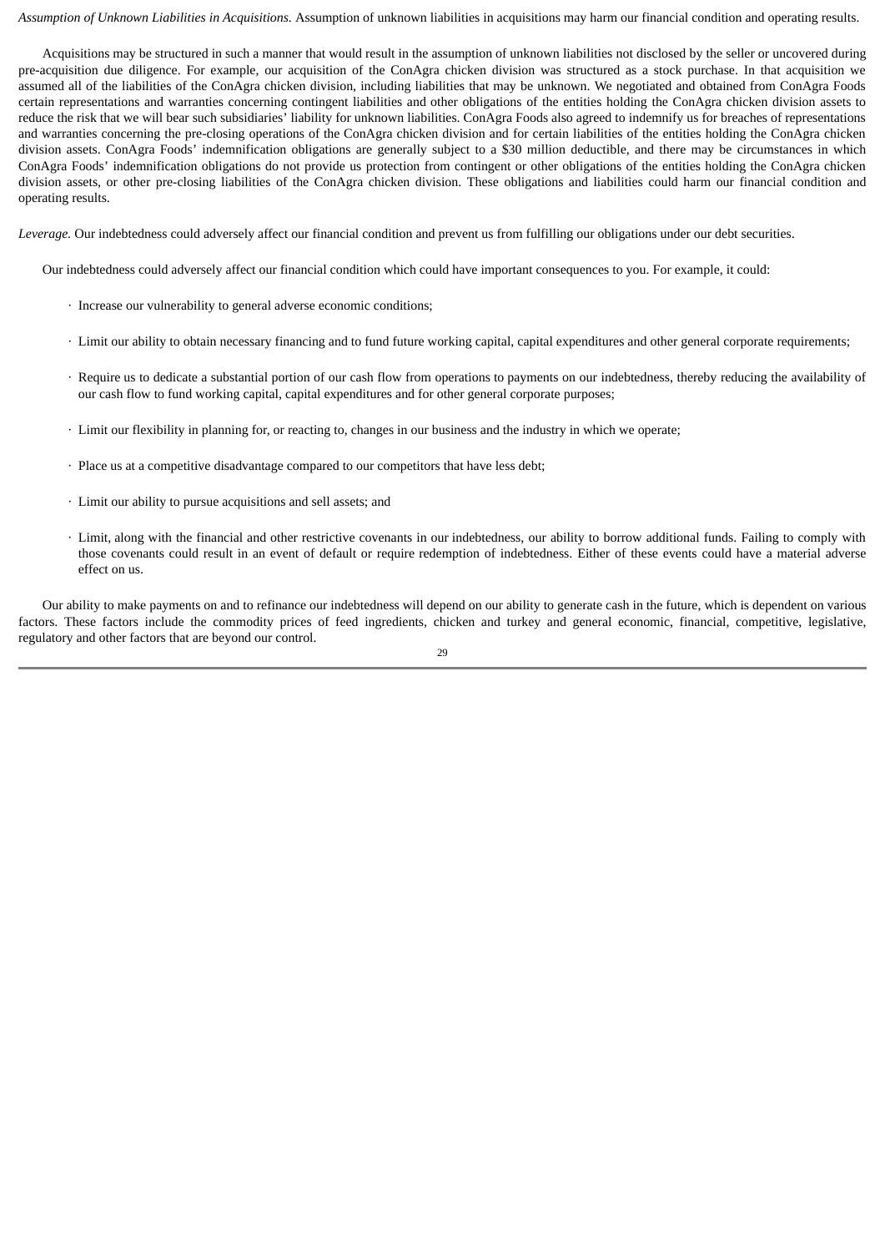*Assumption of Unknown Liabilities in Acquisitions.* Assumption of unknown liabilities in acquisitions may harm our financial condition and operating results.

Acquisitions may be structured in such a manner that would result in the assumption of unknown liabilities not disclosed by the seller or uncovered during pre-acquisition due diligence. For example, our acquisition of the ConAgra chicken division was structured as a stock purchase. In that acquisition we assumed all of the liabilities of the ConAgra chicken division, including liabilities that may be unknown. We negotiated and obtained from ConAgra Foods certain representations and warranties concerning contingent liabilities and other obligations of the entities holding the ConAgra chicken division assets to reduce the risk that we will bear such subsidiaries' liability for unknown liabilities. ConAgra Foods also agreed to indemnify us for breaches of representations and warranties concerning the pre-closing operations of the ConAgra chicken division and for certain liabilities of the entities holding the ConAgra chicken division assets. ConAgra Foods' indemnification obligations are generally subject to a \$30 million deductible, and there may be circumstances in which ConAgra Foods' indemnification obligations do not provide us protection from contingent or other obligations of the entities holding the ConAgra chicken division assets, or other pre-closing liabilities of the ConAgra chicken division. These obligations and liabilities could harm our financial condition and operating results.

*Leverage.* Our indebtedness could adversely affect our financial condition and prevent us from fulfilling our obligations under our debt securities.

Our indebtedness could adversely affect our financial condition which could have important consequences to you. For example, it could:

- · Increase our vulnerability to general adverse economic conditions;
- · Limit our ability to obtain necessary financing and to fund future working capital, capital expenditures and other general corporate requirements;
- · Require us to dedicate a substantial portion of our cash flow from operations to payments on our indebtedness, thereby reducing the availability of our cash flow to fund working capital, capital expenditures and for other general corporate purposes;
- · Limit our flexibility in planning for, or reacting to, changes in our business and the industry in which we operate;
- · Place us at a competitive disadvantage compared to our competitors that have less debt;
- · Limit our ability to pursue acquisitions and sell assets; and
- · Limit, along with the financial and other restrictive covenants in our indebtedness, our ability to borrow additional funds. Failing to comply with those covenants could result in an event of default or require redemption of indebtedness. Either of these events could have a material adverse effect on us.

Our ability to make payments on and to refinance our indebtedness will depend on our ability to generate cash in the future, which is dependent on various factors. These factors include the commodity prices of feed ingredients, chicken and turkey and general economic, financial, competitive, legislative, regulatory and other factors that are beyond our control.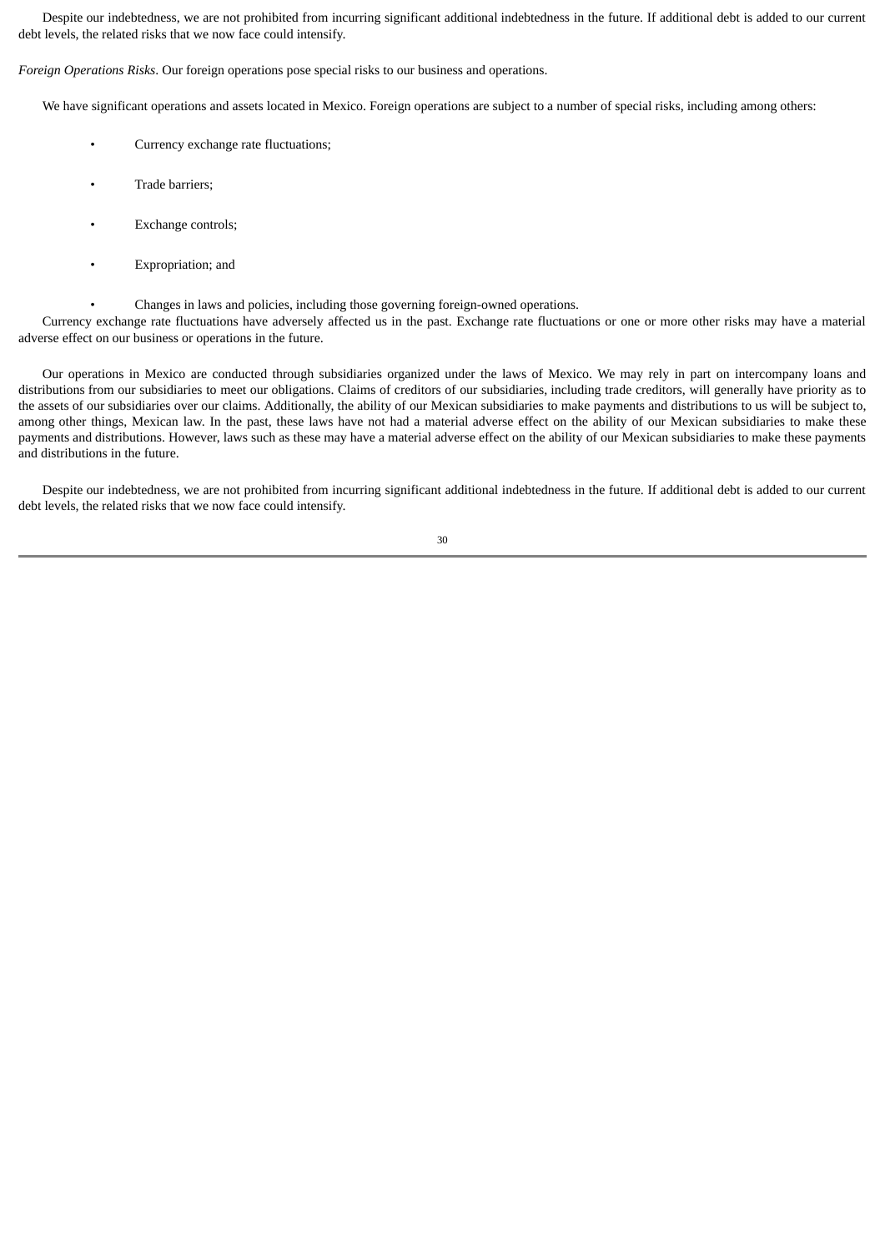Despite our indebtedness, we are not prohibited from incurring significant additional indebtedness in the future. If additional debt is added to our current debt levels, the related risks that we now face could intensify.

*Foreign Operations Risks*. Our foreign operations pose special risks to our business and operations.

We have significant operations and assets located in Mexico. Foreign operations are subject to a number of special risks, including among others:

- Currency exchange rate fluctuations;
- Trade barriers;
- Exchange controls;
- Expropriation; and
- Changes in laws and policies, including those governing foreign-owned operations.

Currency exchange rate fluctuations have adversely affected us in the past. Exchange rate fluctuations or one or more other risks may have a material adverse effect on our business or operations in the future.

Our operations in Mexico are conducted through subsidiaries organized under the laws of Mexico. We may rely in part on intercompany loans and distributions from our subsidiaries to meet our obligations. Claims of creditors of our subsidiaries, including trade creditors, will generally have priority as to the assets of our subsidiaries over our claims. Additionally, the ability of our Mexican subsidiaries to make payments and distributions to us will be subject to, among other things, Mexican law. In the past, these laws have not had a material adverse effect on the ability of our Mexican subsidiaries to make these payments and distributions. However, laws such as these may have a material adverse effect on the ability of our Mexican subsidiaries to make these payments and distributions in the future.

Despite our indebtedness, we are not prohibited from incurring significant additional indebtedness in the future. If additional debt is added to our current debt levels, the related risks that we now face could intensify.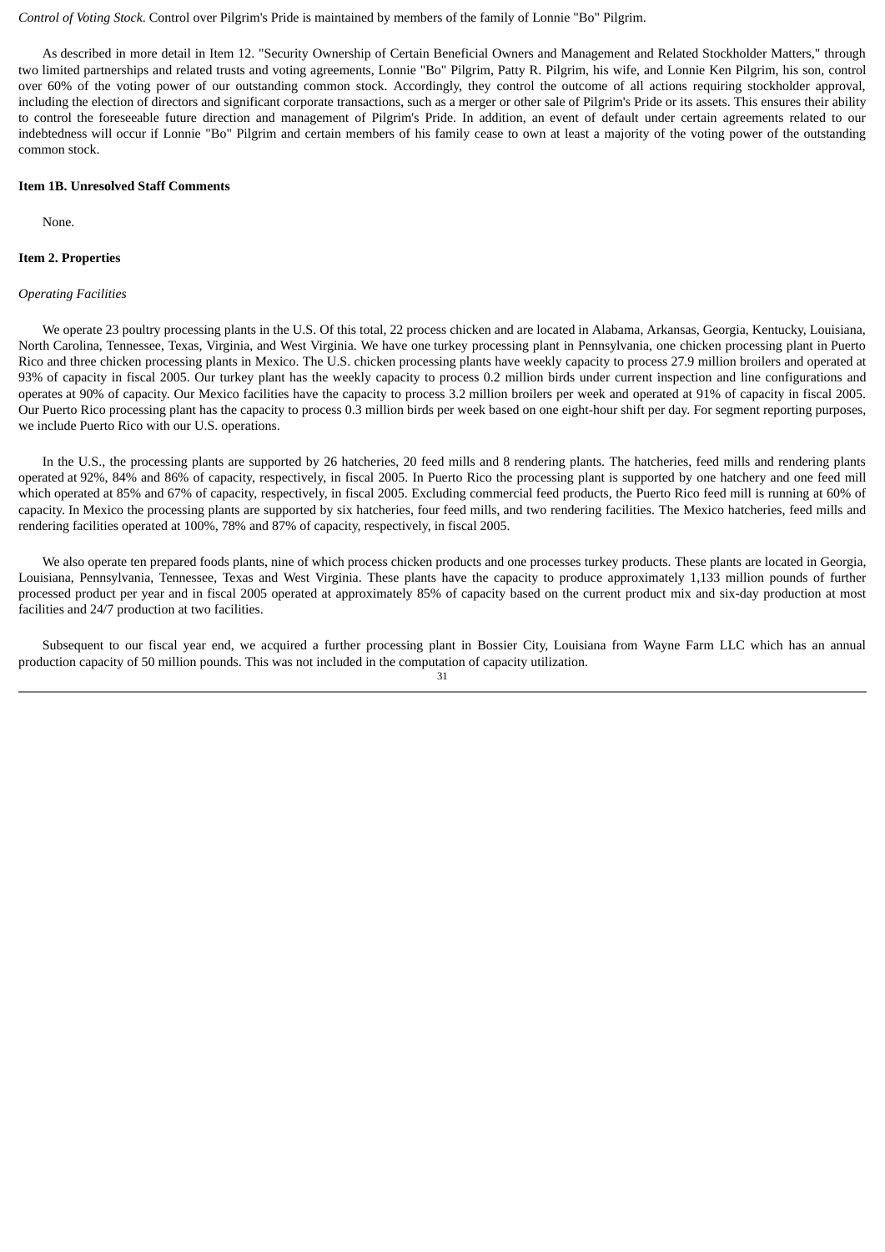*Control of Voting Stock*. Control over Pilgrim's Pride is maintained by members of the family of Lonnie "Bo" Pilgrim.

As described in more detail in Item 12. "Security Ownership of Certain Beneficial Owners and Management and Related Stockholder Matters," through two limited partnerships and related trusts and voting agreements, Lonnie "Bo" Pilgrim, Patty R. Pilgrim, his wife, and Lonnie Ken Pilgrim, his son, control over 60% of the voting power of our outstanding common stock. Accordingly, they control the outcome of all actions requiring stockholder approval, including the election of directors and significant corporate transactions, such as a merger or other sale of Pilgrim's Pride or its assets. This ensures their ability to control the foreseeable future direction and management of Pilgrim's Pride. In addition, an event of default under certain agreements related to our indebtedness will occur if Lonnie "Bo" Pilgrim and certain members of his family cease to own at least a majority of the voting power of the outstanding common stock.

### <span id="page-35-0"></span>**Item 1B. Unresolved Staff Comments**

None.

## <span id="page-35-1"></span>**Item 2. Properties**

#### *Operating Facilities*

We operate 23 poultry processing plants in the U.S. Of this total, 22 process chicken and are located in Alabama, Arkansas, Georgia, Kentucky, Louisiana, North Carolina, Tennessee, Texas, Virginia, and West Virginia. We have one turkey processing plant in Pennsylvania, one chicken processing plant in Puerto Rico and three chicken processing plants in Mexico. The U.S. chicken processing plants have weekly capacity to process 27.9 million broilers and operated at 93% of capacity in fiscal 2005. Our turkey plant has the weekly capacity to process 0.2 million birds under current inspection and line configurations and operates at 90% of capacity. Our Mexico facilities have the capacity to process 3.2 million broilers per week and operated at 91% of capacity in fiscal 2005. Our Puerto Rico processing plant has the capacity to process 0.3 million birds per week based on one eight-hour shift per day. For segment reporting purposes, we include Puerto Rico with our U.S. operations.

In the U.S., the processing plants are supported by 26 hatcheries, 20 feed mills and 8 rendering plants. The hatcheries, feed mills and rendering plants operated at 92%, 84% and 86% of capacity, respectively, in fiscal 2005. In Puerto Rico the processing plant is supported by one hatchery and one feed mill which operated at 85% and 67% of capacity, respectively, in fiscal 2005. Excluding commercial feed products, the Puerto Rico feed mill is running at 60% of capacity. In Mexico the processing plants are supported by six hatcheries, four feed mills, and two rendering facilities. The Mexico hatcheries, feed mills and rendering facilities operated at 100%, 78% and 87% of capacity, respectively, in fiscal 2005.

We also operate ten prepared foods plants, nine of which process chicken products and one processes turkey products. These plants are located in Georgia, Louisiana, Pennsylvania, Tennessee, Texas and West Virginia. These plants have the capacity to produce approximately 1,133 million pounds of further processed product per year and in fiscal 2005 operated at approximately 85% of capacity based on the current product mix and six-day production at most facilities and 24/7 production at two facilities.

Subsequent to our fiscal year end, we acquired a further processing plant in Bossier City, Louisiana from Wayne Farm LLC which has an annual production capacity of 50 million pounds. This was not included in the computation of capacity utilization.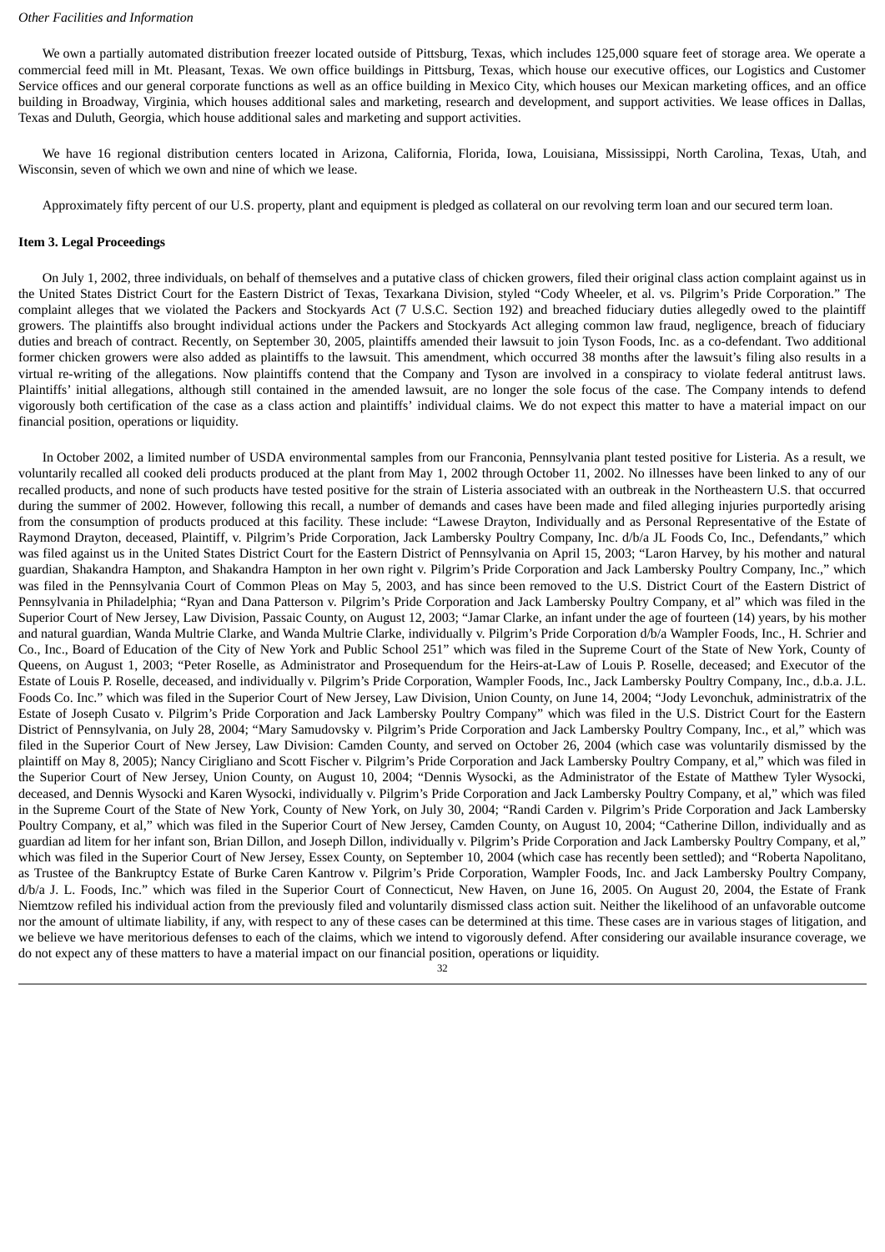#### *Other Facilities and Information*

We own a partially automated distribution freezer located outside of Pittsburg, Texas, which includes 125,000 square feet of storage area. We operate a commercial feed mill in Mt. Pleasant, Texas. We own office buildings in Pittsburg, Texas, which house our executive offices, our Logistics and Customer Service offices and our general corporate functions as well as an office building in Mexico City, which houses our Mexican marketing offices, and an office building in Broadway, Virginia, which houses additional sales and marketing, research and development, and support activities. We lease offices in Dallas, Texas and Duluth, Georgia, which house additional sales and marketing and support activities.

We have 16 regional distribution centers located in Arizona, California, Florida, Iowa, Louisiana, Mississippi, North Carolina, Texas, Utah, and Wisconsin, seven of which we own and nine of which we lease.

Approximately fifty percent of our U.S. property, plant and equipment is pledged as collateral on our revolving term loan and our secured term loan.

#### **Item 3. Legal Proceedings**

On July 1, 2002, three individuals, on behalf of themselves and a putative class of chicken growers, filed their original class action complaint against us in the United States District Court for the Eastern District of Texas, Texarkana Division, styled "Cody Wheeler, et al. vs. Pilgrim's Pride Corporation." The complaint alleges that we violated the Packers and Stockyards Act (7 U.S.C. Section 192) and breached fiduciary duties allegedly owed to the plaintiff growers. The plaintiffs also brought individual actions under the Packers and Stockyards Act alleging common law fraud, negligence, breach of fiduciary duties and breach of contract. Recently, on September 30, 2005, plaintiffs amended their lawsuit to join Tyson Foods, Inc. as a co-defendant. Two additional former chicken growers were also added as plaintiffs to the lawsuit. This amendment, which occurred 38 months after the lawsuit's filing also results in a virtual re-writing of the allegations. Now plaintiffs contend that the Company and Tyson are involved in a conspiracy to violate federal antitrust laws. Plaintiffs' initial allegations, although still contained in the amended lawsuit, are no longer the sole focus of the case. The Company intends to defend vigorously both certification of the case as a class action and plaintiffs' individual claims. We do not expect this matter to have a material impact on our financial position, operations or liquidity.

In October 2002, a limited number of USDA environmental samples from our Franconia, Pennsylvania plant tested positive for Listeria. As a result, we voluntarily recalled all cooked deli products produced at the plant from May 1, 2002 through October 11, 2002. No illnesses have been linked to any of our recalled products, and none of such products have tested positive for the strain of Listeria associated with an outbreak in the Northeastern U.S. that occurred during the summer of 2002. However, following this recall, a number of demands and cases have been made and filed alleging injuries purportedly arising from the consumption of products produced at this facility. These include: "Lawese Drayton, Individually and as Personal Representative of the Estate of Raymond Drayton, deceased, Plaintiff, v. Pilgrim's Pride Corporation, Jack Lambersky Poultry Company, Inc. d/b/a JL Foods Co, Inc., Defendants," which was filed against us in the United States District Court for the Eastern District of Pennsylvania on April 15, 2003; "Laron Harvey, by his mother and natural guardian, Shakandra Hampton, and Shakandra Hampton in her own right v. Pilgrim's Pride Corporation and Jack Lambersky Poultry Company, Inc.," which was filed in the Pennsylvania Court of Common Pleas on May 5, 2003, and has since been removed to the U.S. District Court of the Eastern District of Pennsylvania in Philadelphia; "Ryan and Dana Patterson v. Pilgrim's Pride Corporation and Jack Lambersky Poultry Company, et al" which was filed in the Superior Court of New Jersey, Law Division, Passaic County, on August 12, 2003; "Jamar Clarke, an infant under the age of fourteen (14) years, by his mother and natural guardian, Wanda Multrie Clarke, and Wanda Multrie Clarke, individually v. Pilgrim's Pride Corporation d/b/a Wampler Foods, Inc., H. Schrier and Co., Inc., Board of Education of the City of New York and Public School 251" which was filed in the Supreme Court of the State of New York, County of Queens, on August 1, 2003; "Peter Roselle, as Administrator and Prosequendum for the Heirs-at-Law of Louis P. Roselle, deceased; and Executor of the Estate of Louis P. Roselle, deceased, and individually v. Pilgrim's Pride Corporation, Wampler Foods, Inc., Jack Lambersky Poultry Company, Inc., d.b.a. J.L. Foods Co. Inc." which was filed in the Superior Court of New Jersey, Law Division, Union County, on June 14, 2004; "Jody Levonchuk, administratrix of the Estate of Joseph Cusato v. Pilgrim's Pride Corporation and Jack Lambersky Poultry Company" which was filed in the U.S. District Court for the Eastern District of Pennsylvania, on July 28, 2004; "Mary Samudovsky v. Pilgrim's Pride Corporation and Jack Lambersky Poultry Company, Inc., et al," which was filed in the Superior Court of New Jersey, Law Division: Camden County, and served on October 26, 2004 (which case was voluntarily dismissed by the plaintiff on May 8, 2005); Nancy Cirigliano and Scott Fischer v. Pilgrim's Pride Corporation and Jack Lambersky Poultry Company, et al," which was filed in the Superior Court of New Jersey, Union County, on August 10, 2004; "Dennis Wysocki, as the Administrator of the Estate of Matthew Tyler Wysocki, deceased, and Dennis Wysocki and Karen Wysocki, individually v. Pilgrim's Pride Corporation and Jack Lambersky Poultry Company, et al," which was filed in the Supreme Court of the State of New York, County of New York, on July 30, 2004; "Randi Carden v. Pilgrim's Pride Corporation and Jack Lambersky Poultry Company, et al," which was filed in the Superior Court of New Jersey, Camden County, on August 10, 2004; "Catherine Dillon, individually and as guardian ad litem for her infant son, Brian Dillon, and Joseph Dillon, individually v. Pilgrim's Pride Corporation and Jack Lambersky Poultry Company, et al," which was filed in the Superior Court of New Jersey, Essex County, on September 10, 2004 (which case has recently been settled); and "Roberta Napolitano, as Trustee of the Bankruptcy Estate of Burke Caren Kantrow v. Pilgrim's Pride Corporation, Wampler Foods, Inc. and Jack Lambersky Poultry Company, d/b/a J. L. Foods, Inc." which was filed in the Superior Court of Connecticut, New Haven, on June 16, 2005. On August 20, 2004, the Estate of Frank Niemtzow refiled his individual action from the previously filed and voluntarily dismissed class action suit. Neither the likelihood of an unfavorable outcome nor the amount of ultimate liability, if any, with respect to any of these cases can be determined at this time. These cases are in various stages of litigation, and we believe we have meritorious defenses to each of the claims, which we intend to vigorously defend. After considering our available insurance coverage, we do not expect any of these matters to have a material impact on our financial position, operations or liquidity.

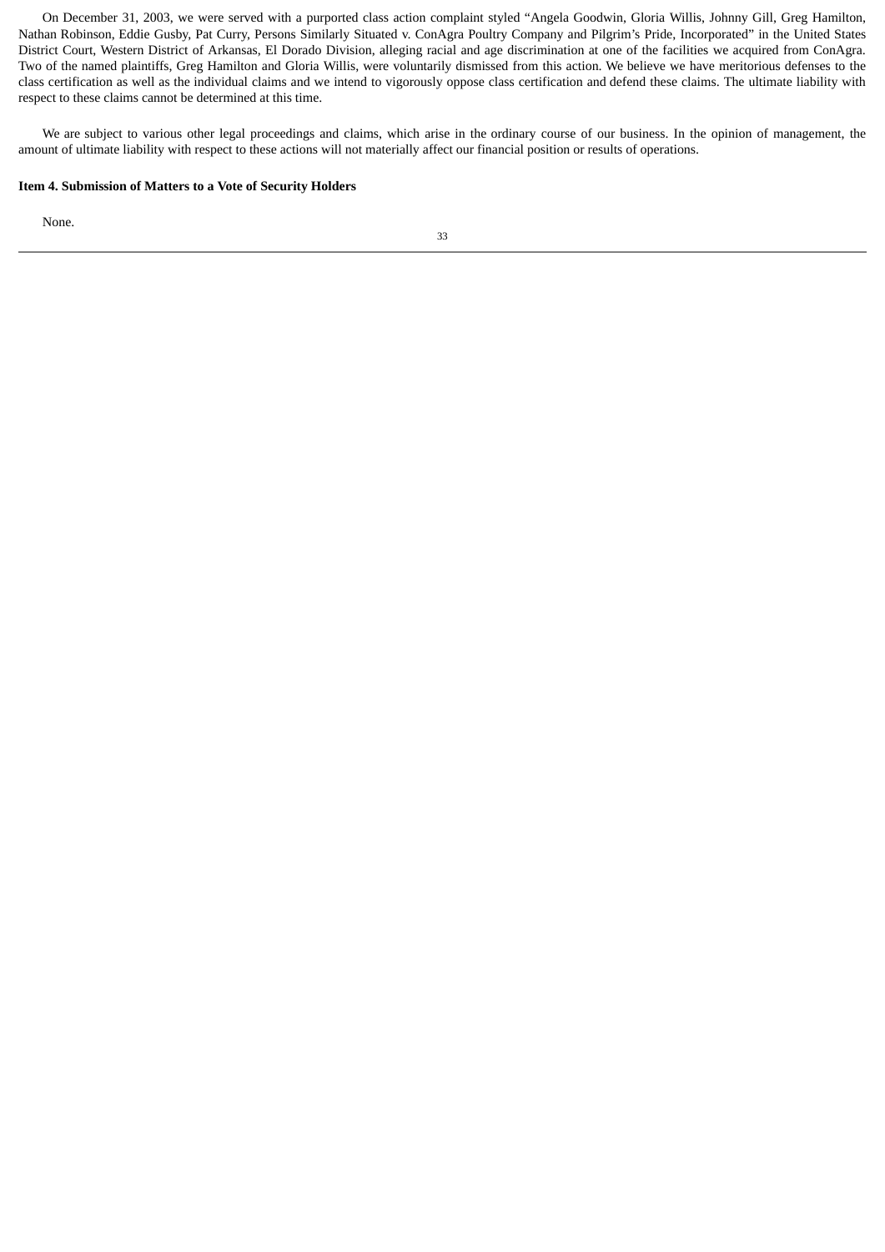On December 31, 2003, we were served with a purported class action complaint styled "Angela Goodwin, Gloria Willis, Johnny Gill, Greg Hamilton, Nathan Robinson, Eddie Gusby, Pat Curry, Persons Similarly Situated v. ConAgra Poultry Company and Pilgrim's Pride, Incorporated" in the United States District Court, Western District of Arkansas, El Dorado Division, alleging racial and age discrimination at one of the facilities we acquired from ConAgra. Two of the named plaintiffs, Greg Hamilton and Gloria Willis, were voluntarily dismissed from this action. We believe we have meritorious defenses to the class certification as well as the individual claims and we intend to vigorously oppose class certification and defend these claims. The ultimate liability with respect to these claims cannot be determined at this time.

We are subject to various other legal proceedings and claims, which arise in the ordinary course of our business. In the opinion of management, the amount of ultimate liability with respect to these actions will not materially affect our financial position or results of operations.

## **Item 4. Submission of Matters to a Vote of Security Holders**

None.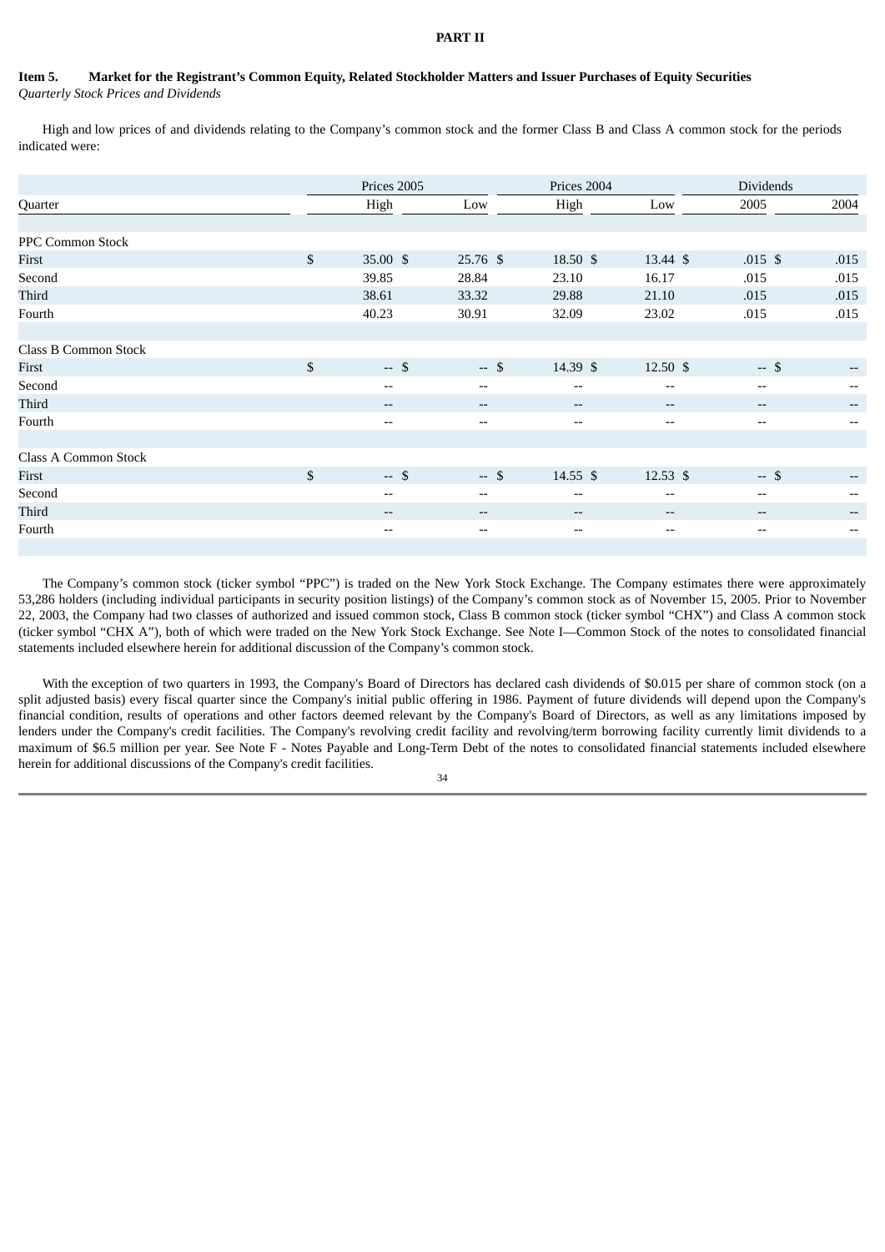#### **PART II**

## Item 5. Market for the Registrant's Common Equity, Related Stockholder Matters and Issuer Purchases of Equity Securities *Quarterly Stock Prices and Dividends*

High and low prices of and dividends relating to the Company's common stock and the former Class B and Class A common stock for the periods indicated were:

|                      |              | Prices 2005                                             |                                       | Prices 2004                           |                                       | Dividends                |      |
|----------------------|--------------|---------------------------------------------------------|---------------------------------------|---------------------------------------|---------------------------------------|--------------------------|------|
| Quarter              |              | High                                                    | Low                                   | High                                  | Low                                   | 2005                     | 2004 |
|                      |              |                                                         |                                       |                                       |                                       |                          |      |
| PPC Common Stock     |              |                                                         |                                       |                                       |                                       |                          |      |
| First                | $\mathbb{S}$ | 35.00 $$$                                               | 25.76 \$                              | 18.50 \$                              | 13.44 \$                              | $.015$ \$                | .015 |
| Second               |              | 39.85                                                   | 28.84                                 | 23.10                                 | 16.17                                 | .015                     | .015 |
| Third                |              | 38.61                                                   | 33.32                                 | 29.88                                 | 21.10                                 | .015                     | .015 |
| Fourth               |              | 40.23                                                   | 30.91                                 | 32.09                                 | 23.02                                 | .015                     | .015 |
|                      |              |                                                         |                                       |                                       |                                       |                          |      |
| Class B Common Stock |              |                                                         |                                       |                                       |                                       |                          |      |
| First                | \$           | $-5$                                                    | $-5$                                  | 14.39 \$                              | 12.50 \$                              | $-5$                     |      |
| Second               |              | $\hspace{0.05cm}$ – $\hspace{0.05cm}$                   | $-$                                   | --                                    | --                                    | $- -$                    |      |
| Third                |              | $\hspace{0.05cm}$ – $\hspace{0.05cm}$                   | $\hspace{0.05cm}$ – $\hspace{0.05cm}$ | $\hspace{0.05cm} \ldots$              | $\hspace{0.05cm}$ – $\hspace{0.05cm}$ | $- -$                    |      |
| Fourth               |              | $\hspace{0.05cm} \textbf{--}$                           | $\overline{\phantom{m}}$              | $\hspace{0.05cm}$ – $\hspace{0.05cm}$ | $\overline{\phantom{a}}$              | $-\!$ $\!-$              |      |
|                      |              |                                                         |                                       |                                       |                                       |                          |      |
| Class A Common Stock |              |                                                         |                                       |                                       |                                       |                          |      |
| First                | \$           | $--$ \$                                                 | $-5$                                  | 14.55 \$                              | 12.53 \$                              | $-5$                     |      |
| Second               |              | $\hspace{0.05cm}$ – $\hspace{0.05cm}$                   | $-$                                   | $\hspace{0.05cm}$ – $\hspace{0.05cm}$ | $\overline{\phantom{a}}$              | $\qquad \qquad -$        |      |
| Third                |              | $\hspace{0.05cm} \hspace{0.02cm} \hspace{0.02cm} \dots$ | $\overline{\phantom{m}}$              | $\hspace{0.05cm} \ldots$              | $\overline{\phantom{a}}$              | $\hspace{0.05cm} \dashv$ |      |
| Fourth               |              | $- -$                                                   | --                                    | $- -$                                 | --                                    | $\hspace{0.05cm} \bar{}$ | --   |
|                      |              |                                                         |                                       |                                       |                                       |                          |      |

The Company's common stock (ticker symbol "PPC") is traded on the New York Stock Exchange. The Company estimates there were approximately 53,286 holders (including individual participants in security position listings) of the Company's common stock as of November 15, 2005. Prior to November 22, 2003, the Company had two classes of authorized and issued common stock, Class B common stock (ticker symbol "CHX") and Class A common stock (ticker symbol "CHX A"), both of which were traded on the New York Stock Exchange. See Note I—Common Stock of the notes to consolidated financial statements included elsewhere herein for additional discussion of the Company's common stock.

With the exception of two quarters in 1993, the Company's Board of Directors has declared cash dividends of \$0.015 per share of common stock (on a split adjusted basis) every fiscal quarter since the Company's initial public offering in 1986. Payment of future dividends will depend upon the Company's financial condition, results of operations and other factors deemed relevant by the Company's Board of Directors, as well as any limitations imposed by lenders under the Company's credit facilities. The Company's revolving credit facility and revolving/term borrowing facility currently limit dividends to a maximum of \$6.5 million per year. See Note F - Notes Payable and Long-Term Debt of the notes to consolidated financial statements included elsewhere herein for additional discussions of the Company's credit facilities.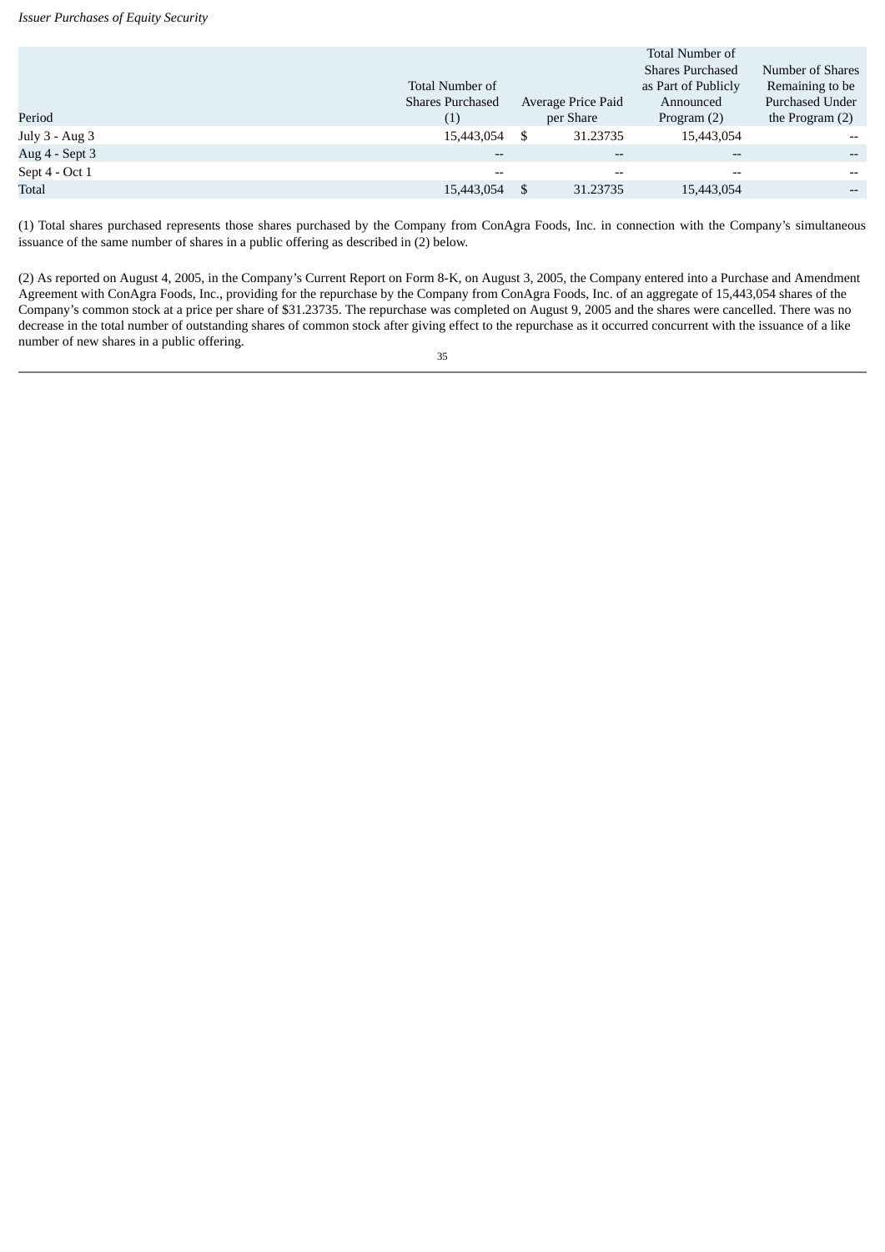### *Issuer Purchases of Equity Security*

|                |                                       |                        | Total Number of         |                   |
|----------------|---------------------------------------|------------------------|-------------------------|-------------------|
|                |                                       |                        | <b>Shares Purchased</b> | Number of Shares  |
|                | Total Number of                       |                        | as Part of Publicly     | Remaining to be   |
|                | <b>Shares Purchased</b>               | Average Price Paid     | Announced               | Purchased Under   |
| Period         | (1)                                   | per Share              | Program $(2)$           | the Program $(2)$ |
| July 3 - Aug 3 | 15,443,054                            | 31.23735               | 15,443,054              |                   |
| Aug 4 - Sept 3 | $\hspace{0.05cm}$ – $\hspace{0.05cm}$ | $\qquad \qquad \cdots$ | $- -$                   |                   |
| Sept 4 - Oct 1 | $\hspace{0.05cm}$ – $\hspace{0.05cm}$ | $- -$                  | $- -$                   | $- -$             |
| Total          | 15,443,054                            | 31.23735               | 15,443,054              | --                |

(1) Total shares purchased represents those shares purchased by the Company from ConAgra Foods, Inc. in connection with the Company's simultaneous issuance of the same number of shares in a public offering as described in (2) below.

(2) As reported on August 4, 2005, in the Company's Current Report on Form 8-K, on August 3, 2005, the Company entered into a Purchase and Amendment Agreement with ConAgra Foods, Inc., providing for the repurchase by the Company from ConAgra Foods, Inc. of an aggregate of 15,443,054 shares of the Company's common stock at a price per share of \$31.23735. The repurchase was completed on August 9, 2005 and the shares were cancelled. There was no decrease in the total number of outstanding shares of common stock after giving effect to the repurchase as it occurred concurrent with the issuance of a like number of new shares in a public offering.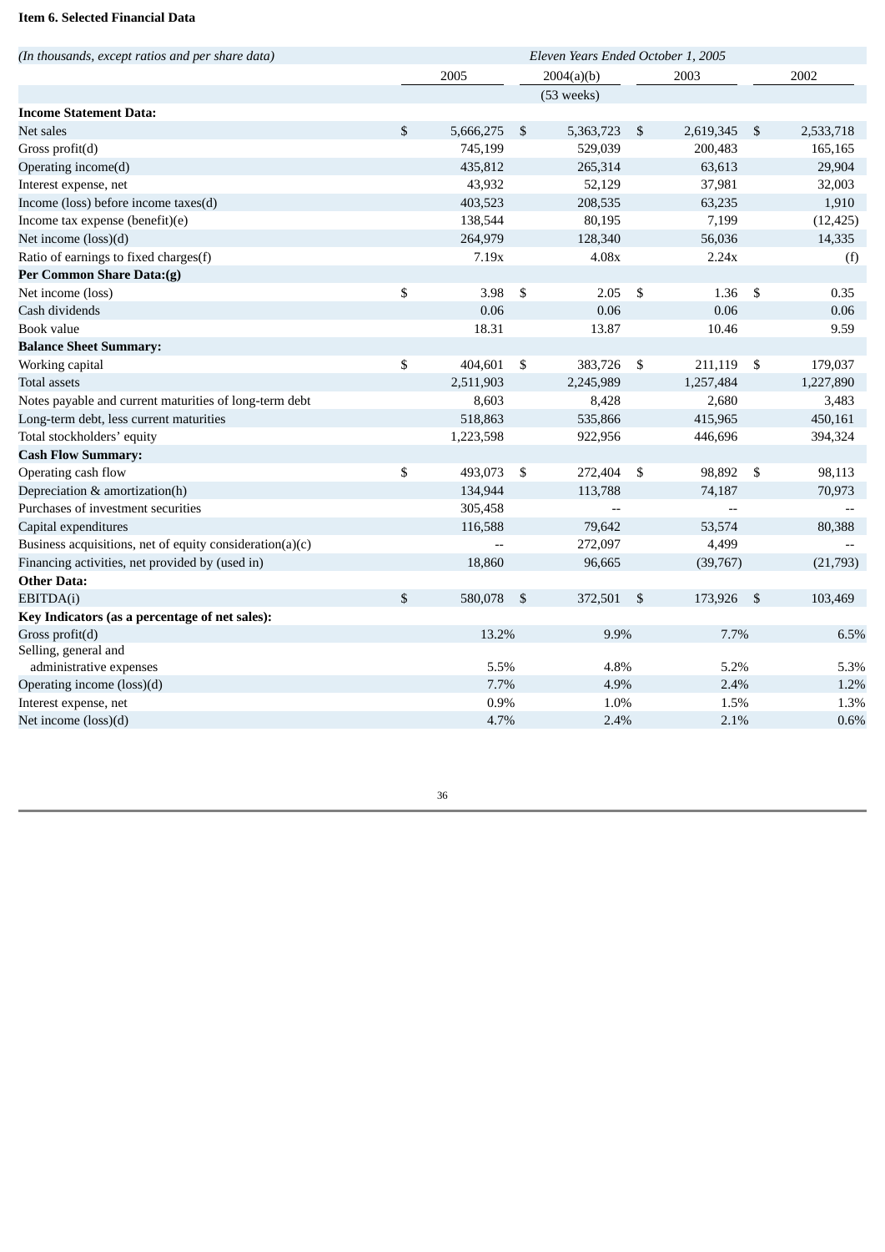# **Item 6. Selected Financial Data**

| (In thousands, except ratios and per share data)         |                 | Eleven Years Ended October 1, 2005 |     |           |                           |           |
|----------------------------------------------------------|-----------------|------------------------------------|-----|-----------|---------------------------|-----------|
|                                                          | 2005            | 2004(a)(b)                         |     | 2003      |                           | 2002      |
|                                                          |                 | (53 weeks)                         |     |           |                           |           |
| <b>Income Statement Data:</b>                            |                 |                                    |     |           |                           |           |
| Net sales                                                | \$<br>5,666,275 | \$<br>5,363,723                    | \$  | 2,619,345 | $\mathfrak{s}$            | 2,533,718 |
| Gross profit(d)                                          | 745,199         | 529,039                            |     | 200,483   |                           | 165,165   |
| Operating income(d)                                      | 435,812         | 265,314                            |     | 63,613    |                           | 29,904    |
| Interest expense, net                                    | 43,932          | 52,129                             |     | 37,981    |                           | 32,003    |
| Income (loss) before income taxes(d)                     | 403,523         | 208,535                            |     | 63,235    |                           | 1,910     |
| Income tax expense (benefit)(e)                          | 138,544         | 80,195                             |     | 7,199     |                           | (12, 425) |
| Net income (loss)(d)                                     | 264,979         | 128,340                            |     | 56,036    |                           | 14,335    |
| Ratio of earnings to fixed charges(f)                    | 7.19x           | $4.08x$                            |     | 2.24x     |                           | (f)       |
| Per Common Share Data:(g)                                |                 |                                    |     |           |                           |           |
| Net income (loss)                                        | \$<br>3.98      | \$<br>2.05                         | \$  | 1.36      | \$                        | 0.35      |
| Cash dividends                                           | 0.06            | 0.06                               |     | 0.06      |                           | 0.06      |
| Book value                                               | 18.31           | 13.87                              |     | 10.46     |                           | 9.59      |
| <b>Balance Sheet Summary:</b>                            |                 |                                    |     |           |                           |           |
| Working capital                                          | \$<br>404,601   | \$<br>383,726                      | -\$ | 211,119   | -\$                       | 179,037   |
| Total assets                                             | 2,511,903       | 2,245,989                          |     | 1,257,484 |                           | 1,227,890 |
| Notes payable and current maturities of long-term debt   | 8,603           | 8,428                              |     | 2,680     |                           | 3,483     |
| Long-term debt, less current maturities                  | 518,863         | 535,866                            |     | 415,965   |                           | 450,161   |
| Total stockholders' equity                               | 1,223,598       | 922,956                            |     | 446,696   |                           | 394,324   |
| <b>Cash Flow Summary:</b>                                |                 |                                    |     |           |                           |           |
| Operating cash flow                                      | \$<br>493,073   | \$<br>272,404                      | \$  | 98,892    | \$                        | 98,113    |
| Depreciation & amortization(h)                           | 134,944         | 113,788                            |     | 74,187    |                           | 70,973    |
| Purchases of investment securities                       | 305,458         |                                    |     |           |                           |           |
| Capital expenditures                                     | 116,588         | 79,642                             |     | 53,574    |                           | 80,388    |
| Business acquisitions, net of equity consideration(a)(c) |                 | 272,097                            |     | 4,499     |                           |           |
| Financing activities, net provided by (used in)          | 18,860          | 96,665                             |     | (39,767)  |                           | (21,793)  |
| <b>Other Data:</b>                                       |                 |                                    |     |           |                           |           |
| EBITDA(i)                                                | \$<br>580,078   | \$<br>372,501                      | \$  | 173,926   | $\boldsymbol{\mathsf{S}}$ | 103,469   |
| Key Indicators (as a percentage of net sales):           |                 |                                    |     |           |                           |           |
| Gross profit(d)                                          | 13.2%           | 9.9%                               |     | 7.7%      |                           | 6.5%      |
| Selling, general and                                     |                 |                                    |     |           |                           |           |
| administrative expenses                                  | 5.5%            | 4.8%                               |     | 5.2%      |                           | 5.3%      |
| Operating income (loss)(d)                               | 7.7%            | 4.9%                               |     | 2.4%      |                           | 1.2%      |
| Interest expense, net                                    | 0.9%            | 1.0%                               |     | 1.5%      |                           | 1.3%      |
| Net income (loss)(d)                                     | 4.7%            | 2.4%                               |     | 2.1%      |                           | 0.6%      |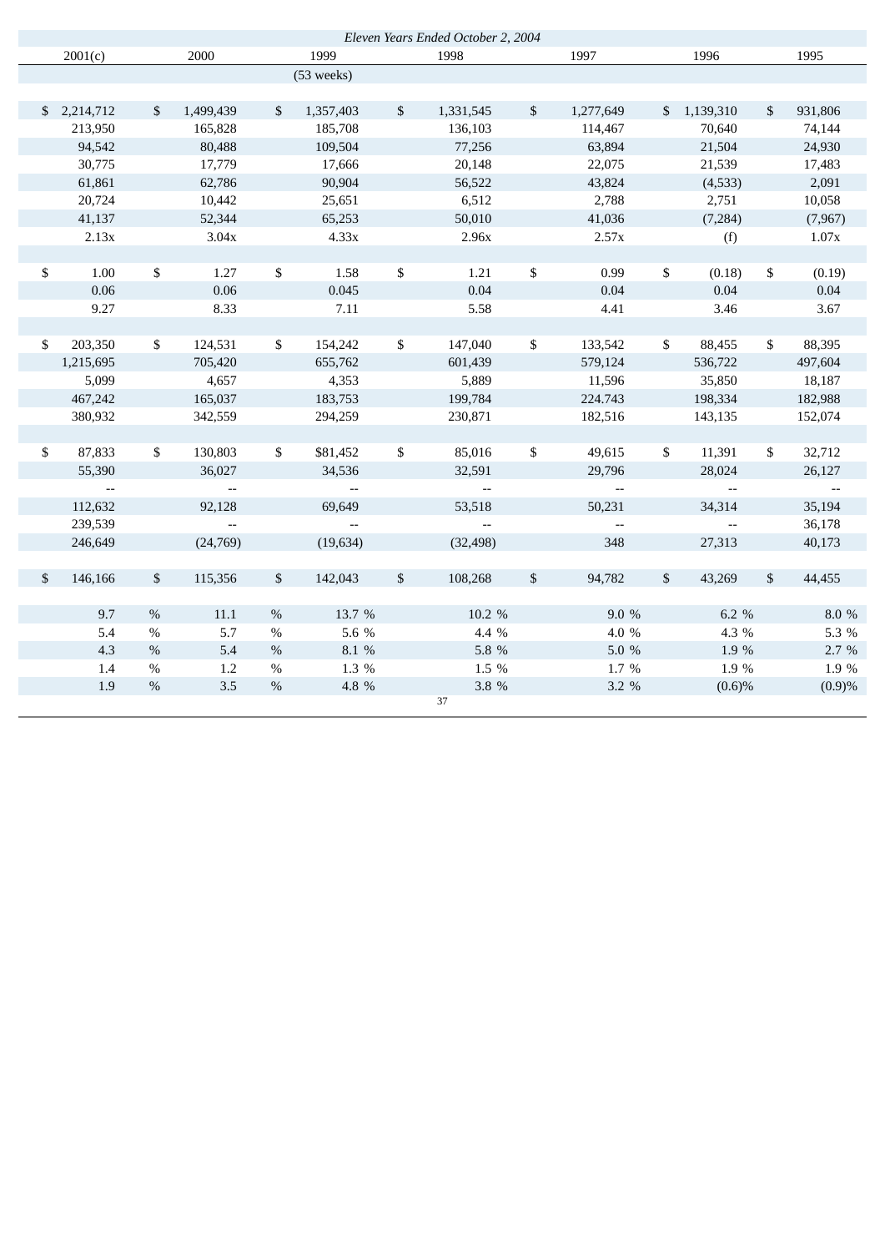|               |                          |                |                          |               |                          |               | Eleven Years Ended October 2, 2004 |              |                          |               |                          |              |                          |
|---------------|--------------------------|----------------|--------------------------|---------------|--------------------------|---------------|------------------------------------|--------------|--------------------------|---------------|--------------------------|--------------|--------------------------|
|               | 2001(c)                  |                | 2000                     |               | 1999                     |               | 1998                               |              | 1997                     |               | 1996                     |              | 1995                     |
|               |                          |                |                          |               | (53 weeks)               |               |                                    |              |                          |               |                          |              |                          |
|               |                          |                |                          |               |                          |               |                                    |              |                          |               |                          |              |                          |
|               | \$2,214,712              | $\mathfrak{S}$ | 1,499,439                | $\mathbb{S}$  | 1,357,403                | $\mathbb{S}$  | 1,331,545                          | $\mathbb{S}$ | 1,277,649                |               | \$1,139,310              | $\mathbb{S}$ | 931,806                  |
|               | 213,950                  |                | 165,828                  |               | 185,708                  |               | 136,103                            |              | 114,467                  |               | 70,640                   |              | 74,144                   |
|               | 94,542                   |                | 80,488                   |               | 109,504                  |               | 77,256                             |              | 63,894                   |               | 21,504                   |              | 24,930                   |
|               | 30,775                   |                | 17,779                   |               | 17,666                   |               | 20,148                             |              | 22,075                   |               | 21,539                   |              | 17,483                   |
|               | 61,861                   |                | 62,786                   |               | 90,904                   |               | 56,522                             |              | 43,824                   |               | (4,533)                  |              | 2,091                    |
|               | 20,724                   |                | 10,442                   |               | 25,651                   |               | 6,512                              |              | 2,788                    |               | 2,751                    |              | 10,058                   |
|               | 41,137                   |                | 52,344                   |               | 65,253                   |               | 50,010                             |              | 41,036                   |               | (7, 284)                 |              | (7,967)                  |
|               | 2.13x                    |                | 3.04x                    |               | 4.33x                    |               | 2.96x                              |              | 2.57x                    |               | (f)                      |              | 1.07x                    |
|               |                          |                |                          |               |                          |               |                                    |              |                          |               |                          |              |                          |
| ${\mathbb S}$ | $1.00\,$                 | $\mathbb S$    | 1.27                     | \$            | 1.58                     | ${\mathbb S}$ | 1.21                               | \$           | 0.99                     | \$            | (0.18)                   | \$           | (0.19)                   |
|               | 0.06                     |                | 0.06                     |               | 0.045                    |               | 0.04                               |              | 0.04                     |               | 0.04                     |              | 0.04                     |
|               | 9.27                     |                | 8.33                     |               | 7.11                     |               | 5.58                               |              | 4.41                     |               | 3.46                     |              | 3.67                     |
|               |                          |                |                          |               |                          |               |                                    |              |                          |               |                          |              |                          |
| \$            | 203,350                  | \$             | 124,531                  | \$            | 154,242                  | $\mathbb{S}$  | 147,040                            | \$           | 133,542                  | $\mathbb{S}$  | 88,455                   | \$           | 88,395                   |
|               | 1,215,695                |                | 705,420                  |               | 655,762                  |               | 601,439                            |              | 579,124                  |               | 536,722                  |              | 497,604                  |
|               | 5,099                    |                | 4,657                    |               | 4,353                    |               | 5,889                              |              | 11,596                   |               | 35,850                   |              | 18,187                   |
|               | 467,242                  |                | 165,037                  |               | 183,753                  |               | 199,784                            |              | 224.743                  |               | 198,334                  |              | 182,988                  |
|               | 380,932                  |                | 342,559                  |               | 294,259                  |               | 230,871                            |              | 182,516                  |               | 143,135                  |              | 152,074                  |
|               |                          |                |                          |               |                          |               |                                    |              |                          |               |                          |              |                          |
| $\mathbb{S}$  | 87,833                   | \$             | 130,803                  | $\mathbb{S}$  | \$81,452                 | \$            | 85,016                             | \$           | 49,615                   | \$            | 11,391                   | \$           | 32,712                   |
|               | 55,390                   |                | 36,027                   |               | 34,536                   |               | 32,591                             |              | 29,796                   |               | 28,024                   |              | 26,127                   |
|               | $\overline{\phantom{a}}$ |                | $\overline{\phantom{a}}$ |               | $\overline{\phantom{a}}$ |               | $\overline{\phantom{a}}$           |              | $\overline{\phantom{a}}$ |               | $\overline{\phantom{a}}$ |              | $\overline{\phantom{a}}$ |
|               | 112,632                  |                | 92,128                   |               | 69,649                   |               | 53,518                             |              | 50,231                   |               | 34,314                   |              | 35,194                   |
|               | 239,539                  |                | $\overline{\phantom{a}}$ |               |                          |               |                                    |              |                          |               | $\overline{\phantom{a}}$ |              | 36,178                   |
|               | 246,649                  |                | (24, 769)                |               | (19, 634)                |               | (32, 498)                          |              | 348                      |               | 27,313                   |              | 40,173                   |
|               |                          |                |                          |               |                          |               |                                    |              |                          |               |                          |              |                          |
| $\mathbb{S}$  | 146,166                  | $\mathbb{S}$   | 115,356                  | $\mathbb{S}$  | 142,043                  | $\mathbb{S}$  | 108,268                            | $\mathbb{S}$ | 94,782                   | $\mathcal{S}$ | 43,269                   | $\mathbb{S}$ | 44,455                   |
|               |                          |                |                          |               |                          |               |                                    |              |                          |               |                          |              |                          |
|               | 9.7                      | $\%$           | 11.1                     | $\%$          | 13.7 %                   |               | 10.2 %                             |              | 9.0 %                    |               | 6.2 %                    |              | 8.0 %                    |
|               | 5.4                      | $\%$           | 5.7                      | $\%$          | 5.6 %                    |               | 4.4 %                              |              | 4.0 %                    |               | 4.3 %                    |              | 5.3 %                    |
|               | 4.3                      | $\%$           | 5.4                      | $\%$          | $8.1\,$ %                |               | 5.8 %                              |              | 5.0 %                    |               | 1.9 %                    |              | 2.7 %                    |
|               | 1.4                      | $\%$           | 1.2                      | $\frac{0}{0}$ | 1.3 %                    |               | 1.5 %                              |              | 1.7 %                    |               | 1.9 %                    |              | 1.9 %                    |
|               | 1.9                      | $\%$           | 3.5                      | $\%$          | 4.8 %                    |               | 3.8 %                              |              | 3.2 %                    |               | $(0.6)\%$                |              | (0.9)%                   |
|               |                          |                |                          |               |                          |               | 37                                 |              |                          |               |                          |              |                          |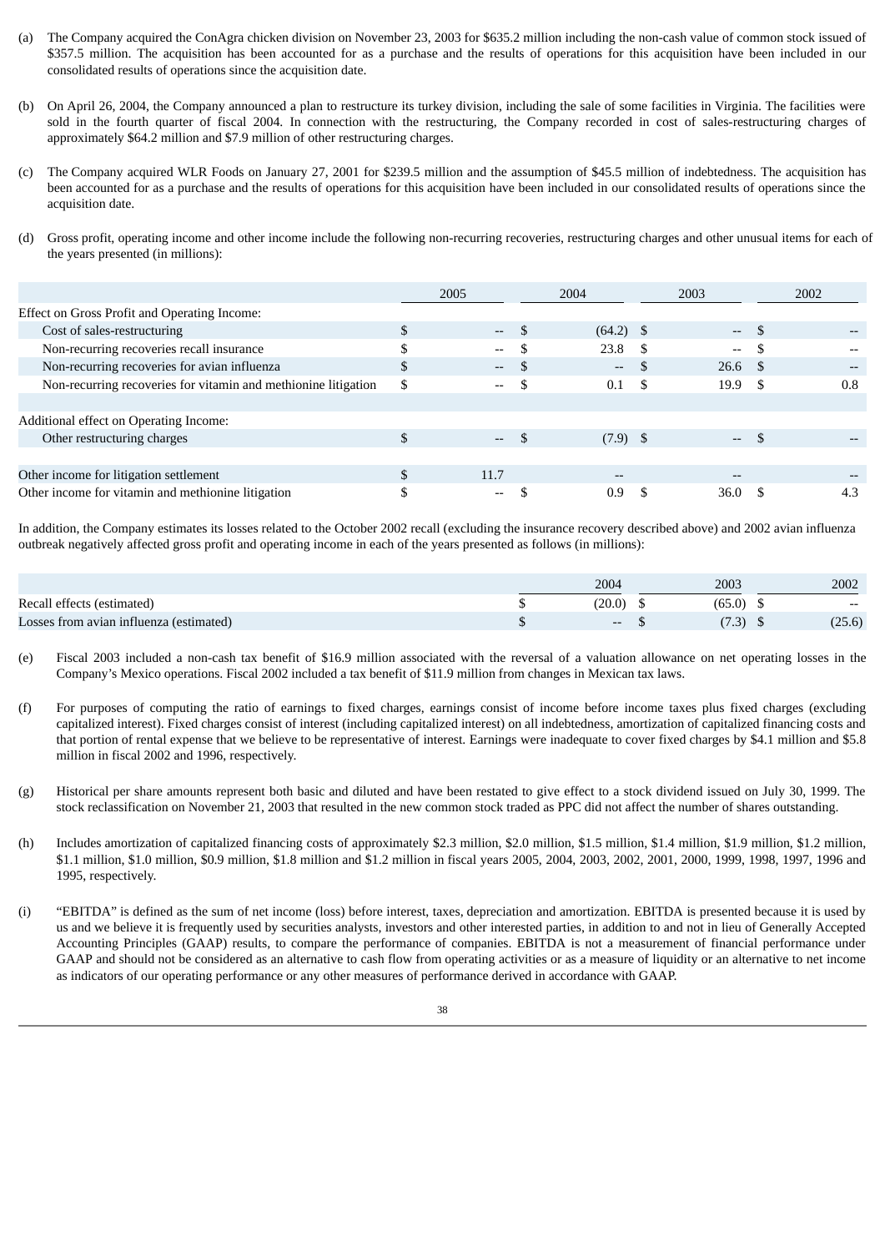- (a) The Company acquired the ConAgra chicken division on November 23, 2003 for \$635.2 million including the non-cash value of common stock issued of \$357.5 million. The acquisition has been accounted for as a purchase and the results of operations for this acquisition have been included in our consolidated results of operations since the acquisition date.
- (b) On April 26, 2004, the Company announced a plan to restructure its turkey division, including the sale of some facilities in Virginia. The facilities were sold in the fourth quarter of fiscal 2004. In connection with the restructuring, the Company recorded in cost of sales-restructuring charges of approximately \$64.2 million and \$7.9 million of other restructuring charges.
- (c) The Company acquired WLR Foods on January 27, 2001 for \$239.5 million and the assumption of \$45.5 million of indebtedness. The acquisition has been accounted for as a purchase and the results of operations for this acquisition have been included in our consolidated results of operations since the acquisition date.
- (d) Gross profit, operating income and other income include the following non-recurring recoveries, restructuring charges and other unusual items for each of the years presented (in millions):

|                                                                | 2005                                  | 2004        |    | 2003              |      | 2002  |
|----------------------------------------------------------------|---------------------------------------|-------------|----|-------------------|------|-------|
| Effect on Gross Profit and Operating Income:                   |                                       |             |    |                   |      |       |
| Cost of sales-restructuring                                    | $- -$                                 | $(64.2)$ \$ |    | $\qquad \qquad -$ | -S   |       |
| Non-recurring recoveries recall insurance                      | $- -$                                 | 23.8        |    | $--$              |      |       |
| Non-recurring recoveries for avian influenza                   | $- -$                                 | $-$         |    | 26.6              | - \$ | $- -$ |
| Non-recurring recoveries for vitamin and methionine litigation | \$<br>$- -$                           | 0.1         | £. | 19.9              | -S   | 0.8   |
|                                                                |                                       |             |    |                   |      |       |
| Additional effect on Operating Income:                         |                                       |             |    |                   |      |       |
| Other restructuring charges                                    | $---$                                 | $(7.9)$ \$  |    | $- -$             | -S   |       |
|                                                                |                                       |             |    |                   |      |       |
| Other income for litigation settlement                         | 11.7                                  | $- -$       |    | $- -$             |      |       |
| Other income for vitamin and methionine litigation             | $\hspace{0.05cm}$ – $\hspace{0.05cm}$ | 0.9         |    | 36.0              |      | 4.3   |

In addition, the Company estimates its losses related to the October 2002 recall (excluding the insurance recovery described above) and 2002 avian influenza outbreak negatively affected gross profit and operating income in each of the years presented as follows (in millions):

|                                         | 2004          | 2003   | 2002   |
|-----------------------------------------|---------------|--------|--------|
| Recall effects (estimated)              | (20.0)        | (65.0) | $--$   |
| Losses from avian influenza (estimated) | $\sim$ $\sim$ | (7.3)  | (25.6) |

- (e) Fiscal 2003 included a non-cash tax benefit of \$16.9 million associated with the reversal of a valuation allowance on net operating losses in the Company's Mexico operations. Fiscal 2002 included a tax benefit of \$11.9 million from changes in Mexican tax laws.
- (f) For purposes of computing the ratio of earnings to fixed charges, earnings consist of income before income taxes plus fixed charges (excluding capitalized interest). Fixed charges consist of interest (including capitalized interest) on all indebtedness, amortization of capitalized financing costs and that portion of rental expense that we believe to be representative of interest. Earnings were inadequate to cover fixed charges by \$4.1 million and \$5.8 million in fiscal 2002 and 1996, respectively.
- (g) Historical per share amounts represent both basic and diluted and have been restated to give effect to a stock dividend issued on July 30, 1999. The stock reclassification on November 21, 2003 that resulted in the new common stock traded as PPC did not affect the number of shares outstanding.
- (h) Includes amortization of capitalized financing costs of approximately \$2.3 million, \$2.0 million, \$1.5 million, \$1.4 million, \$1.9 million, \$1.2 million, \$1.1 million, \$1.0 million, \$0.9 million, \$1.8 million and \$1.2 million in fiscal years 2005, 2004, 2003, 2002, 2001, 2000, 1999, 1998, 1997, 1996 and 1995, respectively.
- (i) "EBITDA" is defined as the sum of net income (loss) before interest, taxes, depreciation and amortization. EBITDA is presented because it is used by us and we believe it is frequently used by securities analysts, investors and other interested parties, in addition to and not in lieu of Generally Accepted Accounting Principles (GAAP) results, to compare the performance of companies. EBITDA is not a measurement of financial performance under GAAP and should not be considered as an alternative to cash flow from operating activities or as a measure of liquidity or an alternative to net income as indicators of our operating performance or any other measures of performance derived in accordance with GAAP.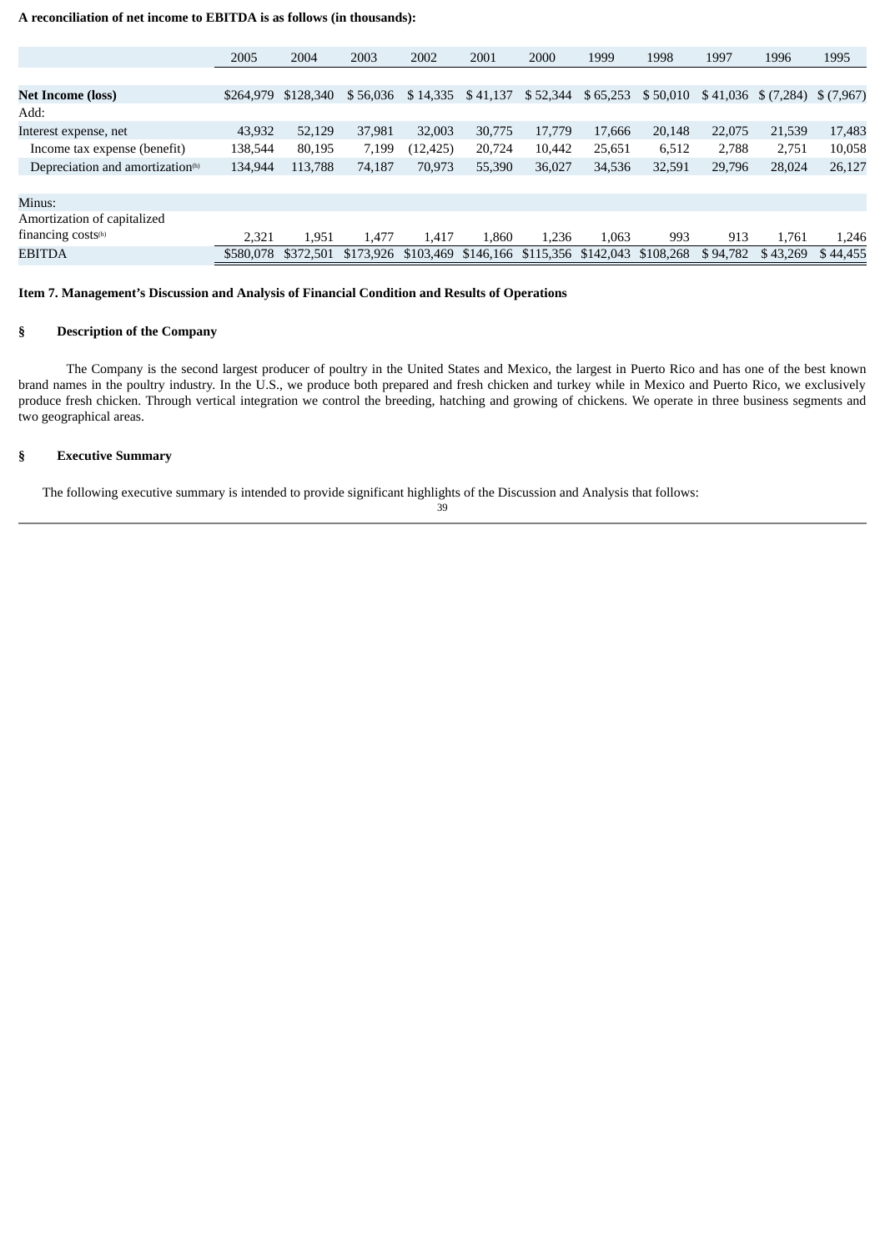## **A reconciliation of net income to EBITDA is as follows (in thousands):**

|                                              | 2005      | 2004      | 2003      | 2002      | 2001      | 2000                | 1999     | 1998      | 1997     | 1996                 | 1995      |
|----------------------------------------------|-----------|-----------|-----------|-----------|-----------|---------------------|----------|-----------|----------|----------------------|-----------|
|                                              |           |           |           |           |           |                     |          |           |          |                      |           |
| <b>Net Income (loss)</b>                     | \$264,979 | \$128,340 | \$56.036  | \$14,335  | \$41,137  | \$52,344            | \$65,253 | \$50,010  |          | $$41,036 \$ (7,284)$ | \$(7,967) |
| Add:                                         |           |           |           |           |           |                     |          |           |          |                      |           |
| Interest expense, net                        | 43,932    | 52,129    | 37,981    | 32,003    | 30,775    | 17,779              | 17,666   | 20,148    | 22,075   | 21,539               | 17,483    |
| Income tax expense (benefit)                 | 138,544   | 80,195    | 7,199     | (12, 425) | 20,724    | 10,442              | 25,651   | 6,512     | 2,788    | 2,751                | 10,058    |
| Depreciation and amortization <sup>(h)</sup> | 134,944   | 113,788   | 74,187    | 70,973    | 55,390    | 36,027              | 34,536   | 32,591    | 29,796   | 28,024               | 26,127    |
|                                              |           |           |           |           |           |                     |          |           |          |                      |           |
| Minus:                                       |           |           |           |           |           |                     |          |           |          |                      |           |
| Amortization of capitalized                  |           |           |           |           |           |                     |          |           |          |                      |           |
| financing costs <sup>(h)</sup>               | 2.321     | 1,951     | 1.477     | 1,417     | 1.860     | 1.236               | 1,063    | 993       | 913      | 1.761                | 1,246     |
| <b>EBITDA</b>                                | \$580,078 | \$372,501 | \$173,926 | \$103,469 | \$146,166 | \$115,356 \$142,043 |          | \$108,268 | \$94,782 | \$43.269             | \$44,455  |

## **Item 7. Management's Discussion and Analysis of Financial Condition and Results of Operations**

## **§ Description of the Company**

The Company is the second largest producer of poultry in the United States and Mexico, the largest in Puerto Rico and has one of the best known brand names in the poultry industry. In the U.S., we produce both prepared and fresh chicken and turkey while in Mexico and Puerto Rico, we exclusively produce fresh chicken. Through vertical integration we control the breeding, hatching and growing of chickens. We operate in three business segments and two geographical areas.

### **§ Executive Summary**

The following executive summary is intended to provide significant highlights of the Discussion and Analysis that follows: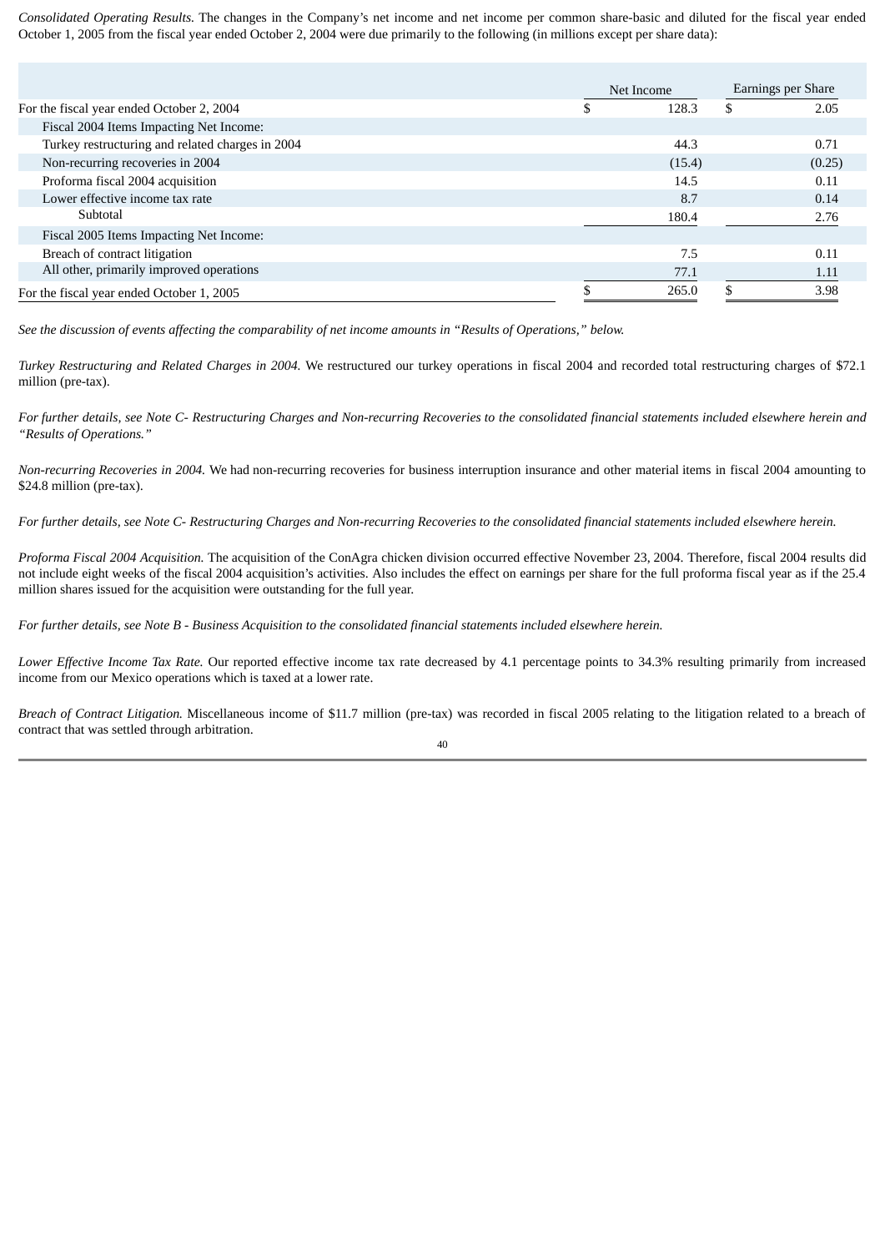*Consolidated Operating Results.* The changes in the Company's net income and net income per common share-basic and diluted for the fiscal year ended October 1, 2005 from the fiscal year ended October 2, 2004 were due primarily to the following (in millions except per share data):

|                                                  | Net Income | Earnings per Share |
|--------------------------------------------------|------------|--------------------|
| For the fiscal year ended October 2, 2004        | 128.3      | \$<br>2.05         |
| Fiscal 2004 Items Impacting Net Income:          |            |                    |
| Turkey restructuring and related charges in 2004 | 44.3       | 0.71               |
| Non-recurring recoveries in 2004                 | (15.4)     | (0.25)             |
| Proforma fiscal 2004 acquisition                 | 14.5       | 0.11               |
| Lower effective income tax rate                  | 8.7        | 0.14               |
| Subtotal                                         | 180.4      | 2.76               |
| Fiscal 2005 Items Impacting Net Income:          |            |                    |
| Breach of contract litigation                    | 7.5        | 0.11               |
| All other, primarily improved operations         | 77.1       | 1.11               |
| For the fiscal year ended October 1, 2005        | 265.0      | 3.98               |

See the discussion of events affecting the comparability of net income amounts in "Results of Operations," below.

*Turkey Restructuring and Related Charges in 2004.* We restructured our turkey operations in fiscal 2004 and recorded total restructuring charges of \$72.1 million (pre-tax).

For further details, see Note C- Restructuring Charges and Non-recurring Recoveries to the consolidated financial statements included elsewhere herein and *"Results of Operations."*

*Non-recurring Recoveries in 2004.* We had non-recurring recoveries for business interruption insurance and other material items in fiscal 2004 amounting to \$24.8 million (pre-tax).

For further details, see Note C- Restructuring Charges and Non-recurring Recoveries to the consolidated financial statements included elsewhere herein.

*Proforma Fiscal 2004 Acquisition.* The acquisition of the ConAgra chicken division occurred effective November 23, 2004. Therefore, fiscal 2004 results did not include eight weeks of the fiscal 2004 acquisition's activities. Also includes the effect on earnings per share for the full proforma fiscal year as if the 25.4 million shares issued for the acquisition were outstanding for the full year.

For further details, see Note B - Business Acquisition to the consolidated financial statements included elsewhere herein.

*Lower Effective Income Tax Rate.* Our reported effective income tax rate decreased by 4.1 percentage points to 34.3% resulting primarily from increased income from our Mexico operations which is taxed at a lower rate.

*Breach of Contract Litigation.* Miscellaneous income of \$11.7 million (pre-tax) was recorded in fiscal 2005 relating to the litigation related to a breach of contract that was settled through arbitration.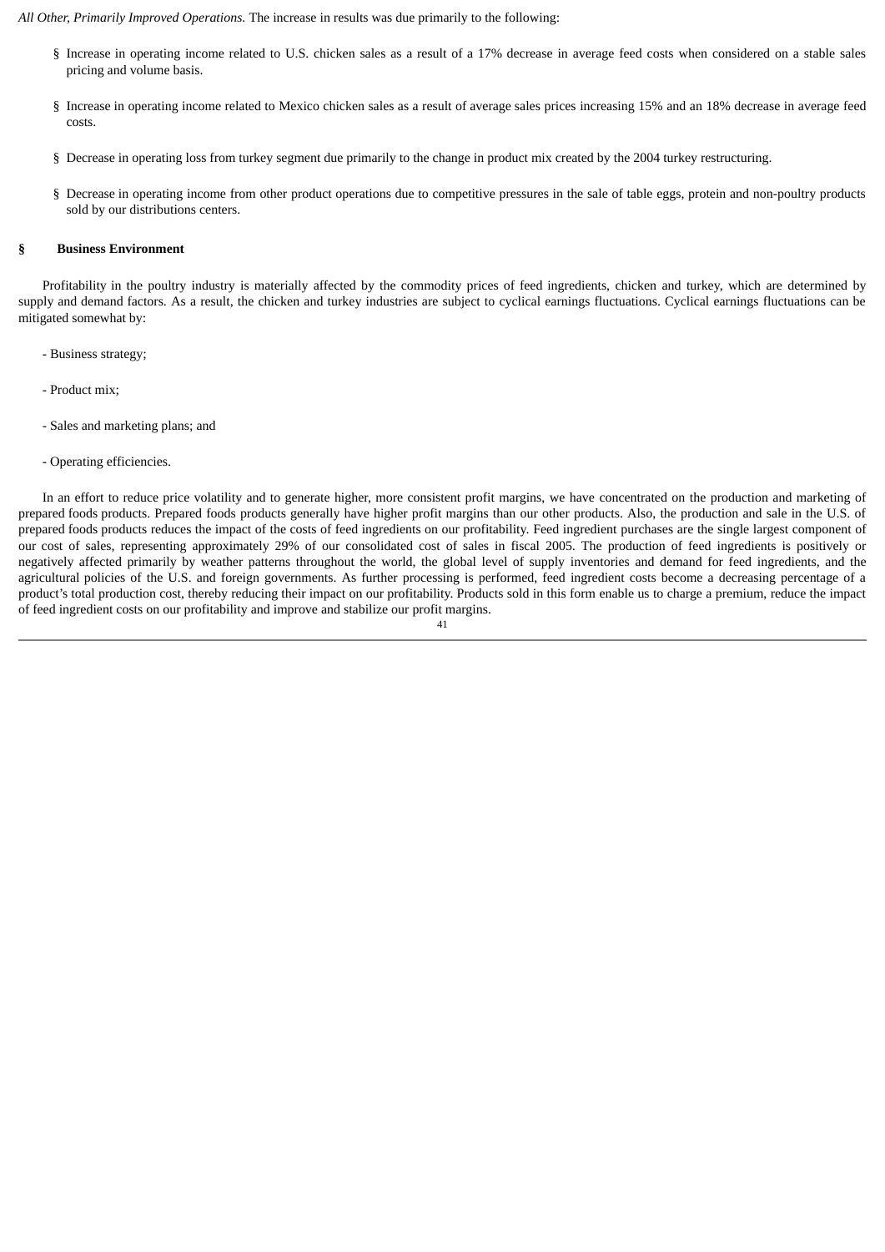*All Other, Primarily Improved Operations.* The increase in results was due primarily to the following:

- § Increase in operating income related to U.S. chicken sales as a result of a 17% decrease in average feed costs when considered on a stable sales pricing and volume basis.
- § Increase in operating income related to Mexico chicken sales as a result of average sales prices increasing 15% and an 18% decrease in average feed costs.
- § Decrease in operating loss from turkey segment due primarily to the change in product mix created by the 2004 turkey restructuring.
- § Decrease in operating income from other product operations due to competitive pressures in the sale of table eggs, protein and non-poultry products sold by our distributions centers.

#### **§ Business Environment**

Profitability in the poultry industry is materially affected by the commodity prices of feed ingredients, chicken and turkey, which are determined by supply and demand factors. As a result, the chicken and turkey industries are subject to cyclical earnings fluctuations. Cyclical earnings fluctuations can be mitigated somewhat by:

- Business strategy;
- Product mix;
- Sales and marketing plans; and
- Operating efficiencies.

In an effort to reduce price volatility and to generate higher, more consistent profit margins, we have concentrated on the production and marketing of prepared foods products. Prepared foods products generally have higher profit margins than our other products. Also, the production and sale in the U.S. of prepared foods products reduces the impact of the costs of feed ingredients on our profitability. Feed ingredient purchases are the single largest component of our cost of sales, representing approximately 29% of our consolidated cost of sales in fiscal 2005. The production of feed ingredients is positively or negatively affected primarily by weather patterns throughout the world, the global level of supply inventories and demand for feed ingredients, and the agricultural policies of the U.S. and foreign governments. As further processing is performed, feed ingredient costs become a decreasing percentage of a product's total production cost, thereby reducing their impact on our profitability. Products sold in this form enable us to charge a premium, reduce the impact of feed ingredient costs on our profitability and improve and stabilize our profit margins.

$$
41 \\
$$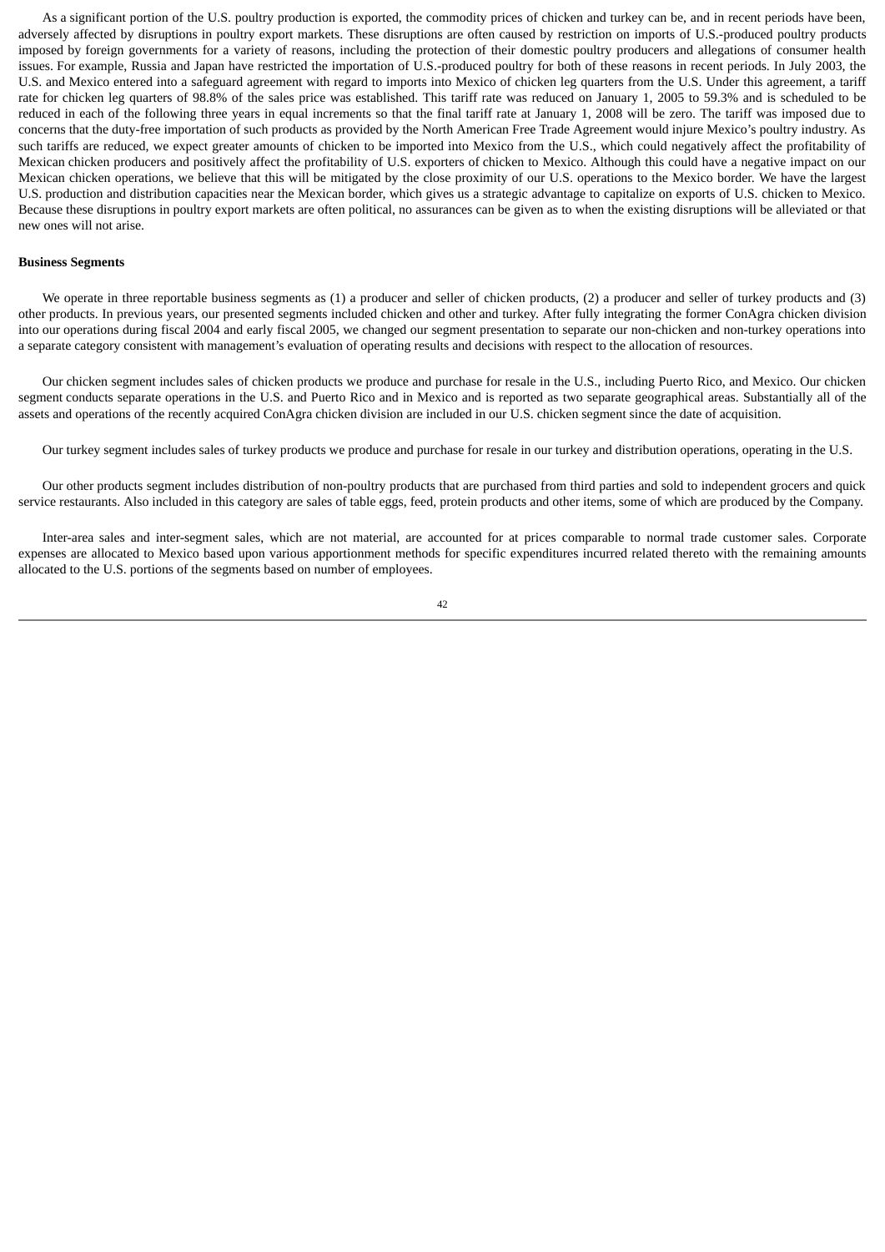As a significant portion of the U.S. poultry production is exported, the commodity prices of chicken and turkey can be, and in recent periods have been, adversely affected by disruptions in poultry export markets. These disruptions are often caused by restriction on imports of U.S.-produced poultry products imposed by foreign governments for a variety of reasons, including the protection of their domestic poultry producers and allegations of consumer health issues. For example, Russia and Japan have restricted the importation of U.S.-produced poultry for both of these reasons in recent periods. In July 2003, the U.S. and Mexico entered into a safeguard agreement with regard to imports into Mexico of chicken leg quarters from the U.S. Under this agreement, a tariff rate for chicken leg quarters of 98.8% of the sales price was established. This tariff rate was reduced on January 1, 2005 to 59.3% and is scheduled to be reduced in each of the following three years in equal increments so that the final tariff rate at January 1, 2008 will be zero. The tariff was imposed due to concerns that the duty-free importation of such products as provided by the North American Free Trade Agreement would injure Mexico's poultry industry. As such tariffs are reduced, we expect greater amounts of chicken to be imported into Mexico from the U.S., which could negatively affect the profitability of Mexican chicken producers and positively affect the profitability of U.S. exporters of chicken to Mexico. Although this could have a negative impact on our Mexican chicken operations, we believe that this will be mitigated by the close proximity of our U.S. operations to the Mexico border. We have the largest U.S. production and distribution capacities near the Mexican border, which gives us a strategic advantage to capitalize on exports of U.S. chicken to Mexico. Because these disruptions in poultry export markets are often political, no assurances can be given as to when the existing disruptions will be alleviated or that new ones will not arise.

#### **Business Segments**

We operate in three reportable business segments as (1) a producer and seller of chicken products, (2) a producer and seller of turkey products and (3) other products. In previous years, our presented segments included chicken and other and turkey. After fully integrating the former ConAgra chicken division into our operations during fiscal 2004 and early fiscal 2005, we changed our segment presentation to separate our non-chicken and non-turkey operations into a separate category consistent with management's evaluation of operating results and decisions with respect to the allocation of resources.

Our chicken segment includes sales of chicken products we produce and purchase for resale in the U.S., including Puerto Rico, and Mexico. Our chicken segment conducts separate operations in the U.S. and Puerto Rico and in Mexico and is reported as two separate geographical areas. Substantially all of the assets and operations of the recently acquired ConAgra chicken division are included in our U.S. chicken segment since the date of acquisition.

Our turkey segment includes sales of turkey products we produce and purchase for resale in our turkey and distribution operations, operating in the U.S.

Our other products segment includes distribution of non-poultry products that are purchased from third parties and sold to independent grocers and quick service restaurants. Also included in this category are sales of table eggs, feed, protein products and other items, some of which are produced by the Company.

Inter-area sales and inter-segment sales, which are not material, are accounted for at prices comparable to normal trade customer sales. Corporate expenses are allocated to Mexico based upon various apportionment methods for specific expenditures incurred related thereto with the remaining amounts allocated to the U.S. portions of the segments based on number of employees.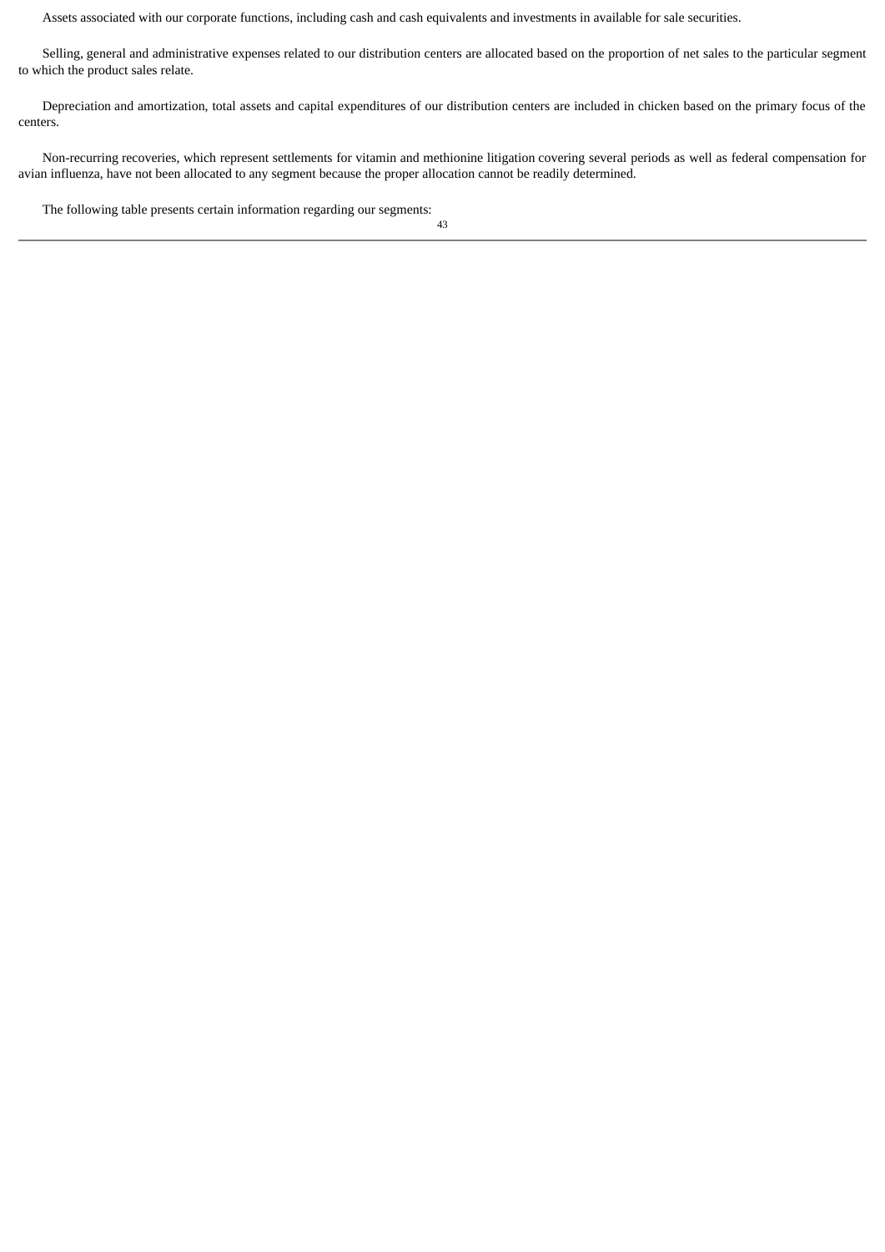Assets associated with our corporate functions, including cash and cash equivalents and investments in available for sale securities.

Selling, general and administrative expenses related to our distribution centers are allocated based on the proportion of net sales to the particular segment to which the product sales relate.

Depreciation and amortization, total assets and capital expenditures of our distribution centers are included in chicken based on the primary focus of the centers.

Non-recurring recoveries, which represent settlements for vitamin and methionine litigation covering several periods as well as federal compensation for avian influenza, have not been allocated to any segment because the proper allocation cannot be readily determined.

The following table presents certain information regarding our segments: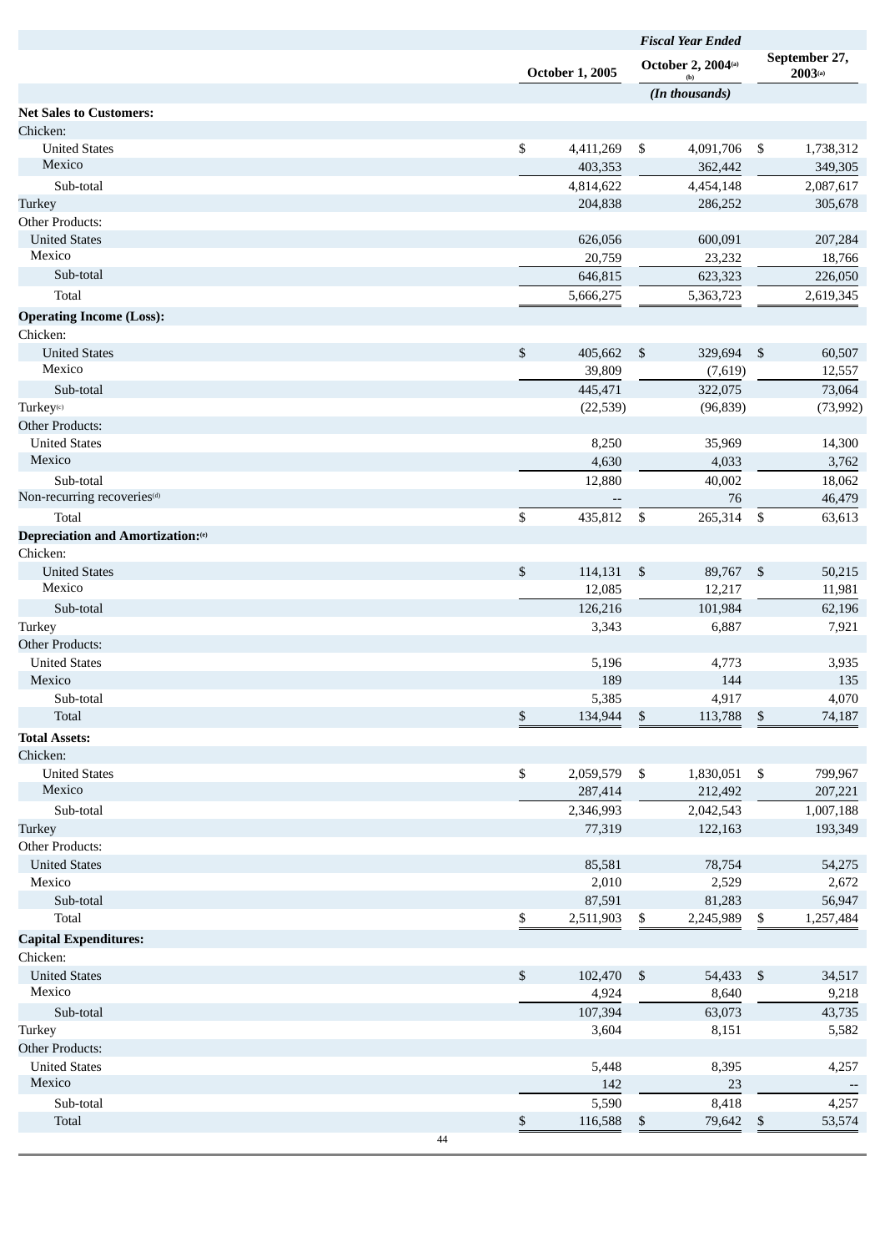|                                                      |                           |                        |              | <b>Fiscal Year Ended</b>  |                           |                               |
|------------------------------------------------------|---------------------------|------------------------|--------------|---------------------------|---------------------------|-------------------------------|
|                                                      |                           | <b>October 1, 2005</b> |              | October 2, 2004(a)<br>(b) |                           | September 27,<br>$2003^{(a)}$ |
|                                                      |                           |                        |              | (In thousands)            |                           |                               |
| <b>Net Sales to Customers:</b>                       |                           |                        |              |                           |                           |                               |
| Chicken:                                             |                           |                        |              |                           |                           |                               |
| <b>United States</b>                                 | \$                        | 4,411,269              | \$           | 4,091,706                 | -\$                       | 1,738,312                     |
| Mexico                                               |                           | 403,353                |              | 362,442                   |                           | 349,305                       |
| Sub-total                                            |                           | 4,814,622              |              | 4,454,148                 |                           | 2,087,617                     |
| <b>Turkey</b><br><b>Other Products:</b>              |                           | 204,838                |              | 286,252                   |                           | 305,678                       |
| <b>United States</b>                                 |                           | 626,056                |              | 600,091                   |                           | 207,284                       |
| Mexico                                               |                           | 20,759                 |              | 23,232                    |                           | 18,766                        |
| Sub-total                                            |                           | 646,815                |              | 623,323                   |                           | 226,050                       |
| Total                                                |                           | 5,666,275              |              | 5,363,723                 |                           | 2,619,345                     |
|                                                      |                           |                        |              |                           |                           |                               |
| <b>Operating Income (Loss):</b><br>Chicken:          |                           |                        |              |                           |                           |                               |
| <b>United States</b>                                 | \$                        | 405,662                | \$           | 329,694                   | -\$                       | 60,507                        |
| Mexico                                               |                           | 39,809                 |              | (7,619)                   |                           | 12,557                        |
| Sub-total                                            |                           | 445,471                |              | 322,075                   |                           | 73,064                        |
| Turkey <sup>(c)</sup>                                |                           | (22, 539)              |              | (96, 839)                 |                           | (73,992)                      |
| <b>Other Products:</b>                               |                           |                        |              |                           |                           |                               |
| <b>United States</b>                                 |                           | 8,250                  |              | 35,969                    |                           | 14,300                        |
| Mexico                                               |                           | 4,630                  |              | 4,033                     |                           | 3,762                         |
| Sub-total                                            |                           | 12,880                 |              | 40,002                    |                           | 18,062                        |
| Non-recurring recoveries <sup>(d)</sup>              |                           |                        |              | 76                        |                           | 46,479                        |
| Total                                                | \$                        | 435,812                | \$           | 265,314                   | $\mathfrak{S}$            | 63,613                        |
| <b>Depreciation and Amortization:</b> <sup>(e)</sup> |                           |                        |              |                           |                           |                               |
| Chicken:                                             |                           |                        |              |                           |                           |                               |
| <b>United States</b>                                 | $\boldsymbol{\mathsf{S}}$ | 114,131                | $\mathbb{S}$ | 89,767                    | $\mathfrak s$             | 50,215                        |
| Mexico                                               |                           | 12,085                 |              | 12,217                    |                           | 11,981                        |
| Sub-total                                            |                           | 126,216                |              | 101,984                   |                           | 62,196                        |
| Turkey                                               |                           | 3,343                  |              | 6,887                     |                           | 7,921                         |
| <b>Other Products:</b>                               |                           |                        |              |                           |                           |                               |
| <b>United States</b>                                 |                           | 5,196                  |              | 4,773                     |                           | 3,935                         |
| Mexico                                               |                           | 189                    |              | 144                       |                           | 135                           |
| Sub-total                                            |                           | 5,385                  |              | 4,917                     |                           | 4,070                         |
| Total                                                | \$                        | 134,944                | \$           | 113,788                   | $\boldsymbol{\mathsf{S}}$ | 74,187                        |
| <b>Total Assets:</b>                                 |                           |                        |              |                           |                           |                               |
| Chicken:                                             |                           |                        |              |                           |                           |                               |
| <b>United States</b><br>Mexico                       | \$                        | 2,059,579              | \$           | 1,830,051                 | - \$                      | 799,967                       |
| Sub-total                                            |                           | 287,414                |              | 212,492                   |                           | 207,221                       |
| <b>Turkey</b>                                        |                           | 2,346,993<br>77,319    |              | 2,042,543<br>122,163      |                           | 1,007,188<br>193,349          |
| Other Products:                                      |                           |                        |              |                           |                           |                               |
| <b>United States</b>                                 |                           | 85,581                 |              | 78,754                    |                           | 54,275                        |
| Mexico                                               |                           | 2,010                  |              | 2,529                     |                           | 2,672                         |
| Sub-total                                            |                           | 87,591                 |              | 81,283                    |                           | 56,947                        |
| Total                                                | \$                        | 2,511,903              | \$           | 2,245,989                 | \$                        | 1,257,484                     |
| <b>Capital Expenditures:</b>                         |                           |                        |              |                           |                           |                               |
| Chicken:                                             |                           |                        |              |                           |                           |                               |
| <b>United States</b>                                 | $\boldsymbol{\mathsf{S}}$ | 102,470                | $\mathbb{S}$ | 54,433                    | $\sqrt{2}$                | 34,517                        |
| Mexico                                               |                           | 4,924                  |              | 8,640                     |                           | 9,218                         |
| Sub-total                                            |                           | 107,394                |              | 63,073                    |                           | 43,735                        |
| Turkey                                               |                           | 3,604                  |              | 8,151                     |                           | 5,582                         |
| Other Products:                                      |                           |                        |              |                           |                           |                               |
| <b>United States</b>                                 |                           | 5,448                  |              | 8,395                     |                           | 4,257                         |
| Mexico                                               |                           | 142                    |              | 23                        |                           |                               |
| Sub-total                                            |                           | 5,590                  |              | 8,418                     |                           | 4,257                         |
| Total                                                | \$                        | 116,588                | \$           | 79,642                    | $$\mathbb{S}$$            | 53,574                        |
|                                                      | 44                        |                        |              |                           |                           |                               |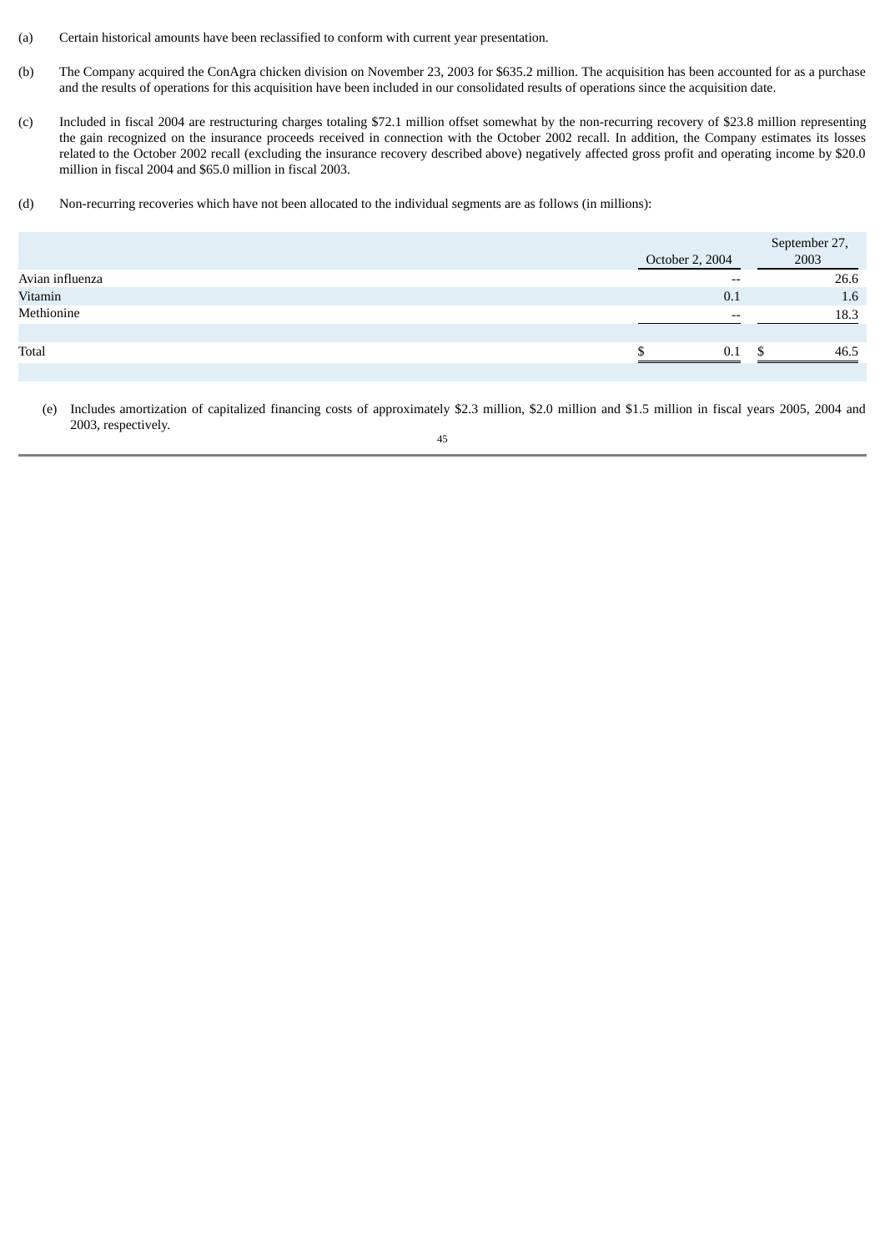- (a) Certain historical amounts have been reclassified to conform with current year presentation.
- (b) The Company acquired the ConAgra chicken division on November 23, 2003 for \$635.2 million. The acquisition has been accounted for as a purchase and the results of operations for this acquisition have been included in our consolidated results of operations since the acquisition date.
- (c) Included in fiscal 2004 are restructuring charges totaling \$72.1 million offset somewhat by the non-recurring recovery of \$23.8 million representing the gain recognized on the insurance proceeds received in connection with the October 2002 recall. In addition, the Company estimates its losses related to the October 2002 recall (excluding the insurance recovery described above) negatively affected gross profit and operating income by \$20.0 million in fiscal 2004 and \$65.0 million in fiscal 2003.
- (d) Non-recurring recoveries which have not been allocated to the individual segments are as follows (in millions):

|                 |                 | September 27,<br>2003 |
|-----------------|-----------------|-----------------------|
|                 | October 2, 2004 |                       |
| Avian influenza | $- -$           | 26.6                  |
| Vitamin         | 0.1             | 1.6                   |
| Methionine      | $- -$           | 18.3                  |
|                 |                 |                       |
| Total           | 0.1             | 46.5                  |
|                 |                 |                       |

(e) Includes amortization of capitalized financing costs of approximately \$2.3 million, \$2.0 million and \$1.5 million in fiscal years 2005, 2004 and 2003, respectively.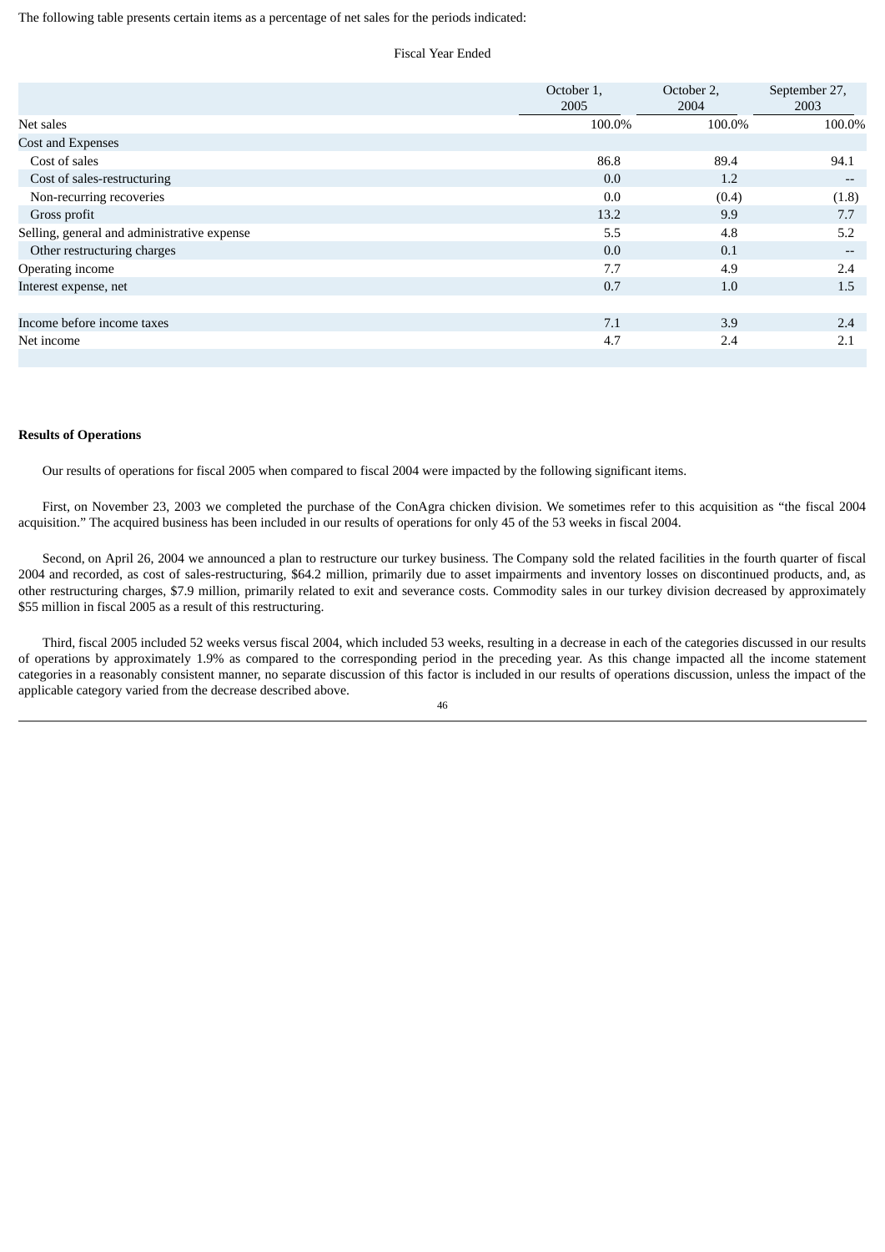The following table presents certain items as a percentage of net sales for the periods indicated:

# Fiscal Year Ended

|                                             | October 1,<br>2005 | October 2,<br>2004 | September 27,<br>2003 |
|---------------------------------------------|--------------------|--------------------|-----------------------|
| Net sales                                   | 100.0%             | 100.0%             | 100.0%                |
| Cost and Expenses                           |                    |                    |                       |
| Cost of sales                               | 86.8               | 89.4               | 94.1                  |
| Cost of sales-restructuring                 | 0.0                | 1.2                | $- -$                 |
| Non-recurring recoveries                    | 0.0                | (0.4)              | (1.8)                 |
| Gross profit                                | 13.2               | 9.9                | 7.7                   |
| Selling, general and administrative expense | 5.5                | 4.8                | 5.2                   |
| Other restructuring charges                 | 0.0                | 0.1                | $- -$                 |
| Operating income                            | 7.7                | 4.9                | 2.4                   |
| Interest expense, net                       | 0.7                | 1.0                | 1.5                   |
|                                             |                    |                    |                       |
| Income before income taxes                  | 7.1                | 3.9                | 2.4                   |
| Net income                                  | 4.7                | 2.4                | 2.1                   |
|                                             |                    |                    |                       |

## **Results of Operations**

Our results of operations for fiscal 2005 when compared to fiscal 2004 were impacted by the following significant items.

First, on November 23, 2003 we completed the purchase of the ConAgra chicken division. We sometimes refer to this acquisition as "the fiscal 2004 acquisition." The acquired business has been included in our results of operations for only 45 of the 53 weeks in fiscal 2004.

Second, on April 26, 2004 we announced a plan to restructure our turkey business. The Company sold the related facilities in the fourth quarter of fiscal 2004 and recorded, as cost of sales-restructuring, \$64.2 million, primarily due to asset impairments and inventory losses on discontinued products, and, as other restructuring charges, \$7.9 million, primarily related to exit and severance costs. Commodity sales in our turkey division decreased by approximately \$55 million in fiscal 2005 as a result of this restructuring.

Third, fiscal 2005 included 52 weeks versus fiscal 2004, which included 53 weeks, resulting in a decrease in each of the categories discussed in our results of operations by approximately 1.9% as compared to the corresponding period in the preceding year. As this change impacted all the income statement categories in a reasonably consistent manner, no separate discussion of this factor is included in our results of operations discussion, unless the impact of the applicable category varied from the decrease described above.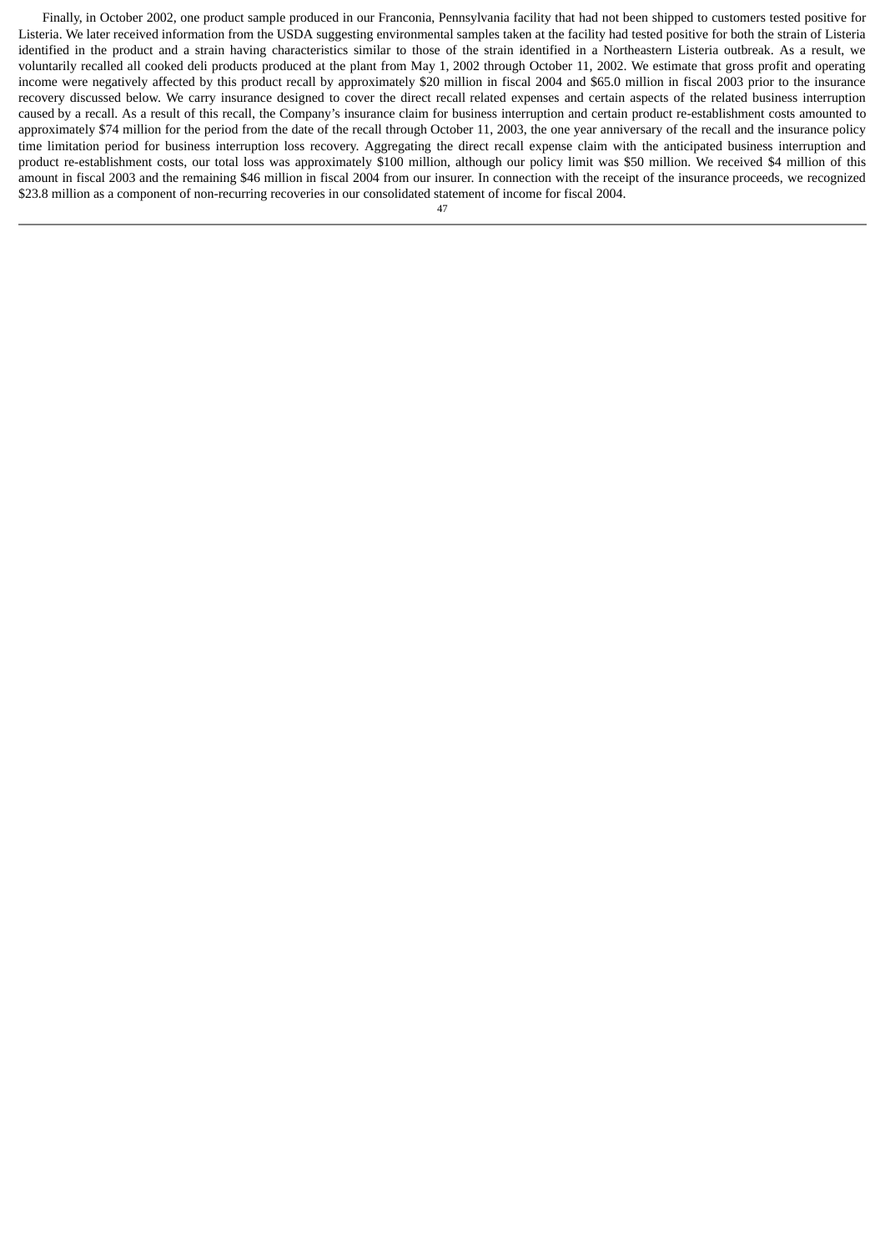Finally, in October 2002, one product sample produced in our Franconia, Pennsylvania facility that had not been shipped to customers tested positive for Listeria. We later received information from the USDA suggesting environmental samples taken at the facility had tested positive for both the strain of Listeria identified in the product and a strain having characteristics similar to those of the strain identified in a Northeastern Listeria outbreak. As a result, we voluntarily recalled all cooked deli products produced at the plant from May 1, 2002 through October 11, 2002. We estimate that gross profit and operating income were negatively affected by this product recall by approximately \$20 million in fiscal 2004 and \$65.0 million in fiscal 2003 prior to the insurance recovery discussed below. We carry insurance designed to cover the direct recall related expenses and certain aspects of the related business interruption caused by a recall. As a result of this recall, the Company's insurance claim for business interruption and certain product re-establishment costs amounted to approximately \$74 million for the period from the date of the recall through October 11, 2003, the one year anniversary of the recall and the insurance policy time limitation period for business interruption loss recovery. Aggregating the direct recall expense claim with the anticipated business interruption and product re-establishment costs, our total loss was approximately \$100 million, although our policy limit was \$50 million. We received \$4 million of this amount in fiscal 2003 and the remaining \$46 million in fiscal 2004 from our insurer. In connection with the receipt of the insurance proceeds, we recognized \$23.8 million as a component of non-recurring recoveries in our consolidated statement of income for fiscal 2004.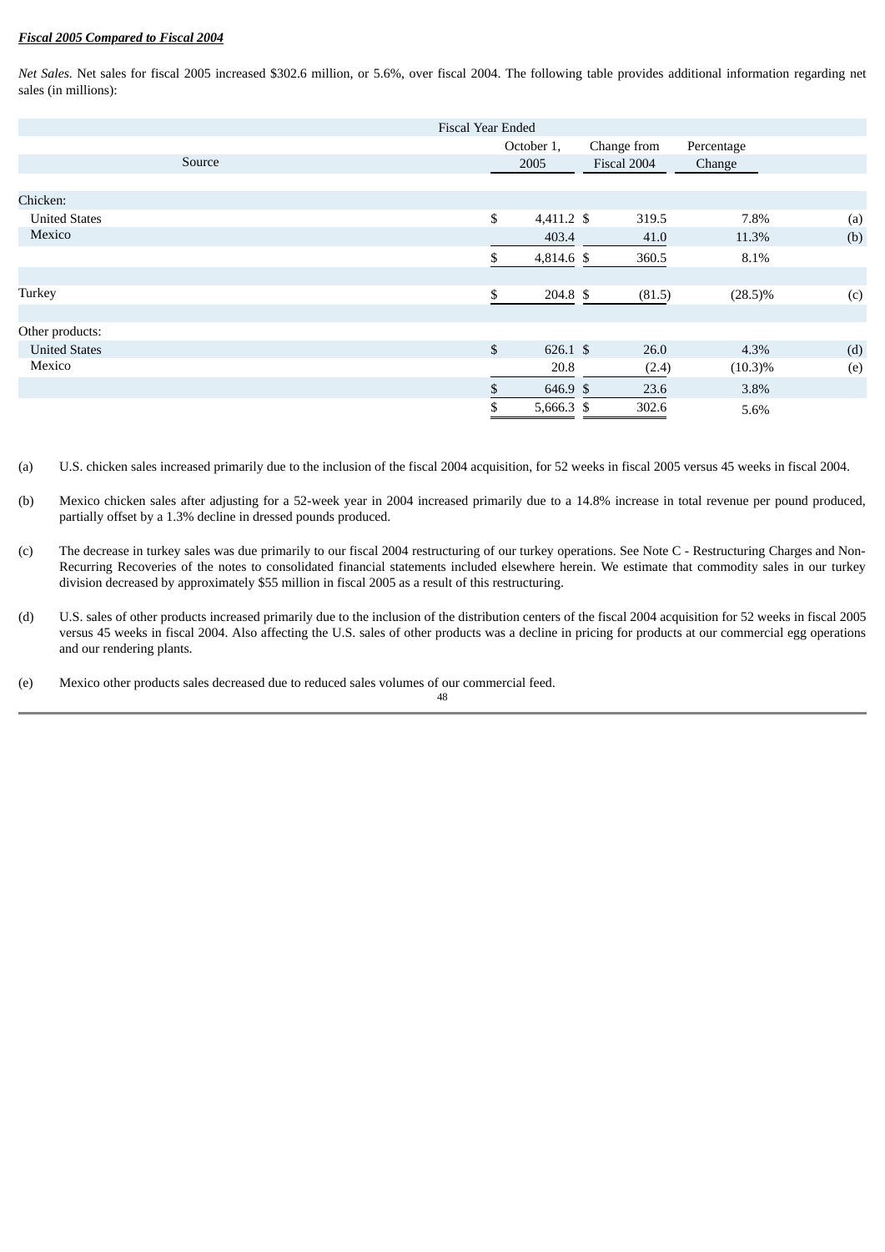## *Fiscal 2005 Compared to Fiscal 2004*

*Net Sales.* Net sales for fiscal 2005 increased \$302.6 million, or 5.6%, over fiscal 2004. The following table provides additional information regarding net sales (in millions):

|                      |        | <b>Fiscal Year Ended</b> |            |             |            |     |
|----------------------|--------|--------------------------|------------|-------------|------------|-----|
|                      |        |                          | October 1, | Change from | Percentage |     |
|                      | Source |                          | 2005       | Fiscal 2004 | Change     |     |
|                      |        |                          |            |             |            |     |
| Chicken:             |        |                          |            |             |            |     |
| <b>United States</b> |        | $\mathbb{S}$             | 4,411.2 \$ | 319.5       | 7.8%       | (a) |
| Mexico               |        |                          | 403.4      | 41.0        | 11.3%      | (b) |
|                      |        | \$                       | 4,814.6 \$ | 360.5       | 8.1%       |     |
|                      |        |                          |            |             |            |     |
| Turkey               |        | \$                       | 204.8 \$   | (81.5)      | $(28.5)\%$ | (c) |
|                      |        |                          |            |             |            |     |
| Other products:      |        |                          |            |             |            |     |
| <b>United States</b> |        | $\mathbb{S}$             | 626.1 \$   | 26.0        | 4.3%       | (d) |
| Mexico               |        |                          | 20.8       | (2.4)       | $(10.3)\%$ | (e) |
|                      |        | \$                       | 646.9 \$   | 23.6        | 3.8%       |     |
|                      |        | \$                       | 5,666.3 \$ | 302.6       | 5.6%       |     |
|                      |        |                          |            |             |            |     |

(a) U.S. chicken sales increased primarily due to the inclusion of the fiscal 2004 acquisition, for 52 weeks in fiscal 2005 versus 45 weeks in fiscal 2004.

- (b) Mexico chicken sales after adjusting for a 52-week year in 2004 increased primarily due to a 14.8% increase in total revenue per pound produced, partially offset by a 1.3% decline in dressed pounds produced.
- (c) The decrease in turkey sales was due primarily to our fiscal 2004 restructuring of our turkey operations. See Note C Restructuring Charges and Non-Recurring Recoveries of the notes to consolidated financial statements included elsewhere herein. We estimate that commodity sales in our turkey division decreased by approximately \$55 million in fiscal 2005 as a result of this restructuring.
- (d) U.S. sales of other products increased primarily due to the inclusion of the distribution centers of the fiscal 2004 acquisition for 52 weeks in fiscal 2005 versus 45 weeks in fiscal 2004. Also affecting the U.S. sales of other products was a decline in pricing for products at our commercial egg operations and our rendering plants.

(e) Mexico other products sales decreased due to reduced sales volumes of our commercial feed.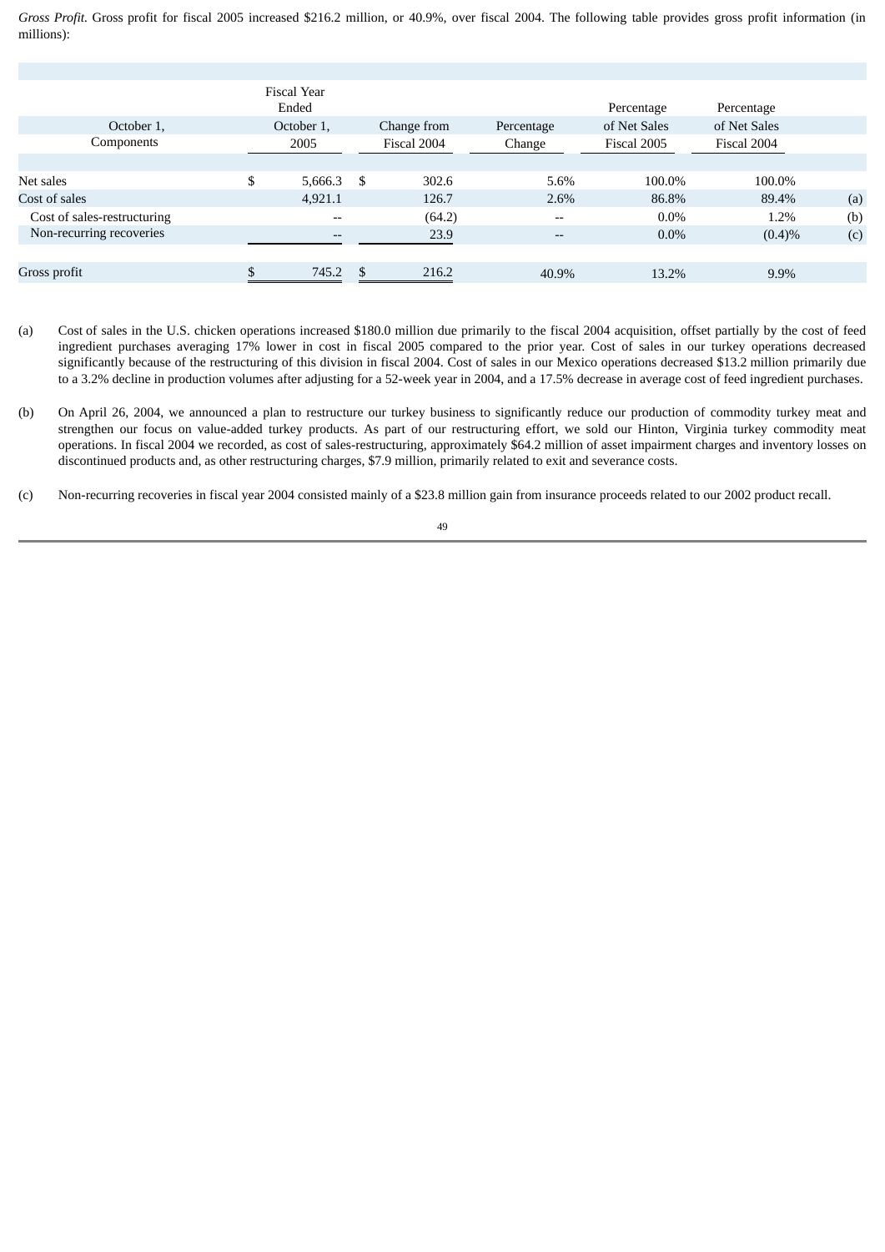*Gross Profit.* Gross profit for fiscal 2005 increased \$216.2 million, or 40.9%, over fiscal 2004. The following table provides gross profit information (in millions):

|                             | <b>Fiscal Year</b><br>Ended |               |             |                                       | Percentage   | Percentage   |     |
|-----------------------------|-----------------------------|---------------|-------------|---------------------------------------|--------------|--------------|-----|
| October 1,                  | October 1,                  |               | Change from | Percentage                            | of Net Sales | of Net Sales |     |
| Components                  | 2005                        |               | Fiscal 2004 | Change                                | Fiscal 2005  | Fiscal 2004  |     |
|                             |                             |               |             |                                       |              |              |     |
| Net sales                   | \$<br>5,666.3               | <sup>\$</sup> | 302.6       | 5.6%                                  | 100.0%       | 100.0%       |     |
| Cost of sales               | 4,921.1                     |               | 126.7       | 2.6%                                  | 86.8%        | 89.4%        | (a) |
| Cost of sales-restructuring | --                          |               | (64.2)      | $\hspace{0.05cm}$ – $\hspace{0.05cm}$ | $0.0\%$      | 1.2%         | (b) |
| Non-recurring recoveries    | $- -$                       |               | 23.9        | $\hspace{0.05cm}$ – $\hspace{0.05cm}$ | $0.0\%$      | (0.4)%       | (c) |
|                             |                             |               |             |                                       |              |              |     |
| Gross profit                | \$<br>745.2                 | \$            | 216.2       | 40.9%                                 | 13.2%        | 9.9%         |     |

- (a) Cost of sales in the U.S. chicken operations increased \$180.0 million due primarily to the fiscal 2004 acquisition, offset partially by the cost of feed ingredient purchases averaging 17% lower in cost in fiscal 2005 compared to the prior year. Cost of sales in our turkey operations decreased significantly because of the restructuring of this division in fiscal 2004. Cost of sales in our Mexico operations decreased \$13.2 million primarily due to a 3.2% decline in production volumes after adjusting for a 52-week year in 2004, and a 17.5% decrease in average cost of feed ingredient purchases.
- (b) On April 26, 2004, we announced a plan to restructure our turkey business to significantly reduce our production of commodity turkey meat and strengthen our focus on value-added turkey products. As part of our restructuring effort, we sold our Hinton, Virginia turkey commodity meat operations. In fiscal 2004 we recorded, as cost of sales-restructuring, approximately \$64.2 million of asset impairment charges and inventory losses on discontinued products and, as other restructuring charges, \$7.9 million, primarily related to exit and severance costs.
- (c) Non-recurring recoveries in fiscal year 2004 consisted mainly of a \$23.8 million gain from insurance proceeds related to our 2002 product recall.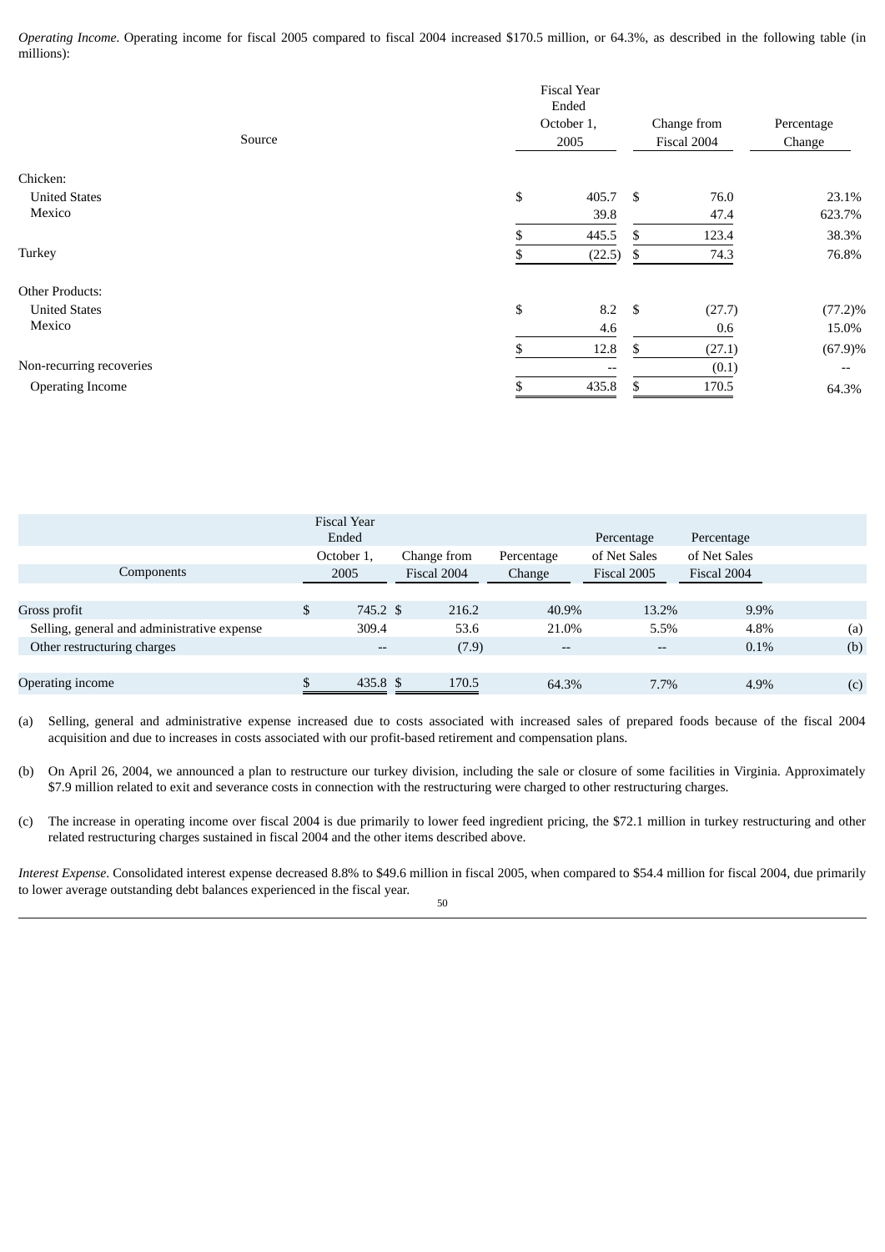*Operating Income.* Operating income for fiscal 2005 compared to fiscal 2004 increased \$170.5 million, or 64.3%, as described in the following table (in millions):

|                          | <b>Fiscal Year</b><br>Ended |            |    |             |            |
|--------------------------|-----------------------------|------------|----|-------------|------------|
|                          |                             | October 1, |    | Change from | Percentage |
| Source                   |                             | 2005       |    | Fiscal 2004 | Change     |
| Chicken:                 |                             |            |    |             |            |
| <b>United States</b>     | \$                          | 405.7 \$   |    | 76.0        | 23.1%      |
| Mexico                   |                             | 39.8       |    | 47.4        | 623.7%     |
|                          |                             | 445.5      | \$ | 123.4       | 38.3%      |
| Turkey                   |                             | (22.5)     | \$ | 74.3        | 76.8%      |
| Other Products:          |                             |            |    |             |            |
| <b>United States</b>     | \$                          | $8.2$ \$   |    | (27.7)      | $(77.2)\%$ |
| Mexico                   |                             | 4.6        |    | 0.6         | 15.0%      |
|                          |                             | 12.8       | \$ | (27.1)      | $(67.9)\%$ |
| Non-recurring recoveries |                             | --         |    | (0.1)       | --         |
| <b>Operating Income</b>  |                             | 435.8      | \$ | 170.5       | 64.3%      |

|                                             | Fiscal Year              |             |                          |                                       |              |     |
|---------------------------------------------|--------------------------|-------------|--------------------------|---------------------------------------|--------------|-----|
|                                             | Ended                    |             |                          | Percentage                            | Percentage   |     |
|                                             | October 1,               | Change from | Percentage               | of Net Sales                          | of Net Sales |     |
| Components                                  | 2005                     | Fiscal 2004 | Change                   | Fiscal 2005                           | Fiscal 2004  |     |
|                                             |                          |             |                          |                                       |              |     |
| Gross profit                                | \$<br>745.2 \$           | 216.2       | 40.9%                    | 13.2%                                 | 9.9%         |     |
| Selling, general and administrative expense | 309.4                    | 53.6        | 21.0%                    | 5.5%                                  | 4.8%         | (a) |
| Other restructuring charges                 | $\overline{\phantom{a}}$ | (7.9)       | $\hspace{0.05cm} \dashv$ | $\hspace{0.05cm}$ – $\hspace{0.05cm}$ | 0.1%         | (b) |
|                                             |                          |             |                          |                                       |              |     |
| Operating income                            | 435.8 \$                 | 170.5       | 64.3%                    | 7.7%                                  | 4.9%         | (c) |

(a) Selling, general and administrative expense increased due to costs associated with increased sales of prepared foods because of the fiscal 2004 acquisition and due to increases in costs associated with our profit-based retirement and compensation plans.

(b) On April 26, 2004, we announced a plan to restructure our turkey division, including the sale or closure of some facilities in Virginia. Approximately \$7.9 million related to exit and severance costs in connection with the restructuring were charged to other restructuring charges.

(c) The increase in operating income over fiscal 2004 is due primarily to lower feed ingredient pricing, the \$72.1 million in turkey restructuring and other related restructuring charges sustained in fiscal 2004 and the other items described above.

*Interest Expense*. Consolidated interest expense decreased 8.8% to \$49.6 million in fiscal 2005, when compared to \$54.4 million for fiscal 2004, due primarily to lower average outstanding debt balances experienced in the fiscal year.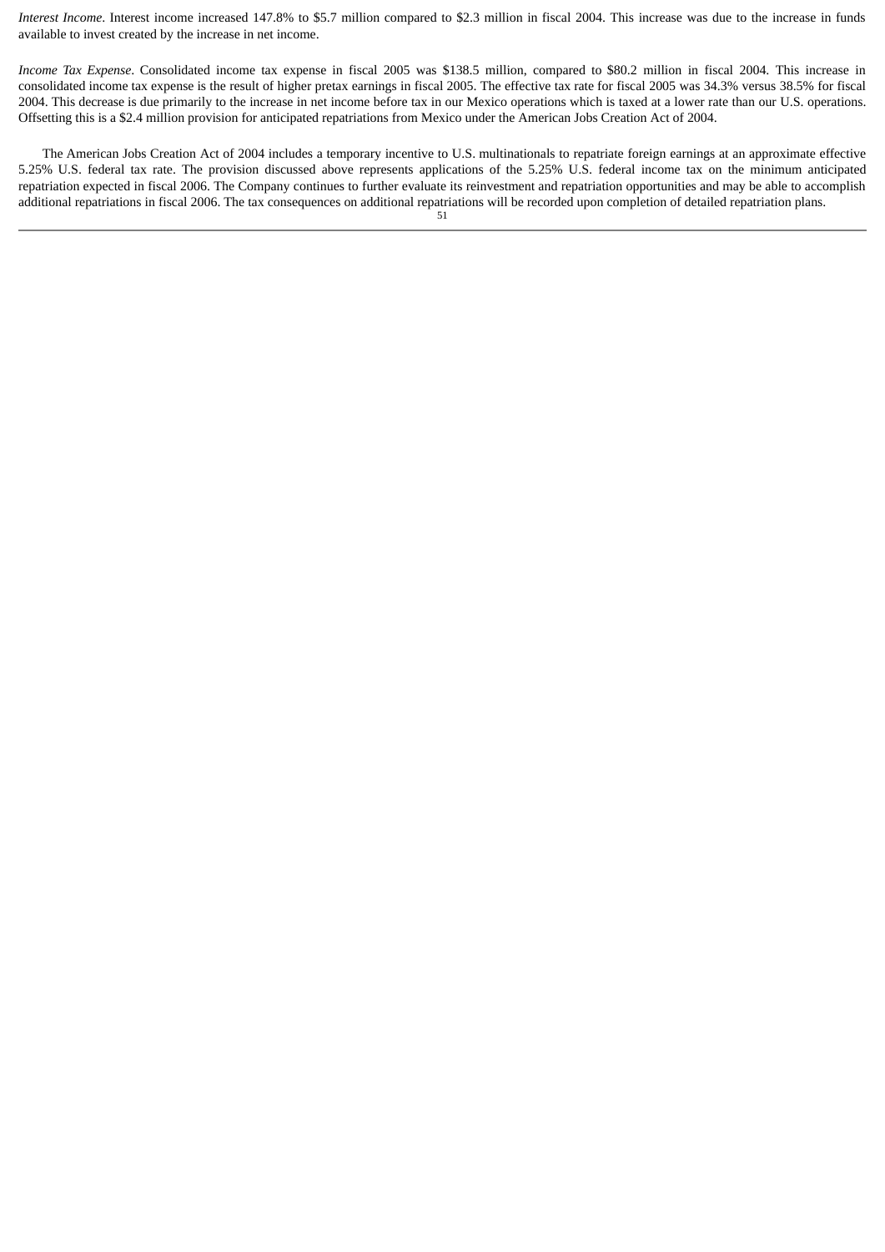*Interest Income*. Interest income increased 147.8% to \$5.7 million compared to \$2.3 million in fiscal 2004. This increase was due to the increase in funds available to invest created by the increase in net income.

*Income Tax Expense*. Consolidated income tax expense in fiscal 2005 was \$138.5 million, compared to \$80.2 million in fiscal 2004. This increase in consolidated income tax expense is the result of higher pretax earnings in fiscal 2005. The effective tax rate for fiscal 2005 was 34.3% versus 38.5% for fiscal 2004. This decrease is due primarily to the increase in net income before tax in our Mexico operations which is taxed at a lower rate than our U.S. operations. Offsetting this is a \$2.4 million provision for anticipated repatriations from Mexico under the American Jobs Creation Act of 2004.

The American Jobs Creation Act of 2004 includes a temporary incentive to U.S. multinationals to repatriate foreign earnings at an approximate effective 5.25% U.S. federal tax rate. The provision discussed above represents applications of the 5.25% U.S. federal income tax on the minimum anticipated repatriation expected in fiscal 2006. The Company continues to further evaluate its reinvestment and repatriation opportunities and may be able to accomplish additional repatriations in fiscal 2006. The tax consequences on additional repatriations will be recorded upon completion of detailed repatriation plans.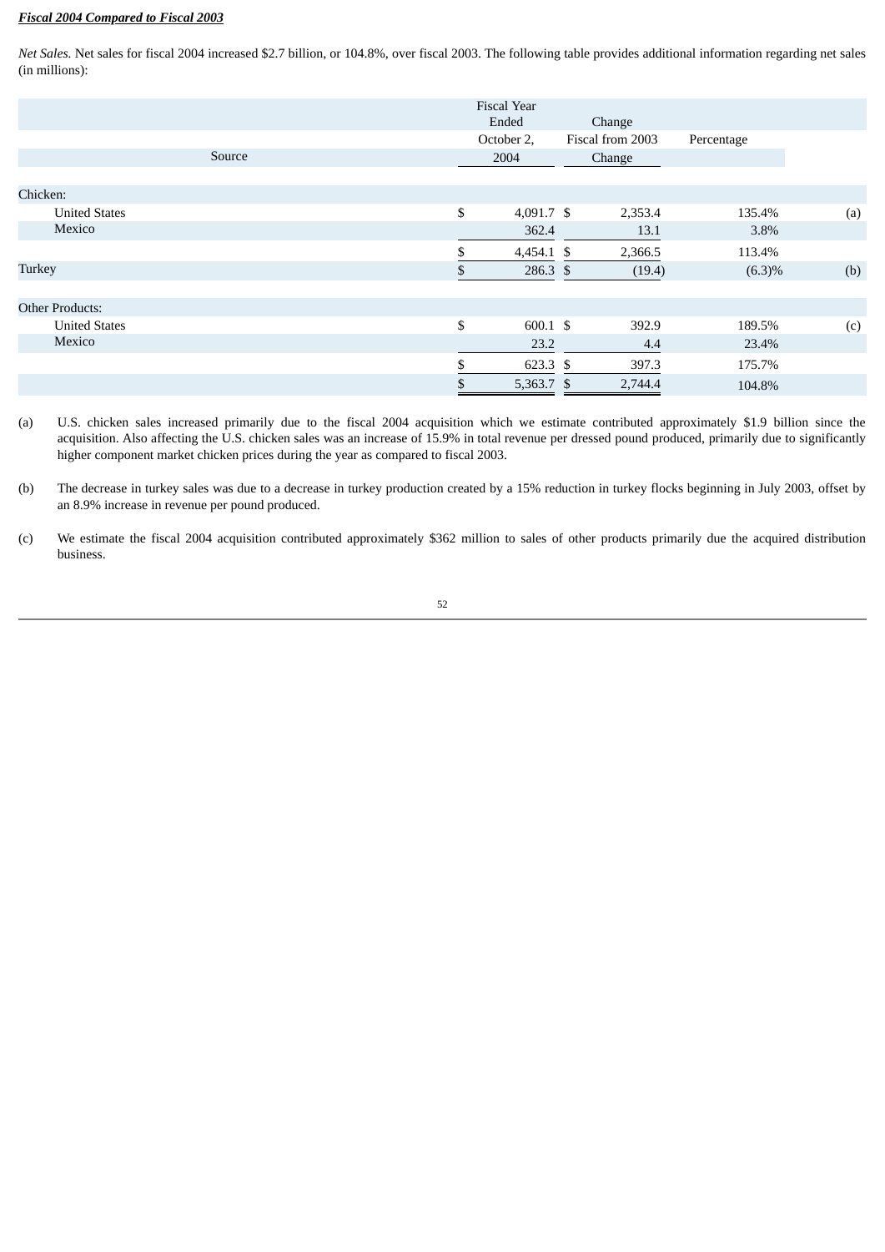## *Fiscal 2004 Compared to Fiscal 2003*

*Net Sales.* Net sales for fiscal 2004 increased \$2.7 billion, or 104.8%, over fiscal 2003. The following table provides additional information regarding net sales (in millions):

|          |                        |        | <b>Fiscal Year</b><br>Ended | Change           |            |     |
|----------|------------------------|--------|-----------------------------|------------------|------------|-----|
|          |                        |        | October 2,                  | Fiscal from 2003 | Percentage |     |
|          |                        | Source | 2004                        | Change           |            |     |
|          |                        |        |                             |                  |            |     |
| Chicken: |                        |        |                             |                  |            |     |
|          | <b>United States</b>   |        | \$<br>4,091.7 \$            | 2,353.4          | 135.4%     | (a) |
|          | Mexico                 |        | 362.4                       | 13.1             | 3.8%       |     |
|          |                        |        | 4,454.1 \$                  | 2,366.5          | 113.4%     |     |
| Turkey   |                        |        | \$<br>286.3 \$              | (19.4)           | $(6.3)\%$  | (b) |
|          |                        |        |                             |                  |            |     |
|          | <b>Other Products:</b> |        |                             |                  |            |     |
|          | <b>United States</b>   |        | \$<br>600.1 \$              | 392.9            | 189.5%     | (c) |
|          | Mexico                 |        | 23.2                        | 4.4              | 23.4%      |     |
|          |                        |        | 623.3 \$                    | 397.3            | 175.7%     |     |
|          |                        |        | 5,363.7 \$                  | 2,744.4          | 104.8%     |     |
|          |                        |        |                             |                  |            |     |

(a) U.S. chicken sales increased primarily due to the fiscal 2004 acquisition which we estimate contributed approximately \$1.9 billion since the acquisition. Also affecting the U.S. chicken sales was an increase of 15.9% in total revenue per dressed pound produced, primarily due to significantly higher component market chicken prices during the year as compared to fiscal 2003.

(b) The decrease in turkey sales was due to a decrease in turkey production created by a 15% reduction in turkey flocks beginning in July 2003, offset by an 8.9% increase in revenue per pound produced.

(c) We estimate the fiscal 2004 acquisition contributed approximately \$362 million to sales of other products primarily due the acquired distribution business.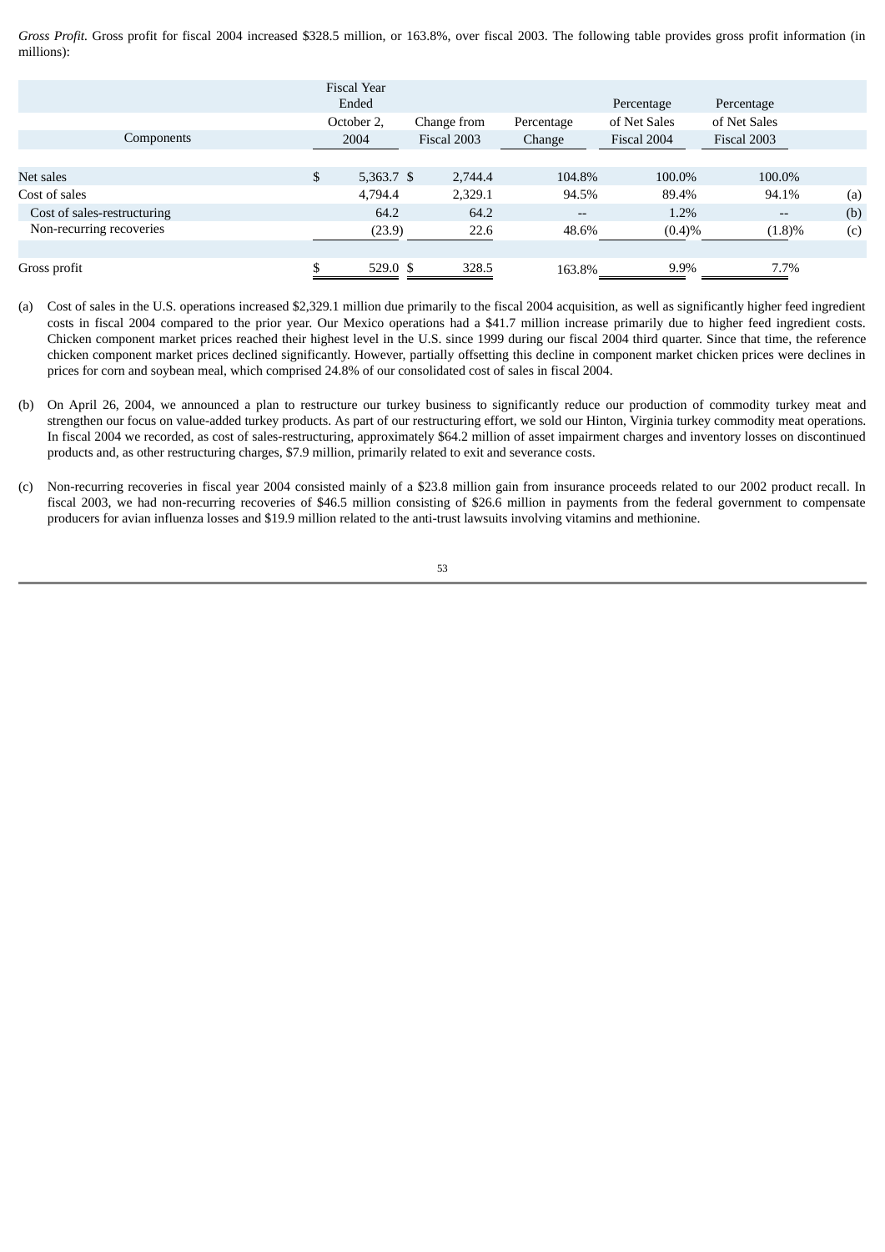*Gross Profit.* Gross profit for fiscal 2004 increased \$328.5 million, or 163.8%, over fiscal 2003. The following table provides gross profit information (in millions):

|                             | Fiscal Year<br>Ended |            |             |                                       | Percentage   | Percentage   |     |
|-----------------------------|----------------------|------------|-------------|---------------------------------------|--------------|--------------|-----|
|                             | October 2,           |            | Change from | Percentage                            | of Net Sales | of Net Sales |     |
| Components                  | 2004                 |            | Fiscal 2003 | Change                                | Fiscal 2004  | Fiscal 2003  |     |
|                             |                      |            |             |                                       |              |              |     |
| Net sales                   | \$                   | 5,363.7 \$ | 2,744.4     | 104.8%                                | 100.0%       | 100.0%       |     |
| Cost of sales               |                      | 4,794.4    | 2,329.1     | 94.5%                                 | 89.4%        | 94.1%        | (a) |
| Cost of sales-restructuring |                      | 64.2       | 64.2        | $\hspace{0.05cm}$ – $\hspace{0.05cm}$ | 1.2%         | --           | (b) |
| Non-recurring recoveries    |                      | (23.9)     | 22.6        | 48.6%                                 | $(0.4)\%$    | (1.8)%       | (c) |
|                             |                      |            |             |                                       |              |              |     |
| Gross profit                | ሖ                    | $529.0$ \$ | 328.5       | 163.8%                                | 9.9%         | 7.7%         |     |

- (a) Cost of sales in the U.S. operations increased \$2,329.1 million due primarily to the fiscal 2004 acquisition, as well as significantly higher feed ingredient costs in fiscal 2004 compared to the prior year. Our Mexico operations had a \$41.7 million increase primarily due to higher feed ingredient costs. Chicken component market prices reached their highest level in the U.S. since 1999 during our fiscal 2004 third quarter. Since that time, the reference chicken component market prices declined significantly. However, partially offsetting this decline in component market chicken prices were declines in prices for corn and soybean meal, which comprised 24.8% of our consolidated cost of sales in fiscal 2004.
- (b) On April 26, 2004, we announced a plan to restructure our turkey business to significantly reduce our production of commodity turkey meat and strengthen our focus on value-added turkey products. As part of our restructuring effort, we sold our Hinton, Virginia turkey commodity meat operations. In fiscal 2004 we recorded, as cost of sales-restructuring, approximately \$64.2 million of asset impairment charges and inventory losses on discontinued products and, as other restructuring charges, \$7.9 million, primarily related to exit and severance costs.
- (c) Non-recurring recoveries in fiscal year 2004 consisted mainly of a \$23.8 million gain from insurance proceeds related to our 2002 product recall. In fiscal 2003, we had non-recurring recoveries of \$46.5 million consisting of \$26.6 million in payments from the federal government to compensate producers for avian influenza losses and \$19.9 million related to the anti-trust lawsuits involving vitamins and methionine.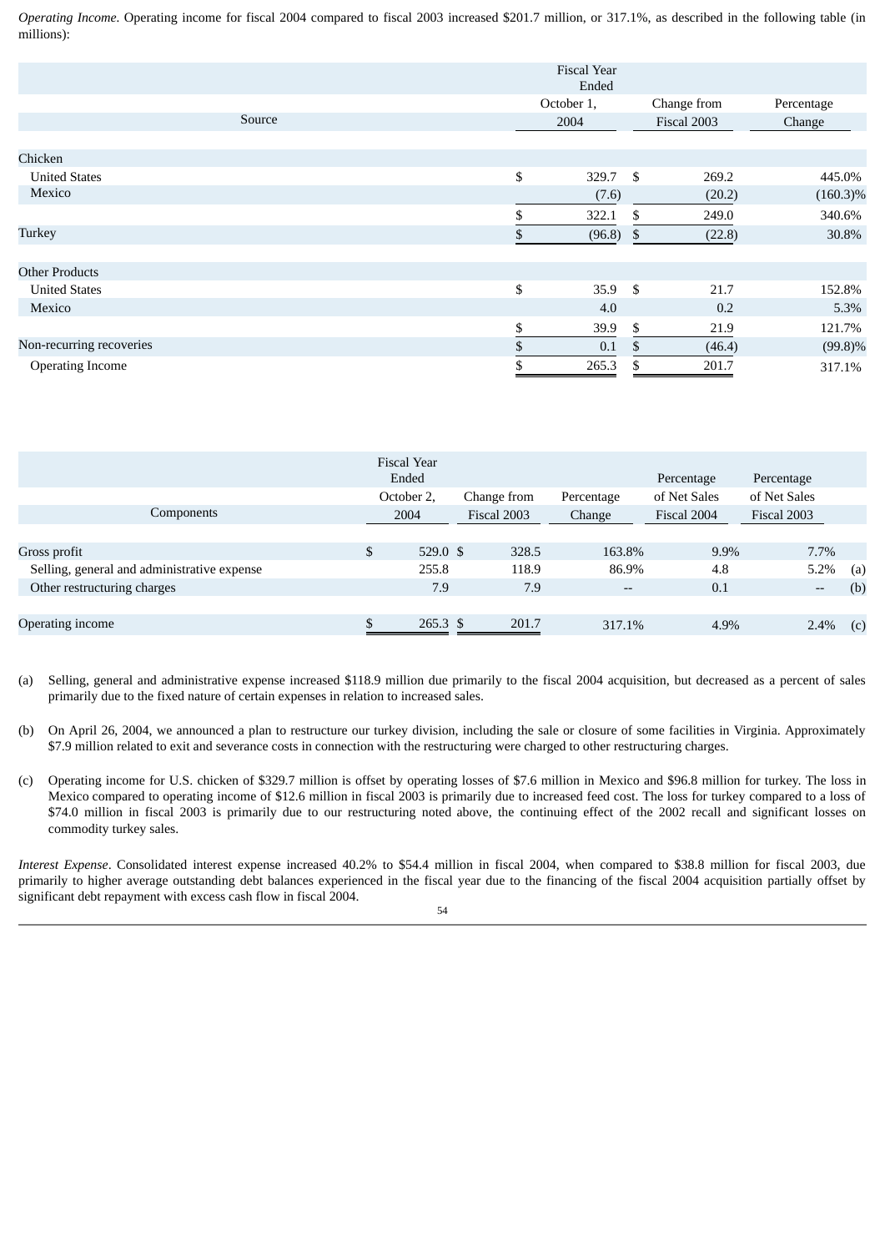*Operating Income.* Operating income for fiscal 2004 compared to fiscal 2003 increased \$201.7 million, or 317.1%, as described in the following table (in millions):

|                          |        | <b>Fiscal Year</b><br>Ended |              |             |
|--------------------------|--------|-----------------------------|--------------|-------------|
|                          |        | October 1,                  | Change from  | Percentage  |
|                          | Source | 2004                        | Fiscal 2003  | Change      |
|                          |        |                             |              |             |
| Chicken                  |        |                             |              |             |
| <b>United States</b>     |        | \$<br>329.7                 | \$<br>269.2  | 445.0%      |
| Mexico                   |        | (7.6)                       | (20.2)       | $(160.3)\%$ |
|                          |        | \$<br>322.1                 | \$<br>249.0  | 340.6%      |
| Turkey                   |        | \$<br>(96.8)                | \$<br>(22.8) | 30.8%       |
|                          |        |                             |              |             |
| <b>Other Products</b>    |        |                             |              |             |
| <b>United States</b>     |        | \$<br>35.9 \$               | 21.7         | 152.8%      |
| Mexico                   |        | 4.0                         | 0.2          | 5.3%        |
|                          |        | \$<br>39.9                  | \$<br>21.9   | 121.7%      |
| Non-recurring recoveries |        | \$<br>0.1                   | \$<br>(46.4) | $(99.8)\%$  |
| <b>Operating Income</b>  |        | \$<br>265.3                 | \$<br>201.7  | 317.1%      |

|                                             | Fiscal Year<br>Ended      |             |       |            | Percentage   | Percentage               |     |
|---------------------------------------------|---------------------------|-------------|-------|------------|--------------|--------------------------|-----|
|                                             | October 2,                | Change from |       | Percentage | of Net Sales | of Net Sales             |     |
| Components                                  | 2004                      | Fiscal 2003 |       | Change     | Fiscal 2004  | Fiscal 2003              |     |
|                                             |                           |             |       |            |              |                          |     |
| Gross profit                                | \$<br>$529.0 \text{ }$ \$ |             | 328.5 | 163.8%     | 9.9%         | 7.7%                     |     |
| Selling, general and administrative expense | 255.8                     |             | 118.9 | 86.9%      | 4.8          | 5.2%                     | (a) |
| Other restructuring charges                 | 7.9                       |             | 7.9   | $- -$      | 0.1          | $\overline{\phantom{a}}$ | (b) |
|                                             |                           |             |       |            |              |                          |     |
| Operating income                            | $265.3 \text{ }$ \$       |             | 201.7 | 317.1%     | 4.9%         | 2.4%                     | (c) |

- (a) Selling, general and administrative expense increased \$118.9 million due primarily to the fiscal 2004 acquisition, but decreased as a percent of sales primarily due to the fixed nature of certain expenses in relation to increased sales.
- (b) On April 26, 2004, we announced a plan to restructure our turkey division, including the sale or closure of some facilities in Virginia. Approximately \$7.9 million related to exit and severance costs in connection with the restructuring were charged to other restructuring charges.
- (c) Operating income for U.S. chicken of \$329.7 million is offset by operating losses of \$7.6 million in Mexico and \$96.8 million for turkey. The loss in Mexico compared to operating income of \$12.6 million in fiscal 2003 is primarily due to increased feed cost. The loss for turkey compared to a loss of \$74.0 million in fiscal 2003 is primarily due to our restructuring noted above, the continuing effect of the 2002 recall and significant losses on commodity turkey sales.

*Interest Expense*. Consolidated interest expense increased 40.2% to \$54.4 million in fiscal 2004, when compared to \$38.8 million for fiscal 2003, due primarily to higher average outstanding debt balances experienced in the fiscal year due to the financing of the fiscal 2004 acquisition partially offset by significant debt repayment with excess cash flow in fiscal 2004.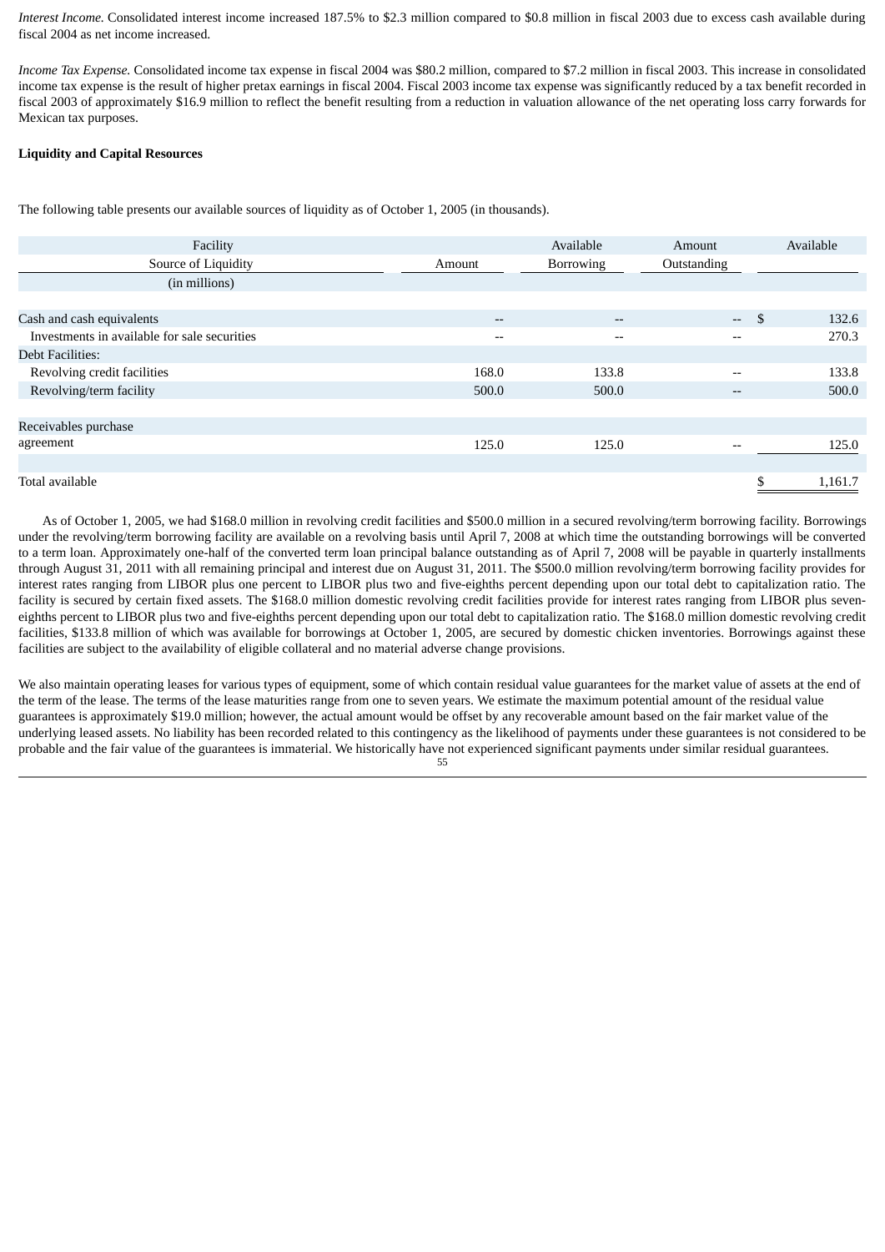*Interest Income.* Consolidated interest income increased 187.5% to \$2.3 million compared to \$0.8 million in fiscal 2003 due to excess cash available during fiscal 2004 as net income increased.

*Income Tax Expense.* Consolidated income tax expense in fiscal 2004 was \$80.2 million, compared to \$7.2 million in fiscal 2003. This increase in consolidated income tax expense is the result of higher pretax earnings in fiscal 2004. Fiscal 2003 income tax expense was significantly reduced by a tax benefit recorded in fiscal 2003 of approximately \$16.9 million to reflect the benefit resulting from a reduction in valuation allowance of the net operating loss carry forwards for Mexican tax purposes.

### **Liquidity and Capital Resources**

The following table presents our available sources of liquidity as of October 1, 2005 (in thousands).

| Facility                                     |                                       | Available         | Amount                                |      | Available |
|----------------------------------------------|---------------------------------------|-------------------|---------------------------------------|------|-----------|
| Source of Liquidity                          | Amount                                | <b>Borrowing</b>  | Outstanding                           |      |           |
| (in millions)                                |                                       |                   |                                       |      |           |
|                                              |                                       |                   |                                       |      |           |
| Cash and cash equivalents                    | $\hspace{0.05cm}$ – $\hspace{0.05cm}$ | $\qquad \qquad -$ | $\overline{\phantom{a}}$              | - \$ | 132.6     |
| Investments in available for sale securities | $-$                                   | $- -$             | $- -$                                 |      | 270.3     |
| Debt Facilities:                             |                                       |                   |                                       |      |           |
| Revolving credit facilities                  | 168.0                                 | 133.8             | $- -$                                 |      | 133.8     |
| Revolving/term facility                      | 500.0                                 | 500.0             | $\hspace{0.05cm}$ – $\hspace{0.05cm}$ |      | 500.0     |
|                                              |                                       |                   |                                       |      |           |
| Receivables purchase                         |                                       |                   |                                       |      |           |
| agreement                                    | 125.0                                 | 125.0             | $- -$                                 |      | 125.0     |
|                                              |                                       |                   |                                       |      |           |
| Total available                              |                                       |                   |                                       | \$   | 1,161.7   |

As of October 1, 2005, we had \$168.0 million in revolving credit facilities and \$500.0 million in a secured revolving/term borrowing facility. Borrowings under the revolving/term borrowing facility are available on a revolving basis until April 7, 2008 at which time the outstanding borrowings will be converted to a term loan. Approximately one-half of the converted term loan principal balance outstanding as of April 7, 2008 will be payable in quarterly installments through August 31, 2011 with all remaining principal and interest due on August 31, 2011. The \$500.0 million revolving/term borrowing facility provides for interest rates ranging from LIBOR plus one percent to LIBOR plus two and five-eighths percent depending upon our total debt to capitalization ratio. The facility is secured by certain fixed assets. The \$168.0 million domestic revolving credit facilities provide for interest rates ranging from LIBOR plus seveneighths percent to LIBOR plus two and five-eighths percent depending upon our total debt to capitalization ratio. The \$168.0 million domestic revolving credit facilities, \$133.8 million of which was available for borrowings at October 1, 2005, are secured by domestic chicken inventories. Borrowings against these facilities are subject to the availability of eligible collateral and no material adverse change provisions.

We also maintain operating leases for various types of equipment, some of which contain residual value guarantees for the market value of assets at the end of the term of the lease. The terms of the lease maturities range from one to seven years. We estimate the maximum potential amount of the residual value guarantees is approximately \$19.0 million; however, the actual amount would be offset by any recoverable amount based on the fair market value of the underlying leased assets. No liability has been recorded related to this contingency as the likelihood of payments under these guarantees is not considered to be probable and the fair value of the guarantees is immaterial. We historically have not experienced significant payments under similar residual guarantees. 55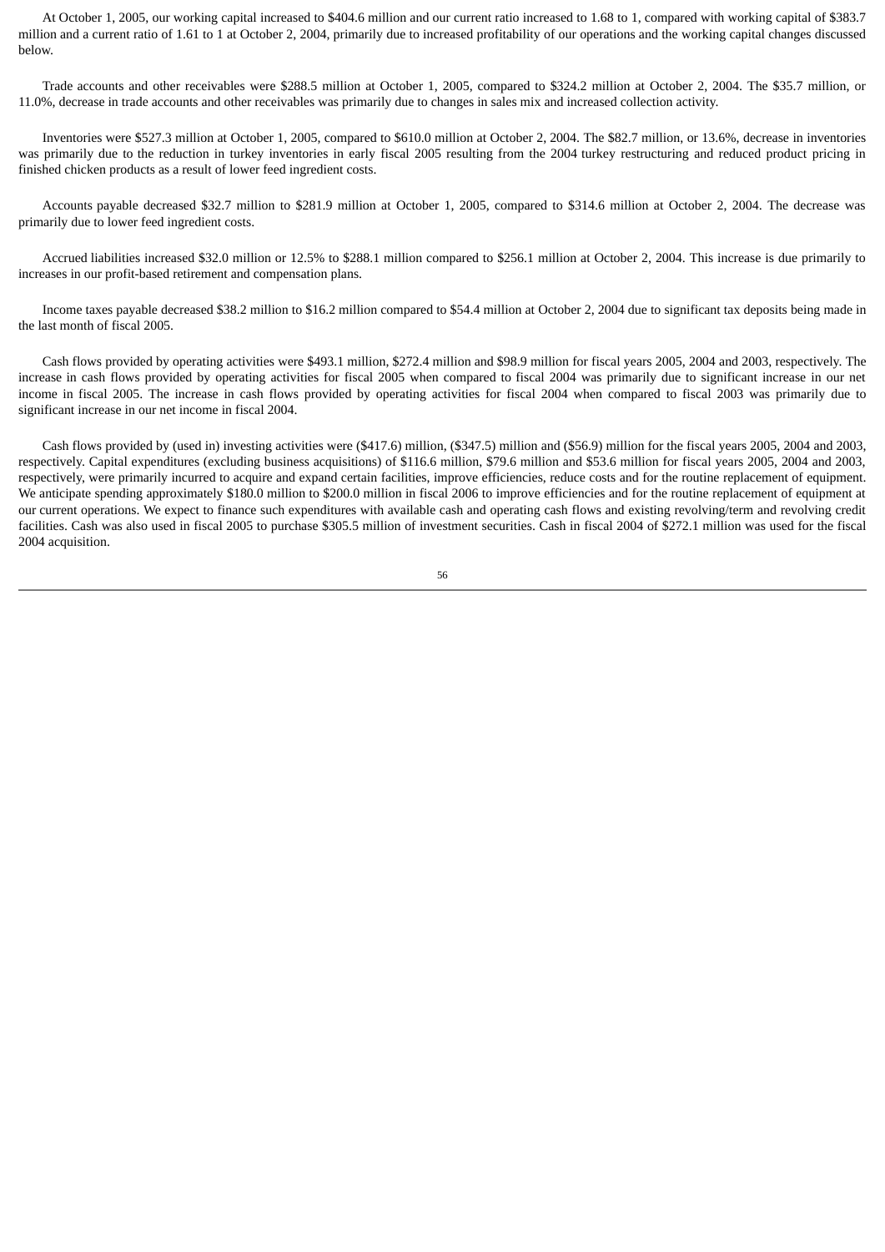At October 1, 2005, our working capital increased to \$404.6 million and our current ratio increased to 1.68 to 1, compared with working capital of \$383.7 million and a current ratio of 1.61 to 1 at October 2, 2004, primarily due to increased profitability of our operations and the working capital changes discussed below.

Trade accounts and other receivables were \$288.5 million at October 1, 2005, compared to \$324.2 million at October 2, 2004. The \$35.7 million, or 11.0%, decrease in trade accounts and other receivables was primarily due to changes in sales mix and increased collection activity.

Inventories were \$527.3 million at October 1, 2005, compared to \$610.0 million at October 2, 2004. The \$82.7 million, or 13.6%, decrease in inventories was primarily due to the reduction in turkey inventories in early fiscal 2005 resulting from the 2004 turkey restructuring and reduced product pricing in finished chicken products as a result of lower feed ingredient costs.

Accounts payable decreased \$32.7 million to \$281.9 million at October 1, 2005, compared to \$314.6 million at October 2, 2004. The decrease was primarily due to lower feed ingredient costs.

Accrued liabilities increased \$32.0 million or 12.5% to \$288.1 million compared to \$256.1 million at October 2, 2004. This increase is due primarily to increases in our profit-based retirement and compensation plans.

Income taxes payable decreased \$38.2 million to \$16.2 million compared to \$54.4 million at October 2, 2004 due to significant tax deposits being made in the last month of fiscal 2005.

Cash flows provided by operating activities were \$493.1 million, \$272.4 million and \$98.9 million for fiscal years 2005, 2004 and 2003, respectively. The increase in cash flows provided by operating activities for fiscal 2005 when compared to fiscal 2004 was primarily due to significant increase in our net income in fiscal 2005. The increase in cash flows provided by operating activities for fiscal 2004 when compared to fiscal 2003 was primarily due to significant increase in our net income in fiscal 2004.

Cash flows provided by (used in) investing activities were (\$417.6) million, (\$347.5) million and (\$56.9) million for the fiscal years 2005, 2004 and 2003, respectively. Capital expenditures (excluding business acquisitions) of \$116.6 million, \$79.6 million and \$53.6 million for fiscal years 2005, 2004 and 2003, respectively, were primarily incurred to acquire and expand certain facilities, improve efficiencies, reduce costs and for the routine replacement of equipment. We anticipate spending approximately \$180.0 million to \$200.0 million in fiscal 2006 to improve efficiencies and for the routine replacement of equipment at our current operations. We expect to finance such expenditures with available cash and operating cash flows and existing revolving/term and revolving credit facilities. Cash was also used in fiscal 2005 to purchase \$305.5 million of investment securities. Cash in fiscal 2004 of \$272.1 million was used for the fiscal 2004 acquisition.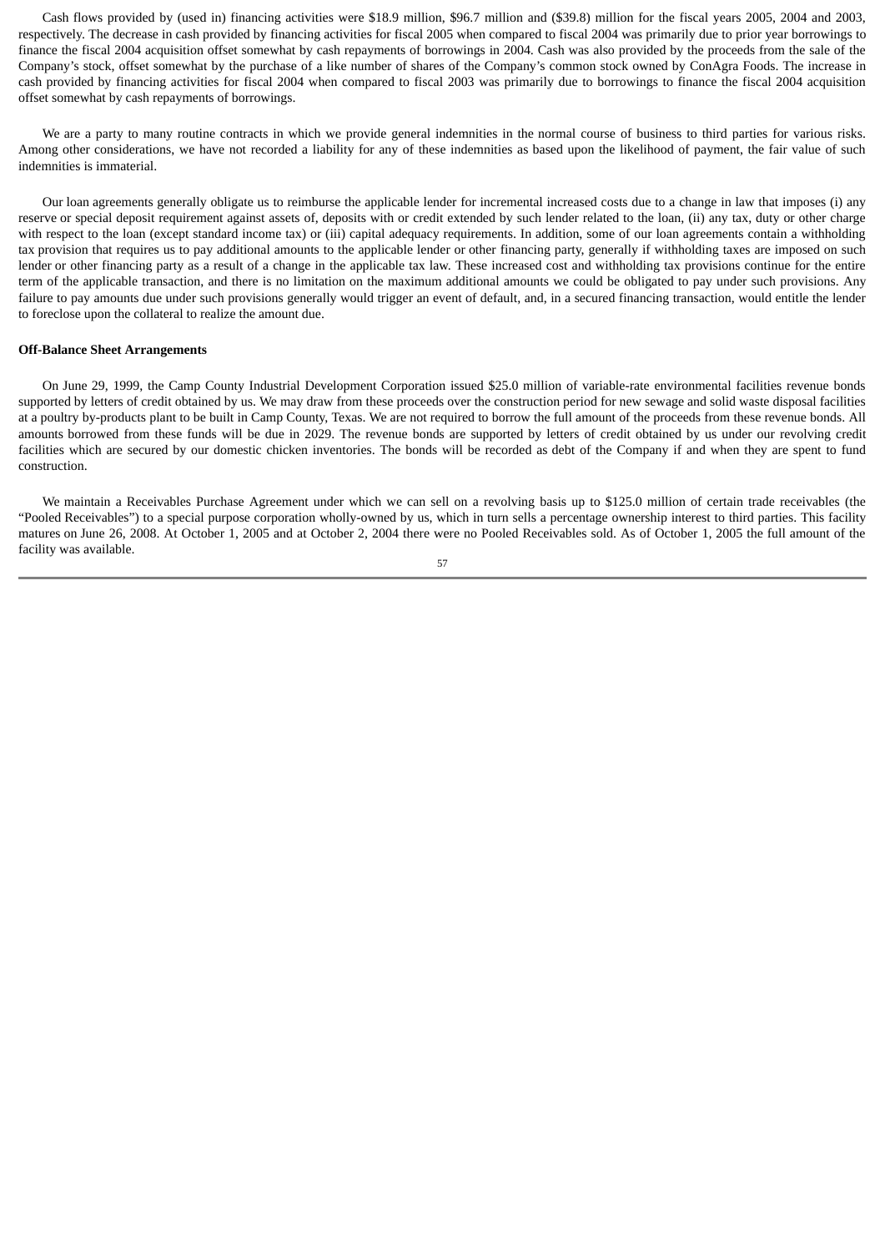Cash flows provided by (used in) financing activities were \$18.9 million, \$96.7 million and (\$39.8) million for the fiscal years 2005, 2004 and 2003, respectively. The decrease in cash provided by financing activities for fiscal 2005 when compared to fiscal 2004 was primarily due to prior year borrowings to finance the fiscal 2004 acquisition offset somewhat by cash repayments of borrowings in 2004. Cash was also provided by the proceeds from the sale of the Company's stock, offset somewhat by the purchase of a like number of shares of the Company's common stock owned by ConAgra Foods. The increase in cash provided by financing activities for fiscal 2004 when compared to fiscal 2003 was primarily due to borrowings to finance the fiscal 2004 acquisition offset somewhat by cash repayments of borrowings.

We are a party to many routine contracts in which we provide general indemnities in the normal course of business to third parties for various risks. Among other considerations, we have not recorded a liability for any of these indemnities as based upon the likelihood of payment, the fair value of such indemnities is immaterial.

Our loan agreements generally obligate us to reimburse the applicable lender for incremental increased costs due to a change in law that imposes (i) any reserve or special deposit requirement against assets of, deposits with or credit extended by such lender related to the loan, (ii) any tax, duty or other charge with respect to the loan (except standard income tax) or (iii) capital adequacy requirements. In addition, some of our loan agreements contain a withholding tax provision that requires us to pay additional amounts to the applicable lender or other financing party, generally if withholding taxes are imposed on such lender or other financing party as a result of a change in the applicable tax law. These increased cost and withholding tax provisions continue for the entire term of the applicable transaction, and there is no limitation on the maximum additional amounts we could be obligated to pay under such provisions. Any failure to pay amounts due under such provisions generally would trigger an event of default, and, in a secured financing transaction, would entitle the lender to foreclose upon the collateral to realize the amount due.

### **Off-Balance Sheet Arrangements**

On June 29, 1999, the Camp County Industrial Development Corporation issued \$25.0 million of variable-rate environmental facilities revenue bonds supported by letters of credit obtained by us. We may draw from these proceeds over the construction period for new sewage and solid waste disposal facilities at a poultry by-products plant to be built in Camp County, Texas. We are not required to borrow the full amount of the proceeds from these revenue bonds. All amounts borrowed from these funds will be due in 2029. The revenue bonds are supported by letters of credit obtained by us under our revolving credit facilities which are secured by our domestic chicken inventories. The bonds will be recorded as debt of the Company if and when they are spent to fund construction.

We maintain a Receivables Purchase Agreement under which we can sell on a revolving basis up to \$125.0 million of certain trade receivables (the "Pooled Receivables") to a special purpose corporation wholly-owned by us, which in turn sells a percentage ownership interest to third parties. This facility matures on June 26, 2008. At October 1, 2005 and at October 2, 2004 there were no Pooled Receivables sold. As of October 1, 2005 the full amount of the facility was available.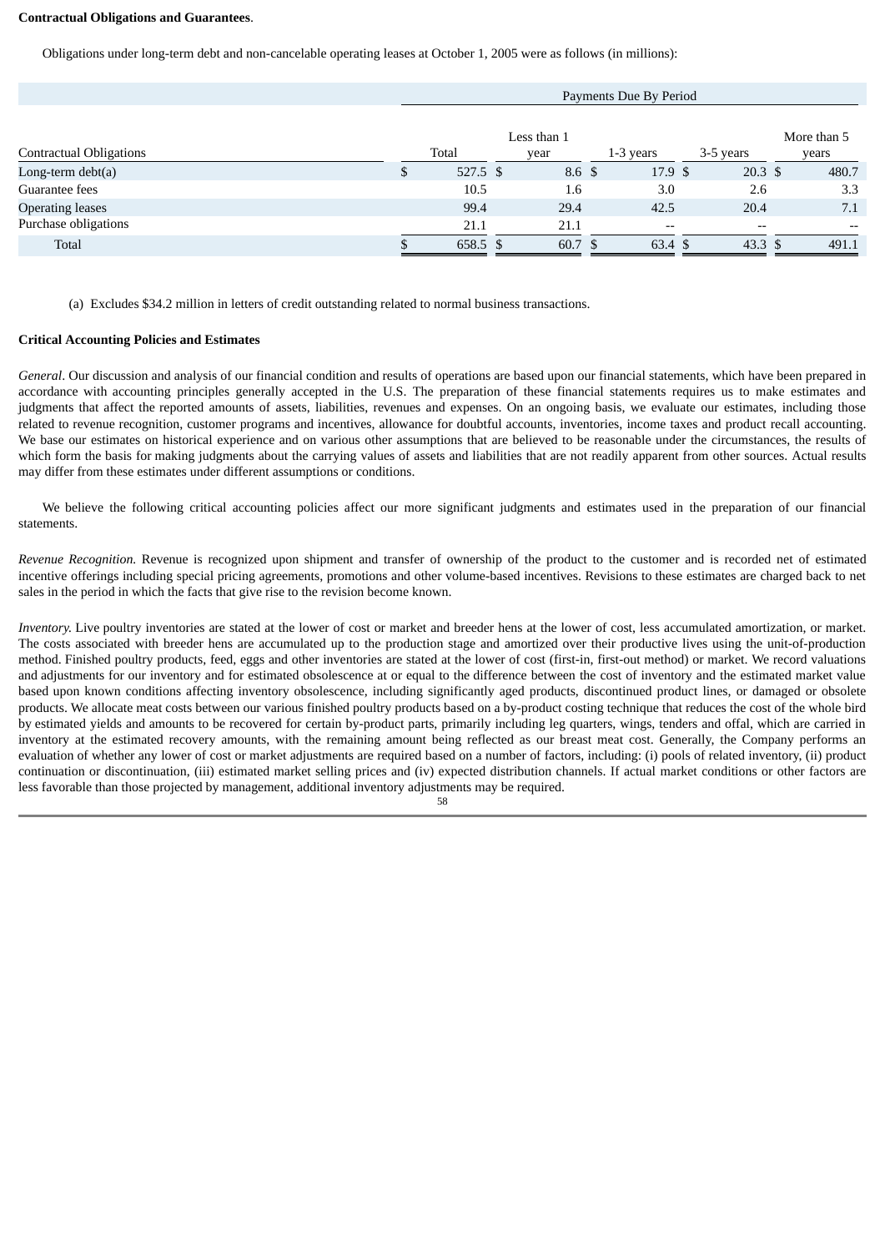### **Contractual Obligations and Guarantees**.

Obligations under long-term debt and non-cancelable operating leases at October 1, 2005 were as follows (in millions):

|                                | Payments Due By Period |            |  |             |  |                   |  |                   |  |             |  |
|--------------------------------|------------------------|------------|--|-------------|--|-------------------|--|-------------------|--|-------------|--|
|                                |                        |            |  | Less than 1 |  |                   |  |                   |  | More than 5 |  |
| <b>Contractual Obligations</b> |                        | Total      |  | vear        |  | 1-3 years         |  | 3-5 years         |  | years       |  |
| Long-term debt(a)              | \$                     | $527.5$ \$ |  | 8.6 \$      |  | 17.9 \$           |  | $20.3 \text{ } $$ |  | 480.7       |  |
| Guarantee fees                 |                        | 10.5       |  | 1.6         |  | 3.0               |  | 2.6               |  | 3.3         |  |
| <b>Operating leases</b>        |                        | 99.4       |  | 29.4        |  | 42.5              |  | 20.4              |  | 7.1         |  |
| Purchase obligations           |                        | 21.1       |  | 21.1        |  | $\hspace{0.05cm}$ |  | $- -$             |  | --          |  |
| Total                          |                        | 658.5 \$   |  | 60.7 \$     |  | 63.4 \$           |  | 43.3 $$$          |  | 491.1       |  |

(a) Excludes \$34.2 million in letters of credit outstanding related to normal business transactions.

#### **Critical Accounting Policies and Estimates**

*General*. Our discussion and analysis of our financial condition and results of operations are based upon our financial statements, which have been prepared in accordance with accounting principles generally accepted in the U.S. The preparation of these financial statements requires us to make estimates and judgments that affect the reported amounts of assets, liabilities, revenues and expenses. On an ongoing basis, we evaluate our estimates, including those related to revenue recognition, customer programs and incentives, allowance for doubtful accounts, inventories, income taxes and product recall accounting. We base our estimates on historical experience and on various other assumptions that are believed to be reasonable under the circumstances, the results of which form the basis for making judgments about the carrying values of assets and liabilities that are not readily apparent from other sources. Actual results may differ from these estimates under different assumptions or conditions.

We believe the following critical accounting policies affect our more significant judgments and estimates used in the preparation of our financial statements.

*Revenue Recognition.* Revenue is recognized upon shipment and transfer of ownership of the product to the customer and is recorded net of estimated incentive offerings including special pricing agreements, promotions and other volume-based incentives. Revisions to these estimates are charged back to net sales in the period in which the facts that give rise to the revision become known.

*Inventory.* Live poultry inventories are stated at the lower of cost or market and breeder hens at the lower of cost, less accumulated amortization, or market. The costs associated with breeder hens are accumulated up to the production stage and amortized over their productive lives using the unit-of-production method. Finished poultry products, feed, eggs and other inventories are stated at the lower of cost (first-in, first-out method) or market. We record valuations and adjustments for our inventory and for estimated obsolescence at or equal to the difference between the cost of inventory and the estimated market value based upon known conditions affecting inventory obsolescence, including significantly aged products, discontinued product lines, or damaged or obsolete products. We allocate meat costs between our various finished poultry products based on a by-product costing technique that reduces the cost of the whole bird by estimated yields and amounts to be recovered for certain by-product parts, primarily including leg quarters, wings, tenders and offal, which are carried in inventory at the estimated recovery amounts, with the remaining amount being reflected as our breast meat cost. Generally, the Company performs an evaluation of whether any lower of cost or market adjustments are required based on a number of factors, including: (i) pools of related inventory, (ii) product continuation or discontinuation, (iii) estimated market selling prices and (iv) expected distribution channels. If actual market conditions or other factors are less favorable than those projected by management, additional inventory adjustments may be required.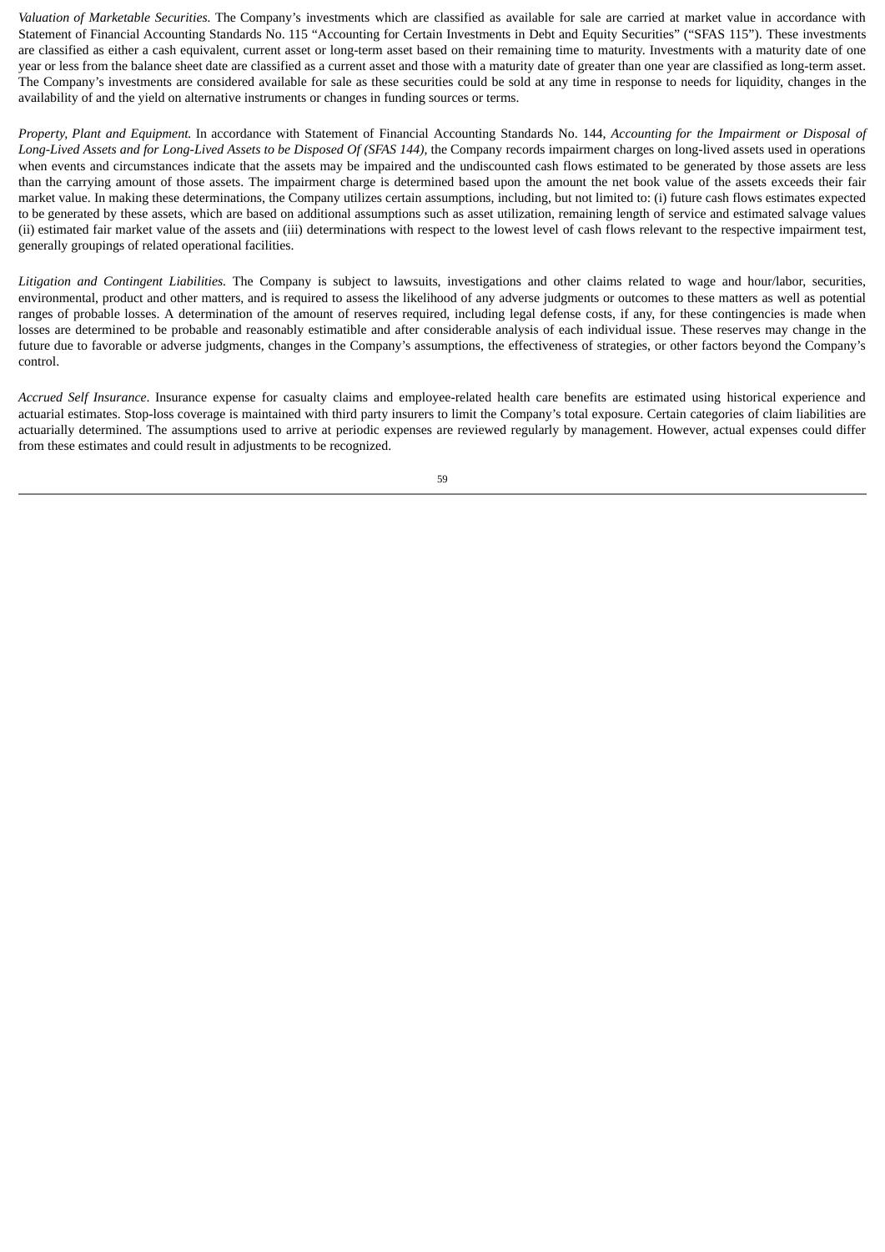*Valuation of Marketable Securities.* The Company's investments which are classified as available for sale are carried at market value in accordance with Statement of Financial Accounting Standards No. 115 "Accounting for Certain Investments in Debt and Equity Securities" ("SFAS 115"). These investments are classified as either a cash equivalent, current asset or long-term asset based on their remaining time to maturity. Investments with a maturity date of one year or less from the balance sheet date are classified as a current asset and those with a maturity date of greater than one year are classified as long-term asset. The Company's investments are considered available for sale as these securities could be sold at any time in response to needs for liquidity, changes in the availability of and the yield on alternative instruments or changes in funding sources or terms.

*Property, Plant and Equipment.* In accordance with Statement of Financial Accounting Standards No. 144, *Accounting for the Impairment or Disposal of* Long-Lived Assets and for Long-Lived Assets to be Disposed Of (SFAS 144), the Company records impairment charges on long-lived assets used in operations when events and circumstances indicate that the assets may be impaired and the undiscounted cash flows estimated to be generated by those assets are less than the carrying amount of those assets. The impairment charge is determined based upon the amount the net book value of the assets exceeds their fair market value. In making these determinations, the Company utilizes certain assumptions, including, but not limited to: (i) future cash flows estimates expected to be generated by these assets, which are based on additional assumptions such as asset utilization, remaining length of service and estimated salvage values (ii) estimated fair market value of the assets and (iii) determinations with respect to the lowest level of cash flows relevant to the respective impairment test, generally groupings of related operational facilities.

*Litigation and Contingent Liabilities.* The Company is subject to lawsuits, investigations and other claims related to wage and hour/labor, securities, environmental, product and other matters, and is required to assess the likelihood of any adverse judgments or outcomes to these matters as well as potential ranges of probable losses. A determination of the amount of reserves required, including legal defense costs, if any, for these contingencies is made when losses are determined to be probable and reasonably estimatible and after considerable analysis of each individual issue. These reserves may change in the future due to favorable or adverse judgments, changes in the Company's assumptions, the effectiveness of strategies, or other factors beyond the Company's control.

*Accrued Self Insurance*. Insurance expense for casualty claims and employee-related health care benefits are estimated using historical experience and actuarial estimates. Stop-loss coverage is maintained with third party insurers to limit the Company's total exposure. Certain categories of claim liabilities are actuarially determined. The assumptions used to arrive at periodic expenses are reviewed regularly by management. However, actual expenses could differ from these estimates and could result in adjustments to be recognized.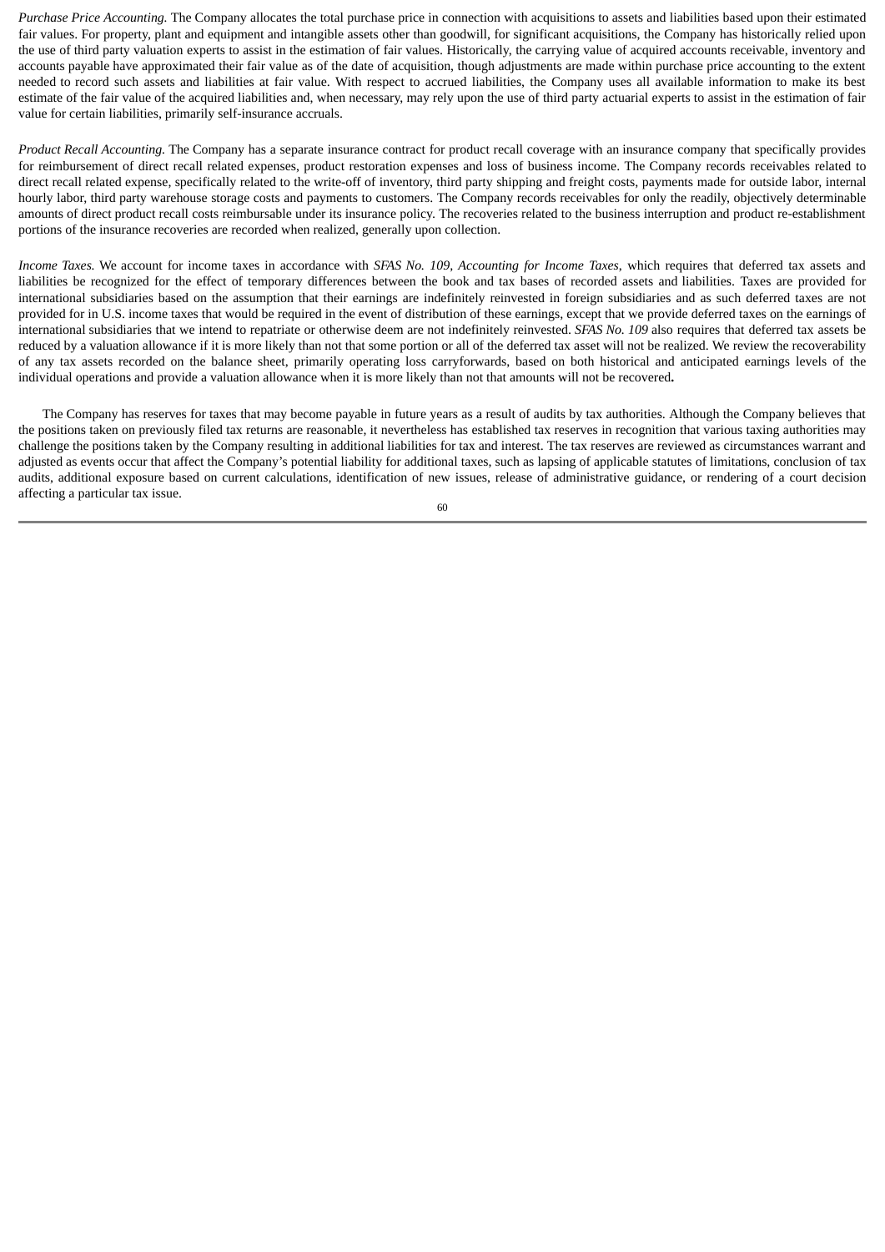*Purchase Price Accounting.* The Company allocates the total purchase price in connection with acquisitions to assets and liabilities based upon their estimated fair values. For property, plant and equipment and intangible assets other than goodwill, for significant acquisitions, the Company has historically relied upon the use of third party valuation experts to assist in the estimation of fair values. Historically, the carrying value of acquired accounts receivable, inventory and accounts payable have approximated their fair value as of the date of acquisition, though adjustments are made within purchase price accounting to the extent needed to record such assets and liabilities at fair value. With respect to accrued liabilities, the Company uses all available information to make its best estimate of the fair value of the acquired liabilities and, when necessary, may rely upon the use of third party actuarial experts to assist in the estimation of fair value for certain liabilities, primarily self-insurance accruals.

*Product Recall Accounting.* The Company has a separate insurance contract for product recall coverage with an insurance company that specifically provides for reimbursement of direct recall related expenses, product restoration expenses and loss of business income. The Company records receivables related to direct recall related expense, specifically related to the write-off of inventory, third party shipping and freight costs, payments made for outside labor, internal hourly labor, third party warehouse storage costs and payments to customers. The Company records receivables for only the readily, objectively determinable amounts of direct product recall costs reimbursable under its insurance policy. The recoveries related to the business interruption and product re-establishment portions of the insurance recoveries are recorded when realized, generally upon collection.

*Income Taxes.* We account for income taxes in accordance with *SFAS No. 109, Accounting for Income Taxes*, which requires that deferred tax assets and liabilities be recognized for the effect of temporary differences between the book and tax bases of recorded assets and liabilities. Taxes are provided for international subsidiaries based on the assumption that their earnings are indefinitely reinvested in foreign subsidiaries and as such deferred taxes are not provided for in U.S. income taxes that would be required in the event of distribution of these earnings, except that we provide deferred taxes on the earnings of international subsidiaries that we intend to repatriate or otherwise deem are not indefinitely reinvested. *SFAS No. 109* also requires that deferred tax assets be reduced by a valuation allowance if it is more likely than not that some portion or all of the deferred tax asset will not be realized. We review the recoverability of any tax assets recorded on the balance sheet, primarily operating loss carryforwards, based on both historical and anticipated earnings levels of the individual operations and provide a valuation allowance when it is more likely than not that amounts will not be recovered**.**

The Company has reserves for taxes that may become payable in future years as a result of audits by tax authorities. Although the Company believes that the positions taken on previously filed tax returns are reasonable, it nevertheless has established tax reserves in recognition that various taxing authorities may challenge the positions taken by the Company resulting in additional liabilities for tax and interest. The tax reserves are reviewed as circumstances warrant and adjusted as events occur that affect the Company's potential liability for additional taxes, such as lapsing of applicable statutes of limitations, conclusion of tax audits, additional exposure based on current calculations, identification of new issues, release of administrative guidance, or rendering of a court decision affecting a particular tax issue.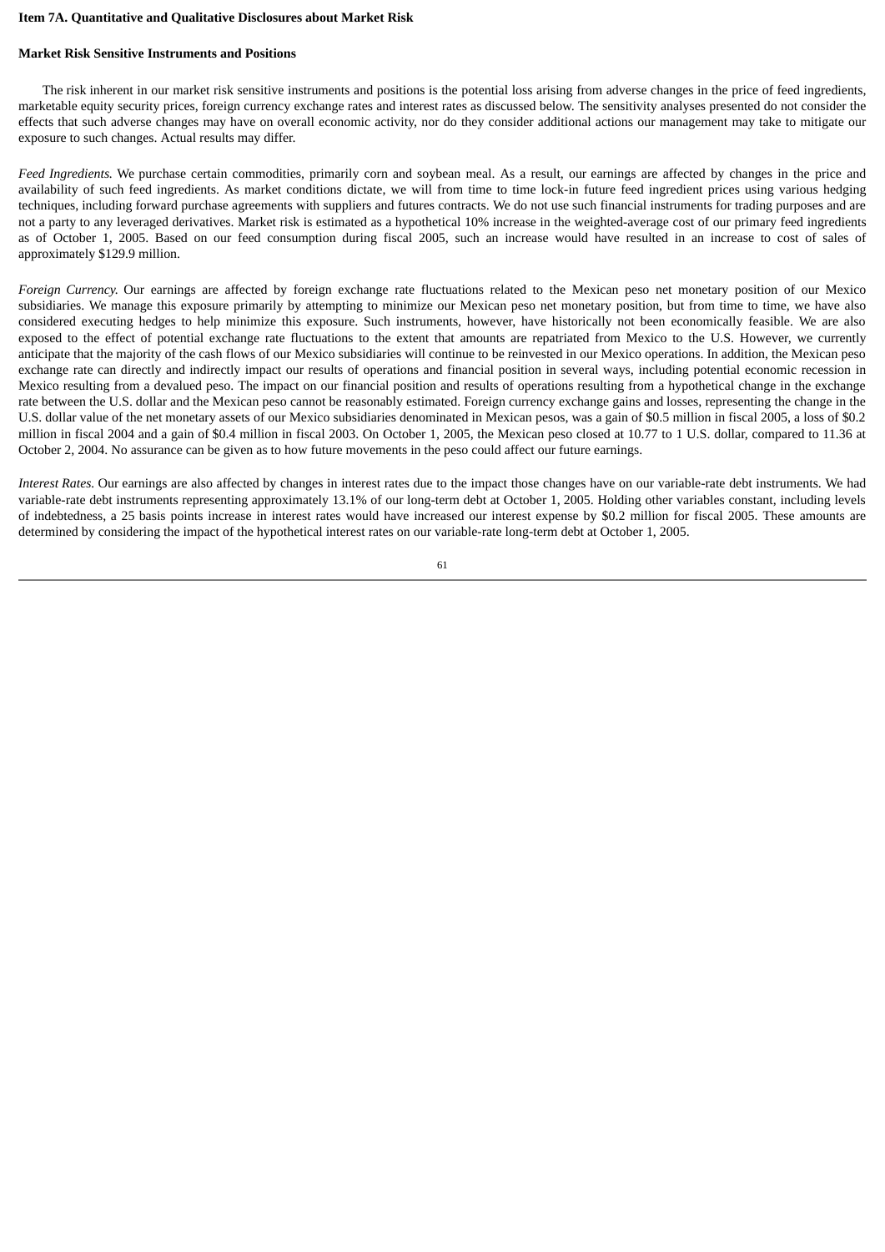#### **Item 7A. Quantitative and Qualitative Disclosures about Market Risk**

#### **Market Risk Sensitive Instruments and Positions**

The risk inherent in our market risk sensitive instruments and positions is the potential loss arising from adverse changes in the price of feed ingredients, marketable equity security prices, foreign currency exchange rates and interest rates as discussed below. The sensitivity analyses presented do not consider the effects that such adverse changes may have on overall economic activity, nor do they consider additional actions our management may take to mitigate our exposure to such changes. Actual results may differ.

*Feed Ingredients.* We purchase certain commodities, primarily corn and soybean meal. As a result, our earnings are affected by changes in the price and availability of such feed ingredients. As market conditions dictate, we will from time to time lock-in future feed ingredient prices using various hedging techniques, including forward purchase agreements with suppliers and futures contracts. We do not use such financial instruments for trading purposes and are not a party to any leveraged derivatives. Market risk is estimated as a hypothetical 10% increase in the weighted-average cost of our primary feed ingredients as of October 1, 2005. Based on our feed consumption during fiscal 2005, such an increase would have resulted in an increase to cost of sales of approximately \$129.9 million.

*Foreign Currency.* Our earnings are affected by foreign exchange rate fluctuations related to the Mexican peso net monetary position of our Mexico subsidiaries. We manage this exposure primarily by attempting to minimize our Mexican peso net monetary position, but from time to time, we have also considered executing hedges to help minimize this exposure. Such instruments, however, have historically not been economically feasible. We are also exposed to the effect of potential exchange rate fluctuations to the extent that amounts are repatriated from Mexico to the U.S. However, we currently anticipate that the majority of the cash flows of our Mexico subsidiaries will continue to be reinvested in our Mexico operations. In addition, the Mexican peso exchange rate can directly and indirectly impact our results of operations and financial position in several ways, including potential economic recession in Mexico resulting from a devalued peso. The impact on our financial position and results of operations resulting from a hypothetical change in the exchange rate between the U.S. dollar and the Mexican peso cannot be reasonably estimated. Foreign currency exchange gains and losses, representing the change in the U.S. dollar value of the net monetary assets of our Mexico subsidiaries denominated in Mexican pesos, was a gain of \$0.5 million in fiscal 2005, a loss of \$0.2 million in fiscal 2004 and a gain of \$0.4 million in fiscal 2003. On October 1, 2005, the Mexican peso closed at 10.77 to 1 U.S. dollar, compared to 11.36 at October 2, 2004. No assurance can be given as to how future movements in the peso could affect our future earnings.

*Interest Rates.* Our earnings are also affected by changes in interest rates due to the impact those changes have on our variable-rate debt instruments. We had variable-rate debt instruments representing approximately 13.1% of our long-term debt at October 1, 2005. Holding other variables constant, including levels of indebtedness, a 25 basis points increase in interest rates would have increased our interest expense by \$0.2 million for fiscal 2005. These amounts are determined by considering the impact of the hypothetical interest rates on our variable-rate long-term debt at October 1, 2005.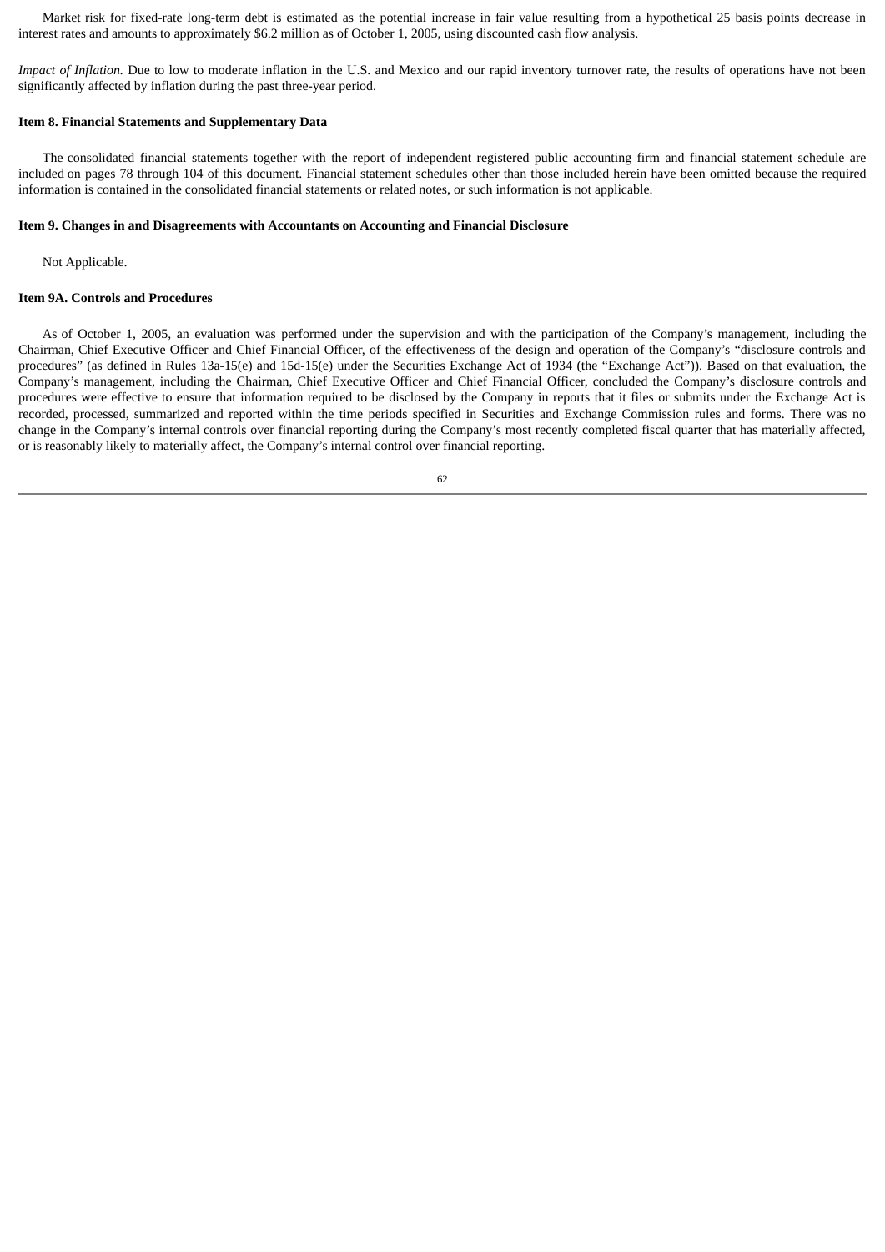Market risk for fixed-rate long-term debt is estimated as the potential increase in fair value resulting from a hypothetical 25 basis points decrease in interest rates and amounts to approximately \$6.2 million as of October 1, 2005, using discounted cash flow analysis.

*Impact of Inflation.* Due to low to moderate inflation in the U.S. and Mexico and our rapid inventory turnover rate, the results of operations have not been significantly affected by inflation during the past three-year period.

#### **Item 8. Financial Statements and Supplementary Data**

The consolidated financial statements together with the report of independent registered public accounting firm and financial statement schedule are included on pages 78 through 104 of this document. Financial statement schedules other than those included herein have been omitted because the required information is contained in the consolidated financial statements or related notes, or such information is not applicable.

#### **Item 9. Changes in and Disagreements with Accountants on Accounting and Financial Disclosure**

Not Applicable.

#### **Item 9A. Controls and Procedures**

As of October 1, 2005, an evaluation was performed under the supervision and with the participation of the Company's management, including the Chairman, Chief Executive Officer and Chief Financial Officer, of the effectiveness of the design and operation of the Company's "disclosure controls and procedures" (as defined in Rules 13a-15(e) and 15d-15(e) under the Securities Exchange Act of 1934 (the "Exchange Act")). Based on that evaluation, the Company's management, including the Chairman, Chief Executive Officer and Chief Financial Officer, concluded the Company's disclosure controls and procedures were effective to ensure that information required to be disclosed by the Company in reports that it files or submits under the Exchange Act is recorded, processed, summarized and reported within the time periods specified in Securities and Exchange Commission rules and forms. There was no change in the Company's internal controls over financial reporting during the Company's most recently completed fiscal quarter that has materially affected, or is reasonably likely to materially affect, the Company's internal control over financial reporting.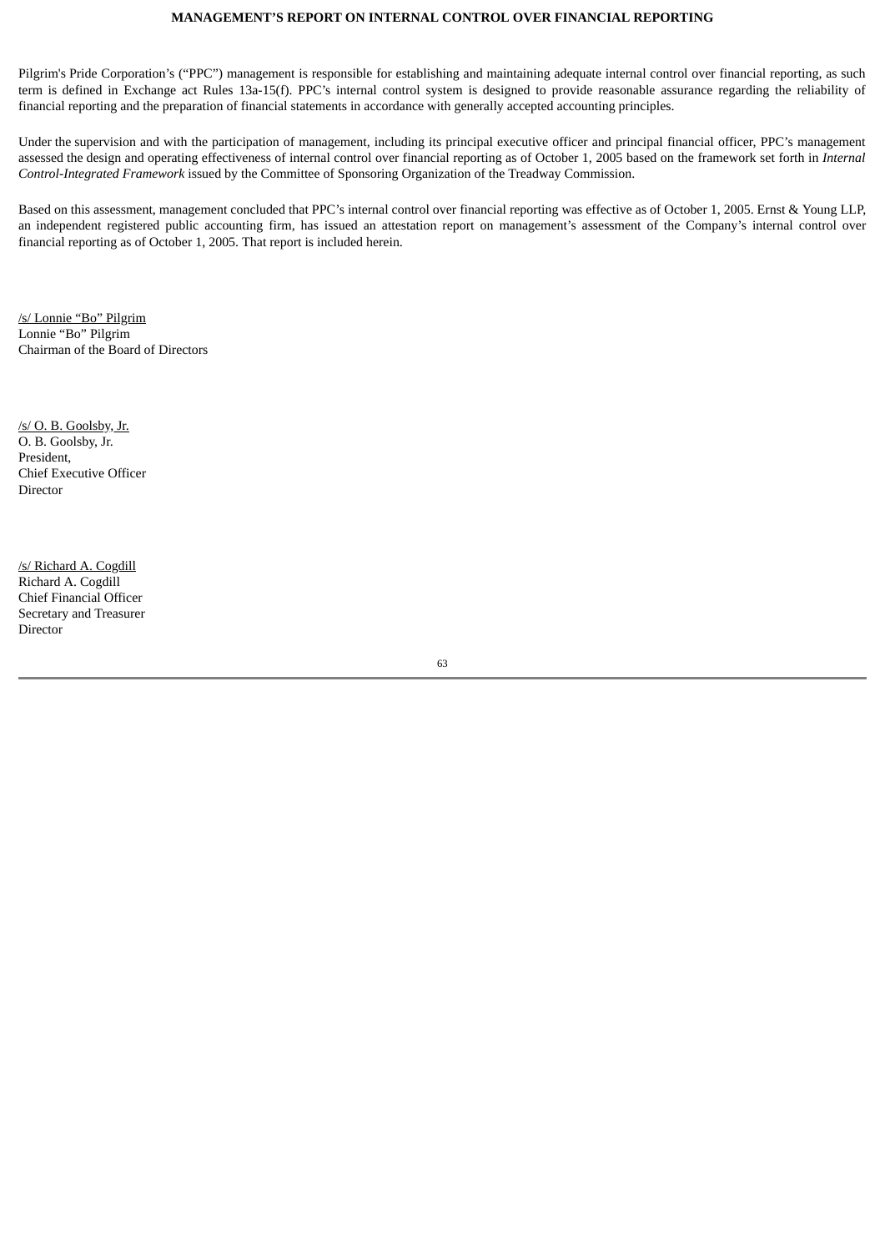### **MANAGEMENT'S REPORT ON INTERNAL CONTROL OVER FINANCIAL REPORTING**

Pilgrim's Pride Corporation's ("PPC") management is responsible for establishing and maintaining adequate internal control over financial reporting, as such term is defined in Exchange act Rules 13a-15(f). PPC's internal control system is designed to provide reasonable assurance regarding the reliability of financial reporting and the preparation of financial statements in accordance with generally accepted accounting principles.

Under the supervision and with the participation of management, including its principal executive officer and principal financial officer, PPC's management assessed the design and operating effectiveness of internal control over financial reporting as of October 1, 2005 based on the framework set forth in *Internal Control-Integrated Framework* issued by the Committee of Sponsoring Organization of the Treadway Commission.

Based on this assessment, management concluded that PPC's internal control over financial reporting was effective as of October 1, 2005. Ernst & Young LLP, an independent registered public accounting firm, has issued an attestation report on management's assessment of the Company's internal control over financial reporting as of October 1, 2005. That report is included herein.

/s/ Lonnie "Bo" Pilgrim Lonnie "Bo" Pilgrim Chairman of the Board of Directors

/s/ O. B. Goolsby, Jr. O. B. Goolsby, Jr. President, Chief Executive Officer **Director** 

/s/ Richard A. Cogdill Richard A. Cogdill Chief Financial Officer Secretary and Treasurer Director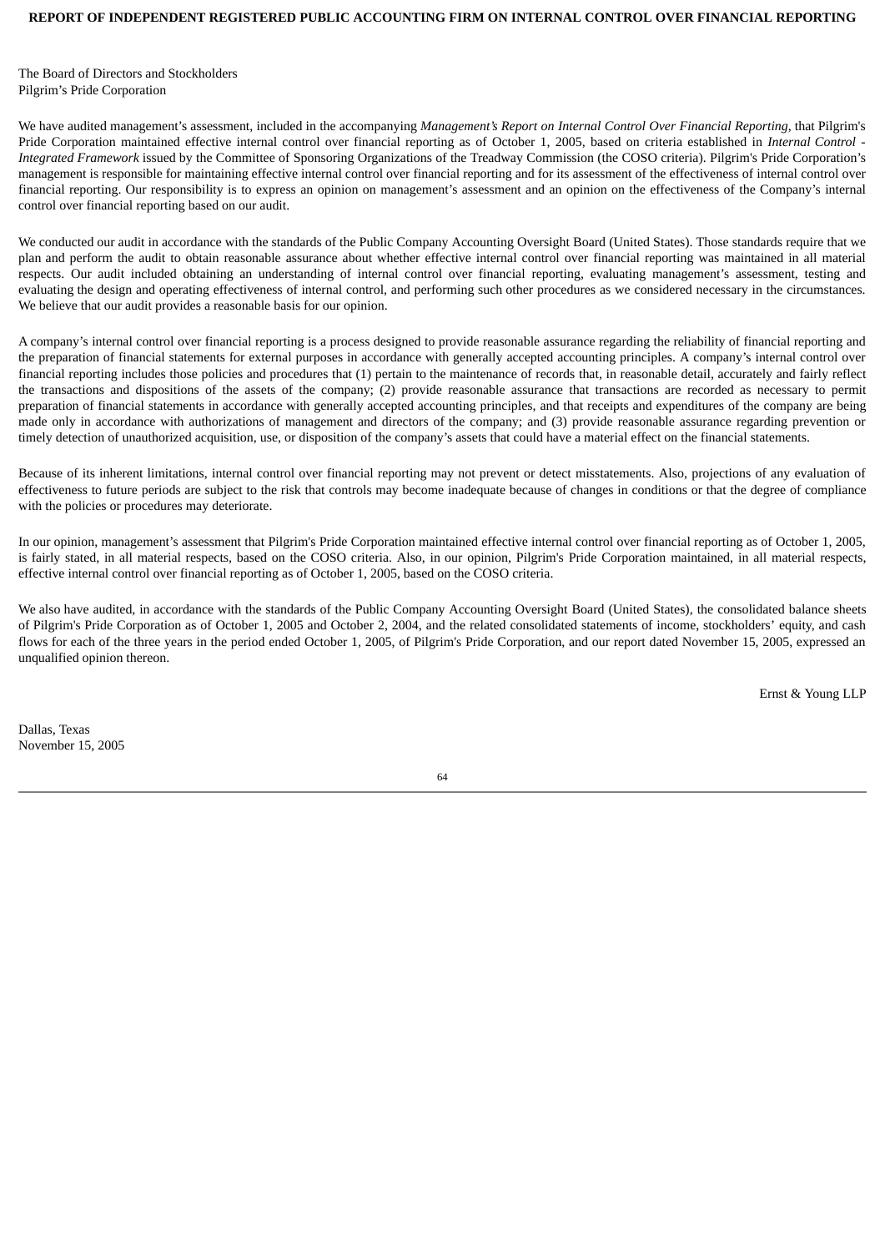## **REPORT OF INDEPENDENT REGISTERED PUBLIC ACCOUNTING FIRM ON INTERNAL CONTROL OVER FINANCIAL REPORTING**

The Board of Directors and Stockholders Pilgrim's Pride Corporation

We have audited management's assessment, included in the accompanying *Management's Report on Internal Control Over Financial Reporting*, that Pilgrim's Pride Corporation maintained effective internal control over financial reporting as of October 1, 2005, based on criteria established in *Internal Control - Integrated Framework* issued by the Committee of Sponsoring Organizations of the Treadway Commission (the COSO criteria). Pilgrim's Pride Corporation's management is responsible for maintaining effective internal control over financial reporting and for its assessment of the effectiveness of internal control over financial reporting. Our responsibility is to express an opinion on management's assessment and an opinion on the effectiveness of the Company's internal control over financial reporting based on our audit.

We conducted our audit in accordance with the standards of the Public Company Accounting Oversight Board (United States). Those standards require that we plan and perform the audit to obtain reasonable assurance about whether effective internal control over financial reporting was maintained in all material respects. Our audit included obtaining an understanding of internal control over financial reporting, evaluating management's assessment, testing and evaluating the design and operating effectiveness of internal control, and performing such other procedures as we considered necessary in the circumstances. We believe that our audit provides a reasonable basis for our opinion.

A company's internal control over financial reporting is a process designed to provide reasonable assurance regarding the reliability of financial reporting and the preparation of financial statements for external purposes in accordance with generally accepted accounting principles. A company's internal control over financial reporting includes those policies and procedures that (1) pertain to the maintenance of records that, in reasonable detail, accurately and fairly reflect the transactions and dispositions of the assets of the company; (2) provide reasonable assurance that transactions are recorded as necessary to permit preparation of financial statements in accordance with generally accepted accounting principles, and that receipts and expenditures of the company are being made only in accordance with authorizations of management and directors of the company; and (3) provide reasonable assurance regarding prevention or timely detection of unauthorized acquisition, use, or disposition of the company's assets that could have a material effect on the financial statements.

Because of its inherent limitations, internal control over financial reporting may not prevent or detect misstatements. Also, projections of any evaluation of effectiveness to future periods are subject to the risk that controls may become inadequate because of changes in conditions or that the degree of compliance with the policies or procedures may deteriorate.

In our opinion, management's assessment that Pilgrim's Pride Corporation maintained effective internal control over financial reporting as of October 1, 2005, is fairly stated, in all material respects, based on the COSO criteria. Also, in our opinion, Pilgrim's Pride Corporation maintained, in all material respects, effective internal control over financial reporting as of October 1, 2005, based on the COSO criteria.

We also have audited, in accordance with the standards of the Public Company Accounting Oversight Board (United States), the consolidated balance sheets of Pilgrim's Pride Corporation as of October 1, 2005 and October 2, 2004, and the related consolidated statements of income, stockholders' equity, and cash flows for each of the three years in the period ended October 1, 2005, of Pilgrim's Pride Corporation, and our report dated November 15, 2005, expressed an unqualified opinion thereon.

Ernst & Young LLP

Dallas, Texas November 15, 2005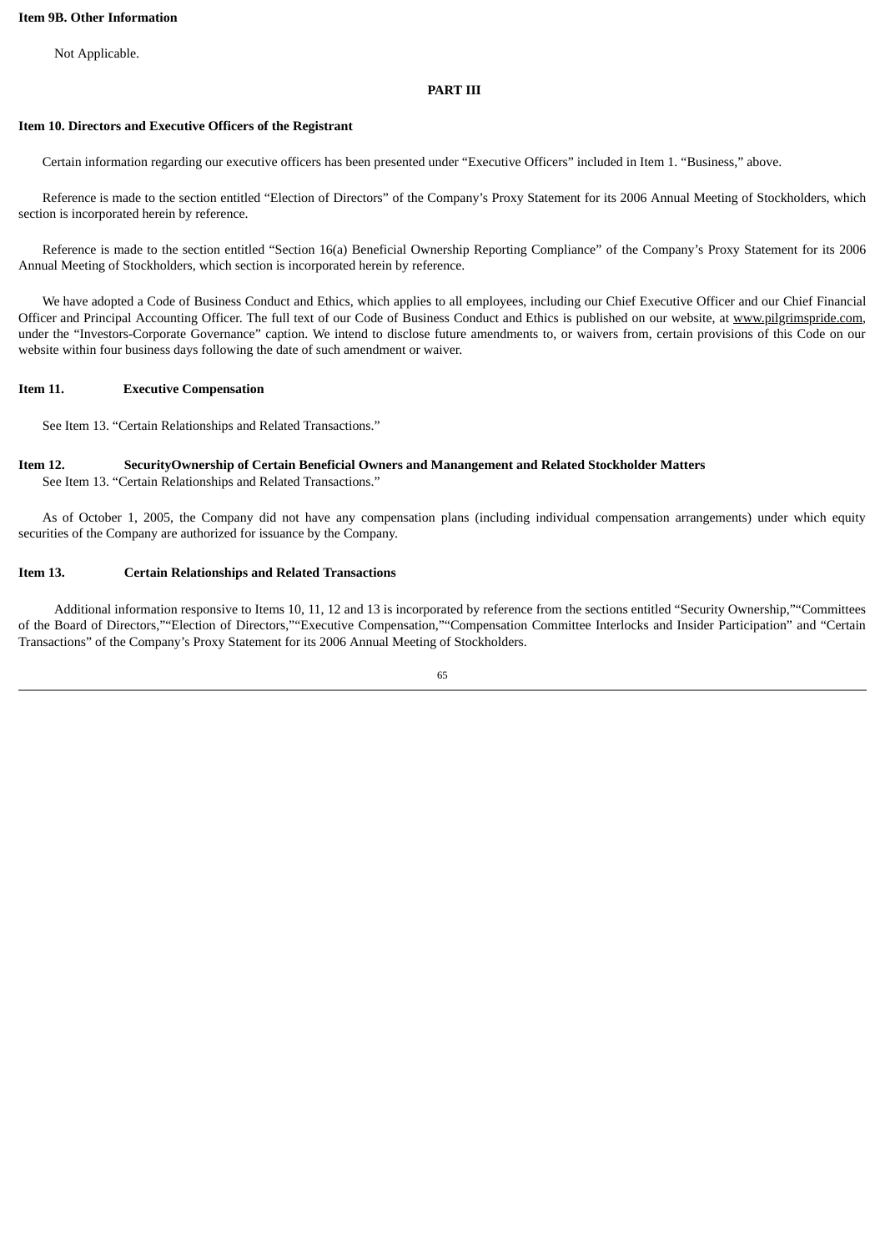Not Applicable.

### **PART III**

### **Item 10. Directors and Executive Officers of the Registrant**

Certain information regarding our executive officers has been presented under "Executive Officers" included in Item 1. "Business," above.

Reference is made to the section entitled "Election of Directors" of the Company's Proxy Statement for its 2006 Annual Meeting of Stockholders, which section is incorporated herein by reference.

Reference is made to the section entitled "Section 16(a) Beneficial Ownership Reporting Compliance" of the Company's Proxy Statement for its 2006 Annual Meeting of Stockholders, which section is incorporated herein by reference.

We have adopted a Code of Business Conduct and Ethics, which applies to all employees, including our Chief Executive Officer and our Chief Financial Officer and Principal Accounting Officer. The full text of our Code of Business Conduct and Ethics is published on our website, at www.pilgrimspride.com, under the "Investors-Corporate Governance" caption. We intend to disclose future amendments to, or waivers from, certain provisions of this Code on our website within four business days following the date of such amendment or waiver.

#### **Item 11. Executive Compensation**

See Item 13. "Certain Relationships and Related Transactions."

## **Item 12. SecurityOwnership of Certain Beneficial Owners and Manangement and Related Stockholder Matters**

See Item 13. "Certain Relationships and Related Transactions."

As of October 1, 2005, the Company did not have any compensation plans (including individual compensation arrangements) under which equity securities of the Company are authorized for issuance by the Company.

### **Item 13. Certain Relationships and Related Transactions**

Additional information responsive to Items 10, 11, 12 and 13 is incorporated by reference from the sections entitled "Security Ownership,""Committees of the Board of Directors,""Election of Directors,""Executive Compensation,""Compensation Committee Interlocks and Insider Participation" and "Certain Transactions" of the Company's Proxy Statement for its 2006 Annual Meeting of Stockholders.

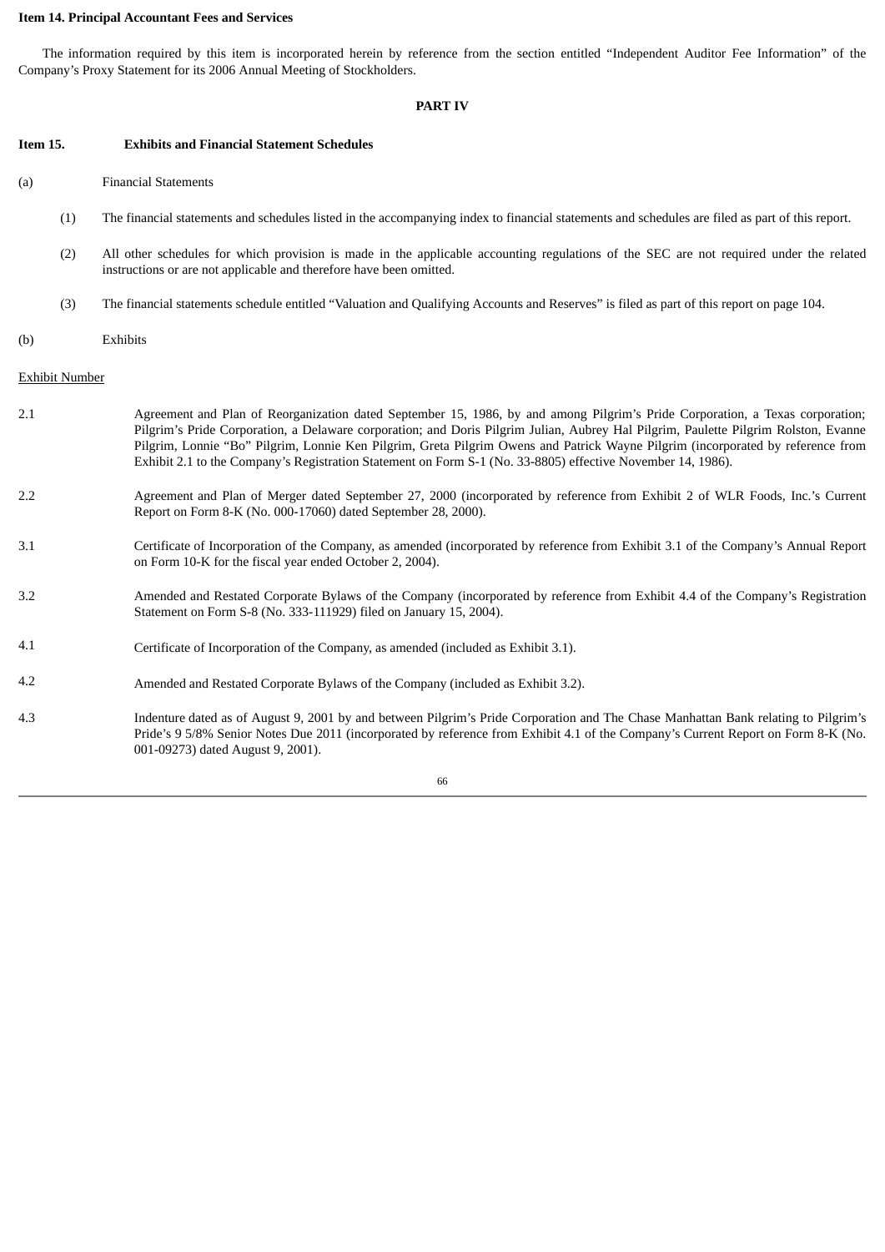#### **Item 14. Principal Accountant Fees and Services**

The information required by this item is incorporated herein by reference from the section entitled "Independent Auditor Fee Information" of the Company's Proxy Statement for its 2006 Annual Meeting of Stockholders.

### **PART IV**

### **Item 15. Exhibits and Financial Statement Schedules**

- (a) Financial Statements
	- (1) The financial statements and schedules listed in the accompanying index to financial statements and schedules are filed as part of this report.
	- (2) All other schedules for which provision is made in the applicable accounting regulations of the SEC are not required under the related instructions or are not applicable and therefore have been omitted.
	- (3) The financial statements schedule entitled "Valuation and Qualifying Accounts and Reserves" is filed as part of this report on page 104.
- (b) Exhibits

#### Exhibit Number

| 2.1 | Agreement and Plan of Reorganization dated September 15, 1986, by and among Pilgrim's Pride Corporation, a Texas corporation;       |
|-----|-------------------------------------------------------------------------------------------------------------------------------------|
|     | Pilgrim's Pride Corporation, a Delaware corporation; and Doris Pilgrim Julian, Aubrey Hal Pilgrim, Paulette Pilgrim Rolston, Evanne |
|     | Pilgrim, Lonnie "Bo" Pilgrim, Lonnie Ken Pilgrim, Greta Pilgrim Owens and Patrick Wayne Pilgrim (incorporated by reference from     |
|     | Exhibit 2.1 to the Company's Registration Statement on Form S-1 (No. 33-8805) effective November 14, 1986).                         |

- 2.2 Agreement and Plan of Merger dated September 27, 2000 (incorporated by reference from Exhibit 2 of WLR Foods, Inc.'s Current Report on Form 8-K (No. 000-17060) dated September 28, 2000).
- 3.1 Certificate of Incorporation of the Company, as amended (incorporated by reference from Exhibit 3.1 of the Company's Annual Report on Form 10-K for the fiscal year ended October 2, 2004).
- 3.2 Amended and Restated Corporate Bylaws of the Company (incorporated by reference from Exhibit 4.4 of the Company's Registration Statement on Form S-8 (No. 333-111929) filed on January 15, 2004).
- 4.1 Certificate of Incorporation of the Company, as amended (included as Exhibit 3.1).
- 4.2 Amended and Restated Corporate Bylaws of the Company (included as Exhibit 3.2).
- 4.3 Indenture dated as of August 9, 2001 by and between Pilgrim's Pride Corporation and The Chase Manhattan Bank relating to Pilgrim's Pride's 9 5/8% Senior Notes Due 2011 (incorporated by reference from Exhibit 4.1 of the Company's Current Report on Form 8-K (No. 001-09273) dated August 9, 2001).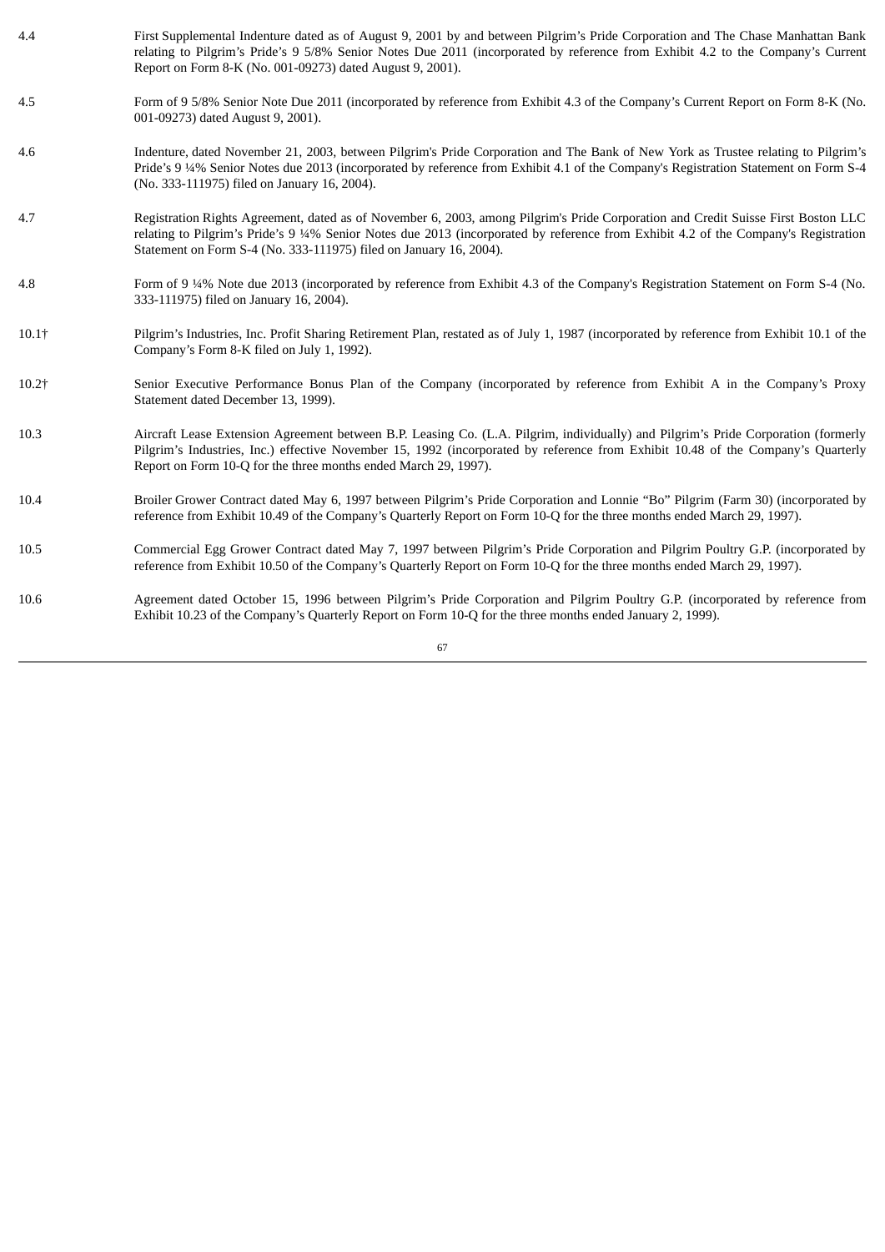- 4.4 First Supplemental Indenture dated as of August 9, 2001 by and between Pilgrim's Pride Corporation and The Chase Manhattan Bank relating to Pilgrim's Pride's 9 5/8% Senior Notes Due 2011 (incorporated by reference from Exhibit 4.2 to the Company's Current Report on Form 8-K (No. 001-09273) dated August 9, 2001).
- 4.5 Form of 9 5/8% Senior Note Due 2011 (incorporated by reference from Exhibit 4.3 of the Company's Current Report on Form 8-K (No. 001-09273) dated August 9, 2001).
- 4.6 Indenture, dated November 21, 2003, between Pilgrim's Pride Corporation and The Bank of New York as Trustee relating to Pilgrim's Pride's 9 ¼% Senior Notes due 2013 (incorporated by reference from Exhibit 4.1 of the Company's Registration Statement on Form S-4 (No. 333-111975) filed on January 16, 2004).
- 4.7 Registration Rights Agreement, dated as of November 6, 2003, among Pilgrim's Pride Corporation and Credit Suisse First Boston LLC relating to Pilgrim's Pride's 9 ¼% Senior Notes due 2013 (incorporated by reference from Exhibit 4.2 of the Company's Registration Statement on Form S-4 (No. 333-111975) filed on January 16, 2004).
- 4.8 Form of 9 ¼% Note due 2013 (incorporated by reference from Exhibit 4.3 of the Company's Registration Statement on Form S-4 (No. 333-111975) filed on January 16, 2004).
- 10.1† Pilgrim's Industries, Inc. Profit Sharing Retirement Plan, restated as of July 1, 1987 (incorporated by reference from Exhibit 10.1 of the Company's Form 8-K filed on July 1, 1992).
- 10.2† Senior Executive Performance Bonus Plan of the Company (incorporated by reference from Exhibit A in the Company's Proxy Statement dated December 13, 1999).
- 10.3 Aircraft Lease Extension Agreement between B.P. Leasing Co. (L.A. Pilgrim, individually) and Pilgrim's Pride Corporation (formerly Pilgrim's Industries, Inc.) effective November 15, 1992 (incorporated by reference from Exhibit 10.48 of the Company's Quarterly Report on Form 10-Q for the three months ended March 29, 1997).
- 10.4 Broiler Grower Contract dated May 6, 1997 between Pilgrim's Pride Corporation and Lonnie "Bo" Pilgrim (Farm 30) (incorporated by reference from Exhibit 10.49 of the Company's Quarterly Report on Form 10-Q for the three months ended March 29, 1997).
- 10.5 Commercial Egg Grower Contract dated May 7, 1997 between Pilgrim's Pride Corporation and Pilgrim Poultry G.P. (incorporated by reference from Exhibit 10.50 of the Company's Quarterly Report on Form 10-Q for the three months ended March 29, 1997).
- 10.6 Agreement dated October 15, 1996 between Pilgrim's Pride Corporation and Pilgrim Poultry G.P. (incorporated by reference from Exhibit 10.23 of the Company's Quarterly Report on Form 10-Q for the three months ended January 2, 1999).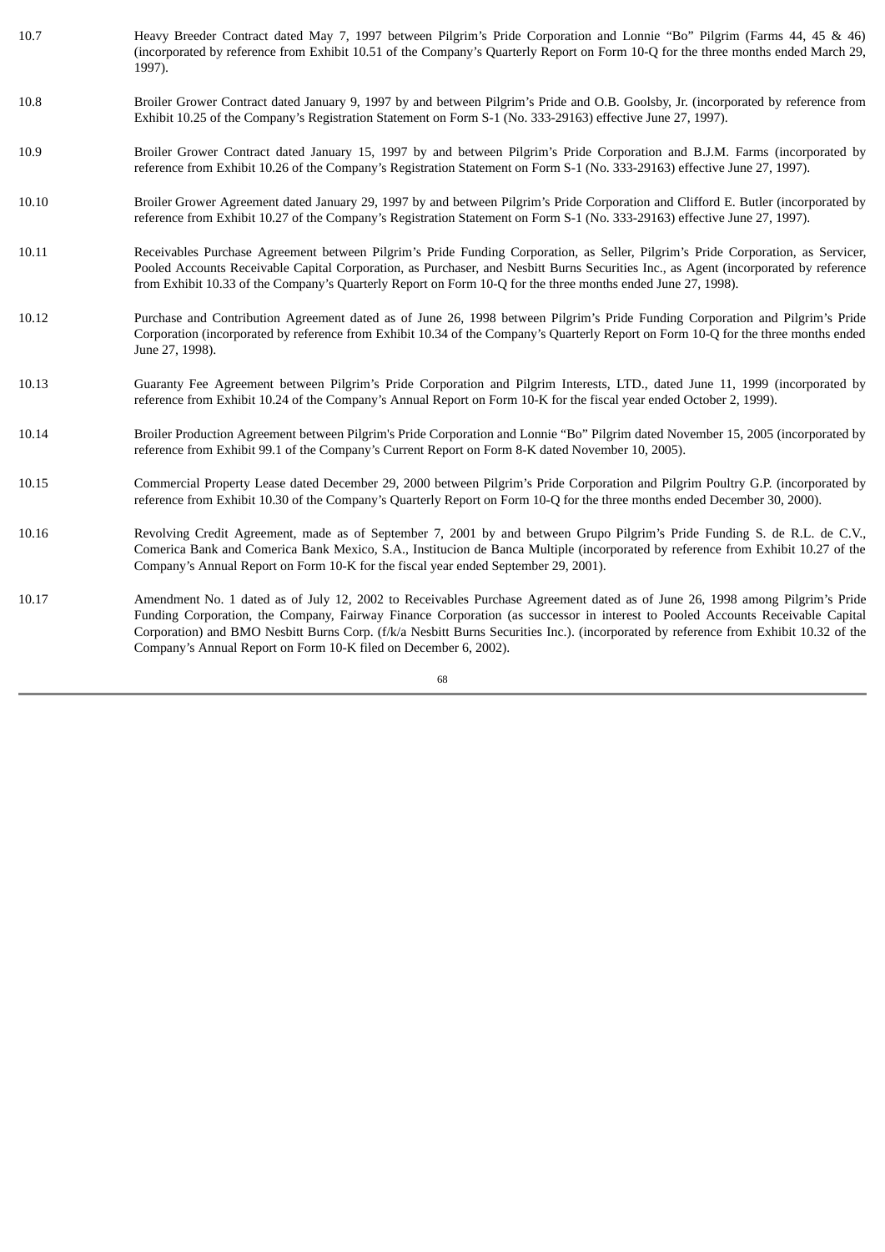- 10.7 Heavy Breeder Contract dated May 7, 1997 between Pilgrim's Pride Corporation and Lonnie "Bo" Pilgrim (Farms 44, 45 & 46) (incorporated by reference from Exhibit 10.51 of the Company's Quarterly Report on Form 10-Q for the three months ended March 29, 1997).
- 10.8 Broiler Grower Contract dated January 9, 1997 by and between Pilgrim's Pride and O.B. Goolsby, Jr. (incorporated by reference from Exhibit 10.25 of the Company's Registration Statement on Form S-1 (No. 333-29163) effective June 27, 1997).
- 10.9 Broiler Grower Contract dated January 15, 1997 by and between Pilgrim's Pride Corporation and B.J.M. Farms (incorporated by reference from Exhibit 10.26 of the Company's Registration Statement on Form S-1 (No. 333-29163) effective June 27, 1997).
- 10.10 Broiler Grower Agreement dated January 29, 1997 by and between Pilgrim's Pride Corporation and Clifford E. Butler (incorporated by reference from Exhibit 10.27 of the Company's Registration Statement on Form S-1 (No. 333-29163) effective June 27, 1997).
- 10.11 Receivables Purchase Agreement between Pilgrim's Pride Funding Corporation, as Seller, Pilgrim's Pride Corporation, as Servicer, Pooled Accounts Receivable Capital Corporation, as Purchaser, and Nesbitt Burns Securities Inc., as Agent (incorporated by reference from Exhibit 10.33 of the Company's Quarterly Report on Form 10-Q for the three months ended June 27, 1998).
- 10.12 Purchase and Contribution Agreement dated as of June 26, 1998 between Pilgrim's Pride Funding Corporation and Pilgrim's Pride Corporation (incorporated by reference from Exhibit 10.34 of the Company's Quarterly Report on Form 10-Q for the three months ended June 27, 1998).
- 10.13 Guaranty Fee Agreement between Pilgrim's Pride Corporation and Pilgrim Interests, LTD., dated June 11, 1999 (incorporated by reference from Exhibit 10.24 of the Company's Annual Report on Form 10-K for the fiscal year ended October 2, 1999).
- 10.14 Broiler Production Agreement between Pilgrim's Pride Corporation and Lonnie "Bo" Pilgrim dated November 15, 2005 (incorporated by reference from Exhibit 99.1 of the Company's Current Report on Form 8-K dated November 10, 2005).
- 10.15 Commercial Property Lease dated December 29, 2000 between Pilgrim's Pride Corporation and Pilgrim Poultry G.P. (incorporated by reference from Exhibit 10.30 of the Company's Quarterly Report on Form 10-Q for the three months ended December 30, 2000).
- 10.16 Revolving Credit Agreement, made as of September 7, 2001 by and between Grupo Pilgrim's Pride Funding S. de R.L. de C.V., Comerica Bank and Comerica Bank Mexico, S.A., Institucion de Banca Multiple (incorporated by reference from Exhibit 10.27 of the Company's Annual Report on Form 10-K for the fiscal year ended September 29, 2001).
- 10.17 Amendment No. 1 dated as of July 12, 2002 to Receivables Purchase Agreement dated as of June 26, 1998 among Pilgrim's Pride Funding Corporation, the Company, Fairway Finance Corporation (as successor in interest to Pooled Accounts Receivable Capital Corporation) and BMO Nesbitt Burns Corp. (f/k/a Nesbitt Burns Securities Inc.). (incorporated by reference from Exhibit 10.32 of the Company's Annual Report on Form 10-K filed on December 6, 2002).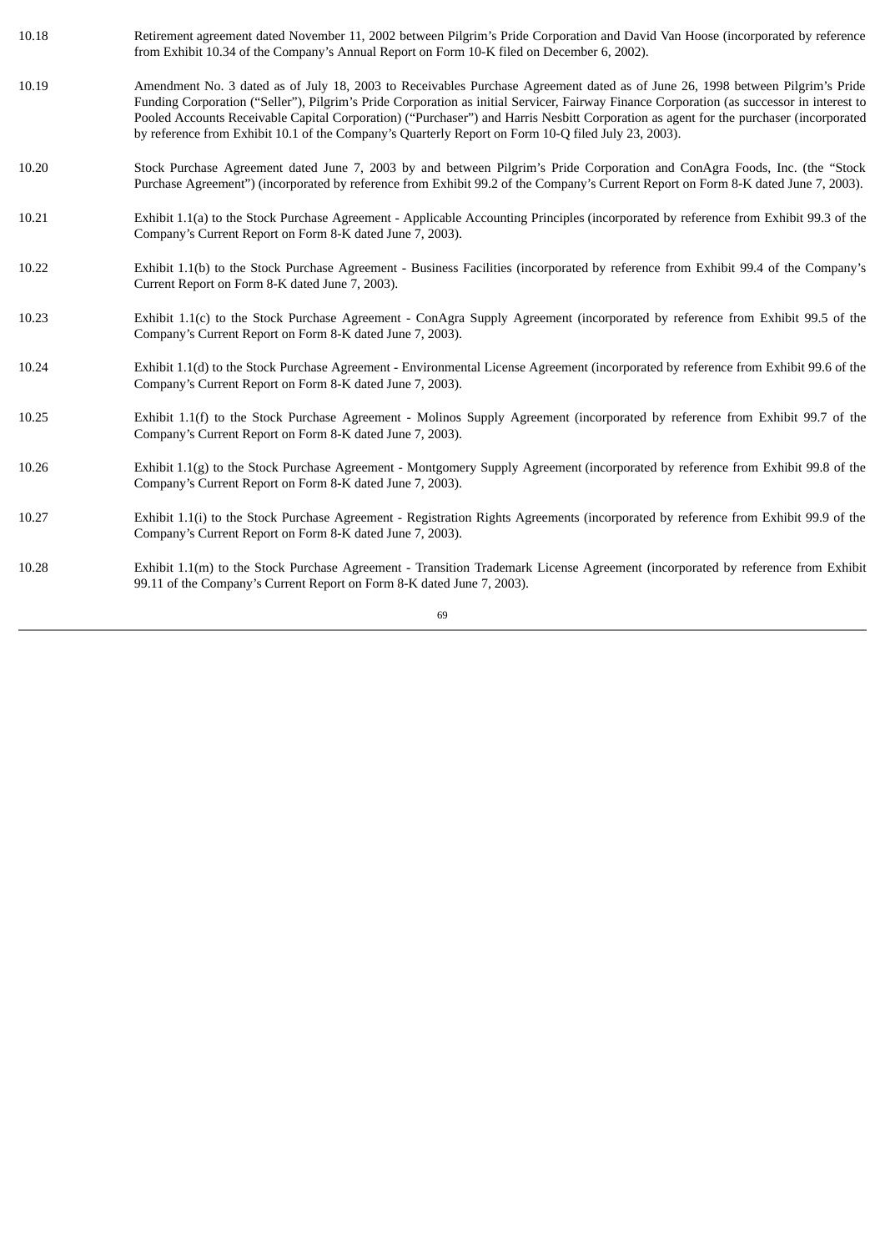- 10.18 Retirement agreement dated November 11, 2002 between Pilgrim's Pride Corporation and David Van Hoose (incorporated by reference from Exhibit 10.34 of the Company's Annual Report on Form 10-K filed on December 6, 2002).
- 10.19 Amendment No. 3 dated as of July 18, 2003 to Receivables Purchase Agreement dated as of June 26, 1998 between Pilgrim's Pride Funding Corporation ("Seller"), Pilgrim's Pride Corporation as initial Servicer, Fairway Finance Corporation (as successor in interest to Pooled Accounts Receivable Capital Corporation) ("Purchaser") and Harris Nesbitt Corporation as agent for the purchaser (incorporated by reference from Exhibit 10.1 of the Company's Quarterly Report on Form 10-Q filed July 23, 2003).
- 10.20 Stock Purchase Agreement dated June 7, 2003 by and between Pilgrim's Pride Corporation and ConAgra Foods, Inc. (the "Stock Purchase Agreement") (incorporated by reference from Exhibit 99.2 of the Company's Current Report on Form 8-K dated June 7, 2003).
- 10.21 Exhibit 1.1(a) to the Stock Purchase Agreement Applicable Accounting Principles (incorporated by reference from Exhibit 99.3 of the Company's Current Report on Form 8-K dated June 7, 2003).
- 10.22 Exhibit 1.1(b) to the Stock Purchase Agreement Business Facilities (incorporated by reference from Exhibit 99.4 of the Company's Current Report on Form 8-K dated June 7, 2003).
- 10.23 Exhibit 1.1(c) to the Stock Purchase Agreement ConAgra Supply Agreement (incorporated by reference from Exhibit 99.5 of the Company's Current Report on Form 8-K dated June 7, 2003).
- 10.24 Exhibit 1.1(d) to the Stock Purchase Agreement Environmental License Agreement (incorporated by reference from Exhibit 99.6 of the Company's Current Report on Form 8-K dated June 7, 2003).
- 10.25 Exhibit 1.1(f) to the Stock Purchase Agreement Molinos Supply Agreement (incorporated by reference from Exhibit 99.7 of the Company's Current Report on Form 8-K dated June 7, 2003).
- 10.26 Exhibit 1.1(g) to the Stock Purchase Agreement Montgomery Supply Agreement (incorporated by reference from Exhibit 99.8 of the Company's Current Report on Form 8-K dated June 7, 2003).
- 10.27 Exhibit 1.1(i) to the Stock Purchase Agreement Registration Rights Agreements (incorporated by reference from Exhibit 99.9 of the Company's Current Report on Form 8-K dated June 7, 2003).
- 10.28 Exhibit 1.1(m) to the Stock Purchase Agreement Transition Trademark License Agreement (incorporated by reference from Exhibit 99.11 of the Company's Current Report on Form 8-K dated June 7, 2003).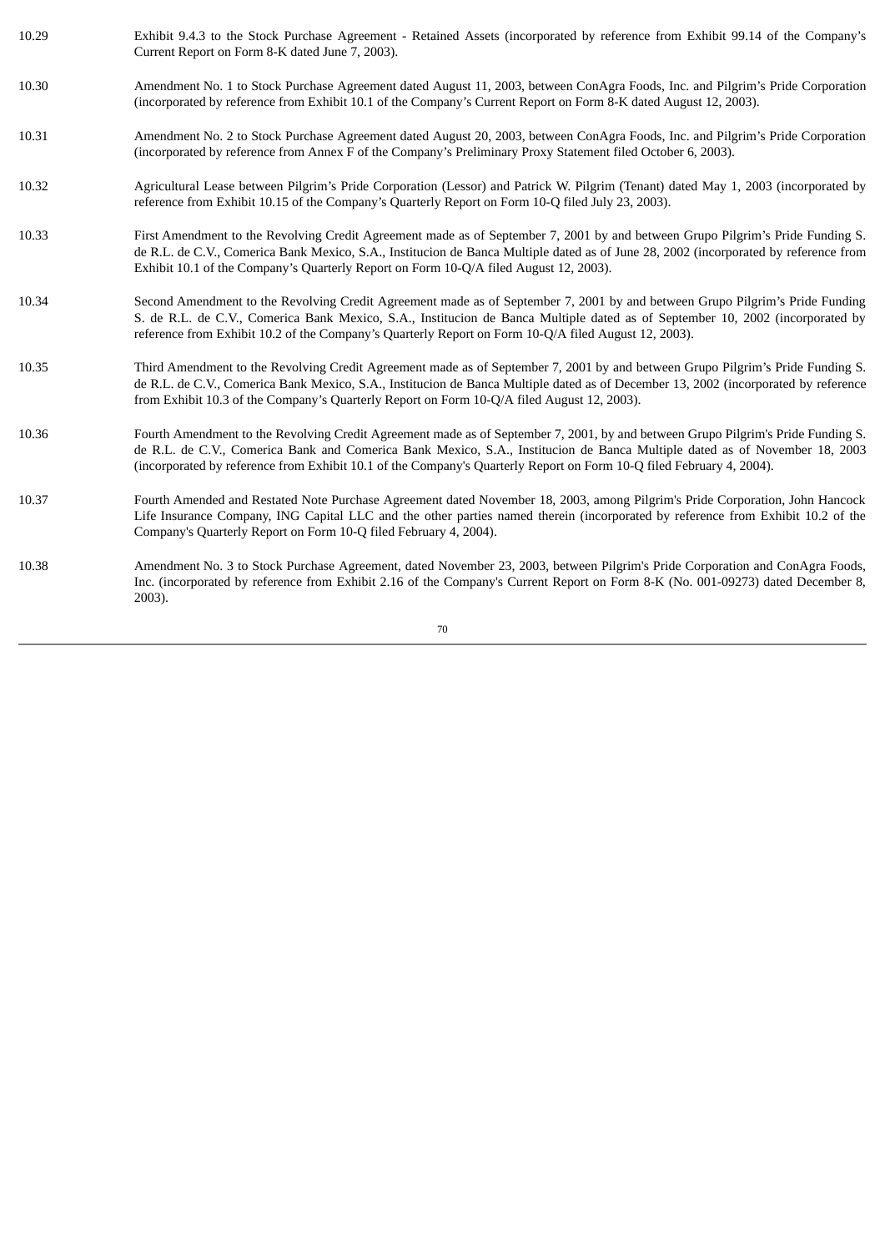- 10.29 Exhibit 9.4.3 to the Stock Purchase Agreement Retained Assets (incorporated by reference from Exhibit 99.14 of the Company's Current Report on Form 8-K dated June 7, 2003).
- 10.30 Amendment No. 1 to Stock Purchase Agreement dated August 11, 2003, between ConAgra Foods, Inc. and Pilgrim's Pride Corporation (incorporated by reference from Exhibit 10.1 of the Company's Current Report on Form 8-K dated August 12, 2003).
- 10.31 Amendment No. 2 to Stock Purchase Agreement dated August 20, 2003, between ConAgra Foods, Inc. and Pilgrim's Pride Corporation (incorporated by reference from Annex F of the Company's Preliminary Proxy Statement filed October 6, 2003).
- 10.32 Agricultural Lease between Pilgrim's Pride Corporation (Lessor) and Patrick W. Pilgrim (Tenant) dated May 1, 2003 (incorporated by reference from Exhibit 10.15 of the Company's Quarterly Report on Form 10-Q filed July 23, 2003).
- 10.33 First Amendment to the Revolving Credit Agreement made as of September 7, 2001 by and between Grupo Pilgrim's Pride Funding S. de R.L. de C.V., Comerica Bank Mexico, S.A., Institucion de Banca Multiple dated as of June 28, 2002 (incorporated by reference from Exhibit 10.1 of the Company's Quarterly Report on Form 10-Q/A filed August 12, 2003).
- 10.34 Second Amendment to the Revolving Credit Agreement made as of September 7, 2001 by and between Grupo Pilgrim's Pride Funding S. de R.L. de C.V., Comerica Bank Mexico, S.A., Institucion de Banca Multiple dated as of September 10, 2002 (incorporated by reference from Exhibit 10.2 of the Company's Quarterly Report on Form 10-Q/A filed August 12, 2003).
- 10.35 Third Amendment to the Revolving Credit Agreement made as of September 7, 2001 by and between Grupo Pilgrim's Pride Funding S. de R.L. de C.V., Comerica Bank Mexico, S.A., Institucion de Banca Multiple dated as of December 13, 2002 (incorporated by reference from Exhibit 10.3 of the Company's Quarterly Report on Form 10-Q/A filed August 12, 2003).
- 10.36 Fourth Amendment to the Revolving Credit Agreement made as of September 7, 2001, by and between Grupo Pilgrim's Pride Funding S. de R.L. de C.V., Comerica Bank and Comerica Bank Mexico, S.A., Institucion de Banca Multiple dated as of November 18, 2003 (incorporated by reference from Exhibit 10.1 of the Company's Quarterly Report on Form 10-Q filed February 4, 2004).
- 10.37 Fourth Amended and Restated Note Purchase Agreement dated November 18, 2003, among Pilgrim's Pride Corporation, John Hancock Life Insurance Company, ING Capital LLC and the other parties named therein (incorporated by reference from Exhibit 10.2 of the Company's Quarterly Report on Form 10-Q filed February 4, 2004).
- 10.38 Amendment No. 3 to Stock Purchase Agreement, dated November 23, 2003, between Pilgrim's Pride Corporation and ConAgra Foods, Inc. (incorporated by reference from Exhibit 2.16 of the Company's Current Report on Form 8-K (No. 001-09273) dated December 8, 2003).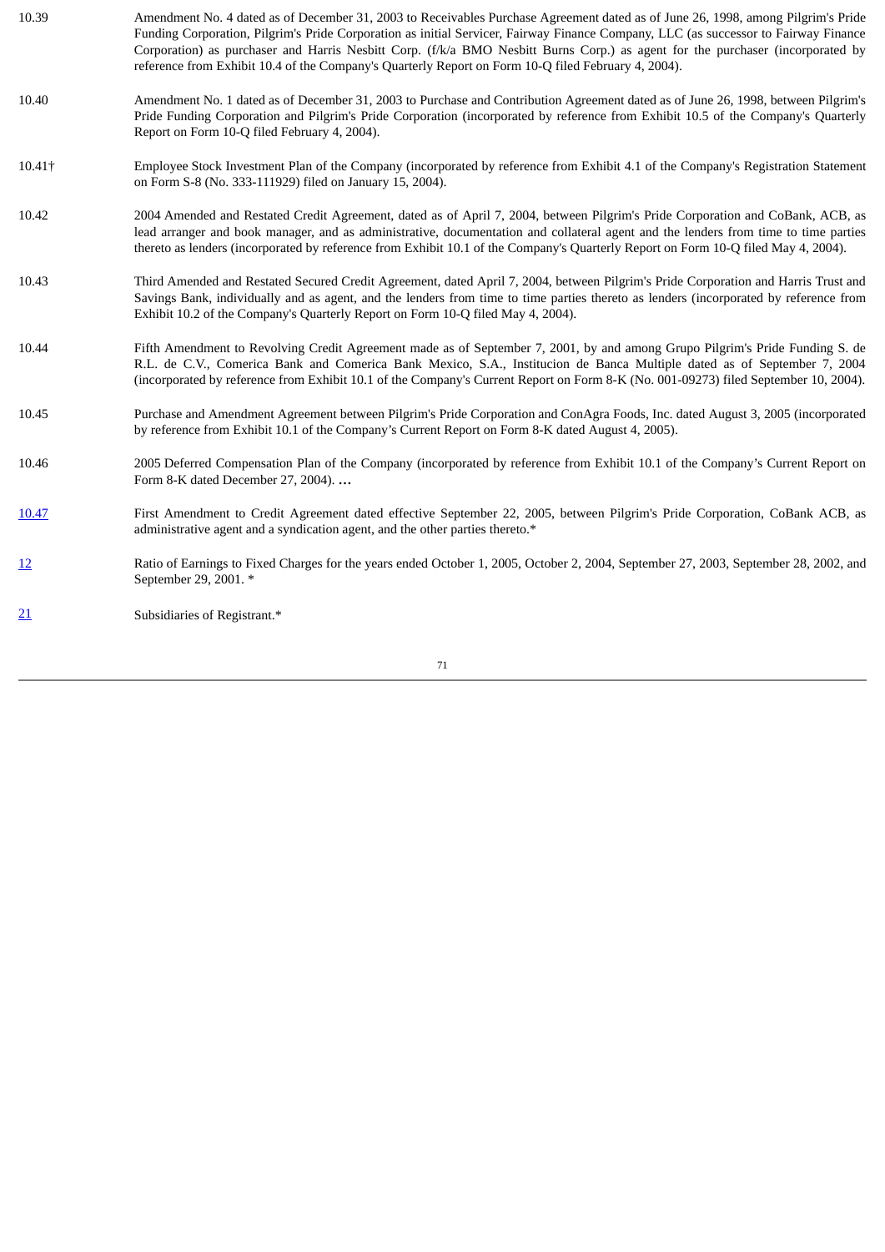- 10.39 Amendment No. 4 dated as of December 31, 2003 to Receivables Purchase Agreement dated as of June 26, 1998, among Pilgrim's Pride Funding Corporation, Pilgrim's Pride Corporation as initial Servicer, Fairway Finance Company, LLC (as successor to Fairway Finance Corporation) as purchaser and Harris Nesbitt Corp. (f/k/a BMO Nesbitt Burns Corp.) as agent for the purchaser (incorporated by reference from Exhibit 10.4 of the Company's Quarterly Report on Form 10-Q filed February 4, 2004).
- 10.40 Amendment No. 1 dated as of December 31, 2003 to Purchase and Contribution Agreement dated as of June 26, 1998, between Pilgrim's Pride Funding Corporation and Pilgrim's Pride Corporation (incorporated by reference from Exhibit 10.5 of the Company's Quarterly Report on Form 10-Q filed February 4, 2004).
- 10.41† Employee Stock Investment Plan of the Company (incorporated by reference from Exhibit 4.1 of the Company's Registration Statement on Form S-8 (No. 333-111929) filed on January 15, 2004).
- 10.42 2004 Amended and Restated Credit Agreement, dated as of April 7, 2004, between Pilgrim's Pride Corporation and CoBank, ACB, as lead arranger and book manager, and as administrative, documentation and collateral agent and the lenders from time to time parties thereto as lenders (incorporated by reference from Exhibit 10.1 of the Company's Quarterly Report on Form 10-Q filed May 4, 2004).
- 10.43 Third Amended and Restated Secured Credit Agreement, dated April 7, 2004, between Pilgrim's Pride Corporation and Harris Trust and Savings Bank, individually and as agent, and the lenders from time to time parties thereto as lenders (incorporated by reference from Exhibit 10.2 of the Company's Quarterly Report on Form 10-Q filed May 4, 2004).
- 10.44 Fifth Amendment to Revolving Credit Agreement made as of September 7, 2001, by and among Grupo Pilgrim's Pride Funding S. de R.L. de C.V., Comerica Bank and Comerica Bank Mexico, S.A., Institucion de Banca Multiple dated as of September 7, 2004 (incorporated by reference from Exhibit 10.1 of the Company's Current Report on Form 8-K (No. 001-09273) filed September 10, 2004).
- 10.45 Purchase and Amendment Agreement between Pilgrim's Pride Corporation and ConAgra Foods, Inc. dated August 3, 2005 (incorporated by reference from Exhibit 10.1 of the Company's Current Report on Form 8-K dated August 4, 2005).
- 10.46 2005 Deferred Compensation Plan of the Company (incorporated by reference from Exhibit 10.1 of the Company's Current Report on Form 8-K dated December 27, 2004). **…**
- 10.47 First Amendment to Credit Agreement dated effective September 22, 2005, between Pilgrim's Pride Corporation, CoBank ACB, as administrative agent and a syndication agent, and the other parties thereto.\*
- 12 Ratio of Earnings to Fixed Charges for the years ended October 1, 2005, October 2, 2004, September 27, 2003, September 28, 2002, and September 29, 2001. \*
- 21 Subsidiaries of Registrant.\*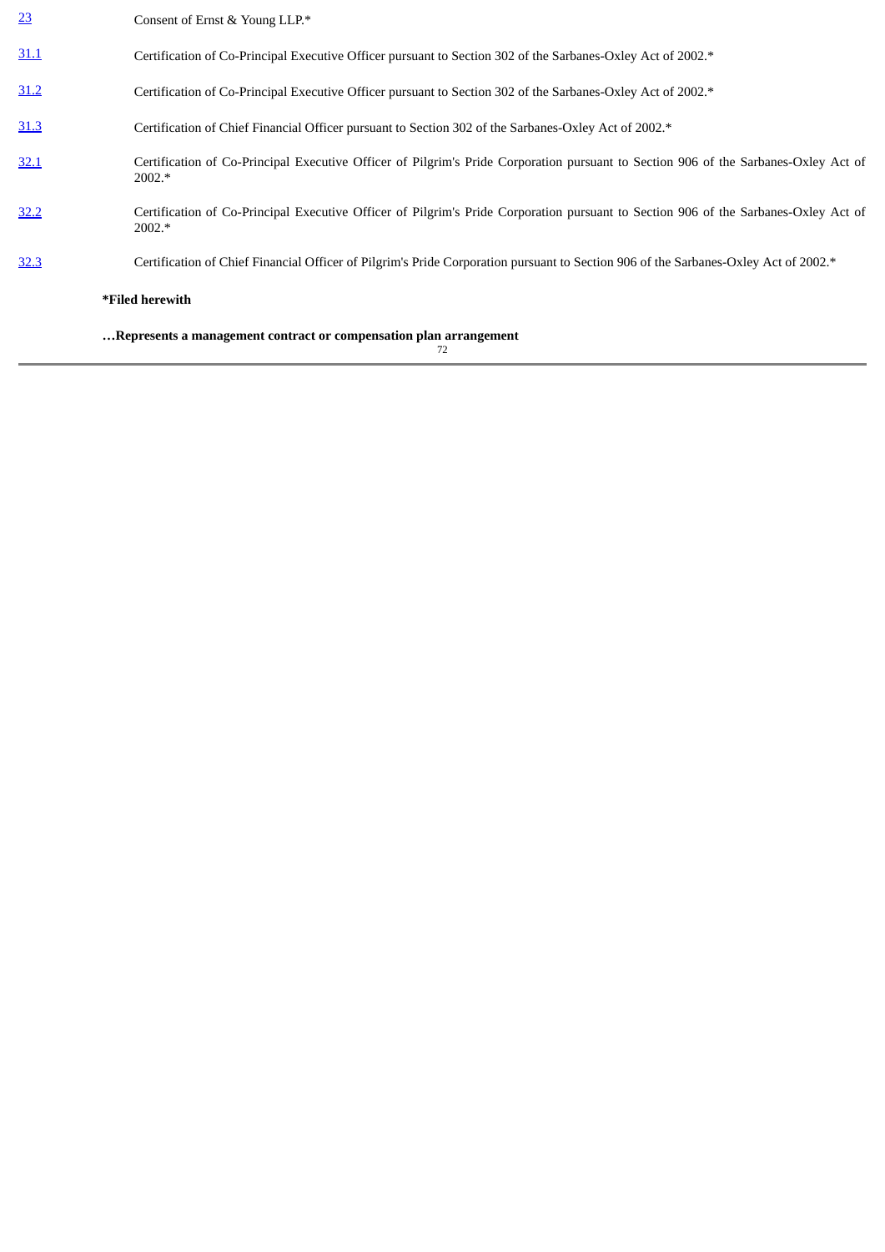| 23          | Consent of Ernst & Young LLP.*                                                                                                                  |
|-------------|-------------------------------------------------------------------------------------------------------------------------------------------------|
| <u>31.1</u> | Certification of Co-Principal Executive Officer pursuant to Section 302 of the Sarbanes-Oxley Act of 2002.*                                     |
| 31.2        | Certification of Co-Principal Executive Officer pursuant to Section 302 of the Sarbanes-Oxley Act of 2002.*                                     |
| 31.3        | Certification of Chief Financial Officer pursuant to Section 302 of the Sarbanes-Oxley Act of 2002.*                                            |
| 32.1        | Certification of Co-Principal Executive Officer of Pilgrim's Pride Corporation pursuant to Section 906 of the Sarbanes-Oxley Act of<br>$2002.*$ |
| 32.2        | Certification of Co-Principal Executive Officer of Pilgrim's Pride Corporation pursuant to Section 906 of the Sarbanes-Oxley Act of<br>2002.*   |
| 32.3        | Certification of Chief Financial Officer of Pilgrim's Pride Corporation pursuant to Section 906 of the Sarbanes-Oxley Act of 2002.*             |
|             | *Filed herewith                                                                                                                                 |
|             | Represents a management contract or compensation plan arrangement                                                                               |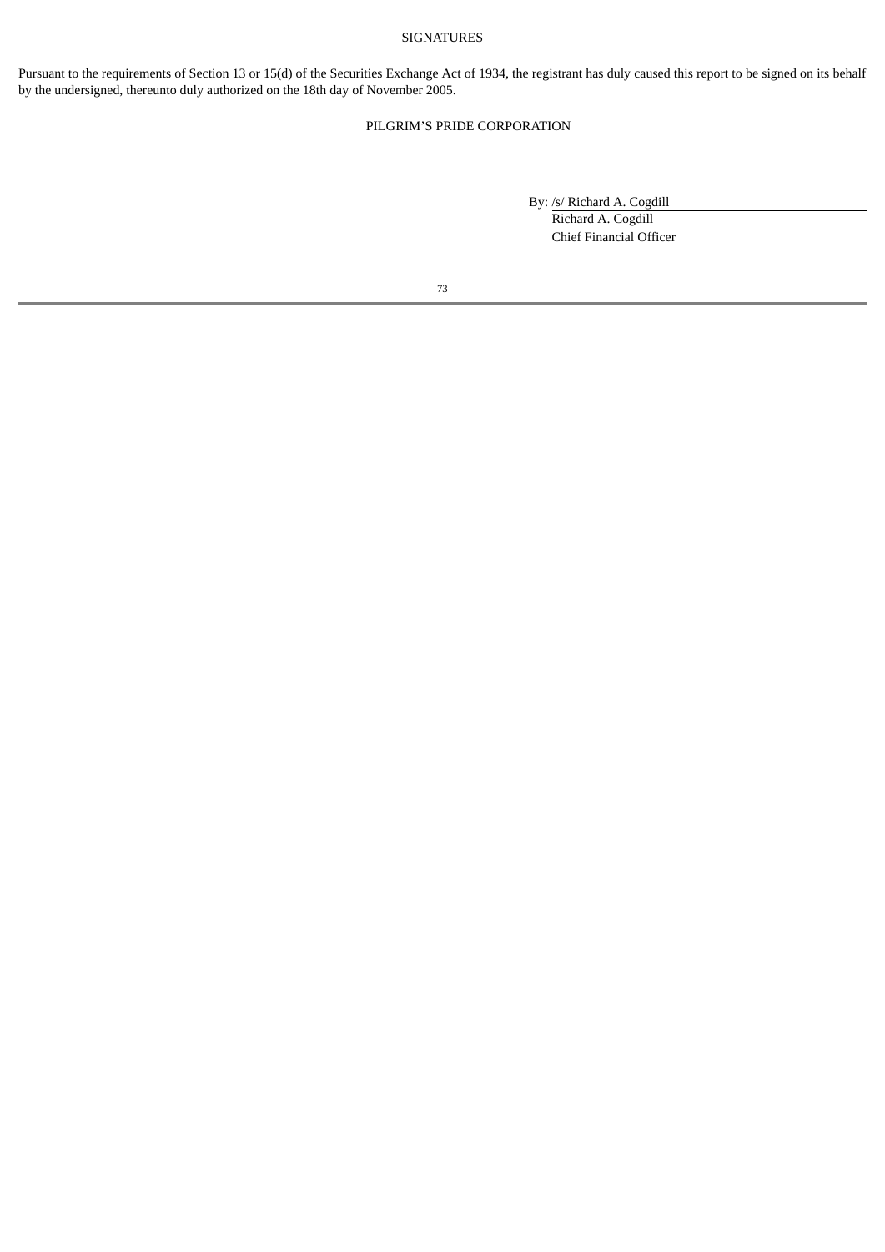### SIGNATURES

Pursuant to the requirements of Section 13 or 15(d) of the Securities Exchange Act of 1934, the registrant has duly caused this report to be signed on its behalf by the undersigned, thereunto duly authorized on the 18th day of November 2005.

# PILGRIM'S PRIDE CORPORATION

By: /s/ Richard A. Cogdill Richard A. Cogdill Chief Financial Officer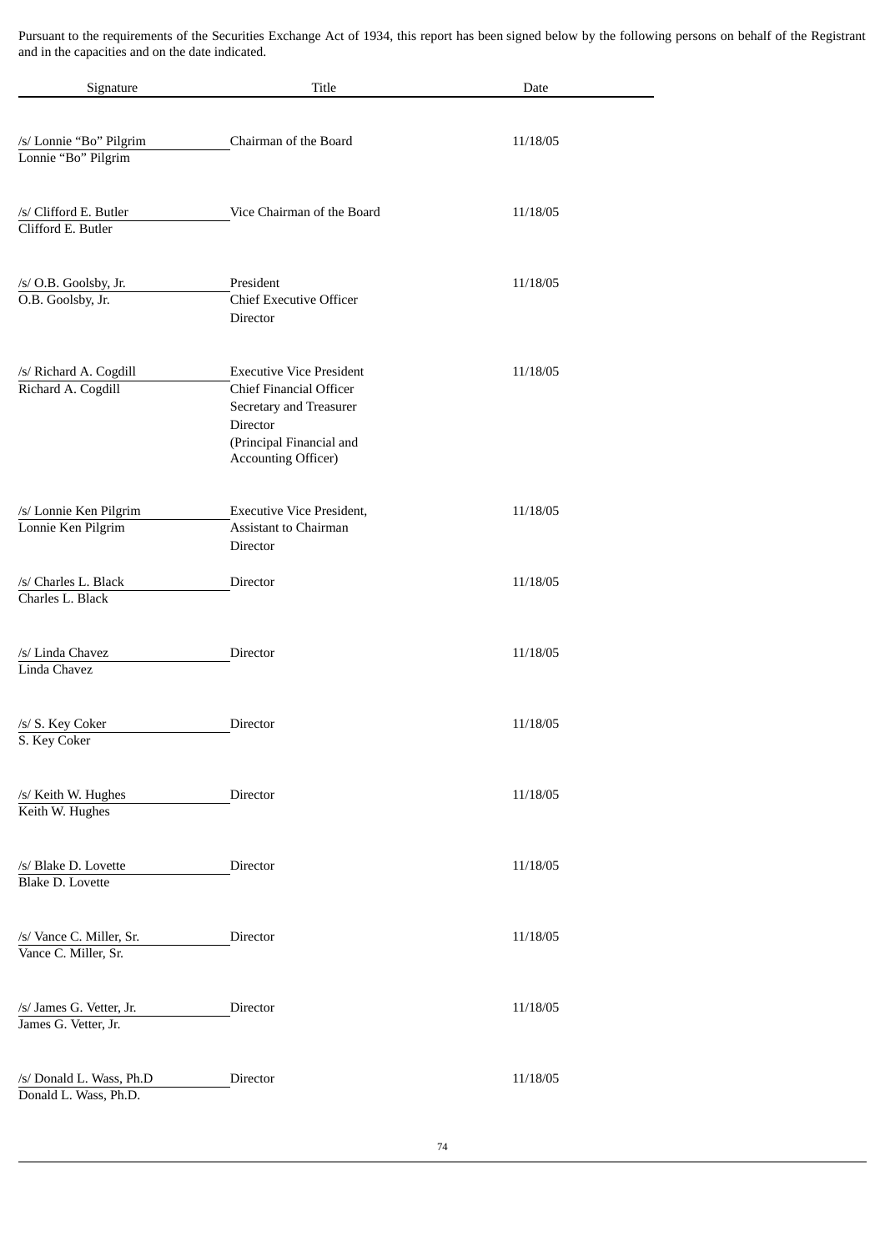Pursuant to the requirements of the Securities Exchange Act of 1934, this report has been signed below by the following persons on behalf of the Registrant and in the capacities and on the date indicated.

| Signature                                         | Title                                                                                                                                                              | Date     |
|---------------------------------------------------|--------------------------------------------------------------------------------------------------------------------------------------------------------------------|----------|
| /s/ Lonnie "Bo" Pilgrim<br>Lonnie "Bo" Pilgrim    | Chairman of the Board                                                                                                                                              | 11/18/05 |
| /s/ Clifford E. Butler<br>Clifford E. Butler      | Vice Chairman of the Board                                                                                                                                         | 11/18/05 |
| /s/ O.B. Goolsby, Jr.<br>O.B. Goolsby, Jr.        | President<br><b>Chief Executive Officer</b><br>Director                                                                                                            | 11/18/05 |
| /s/ Richard A. Cogdill<br>Richard A. Cogdill      | <b>Executive Vice President</b><br>Chief Financial Officer<br>Secretary and Treasurer<br><b>Director</b><br>(Principal Financial and<br><b>Accounting Officer)</b> | 11/18/05 |
| /s/ Lonnie Ken Pilgrim<br>Lonnie Ken Pilgrim      | <b>Executive Vice President,</b><br><b>Assistant to Chairman</b><br>Director                                                                                       | 11/18/05 |
| /s/ Charles L. Black<br>Charles L. Black          | Director                                                                                                                                                           | 11/18/05 |
| /s/ Linda Chavez<br>Linda Chavez                  | Director                                                                                                                                                           | 11/18/05 |
| /s/ S. Key Coker<br>S. Key Coker                  | Director                                                                                                                                                           | 11/18/05 |
| /s/ Keith W. Hughes<br>Keith W. Hughes            | Director                                                                                                                                                           | 11/18/05 |
| /s/ Blake D. Lovette<br><b>Blake D. Lovette</b>   | Director                                                                                                                                                           | 11/18/05 |
| /s/ Vance C. Miller, Sr.<br>Vance C. Miller, Sr.  | Director                                                                                                                                                           | 11/18/05 |
| /s/ James G. Vetter, Jr.<br>James G. Vetter, Jr.  | Director                                                                                                                                                           | 11/18/05 |
| /s/ Donald L. Wass, Ph.D<br>Donald L. Wass, Ph.D. | Director                                                                                                                                                           | 11/18/05 |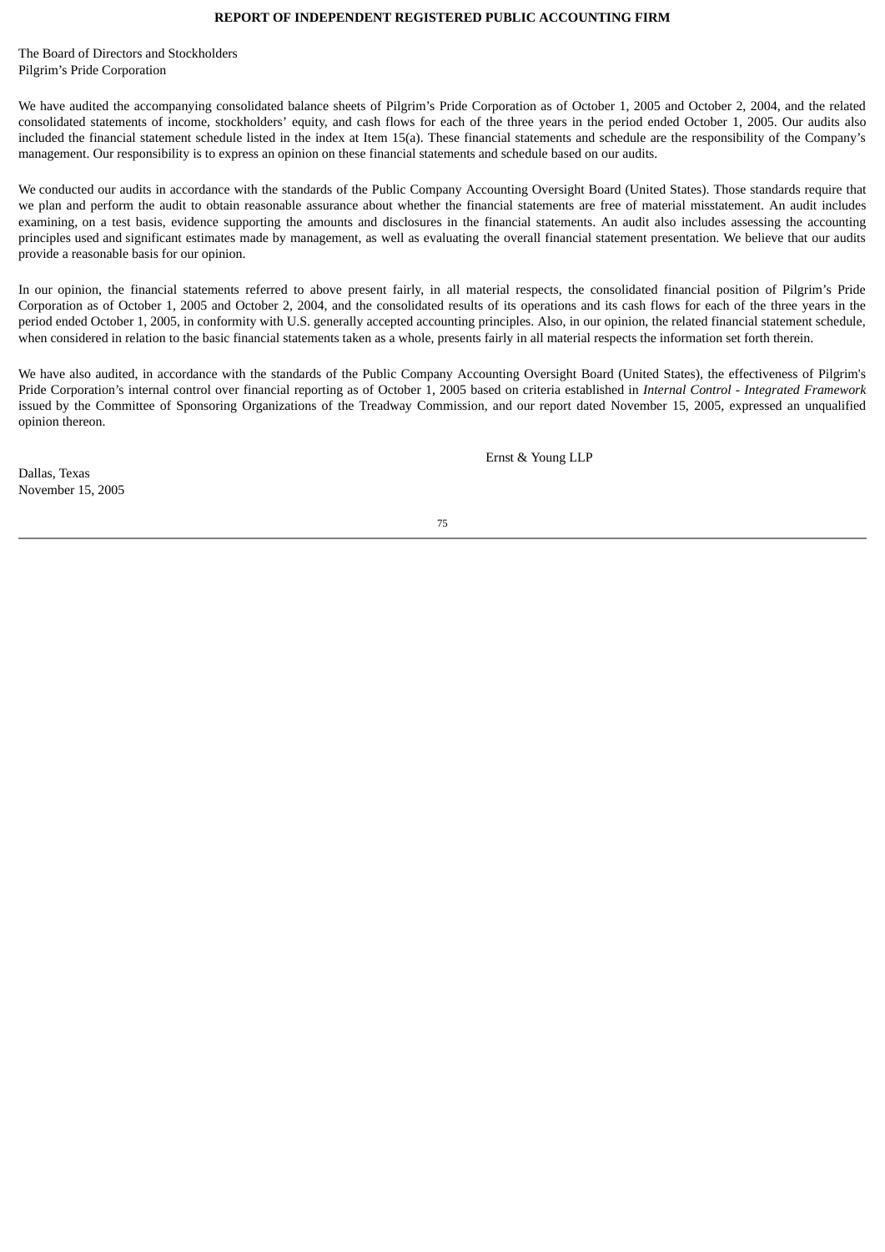### **REPORT OF INDEPENDENT REGISTERED PUBLIC ACCOUNTING FIRM**

The Board of Directors and Stockholders Pilgrim's Pride Corporation

We have audited the accompanying consolidated balance sheets of Pilgrim's Pride Corporation as of October 1, 2005 and October 2, 2004, and the related consolidated statements of income, stockholders' equity, and cash flows for each of the three years in the period ended October 1, 2005. Our audits also included the financial statement schedule listed in the index at Item 15(a). These financial statements and schedule are the responsibility of the Company's management. Our responsibility is to express an opinion on these financial statements and schedule based on our audits.

We conducted our audits in accordance with the standards of the Public Company Accounting Oversight Board (United States). Those standards require that we plan and perform the audit to obtain reasonable assurance about whether the financial statements are free of material misstatement. An audit includes examining, on a test basis, evidence supporting the amounts and disclosures in the financial statements. An audit also includes assessing the accounting principles used and significant estimates made by management, as well as evaluating the overall financial statement presentation. We believe that our audits provide a reasonable basis for our opinion.

In our opinion, the financial statements referred to above present fairly, in all material respects, the consolidated financial position of Pilgrim's Pride Corporation as of October 1, 2005 and October 2, 2004, and the consolidated results of its operations and its cash flows for each of the three years in the period ended October 1, 2005, in conformity with U.S. generally accepted accounting principles. Also, in our opinion, the related financial statement schedule, when considered in relation to the basic financial statements taken as a whole, presents fairly in all material respects the information set forth therein.

We have also audited, in accordance with the standards of the Public Company Accounting Oversight Board (United States), the effectiveness of Pilgrim's Pride Corporation's internal control over financial reporting as of October 1, 2005 based on criteria established in *Internal Control - Integrated Framework* issued by the Committee of Sponsoring Organizations of the Treadway Commission, and our report dated November 15, 2005, expressed an unqualified opinion thereon.

Ernst & Young LLP

Dallas, Texas November 15, 2005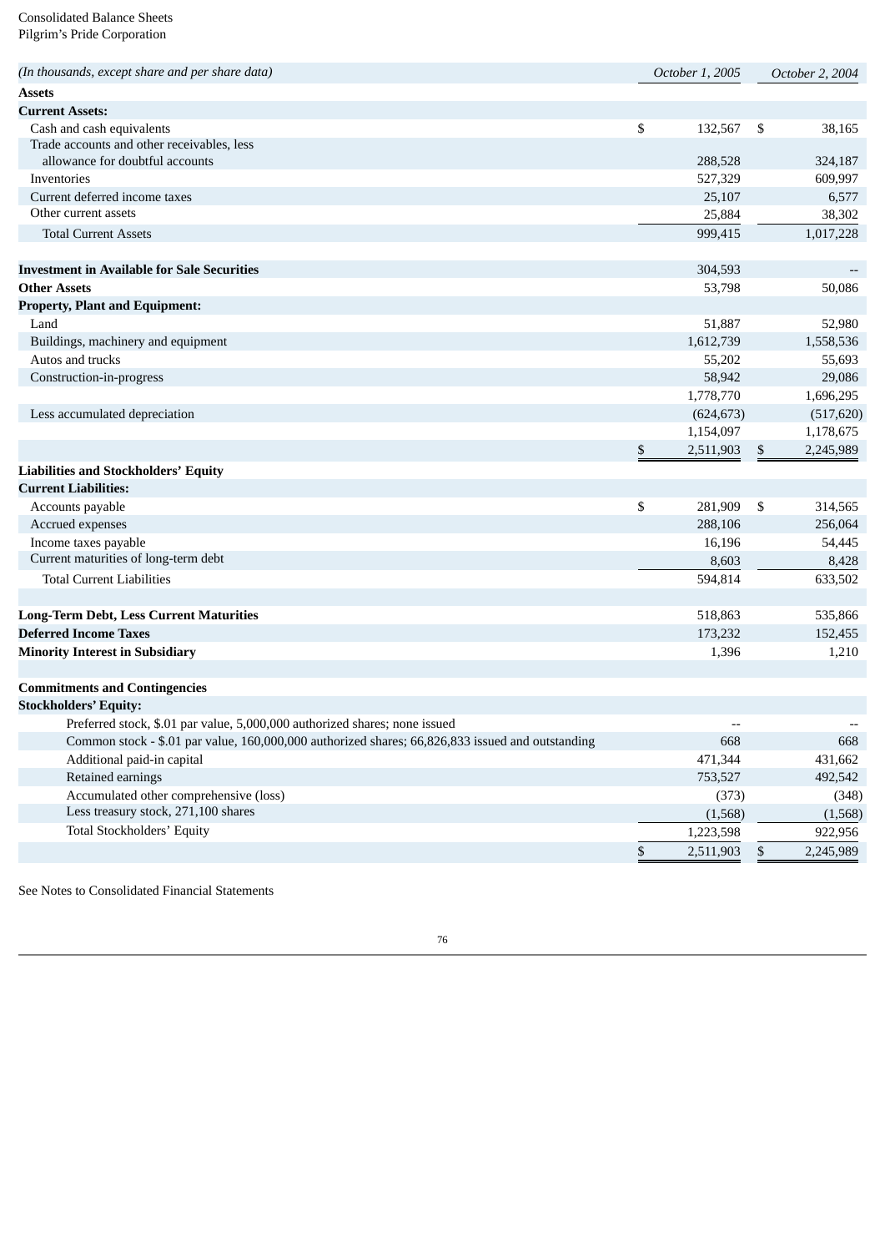Consolidated Balance Sheets Pilgrim's Pride Corporation

| (In thousands, except share and per share data)                                                  | October 1, 2005 | October 2, 2004 |
|--------------------------------------------------------------------------------------------------|-----------------|-----------------|
| Assets                                                                                           |                 |                 |
| <b>Current Assets:</b>                                                                           |                 |                 |
| Cash and cash equivalents                                                                        | \$<br>132,567   | \$<br>38,165    |
| Trade accounts and other receivables, less                                                       |                 |                 |
| allowance for doubtful accounts                                                                  | 288,528         | 324,187         |
| Inventories                                                                                      | 527,329         | 609,997         |
| Current deferred income taxes                                                                    | 25,107          | 6,577           |
| Other current assets                                                                             | 25,884          | 38,302          |
| <b>Total Current Assets</b>                                                                      | 999,415         | 1,017,228       |
| <b>Investment in Available for Sale Securities</b>                                               | 304,593         |                 |
| <b>Other Assets</b>                                                                              | 53,798          | 50,086          |
| <b>Property, Plant and Equipment:</b>                                                            |                 |                 |
| Land                                                                                             | 51,887          | 52,980          |
| Buildings, machinery and equipment                                                               | 1,612,739       | 1,558,536       |
| Autos and trucks                                                                                 | 55,202          | 55,693          |
| Construction-in-progress                                                                         | 58,942          | 29,086          |
|                                                                                                  | 1,778,770       | 1,696,295       |
| Less accumulated depreciation                                                                    | (624, 673)      | (517, 620)      |
|                                                                                                  | 1,154,097       | 1,178,675       |
|                                                                                                  | \$<br>2,511,903 | \$<br>2,245,989 |
| <b>Liabilities and Stockholders' Equity</b>                                                      |                 |                 |
| <b>Current Liabilities:</b>                                                                      |                 |                 |
| Accounts payable                                                                                 | \$<br>281,909   | \$<br>314,565   |
| Accrued expenses                                                                                 | 288,106         | 256,064         |
| Income taxes payable                                                                             | 16,196          | 54,445          |
| Current maturities of long-term debt                                                             | 8,603           | 8,428           |
| <b>Total Current Liabilities</b>                                                                 | 594,814         | 633,502         |
|                                                                                                  |                 |                 |
| <b>Long-Term Debt, Less Current Maturities</b>                                                   | 518,863         | 535,866         |
| <b>Deferred Income Taxes</b>                                                                     | 173,232         | 152,455         |
| <b>Minority Interest in Subsidiary</b>                                                           | 1,396           | 1,210           |
|                                                                                                  |                 |                 |
| <b>Commitments and Contingencies</b>                                                             |                 |                 |
| <b>Stockholders' Equity:</b>                                                                     |                 |                 |
| Preferred stock, \$.01 par value, 5,000,000 authorized shares; none issued                       |                 |                 |
| Common stock - \$.01 par value, 160,000,000 authorized shares; 66,826,833 issued and outstanding | 668             | 668             |
| Additional paid-in capital                                                                       | 471,344         | 431,662         |
| Retained earnings                                                                                | 753,527         | 492,542         |
| Accumulated other comprehensive (loss)                                                           | (373)           | (348)           |
| Less treasury stock, 271,100 shares                                                              | (1,568)         | (1,568)         |
| Total Stockholders' Equity                                                                       | 1,223,598       | 922,956         |
|                                                                                                  | \$<br>2,511,903 | \$<br>2,245,989 |

See Notes to Consolidated Financial Statements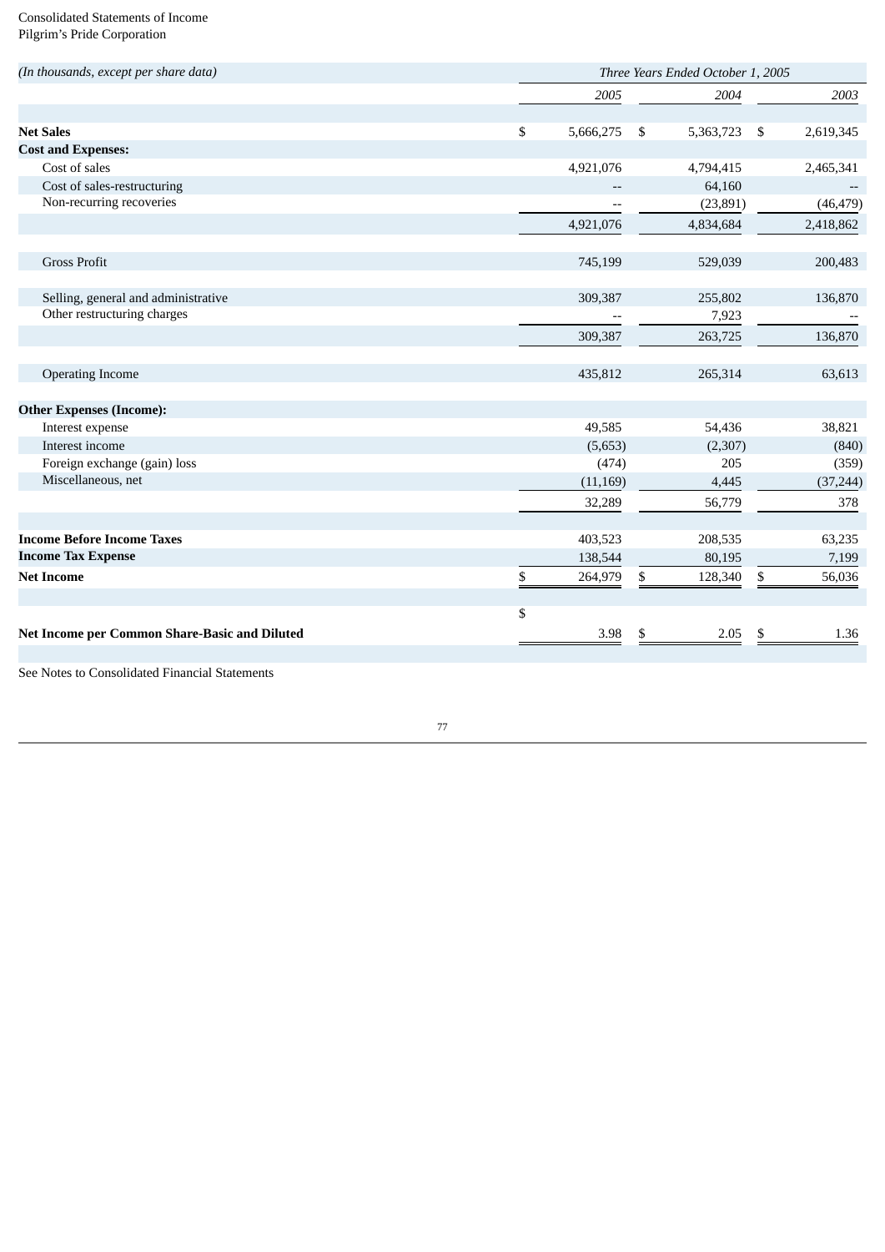## Consolidated Statements of Income Pilgrim's Pride Corporation

| (In thousands, except per share data)         | Three Years Ended October 1, 2005 |                            |                  |  |  |  |
|-----------------------------------------------|-----------------------------------|----------------------------|------------------|--|--|--|
|                                               | 2005                              | 2004                       | 2003             |  |  |  |
| <b>Net Sales</b>                              | \$<br>5,666,275                   | $\mathfrak s$<br>5,363,723 | 2,619,345<br>-\$ |  |  |  |
| <b>Cost and Expenses:</b>                     |                                   |                            |                  |  |  |  |
| Cost of sales                                 | 4,921,076                         | 4,794,415                  | 2,465,341        |  |  |  |
| Cost of sales-restructuring                   |                                   | 64,160                     |                  |  |  |  |
| Non-recurring recoveries                      |                                   | (23, 891)                  | (46, 479)        |  |  |  |
|                                               | 4,921,076                         | 4,834,684                  | 2,418,862        |  |  |  |
| <b>Gross Profit</b>                           | 745,199                           | 529,039                    | 200,483          |  |  |  |
|                                               |                                   |                            |                  |  |  |  |
| Selling, general and administrative           | 309,387                           | 255,802                    | 136,870          |  |  |  |
| Other restructuring charges                   |                                   | 7,923                      |                  |  |  |  |
|                                               | 309,387                           | 263,725                    | 136,870          |  |  |  |
| <b>Operating Income</b>                       | 435,812                           | 265,314                    | 63,613           |  |  |  |
| <b>Other Expenses (Income):</b>               |                                   |                            |                  |  |  |  |
| Interest expense                              | 49,585                            | 54,436                     | 38,821           |  |  |  |
| Interest income                               | (5,653)                           | (2,307)                    | (840)            |  |  |  |
| Foreign exchange (gain) loss                  | (474)                             | 205                        | (359)            |  |  |  |
| Miscellaneous, net                            | (11, 169)                         | 4,445                      | (37, 244)        |  |  |  |
|                                               | 32,289                            | 56,779                     | 378              |  |  |  |
| <b>Income Before Income Taxes</b>             | 403,523                           | 208,535                    | 63,235           |  |  |  |
| <b>Income Tax Expense</b>                     | 138,544                           | 80,195                     | 7,199            |  |  |  |
| <b>Net Income</b>                             | \$<br>264,979                     | 128,340<br>\$              | \$<br>56,036     |  |  |  |
|                                               | \$                                |                            |                  |  |  |  |
| Net Income per Common Share-Basic and Diluted | 3.98                              | \$<br>2.05                 | \$<br>1.36       |  |  |  |
|                                               |                                   |                            |                  |  |  |  |

See Notes to Consolidated Financial Statements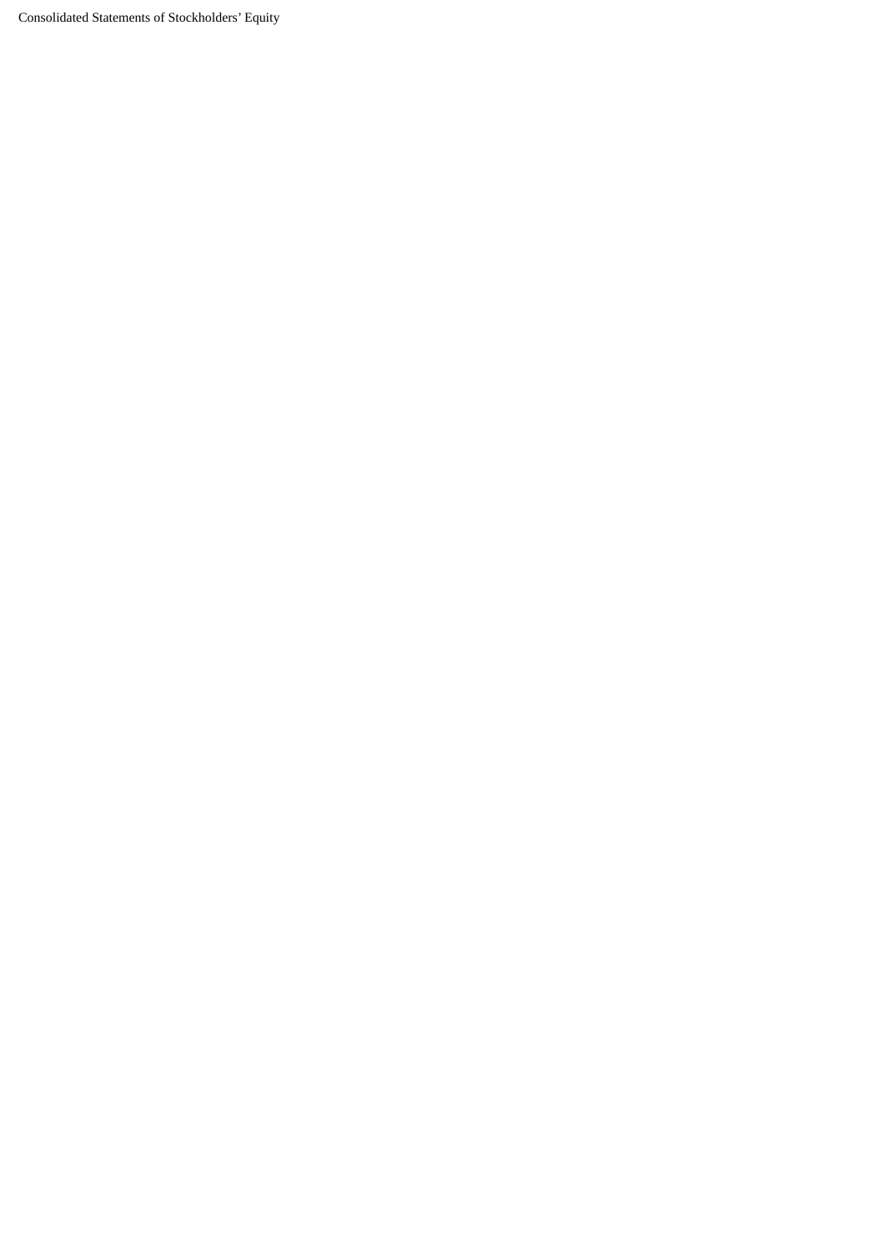Consolidated Statements of Stockholders' Equity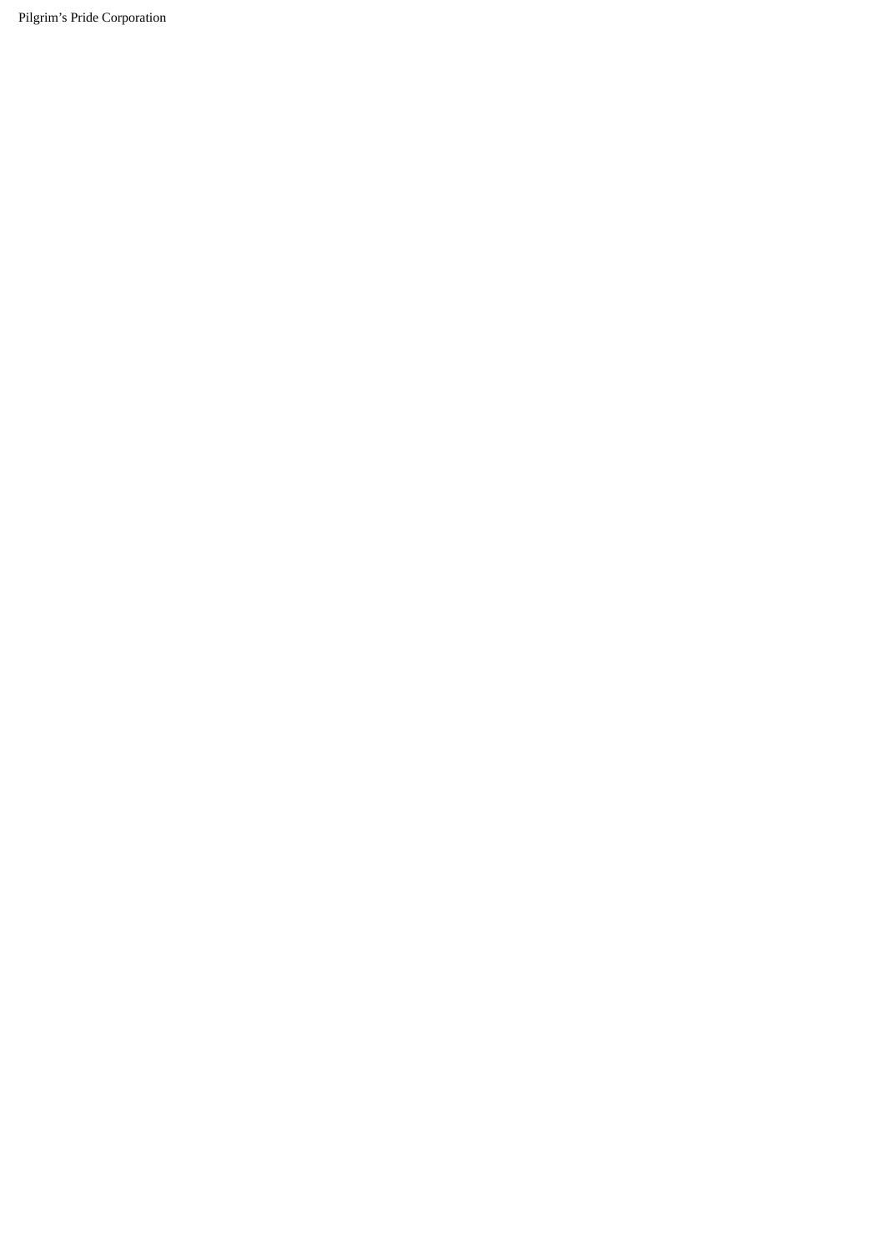Pilgrim's Pride Corporation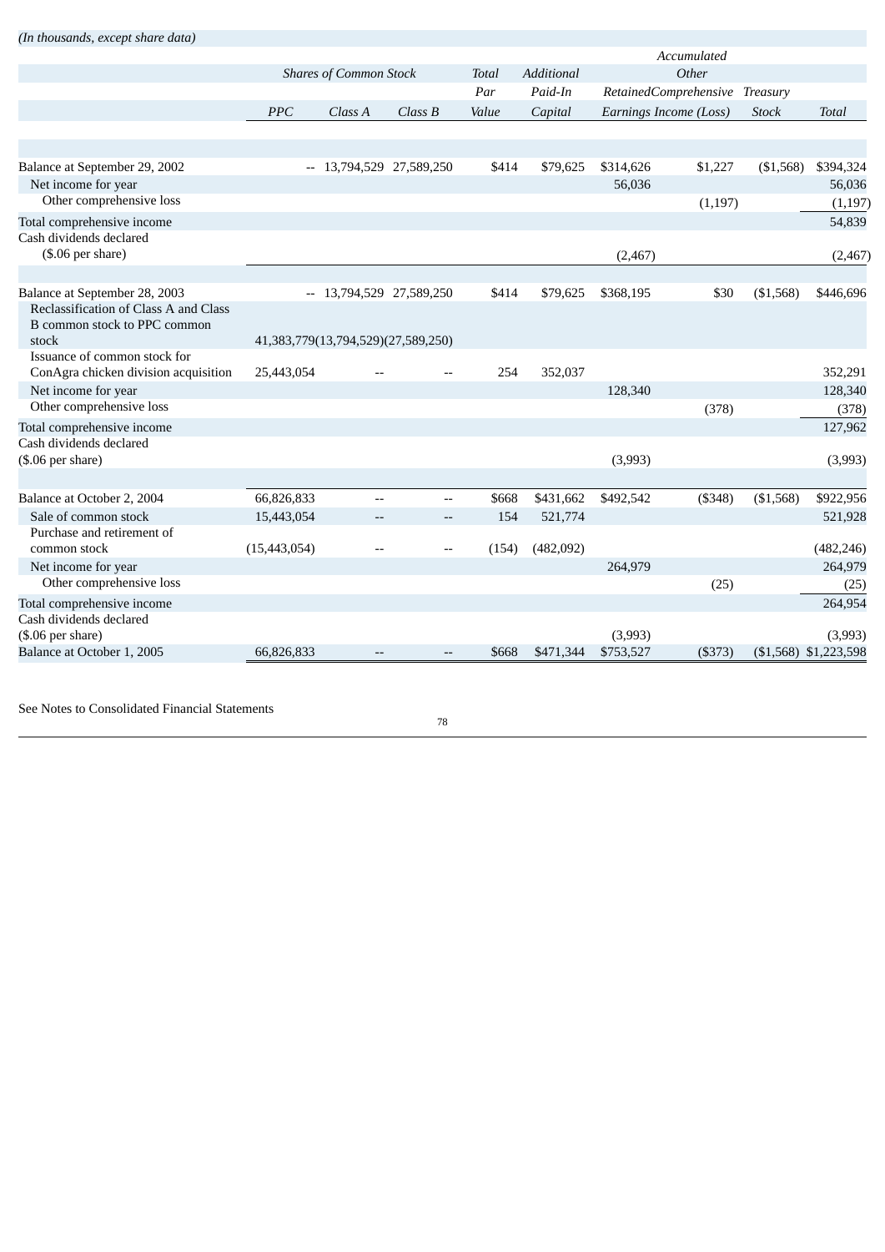### *(In thousands, except share data)*

| (In thousands, except share data)     |                |                                    |                          |       |                   |                        |                                |              |                       |
|---------------------------------------|----------------|------------------------------------|--------------------------|-------|-------------------|------------------------|--------------------------------|--------------|-----------------------|
|                                       |                |                                    |                          |       |                   |                        | Accumulated                    |              |                       |
|                                       |                | <b>Shares of Common Stock</b>      |                          | Total | <b>Additional</b> |                        | Other                          |              |                       |
|                                       |                |                                    |                          | Par   | Paid-In           |                        | RetainedComprehensive Treasury |              |                       |
|                                       | <b>PPC</b>     | Class A                            | Class B                  | Value | Capital           | Earnings Income (Loss) |                                | <b>Stock</b> | Total                 |
|                                       |                |                                    |                          |       |                   |                        |                                |              |                       |
|                                       |                |                                    |                          |       |                   |                        |                                |              |                       |
| Balance at September 29, 2002         |                | -- 13,794,529 27,589,250           |                          | \$414 | \$79,625          | \$314,626              | \$1,227                        | (\$1,568)    | \$394,324             |
| Net income for year                   |                |                                    |                          |       |                   | 56,036                 |                                |              | 56,036                |
| Other comprehensive loss              |                |                                    |                          |       |                   |                        | (1, 197)                       |              | (1,197)               |
| Total comprehensive income            |                |                                    |                          |       |                   |                        |                                |              | 54,839                |
| Cash dividends declared               |                |                                    |                          |       |                   |                        |                                |              |                       |
| $($.06$ per share)                    |                |                                    |                          |       |                   | (2,467)                |                                |              | (2, 467)              |
|                                       |                |                                    |                          |       |                   |                        |                                |              |                       |
| Balance at September 28, 2003         |                | -- 13,794,529 27,589,250           |                          | \$414 | \$79,625          | \$368,195              | \$30                           | (\$1,568)    | \$446,696             |
| Reclassification of Class A and Class |                |                                    |                          |       |                   |                        |                                |              |                       |
| B common stock to PPC common          |                |                                    |                          |       |                   |                        |                                |              |                       |
| stock                                 |                | 41,383,779(13,794,529)(27,589,250) |                          |       |                   |                        |                                |              |                       |
| Issuance of common stock for          |                |                                    |                          |       |                   |                        |                                |              |                       |
| ConAgra chicken division acquisition  | 25,443,054     |                                    |                          | 254   | 352,037           |                        |                                |              | 352,291               |
| Net income for year                   |                |                                    |                          |       |                   | 128,340                |                                |              | 128,340               |
| Other comprehensive loss              |                |                                    |                          |       |                   |                        | (378)                          |              | (378)                 |
| Total comprehensive income            |                |                                    |                          |       |                   |                        |                                |              | 127,962               |
| Cash dividends declared               |                |                                    |                          |       |                   |                        |                                |              |                       |
| $($.06$ per share)                    |                |                                    |                          |       |                   | (3,993)                |                                |              | (3,993)               |
|                                       |                |                                    |                          |       |                   |                        |                                |              |                       |
| Balance at October 2, 2004            | 66,826,833     | $\overline{\phantom{a}}$           | --                       | \$668 | \$431,662         | \$492,542              | (\$348)                        | (\$1,568)    | \$922,956             |
| Sale of common stock                  | 15,443,054     | --                                 | $\overline{\phantom{a}}$ | 154   | 521,774           |                        |                                |              | 521,928               |
| Purchase and retirement of            |                |                                    |                          |       |                   |                        |                                |              |                       |
| common stock                          | (15, 443, 054) | $-$                                | $\overline{\phantom{m}}$ | (154) | (482,092)         |                        |                                |              | (482, 246)            |
| Net income for year                   |                |                                    |                          |       |                   | 264,979                |                                |              | 264,979               |
| Other comprehensive loss              |                |                                    |                          |       |                   |                        | (25)                           |              | (25)                  |
| Total comprehensive income            |                |                                    |                          |       |                   |                        |                                |              | 264,954               |
| Cash dividends declared               |                |                                    |                          |       |                   |                        |                                |              |                       |
| $($.06$ per share)                    |                |                                    |                          |       |                   | (3,993)                |                                |              | (3,993)               |
| Balance at October 1, 2005            | 66,826,833     | $\overline{\phantom{a}}$           | $\qquad \qquad -$        | \$668 | \$471,344         | \$753,527              | ( \$373)                       |              | $(1,568)$ \$1,223,598 |

See Notes to Consolidated Financial Statements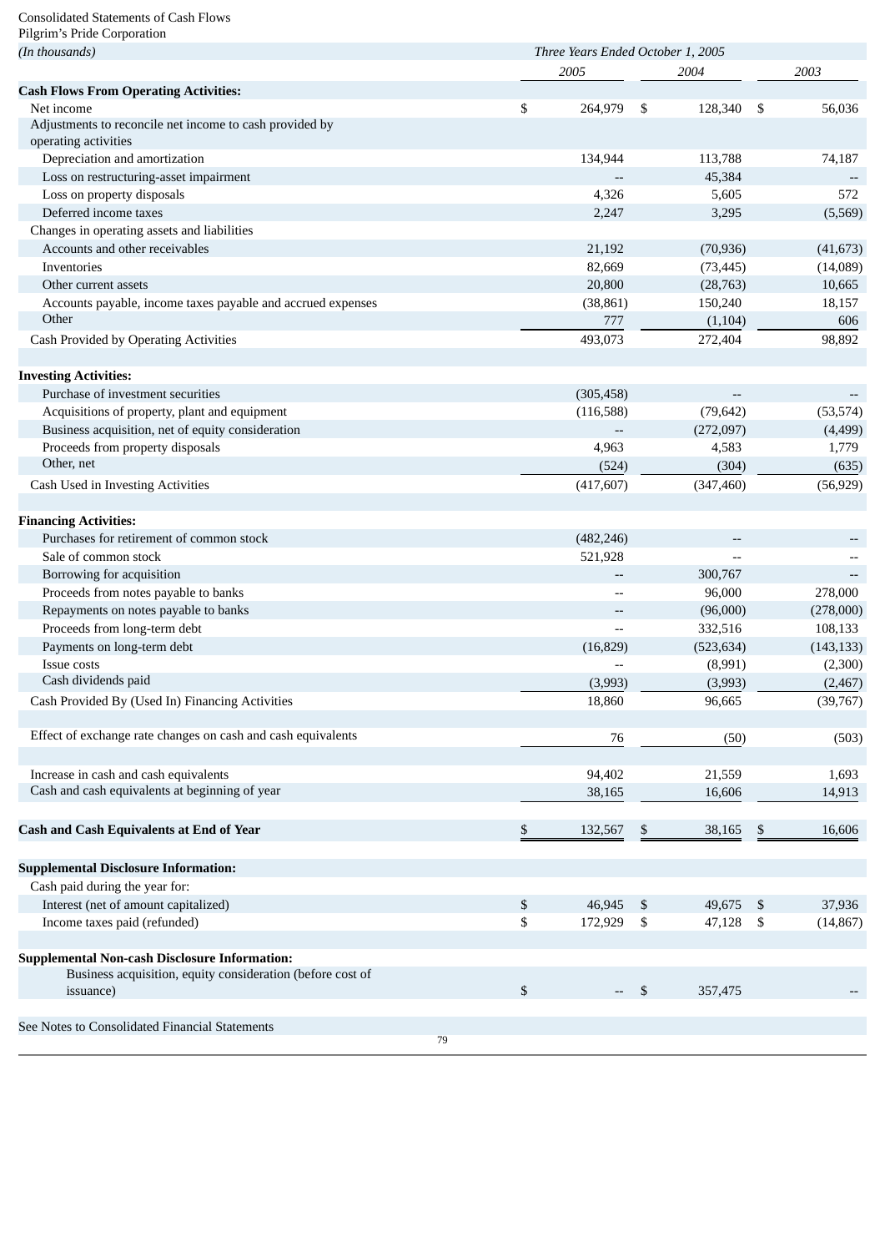Consolidated Statements of Cash Flows

| Consolidated Statements of Cash Flows<br>Pilgrim's Pride Corporation            |                                   |      |            |               |            |  |
|---------------------------------------------------------------------------------|-----------------------------------|------|------------|---------------|------------|--|
| (In thousands)                                                                  | Three Years Ended October 1, 2005 |      |            |               |            |  |
|                                                                                 | 2005                              |      | 2004       |               | 2003       |  |
| <b>Cash Flows From Operating Activities:</b>                                    |                                   |      |            |               |            |  |
| Net income                                                                      | \$<br>264,979                     | - \$ | 128,340    | - \$          | 56,036     |  |
| Adjustments to reconcile net income to cash provided by<br>operating activities |                                   |      |            |               |            |  |
| Depreciation and amortization                                                   | 134,944                           |      | 113,788    |               | 74,187     |  |
| Loss on restructuring-asset impairment                                          |                                   |      | 45,384     |               |            |  |
| Loss on property disposals                                                      | 4,326                             |      | 5,605      |               | 572        |  |
| Deferred income taxes                                                           | 2,247                             |      | 3,295      |               | (5,569)    |  |
| Changes in operating assets and liabilities                                     |                                   |      |            |               |            |  |
| Accounts and other receivables                                                  | 21,192                            |      | (70, 936)  |               | (41, 673)  |  |
| Inventories                                                                     | 82,669                            |      | (73, 445)  |               | (14,089)   |  |
| Other current assets                                                            | 20,800                            |      | (28, 763)  |               | 10,665     |  |
| Accounts payable, income taxes payable and accrued expenses                     | (38, 861)                         |      | 150,240    |               | 18,157     |  |
| Other                                                                           | 777                               |      | (1, 104)   |               | 606        |  |
| Cash Provided by Operating Activities                                           | 493,073                           |      | 272,404    |               | 98,892     |  |
|                                                                                 |                                   |      |            |               |            |  |
| <b>Investing Activities:</b>                                                    |                                   |      |            |               |            |  |
| Purchase of investment securities                                               | (305, 458)                        |      |            |               |            |  |
| Acquisitions of property, plant and equipment                                   | (116, 588)                        |      | (79, 642)  |               | (53, 574)  |  |
| Business acquisition, net of equity consideration                               |                                   |      | (272,097)  |               | (4, 499)   |  |
| Proceeds from property disposals                                                | 4,963                             |      | 4,583      |               | 1,779      |  |
| Other, net                                                                      | (524)                             |      | (304)      |               | (635)      |  |
| Cash Used in Investing Activities                                               | (417, 607)                        |      | (347, 460) |               | (56, 929)  |  |
|                                                                                 |                                   |      |            |               |            |  |
| <b>Financing Activities:</b>                                                    |                                   |      |            |               |            |  |
| Purchases for retirement of common stock                                        | (482, 246)                        |      |            |               |            |  |
| Sale of common stock                                                            | 521,928                           |      |            |               |            |  |
| Borrowing for acquisition                                                       | $\overline{\phantom{a}}$          |      | 300,767    |               |            |  |
| Proceeds from notes payable to banks                                            | $\overline{\phantom{a}}$          |      | 96,000     |               | 278,000    |  |
| Repayments on notes payable to banks                                            | --                                |      | (96,000)   |               | (278,000)  |  |
| Proceeds from long-term debt                                                    | $\overline{\phantom{a}}$          |      | 332,516    |               | 108,133    |  |
| Payments on long-term debt                                                      | (16, 829)                         |      | (523, 634) |               | (143, 133) |  |
| Issue costs                                                                     |                                   |      | (8,991)    |               | (2,300)    |  |
| Cash dividends paid                                                             | (3,993)                           |      | (3,993)    |               | (2, 467)   |  |
| Cash Provided By (Used In) Financing Activities                                 | 18,860                            |      | 96,665     |               | (39,767)   |  |
| Effect of exchange rate changes on cash and cash equivalents                    | $76\,$                            |      | (50)       |               | (503)      |  |
| Increase in cash and cash equivalents                                           | 94,402                            |      | 21,559     |               | 1,693      |  |
| Cash and cash equivalents at beginning of year                                  | 38,165                            |      | 16,606     |               | 14,913     |  |
| <b>Cash and Cash Equivalents at End of Year</b>                                 | \$<br>132,567                     | \$   | 38,165     | \$            | 16,606     |  |
|                                                                                 |                                   |      |            |               |            |  |
| <b>Supplemental Disclosure Information:</b>                                     |                                   |      |            |               |            |  |
| Cash paid during the year for:                                                  |                                   |      |            |               |            |  |
| Interest (net of amount capitalized)                                            | \$<br>46,945                      | - \$ | 49,675     | $\mathcal{S}$ | 37,936     |  |
| Income taxes paid (refunded)                                                    | \$<br>172,929                     | - \$ | 47,128     | $\mathcal{S}$ | (14, 867)  |  |
| <b>Supplemental Non-cash Disclosure Information:</b>                            |                                   |      |            |               |            |  |
| Business acquisition, equity consideration (before cost of<br>issuance)         | \$                                | \$   | 357,475    |               |            |  |
| See Notes to Consolidated Financial Statements                                  |                                   |      |            |               |            |  |
|                                                                                 |                                   |      |            |               |            |  |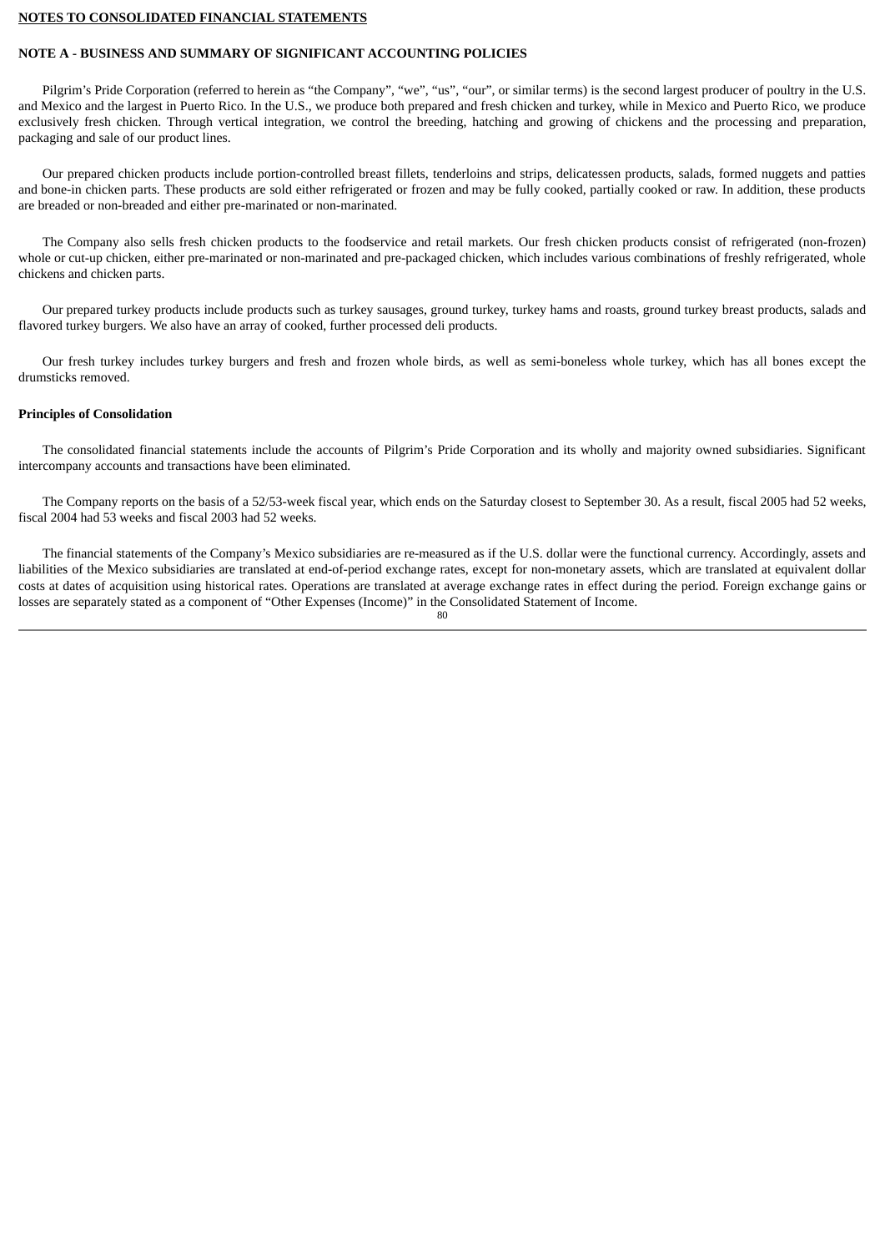# **NOTES TO CONSOLIDATED FINANCIAL STATEMENTS**

### **NOTE A - BUSINESS AND SUMMARY OF SIGNIFICANT ACCOUNTING POLICIES**

Pilgrim's Pride Corporation (referred to herein as "the Company", "we", "us", "our", or similar terms) is the second largest producer of poultry in the U.S. and Mexico and the largest in Puerto Rico. In the U.S., we produce both prepared and fresh chicken and turkey, while in Mexico and Puerto Rico, we produce exclusively fresh chicken. Through vertical integration, we control the breeding, hatching and growing of chickens and the processing and preparation, packaging and sale of our product lines.

Our prepared chicken products include portion-controlled breast fillets, tenderloins and strips, delicatessen products, salads, formed nuggets and patties and bone-in chicken parts. These products are sold either refrigerated or frozen and may be fully cooked, partially cooked or raw. In addition, these products are breaded or non-breaded and either pre-marinated or non-marinated.

The Company also sells fresh chicken products to the foodservice and retail markets. Our fresh chicken products consist of refrigerated (non-frozen) whole or cut-up chicken, either pre-marinated or non-marinated and pre-packaged chicken, which includes various combinations of freshly refrigerated, whole chickens and chicken parts.

Our prepared turkey products include products such as turkey sausages, ground turkey, turkey hams and roasts, ground turkey breast products, salads and flavored turkey burgers. We also have an array of cooked, further processed deli products.

Our fresh turkey includes turkey burgers and fresh and frozen whole birds, as well as semi-boneless whole turkey, which has all bones except the drumsticks removed.

### **Principles of Consolidation**

The consolidated financial statements include the accounts of Pilgrim's Pride Corporation and its wholly and majority owned subsidiaries. Significant intercompany accounts and transactions have been eliminated.

The Company reports on the basis of a 52/53-week fiscal year, which ends on the Saturday closest to September 30. As a result, fiscal 2005 had 52 weeks, fiscal 2004 had 53 weeks and fiscal 2003 had 52 weeks.

The financial statements of the Company's Mexico subsidiaries are re-measured as if the U.S. dollar were the functional currency. Accordingly, assets and liabilities of the Mexico subsidiaries are translated at end-of-period exchange rates, except for non-monetary assets, which are translated at equivalent dollar costs at dates of acquisition using historical rates. Operations are translated at average exchange rates in effect during the period. Foreign exchange gains or losses are separately stated as a component of "Other Expenses (Income)" in the Consolidated Statement of Income.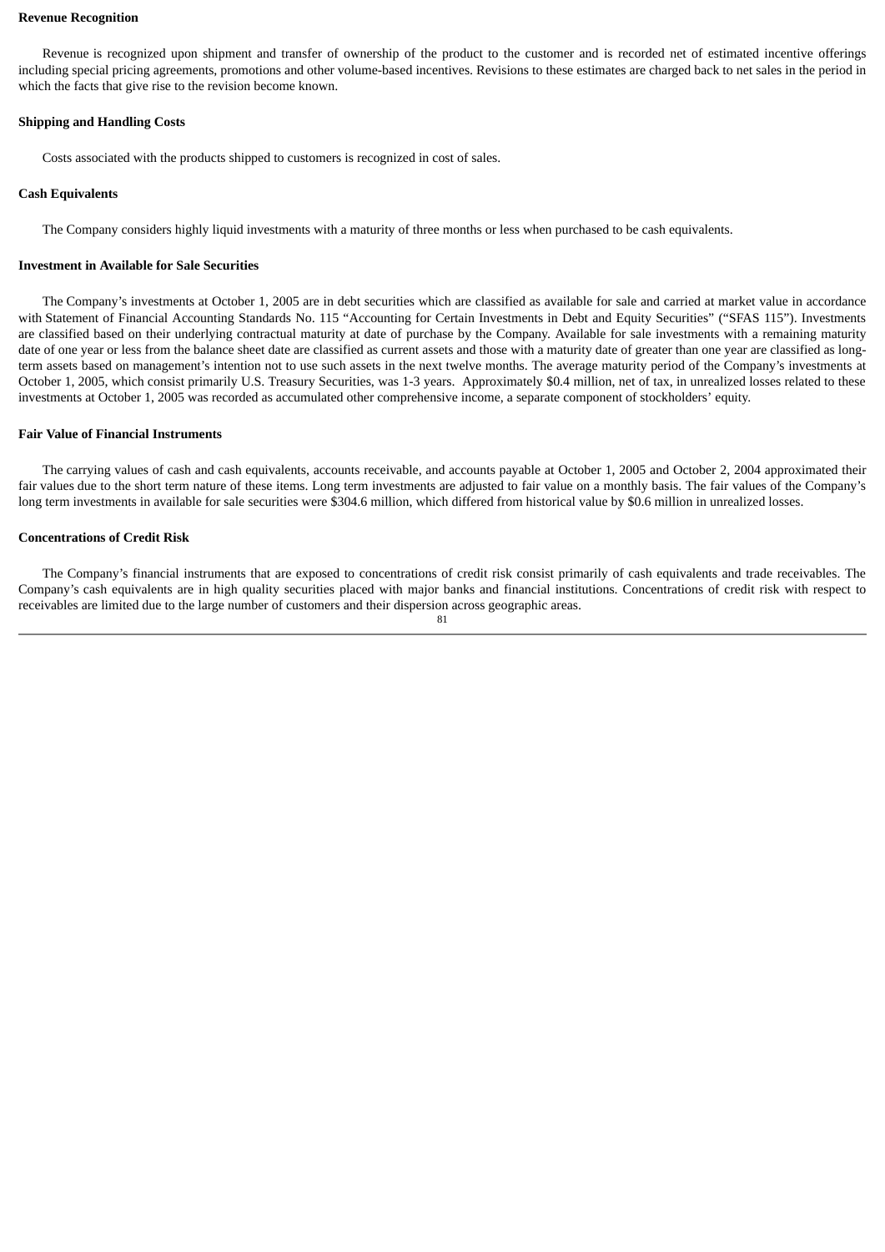### **Revenue Recognition**

Revenue is recognized upon shipment and transfer of ownership of the product to the customer and is recorded net of estimated incentive offerings including special pricing agreements, promotions and other volume-based incentives. Revisions to these estimates are charged back to net sales in the period in which the facts that give rise to the revision become known.

### **Shipping and Handling Costs**

Costs associated with the products shipped to customers is recognized in cost of sales.

## **Cash Equivalents**

The Company considers highly liquid investments with a maturity of three months or less when purchased to be cash equivalents.

### **Investment in Available for Sale Securities**

The Company's investments at October 1, 2005 are in debt securities which are classified as available for sale and carried at market value in accordance with Statement of Financial Accounting Standards No. 115 "Accounting for Certain Investments in Debt and Equity Securities" ("SFAS 115"). Investments are classified based on their underlying contractual maturity at date of purchase by the Company. Available for sale investments with a remaining maturity date of one year or less from the balance sheet date are classified as current assets and those with a maturity date of greater than one year are classified as longterm assets based on management's intention not to use such assets in the next twelve months. The average maturity period of the Company's investments at October 1, 2005, which consist primarily U.S. Treasury Securities, was 1-3 years. Approximately \$0.4 million, net of tax, in unrealized losses related to these investments at October 1, 2005 was recorded as accumulated other comprehensive income, a separate component of stockholders' equity.

## **Fair Value of Financial Instruments**

The carrying values of cash and cash equivalents, accounts receivable, and accounts payable at October 1, 2005 and October 2, 2004 approximated their fair values due to the short term nature of these items. Long term investments are adjusted to fair value on a monthly basis. The fair values of the Company's long term investments in available for sale securities were \$304.6 million, which differed from historical value by \$0.6 million in unrealized losses.

### **Concentrations of Credit Risk**

The Company's financial instruments that are exposed to concentrations of credit risk consist primarily of cash equivalents and trade receivables. The Company's cash equivalents are in high quality securities placed with major banks and financial institutions. Concentrations of credit risk with respect to receivables are limited due to the large number of customers and their dispersion across geographic areas.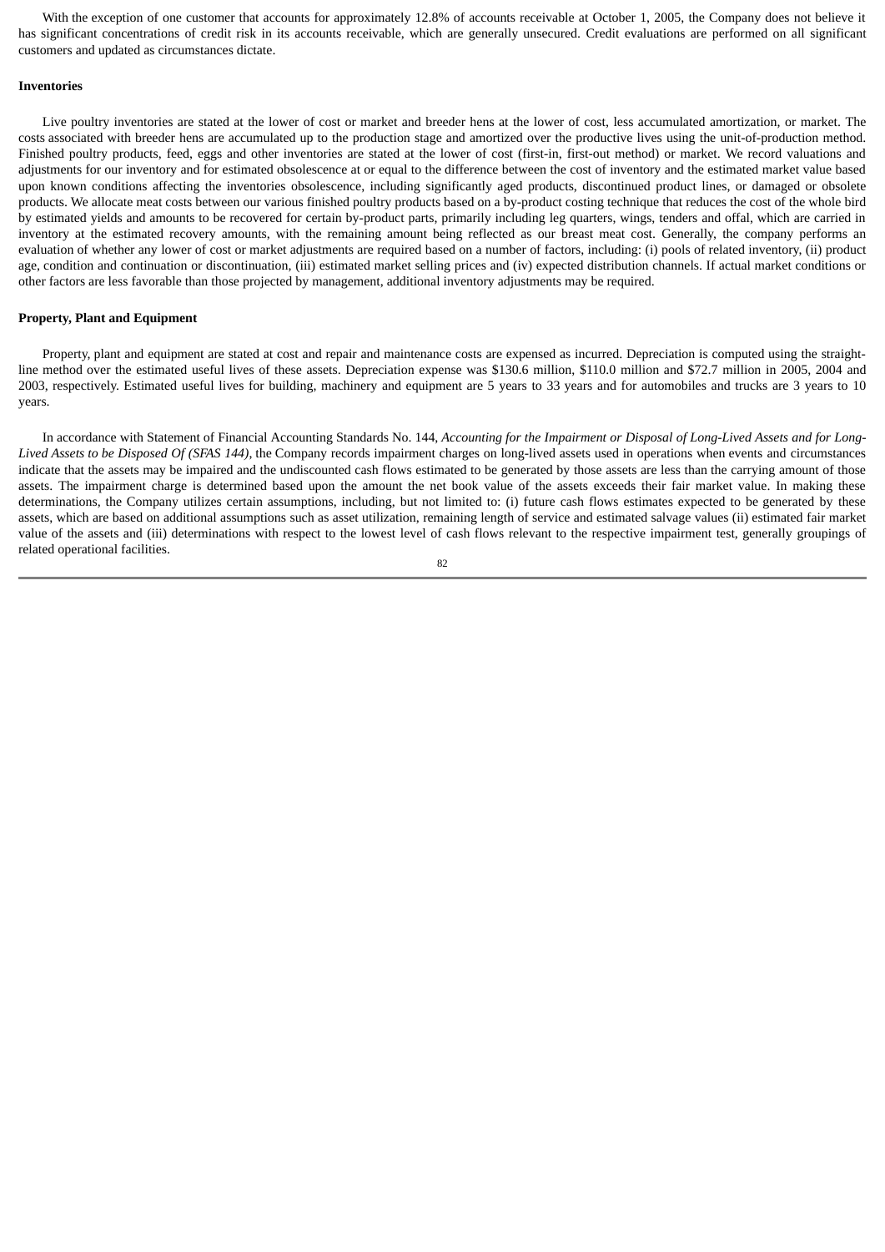With the exception of one customer that accounts for approximately 12.8% of accounts receivable at October 1, 2005, the Company does not believe it has significant concentrations of credit risk in its accounts receivable, which are generally unsecured. Credit evaluations are performed on all significant customers and updated as circumstances dictate.

#### **Inventories**

Live poultry inventories are stated at the lower of cost or market and breeder hens at the lower of cost, less accumulated amortization, or market. The costs associated with breeder hens are accumulated up to the production stage and amortized over the productive lives using the unit-of-production method. Finished poultry products, feed, eggs and other inventories are stated at the lower of cost (first-in, first-out method) or market. We record valuations and adjustments for our inventory and for estimated obsolescence at or equal to the difference between the cost of inventory and the estimated market value based upon known conditions affecting the inventories obsolescence, including significantly aged products, discontinued product lines, or damaged or obsolete products. We allocate meat costs between our various finished poultry products based on a by-product costing technique that reduces the cost of the whole bird by estimated yields and amounts to be recovered for certain by-product parts, primarily including leg quarters, wings, tenders and offal, which are carried in inventory at the estimated recovery amounts, with the remaining amount being reflected as our breast meat cost. Generally, the company performs an evaluation of whether any lower of cost or market adjustments are required based on a number of factors, including: (i) pools of related inventory, (ii) product age, condition and continuation or discontinuation, (iii) estimated market selling prices and (iv) expected distribution channels. If actual market conditions or other factors are less favorable than those projected by management, additional inventory adjustments may be required.

### **Property, Plant and Equipment**

Property, plant and equipment are stated at cost and repair and maintenance costs are expensed as incurred. Depreciation is computed using the straightline method over the estimated useful lives of these assets. Depreciation expense was \$130.6 million, \$110.0 million and \$72.7 million in 2005, 2004 and 2003, respectively. Estimated useful lives for building, machinery and equipment are 5 years to 33 years and for automobiles and trucks are 3 years to 10 years.

In accordance with Statement of Financial Accounting Standards No. 144, Accounting for the Impairment or Disposal of Long-Lived Assets and for Long-*Lived Assets to be Disposed Of (SFAS 144)*, the Company records impairment charges on long-lived assets used in operations when events and circumstances indicate that the assets may be impaired and the undiscounted cash flows estimated to be generated by those assets are less than the carrying amount of those assets. The impairment charge is determined based upon the amount the net book value of the assets exceeds their fair market value. In making these determinations, the Company utilizes certain assumptions, including, but not limited to: (i) future cash flows estimates expected to be generated by these assets, which are based on additional assumptions such as asset utilization, remaining length of service and estimated salvage values (ii) estimated fair market value of the assets and (iii) determinations with respect to the lowest level of cash flows relevant to the respective impairment test, generally groupings of related operational facilities.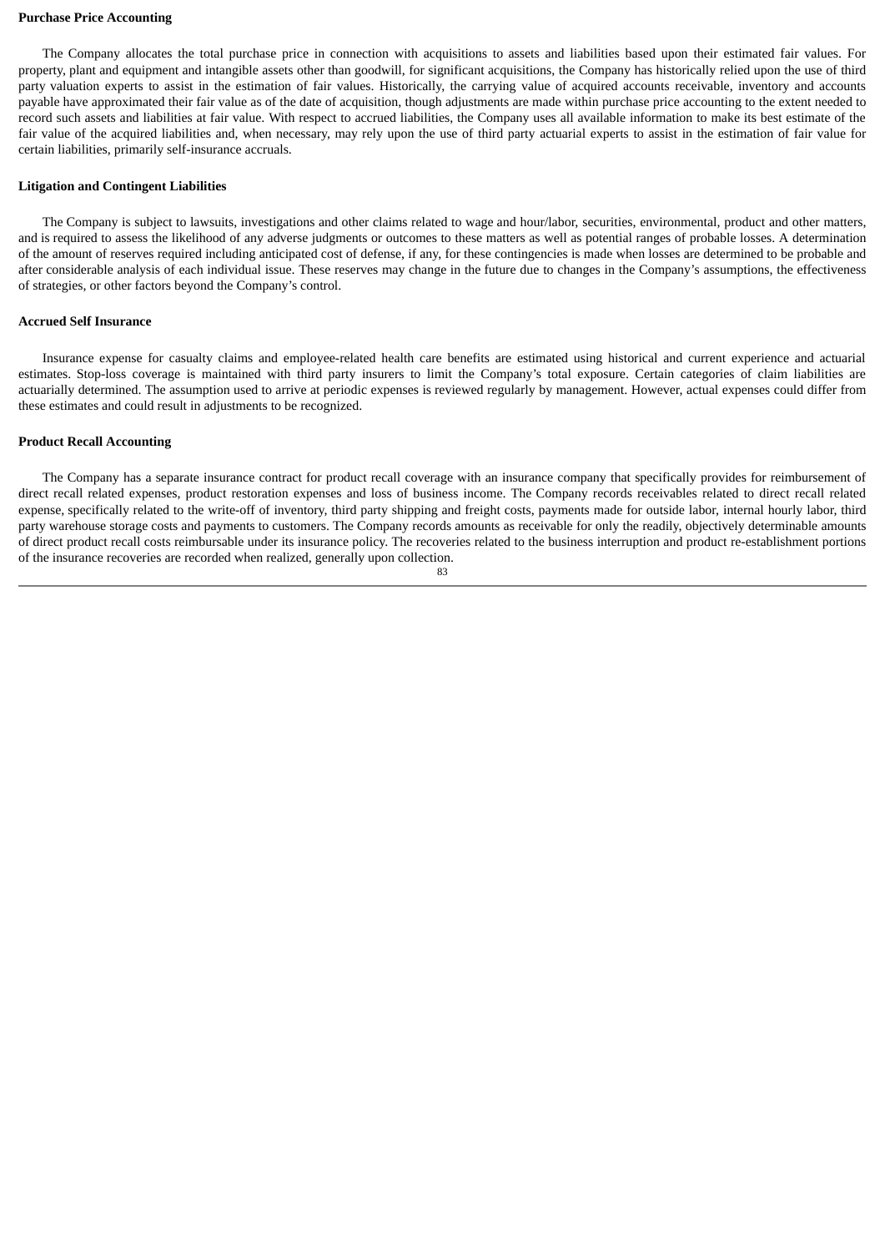#### **Purchase Price Accounting**

The Company allocates the total purchase price in connection with acquisitions to assets and liabilities based upon their estimated fair values. For property, plant and equipment and intangible assets other than goodwill, for significant acquisitions, the Company has historically relied upon the use of third party valuation experts to assist in the estimation of fair values. Historically, the carrying value of acquired accounts receivable, inventory and accounts payable have approximated their fair value as of the date of acquisition, though adjustments are made within purchase price accounting to the extent needed to record such assets and liabilities at fair value. With respect to accrued liabilities, the Company uses all available information to make its best estimate of the fair value of the acquired liabilities and, when necessary, may rely upon the use of third party actuarial experts to assist in the estimation of fair value for certain liabilities, primarily self-insurance accruals.

#### **Litigation and Contingent Liabilities**

The Company is subject to lawsuits, investigations and other claims related to wage and hour/labor, securities, environmental, product and other matters, and is required to assess the likelihood of any adverse judgments or outcomes to these matters as well as potential ranges of probable losses. A determination of the amount of reserves required including anticipated cost of defense, if any, for these contingencies is made when losses are determined to be probable and after considerable analysis of each individual issue. These reserves may change in the future due to changes in the Company's assumptions, the effectiveness of strategies, or other factors beyond the Company's control.

#### **Accrued Self Insurance**

Insurance expense for casualty claims and employee-related health care benefits are estimated using historical and current experience and actuarial estimates. Stop-loss coverage is maintained with third party insurers to limit the Company's total exposure. Certain categories of claim liabilities are actuarially determined. The assumption used to arrive at periodic expenses is reviewed regularly by management. However, actual expenses could differ from these estimates and could result in adjustments to be recognized.

#### **Product Recall Accounting**

The Company has a separate insurance contract for product recall coverage with an insurance company that specifically provides for reimbursement of direct recall related expenses, product restoration expenses and loss of business income. The Company records receivables related to direct recall related expense, specifically related to the write-off of inventory, third party shipping and freight costs, payments made for outside labor, internal hourly labor, third party warehouse storage costs and payments to customers. The Company records amounts as receivable for only the readily, objectively determinable amounts of direct product recall costs reimbursable under its insurance policy. The recoveries related to the business interruption and product re-establishment portions of the insurance recoveries are recorded when realized, generally upon collection.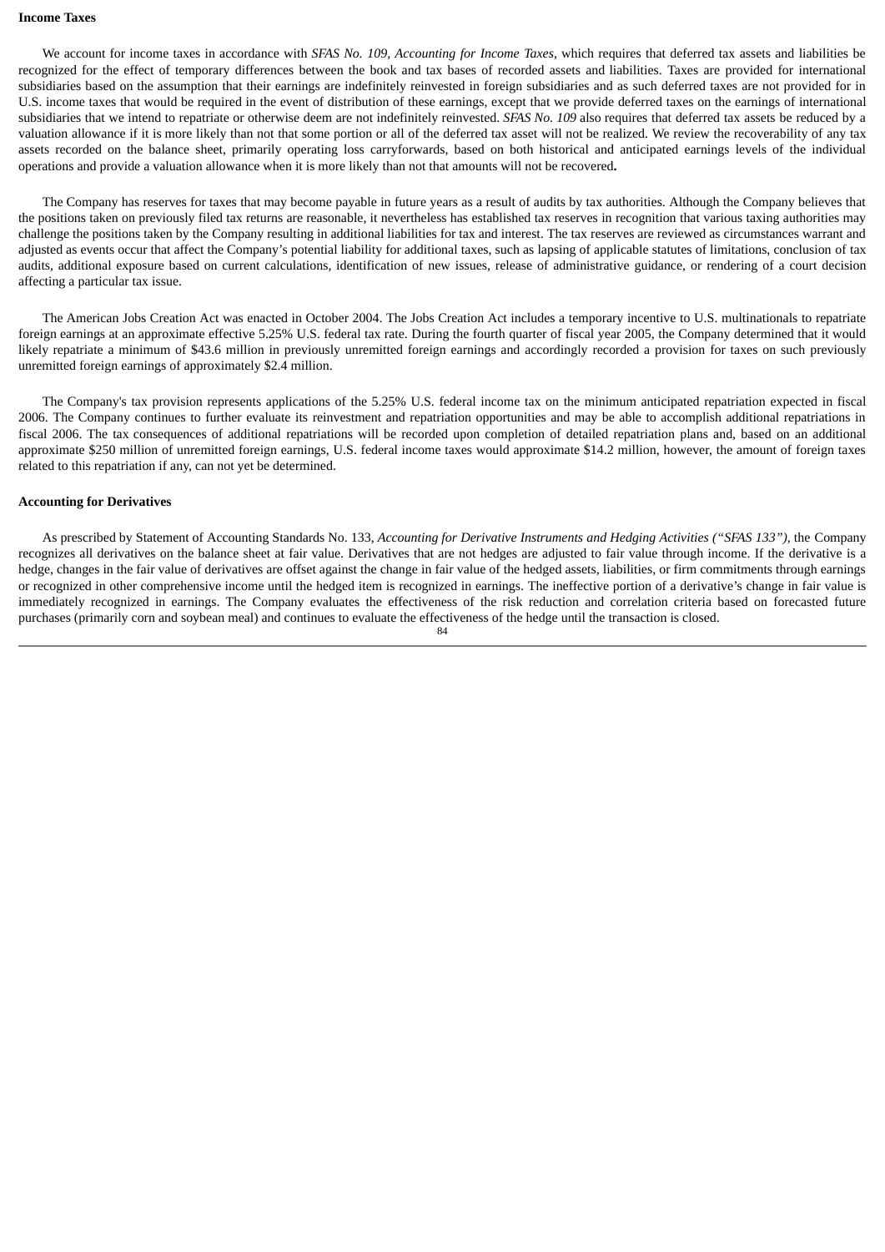#### **Income Taxes**

We account for income taxes in accordance with *SFAS No. 109, Accounting for Income Taxes*, which requires that deferred tax assets and liabilities be recognized for the effect of temporary differences between the book and tax bases of recorded assets and liabilities. Taxes are provided for international subsidiaries based on the assumption that their earnings are indefinitely reinvested in foreign subsidiaries and as such deferred taxes are not provided for in U.S. income taxes that would be required in the event of distribution of these earnings, except that we provide deferred taxes on the earnings of international subsidiaries that we intend to repatriate or otherwise deem are not indefinitely reinvested. *SFAS No. 109* also requires that deferred tax assets be reduced by a valuation allowance if it is more likely than not that some portion or all of the deferred tax asset will not be realized. We review the recoverability of any tax assets recorded on the balance sheet, primarily operating loss carryforwards, based on both historical and anticipated earnings levels of the individual operations and provide a valuation allowance when it is more likely than not that amounts will not be recovered**.**

The Company has reserves for taxes that may become payable in future years as a result of audits by tax authorities. Although the Company believes that the positions taken on previously filed tax returns are reasonable, it nevertheless has established tax reserves in recognition that various taxing authorities may challenge the positions taken by the Company resulting in additional liabilities for tax and interest. The tax reserves are reviewed as circumstances warrant and adjusted as events occur that affect the Company's potential liability for additional taxes, such as lapsing of applicable statutes of limitations, conclusion of tax audits, additional exposure based on current calculations, identification of new issues, release of administrative guidance, or rendering of a court decision affecting a particular tax issue.

The American Jobs Creation Act was enacted in October 2004. The Jobs Creation Act includes a temporary incentive to U.S. multinationals to repatriate foreign earnings at an approximate effective 5.25% U.S. federal tax rate. During the fourth quarter of fiscal year 2005, the Company determined that it would likely repatriate a minimum of \$43.6 million in previously unremitted foreign earnings and accordingly recorded a provision for taxes on such previously unremitted foreign earnings of approximately \$2.4 million.

The Company's tax provision represents applications of the 5.25% U.S. federal income tax on the minimum anticipated repatriation expected in fiscal 2006. The Company continues to further evaluate its reinvestment and repatriation opportunities and may be able to accomplish additional repatriations in fiscal 2006. The tax consequences of additional repatriations will be recorded upon completion of detailed repatriation plans and, based on an additional approximate \$250 million of unremitted foreign earnings, U.S. federal income taxes would approximate \$14.2 million, however, the amount of foreign taxes related to this repatriation if any, can not yet be determined.

### **Accounting for Derivatives**

As prescribed by Statement of Accounting Standards No. 133, *Accounting for Derivative Instruments and Hedging Activities ("SFAS 133")*, the Company recognizes all derivatives on the balance sheet at fair value. Derivatives that are not hedges are adjusted to fair value through income. If the derivative is a hedge, changes in the fair value of derivatives are offset against the change in fair value of the hedged assets, liabilities, or firm commitments through earnings or recognized in other comprehensive income until the hedged item is recognized in earnings. The ineffective portion of a derivative's change in fair value is immediately recognized in earnings. The Company evaluates the effectiveness of the risk reduction and correlation criteria based on forecasted future purchases (primarily corn and soybean meal) and continues to evaluate the effectiveness of the hedge until the transaction is closed.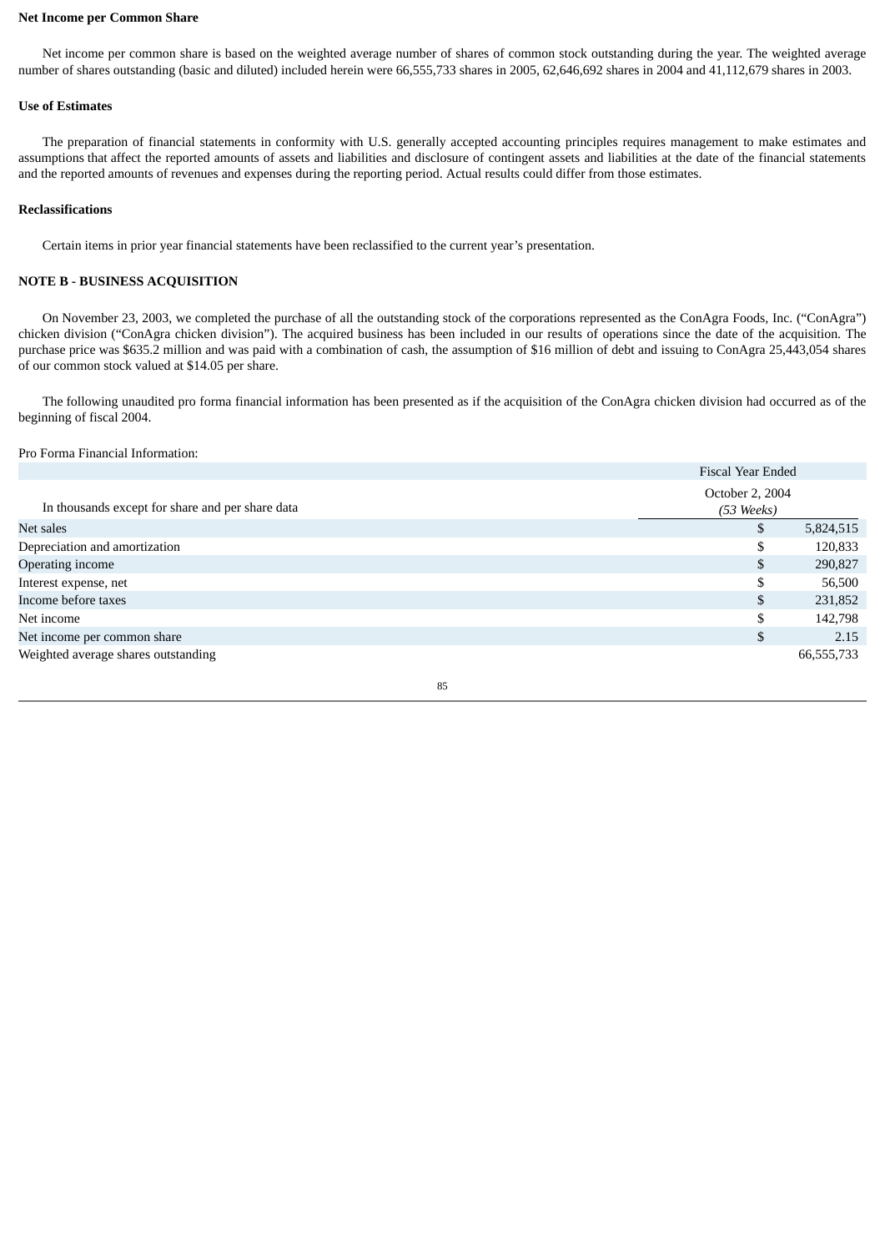# **Net Income per Common Share**

Net income per common share is based on the weighted average number of shares of common stock outstanding during the year. The weighted average number of shares outstanding (basic and diluted) included herein were 66,555,733 shares in 2005, 62,646,692 shares in 2004 and 41,112,679 shares in 2003.

## **Use of Estimates**

The preparation of financial statements in conformity with U.S. generally accepted accounting principles requires management to make estimates and assumptions that affect the reported amounts of assets and liabilities and disclosure of contingent assets and liabilities at the date of the financial statements and the reported amounts of revenues and expenses during the reporting period. Actual results could differ from those estimates.

### **Reclassifications**

Certain items in prior year financial statements have been reclassified to the current year's presentation.

## **NOTE B - BUSINESS ACQUISITION**

On November 23, 2003, we completed the purchase of all the outstanding stock of the corporations represented as the ConAgra Foods, Inc. ("ConAgra") chicken division ("ConAgra chicken division"). The acquired business has been included in our results of operations since the date of the acquisition. The purchase price was \$635.2 million and was paid with a combination of cash, the assumption of \$16 million of debt and issuing to ConAgra 25,443,054 shares of our common stock valued at \$14.05 per share.

The following unaudited pro forma financial information has been presented as if the acquisition of the ConAgra chicken division had occurred as of the beginning of fiscal 2004.

Pro Forma Financial Information:

|                                                  | Fiscal Year Ended                       |            |
|--------------------------------------------------|-----------------------------------------|------------|
| In thousands except for share and per share data | October 2, 2004<br>$(53 \text{ Weeks})$ |            |
| Net sales                                        | \$                                      | 5,824,515  |
| Depreciation and amortization                    | \$                                      | 120,833    |
| Operating income                                 | \$                                      | 290,827    |
| Interest expense, net                            | \$                                      | 56,500     |
| Income before taxes                              | \$                                      | 231,852    |
| Net income                                       | S                                       | 142,798    |
| Net income per common share                      | \$                                      | 2.15       |
| Weighted average shares outstanding              |                                         | 66,555,733 |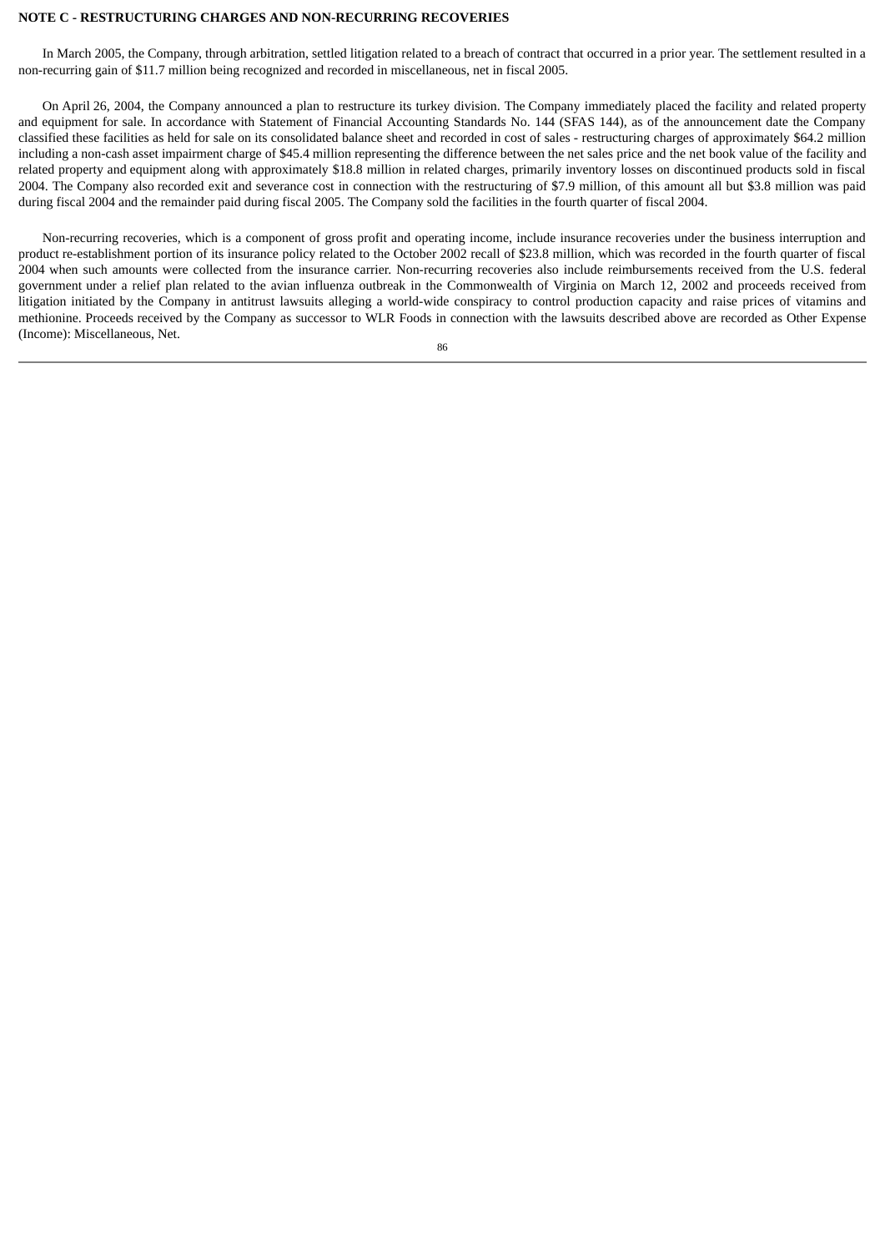## **NOTE C - RESTRUCTURING CHARGES AND NON-RECURRING RECOVERIES**

In March 2005, the Company, through arbitration, settled litigation related to a breach of contract that occurred in a prior year. The settlement resulted in a non-recurring gain of \$11.7 million being recognized and recorded in miscellaneous, net in fiscal 2005.

On April 26, 2004, the Company announced a plan to restructure its turkey division. The Company immediately placed the facility and related property and equipment for sale. In accordance with Statement of Financial Accounting Standards No. 144 (SFAS 144), as of the announcement date the Company classified these facilities as held for sale on its consolidated balance sheet and recorded in cost of sales - restructuring charges of approximately \$64.2 million including a non-cash asset impairment charge of \$45.4 million representing the difference between the net sales price and the net book value of the facility and related property and equipment along with approximately \$18.8 million in related charges, primarily inventory losses on discontinued products sold in fiscal 2004. The Company also recorded exit and severance cost in connection with the restructuring of \$7.9 million, of this amount all but \$3.8 million was paid during fiscal 2004 and the remainder paid during fiscal 2005. The Company sold the facilities in the fourth quarter of fiscal 2004.

Non-recurring recoveries, which is a component of gross profit and operating income, include insurance recoveries under the business interruption and product re-establishment portion of its insurance policy related to the October 2002 recall of \$23.8 million, which was recorded in the fourth quarter of fiscal 2004 when such amounts were collected from the insurance carrier. Non-recurring recoveries also include reimbursements received from the U.S. federal government under a relief plan related to the avian influenza outbreak in the Commonwealth of Virginia on March 12, 2002 and proceeds received from litigation initiated by the Company in antitrust lawsuits alleging a world-wide conspiracy to control production capacity and raise prices of vitamins and methionine. Proceeds received by the Company as successor to WLR Foods in connection with the lawsuits described above are recorded as Other Expense (Income): Miscellaneous, Net.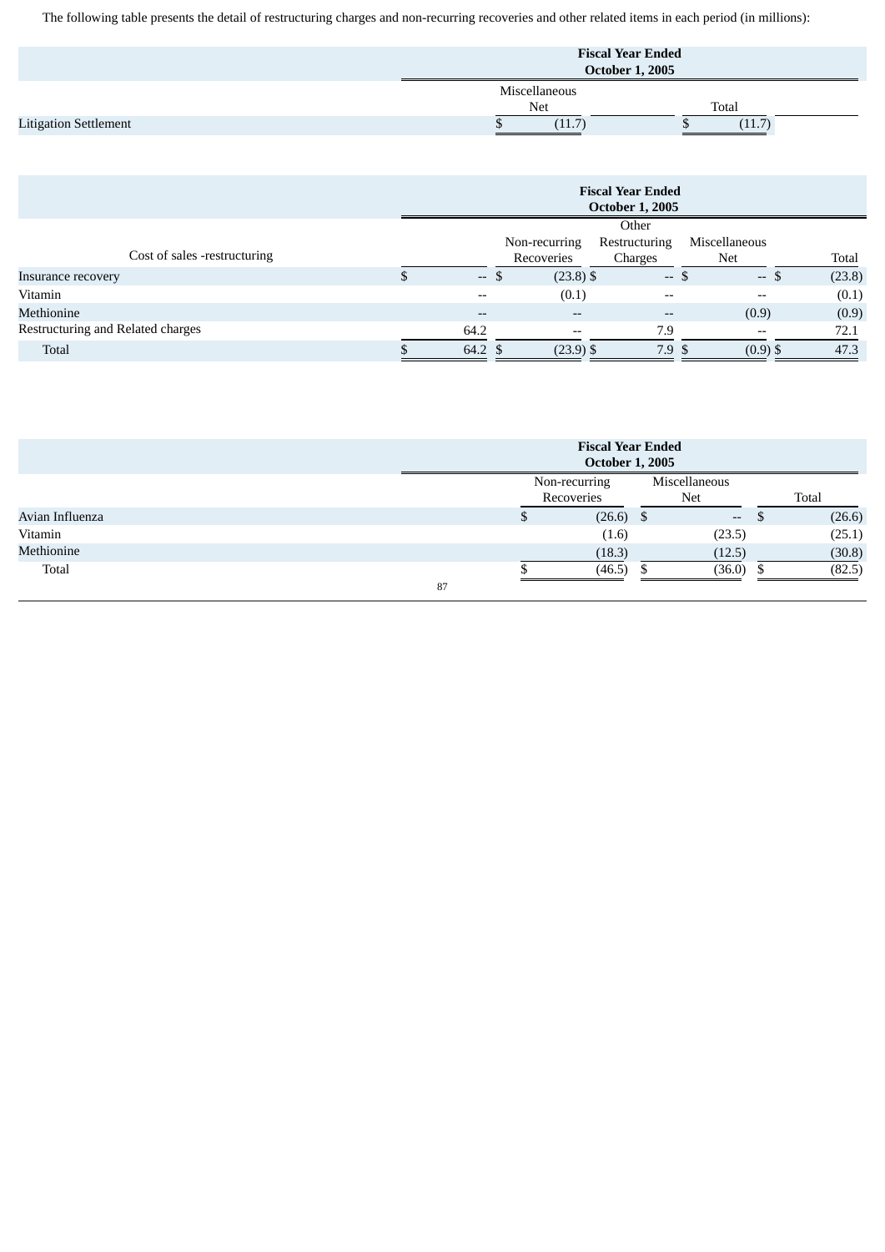The following table presents the detail of restructuring charges and non-recurring recoveries and other related items in each period (in millions):

|                              | <b>Fiscal Year Ended</b><br><b>October 1, 2005</b> |       |  |  |  |
|------------------------------|----------------------------------------------------|-------|--|--|--|
|                              | Miscellaneous                                      |       |  |  |  |
|                              | Net                                                | Total |  |  |  |
| <b>Litigation Settlement</b> | (11.7)                                             | (11.7 |  |  |  |

|                                   |                                                 | <b>Fiscal Year Ended</b><br><b>October 1, 2005</b> |   |                                       |                                       |            |        |  |
|-----------------------------------|-------------------------------------------------|----------------------------------------------------|---|---------------------------------------|---------------------------------------|------------|--------|--|
|                                   |                                                 | Other                                              |   |                                       |                                       |            |        |  |
|                                   | Miscellaneous<br>Restructuring<br>Non-recurring |                                                    |   |                                       |                                       |            |        |  |
| Cost of sales -restructuring      |                                                 |                                                    |   | Recoveries                            | Charges                               | Net        | Total  |  |
| Insurance recovery                |                                                 | $\sim$                                             | D | $(23.8)$ \$                           | -- ა                                  | -- 5       | (23.8) |  |
| Vitamin                           |                                                 |                                                    |   | (0.1)                                 | $-$                                   | $- -$      | (0.1)  |  |
| Methionine                        |                                                 | $- -$                                              |   | $\hspace{0.05cm}$ – $\hspace{0.05cm}$ | $\hspace{0.05cm}$ – $\hspace{0.05cm}$ | (0.9)      | (0.9)  |  |
| Restructuring and Related charges |                                                 | 64.2                                               |   | $\hspace{0.05cm}$ – $\hspace{0.05cm}$ | 7.9                                   | $- -$      | 72.1   |  |
| Total                             |                                                 | 64.2 \$                                            |   | $(23.9)$ \$                           | 7.9 \$                                | $(0.9)$ \$ | 47.3   |  |

|                 | <b>Fiscal Year Ended</b>       |            |             |        |  |        |  |
|-----------------|--------------------------------|------------|-------------|--------|--|--------|--|
|                 | <b>October 1, 2005</b>         |            |             |        |  |        |  |
|                 | Miscellaneous<br>Non-recurring |            |             |        |  |        |  |
|                 |                                | Recoveries |             | Net    |  | Total  |  |
| Avian Influenza |                                |            | $(26.6)$ \$ | $- -$  |  | (26.6) |  |
| Vitamin         |                                | (1.6)      |             | (23.5) |  | (25.1) |  |
| Methionine      |                                | (18.3)     |             | (12.5) |  | (30.8) |  |
| Total           |                                | (46.5)     |             | (36.0) |  | (82.5) |  |
|                 | 87                             |            |             |        |  |        |  |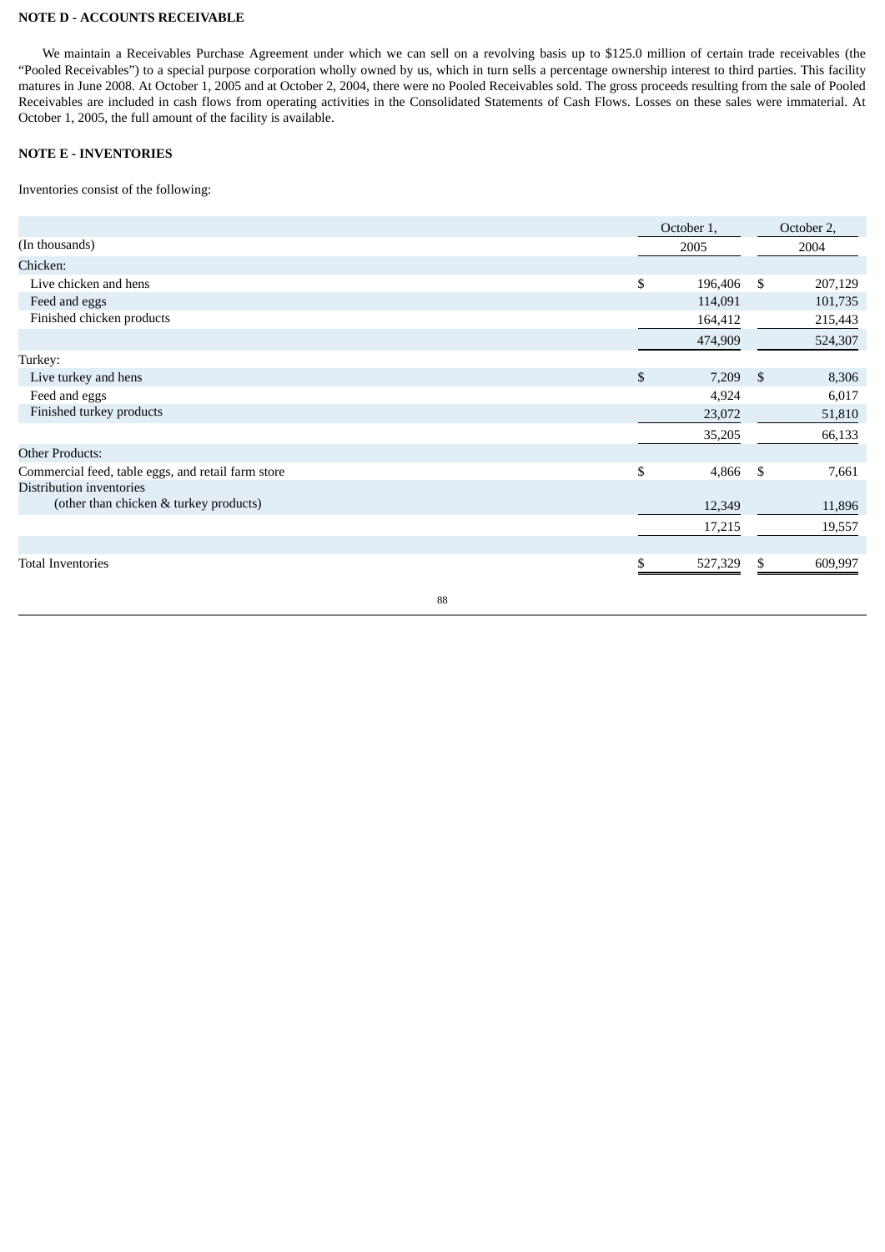# **NOTE D - ACCOUNTS RECEIVABLE**

We maintain a Receivables Purchase Agreement under which we can sell on a revolving basis up to \$125.0 million of certain trade receivables (the "Pooled Receivables") to a special purpose corporation wholly owned by us, which in turn sells a percentage ownership interest to third parties. This facility matures in June 2008. At October 1, 2005 and at October 2, 2004, there were no Pooled Receivables sold. The gross proceeds resulting from the sale of Pooled Receivables are included in cash flows from operating activities in the Consolidated Statements of Cash Flows. Losses on these sales were immaterial. At October 1, 2005, the full amount of the facility is available.

# **NOTE E - INVENTORIES**

Inventories consist of the following:

|                                                    |     | October 1, |      | October 2, |
|----------------------------------------------------|-----|------------|------|------------|
| (In thousands)                                     |     | 2005       |      | 2004       |
| Chicken:                                           |     |            |      |            |
| Live chicken and hens                              | \$  | 196,406    | - \$ | 207,129    |
| Feed and eggs                                      |     | 114,091    |      | 101,735    |
| Finished chicken products                          |     | 164,412    |      | 215,443    |
|                                                    |     | 474,909    |      | 524,307    |
| Turkey:                                            |     |            |      |            |
| Live turkey and hens                               | \$  | 7,209      | - \$ | 8,306      |
| Feed and eggs                                      |     | 4,924      |      | 6,017      |
| Finished turkey products                           |     | 23,072     |      | 51,810     |
|                                                    |     | 35,205     |      | 66,133     |
| Other Products:                                    |     |            |      |            |
| Commercial feed, table eggs, and retail farm store | \$  | 4,866      | - \$ | 7,661      |
| Distribution inventories                           |     |            |      |            |
| (other than chicken & turkey products)             |     | 12,349     |      | 11,896     |
|                                                    |     | 17,215     |      | 19,557     |
|                                                    |     |            |      |            |
| <b>Total Inventories</b>                           | \$. | 527,329    | \$   | 609,997    |
|                                                    |     |            |      |            |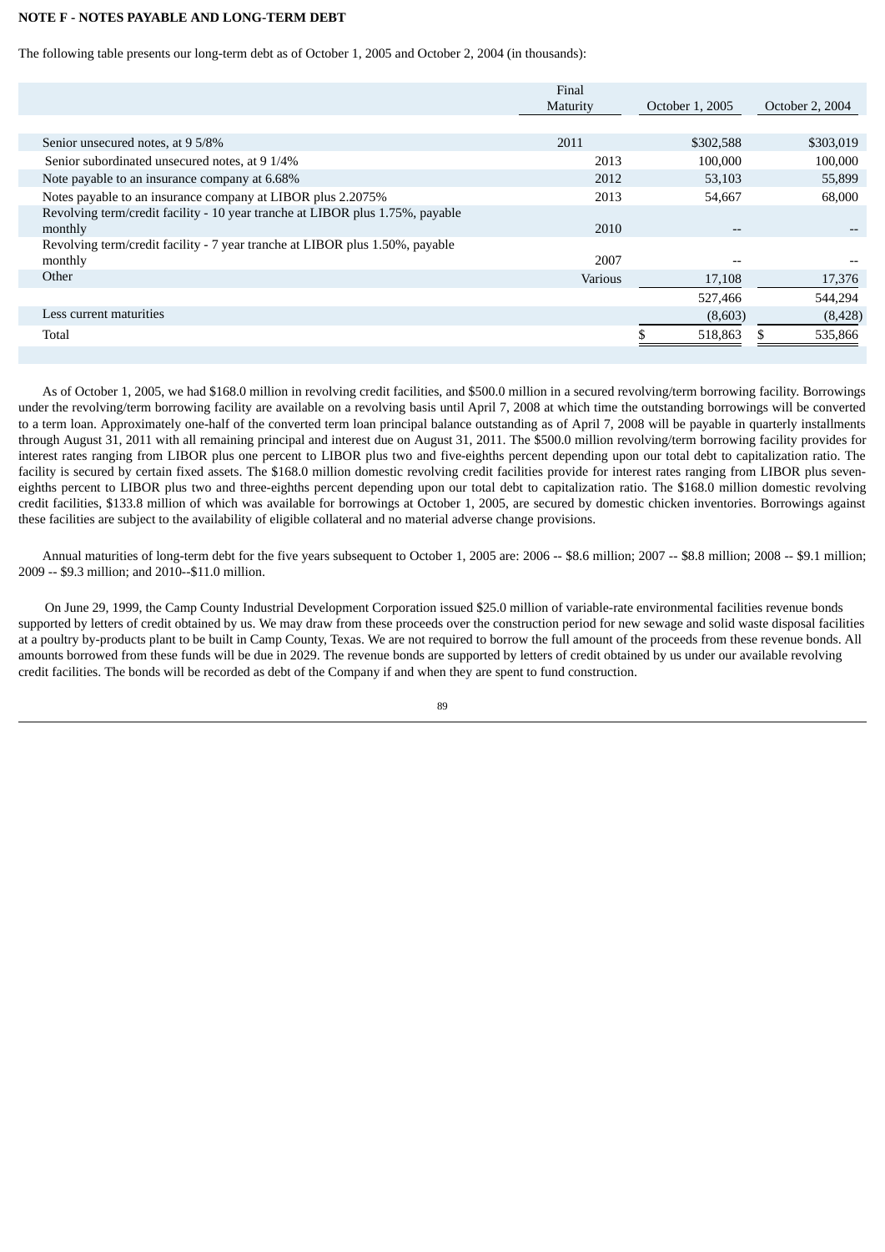### **NOTE F - NOTES PAYABLE AND LONG-TERM DEBT**

The following table presents our long-term debt as of October 1, 2005 and October 2, 2004 (in thousands):

|                                                                               | Final          |                 |                 |
|-------------------------------------------------------------------------------|----------------|-----------------|-----------------|
|                                                                               | Maturity       | October 1, 2005 | October 2, 2004 |
|                                                                               |                |                 |                 |
| Senior unsecured notes, at 9 5/8%                                             | 2011           | \$302,588       | \$303,019       |
| Senior subordinated unsecured notes, at 9 1/4%                                | 2013           | 100,000         | 100,000         |
| Note payable to an insurance company at 6.68%                                 | 2012           | 53,103          | 55,899          |
| Notes payable to an insurance company at LIBOR plus 2.2075%                   | 2013           | 54,667          | 68,000          |
| Revolving term/credit facility - 10 year tranche at LIBOR plus 1.75%, payable |                |                 |                 |
| monthly                                                                       | 2010           | $-$             |                 |
| Revolving term/credit facility - 7 year tranche at LIBOR plus 1.50%, payable  |                |                 |                 |
| monthly                                                                       | 2007           | $-$             |                 |
| Other                                                                         | <b>Various</b> | 17,108          | 17,376          |
|                                                                               |                | 527,466         | 544,294         |
| Less current maturities                                                       |                | (8,603)         | (8,428)         |
| Total                                                                         |                | 518,863         | 535,866         |
|                                                                               |                |                 |                 |

As of October 1, 2005, we had \$168.0 million in revolving credit facilities, and \$500.0 million in a secured revolving/term borrowing facility. Borrowings under the revolving/term borrowing facility are available on a revolving basis until April 7, 2008 at which time the outstanding borrowings will be converted to a term loan. Approximately one-half of the converted term loan principal balance outstanding as of April 7, 2008 will be payable in quarterly installments through August 31, 2011 with all remaining principal and interest due on August 31, 2011. The \$500.0 million revolving/term borrowing facility provides for interest rates ranging from LIBOR plus one percent to LIBOR plus two and five-eighths percent depending upon our total debt to capitalization ratio. The facility is secured by certain fixed assets. The \$168.0 million domestic revolving credit facilities provide for interest rates ranging from LIBOR plus seveneighths percent to LIBOR plus two and three-eighths percent depending upon our total debt to capitalization ratio. The \$168.0 million domestic revolving credit facilities, \$133.8 million of which was available for borrowings at October 1, 2005, are secured by domestic chicken inventories. Borrowings against these facilities are subject to the availability of eligible collateral and no material adverse change provisions.

Annual maturities of long-term debt for the five years subsequent to October 1, 2005 are: 2006 -- \$8.6 million; 2007 -- \$8.8 million; 2008 -- \$9.1 million; 2009 -- \$9.3 million; and 2010--\$11.0 million.

On June 29, 1999, the Camp County Industrial Development Corporation issued \$25.0 million of variable-rate environmental facilities revenue bonds supported by letters of credit obtained by us. We may draw from these proceeds over the construction period for new sewage and solid waste disposal facilities at a poultry by-products plant to be built in Camp County, Texas. We are not required to borrow the full amount of the proceeds from these revenue bonds. All amounts borrowed from these funds will be due in 2029. The revenue bonds are supported by letters of credit obtained by us under our available revolving credit facilities. The bonds will be recorded as debt of the Company if and when they are spent to fund construction.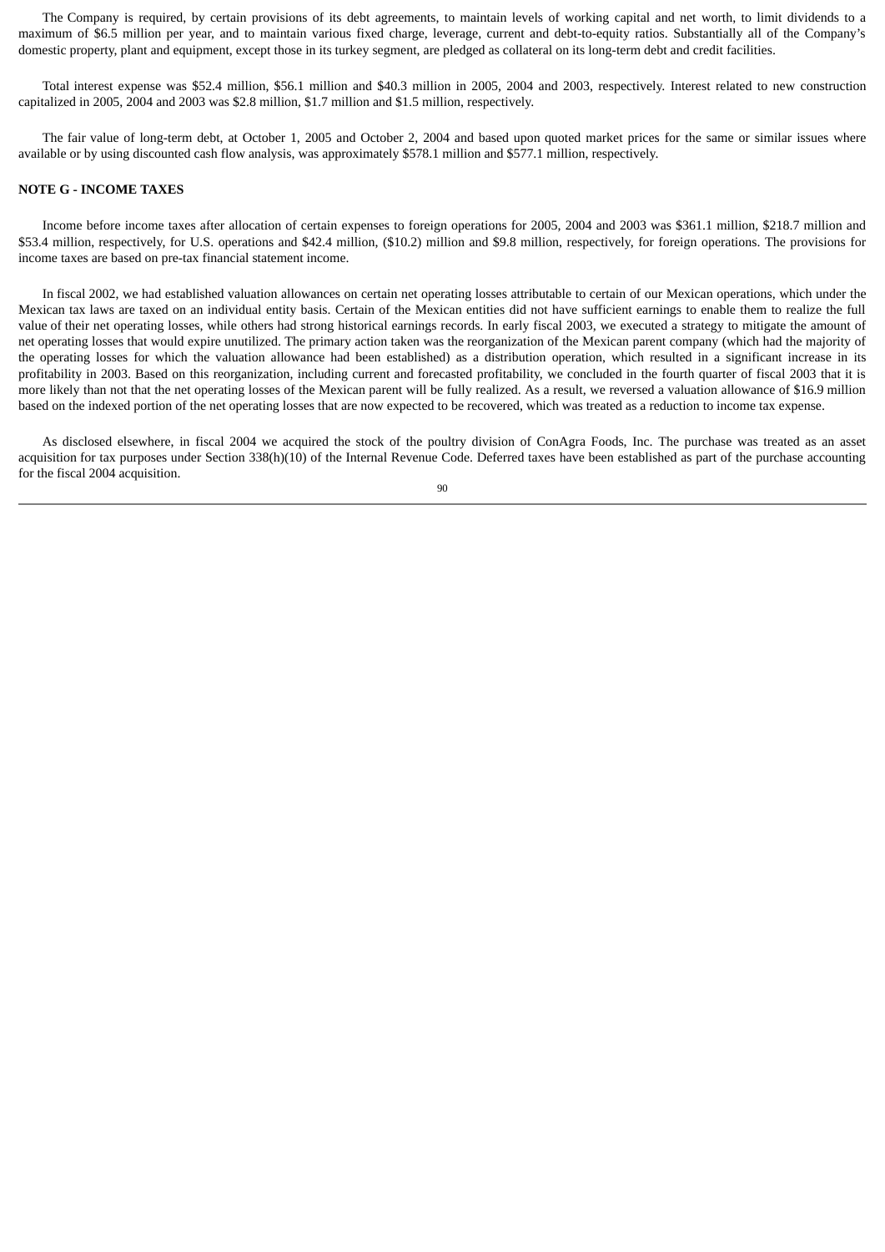The Company is required, by certain provisions of its debt agreements, to maintain levels of working capital and net worth, to limit dividends to a maximum of \$6.5 million per year, and to maintain various fixed charge, leverage, current and debt-to-equity ratios. Substantially all of the Company's domestic property, plant and equipment, except those in its turkey segment, are pledged as collateral on its long-term debt and credit facilities.

Total interest expense was \$52.4 million, \$56.1 million and \$40.3 million in 2005, 2004 and 2003, respectively. Interest related to new construction capitalized in 2005, 2004 and 2003 was \$2.8 million, \$1.7 million and \$1.5 million, respectively.

The fair value of long-term debt, at October 1, 2005 and October 2, 2004 and based upon quoted market prices for the same or similar issues where available or by using discounted cash flow analysis, was approximately \$578.1 million and \$577.1 million, respectively.

### **NOTE G - INCOME TAXES**

Income before income taxes after allocation of certain expenses to foreign operations for 2005, 2004 and 2003 was \$361.1 million, \$218.7 million and \$53.4 million, respectively, for U.S. operations and \$42.4 million, (\$10.2) million and \$9.8 million, respectively, for foreign operations. The provisions for income taxes are based on pre-tax financial statement income.

In fiscal 2002, we had established valuation allowances on certain net operating losses attributable to certain of our Mexican operations, which under the Mexican tax laws are taxed on an individual entity basis. Certain of the Mexican entities did not have sufficient earnings to enable them to realize the full value of their net operating losses, while others had strong historical earnings records. In early fiscal 2003, we executed a strategy to mitigate the amount of net operating losses that would expire unutilized. The primary action taken was the reorganization of the Mexican parent company (which had the majority of the operating losses for which the valuation allowance had been established) as a distribution operation, which resulted in a significant increase in its profitability in 2003. Based on this reorganization, including current and forecasted profitability, we concluded in the fourth quarter of fiscal 2003 that it is more likely than not that the net operating losses of the Mexican parent will be fully realized. As a result, we reversed a valuation allowance of \$16.9 million based on the indexed portion of the net operating losses that are now expected to be recovered, which was treated as a reduction to income tax expense.

As disclosed elsewhere, in fiscal 2004 we acquired the stock of the poultry division of ConAgra Foods, Inc. The purchase was treated as an asset acquisition for tax purposes under Section 338(h)(10) of the Internal Revenue Code. Deferred taxes have been established as part of the purchase accounting for the fiscal 2004 acquisition.

<sup>90</sup>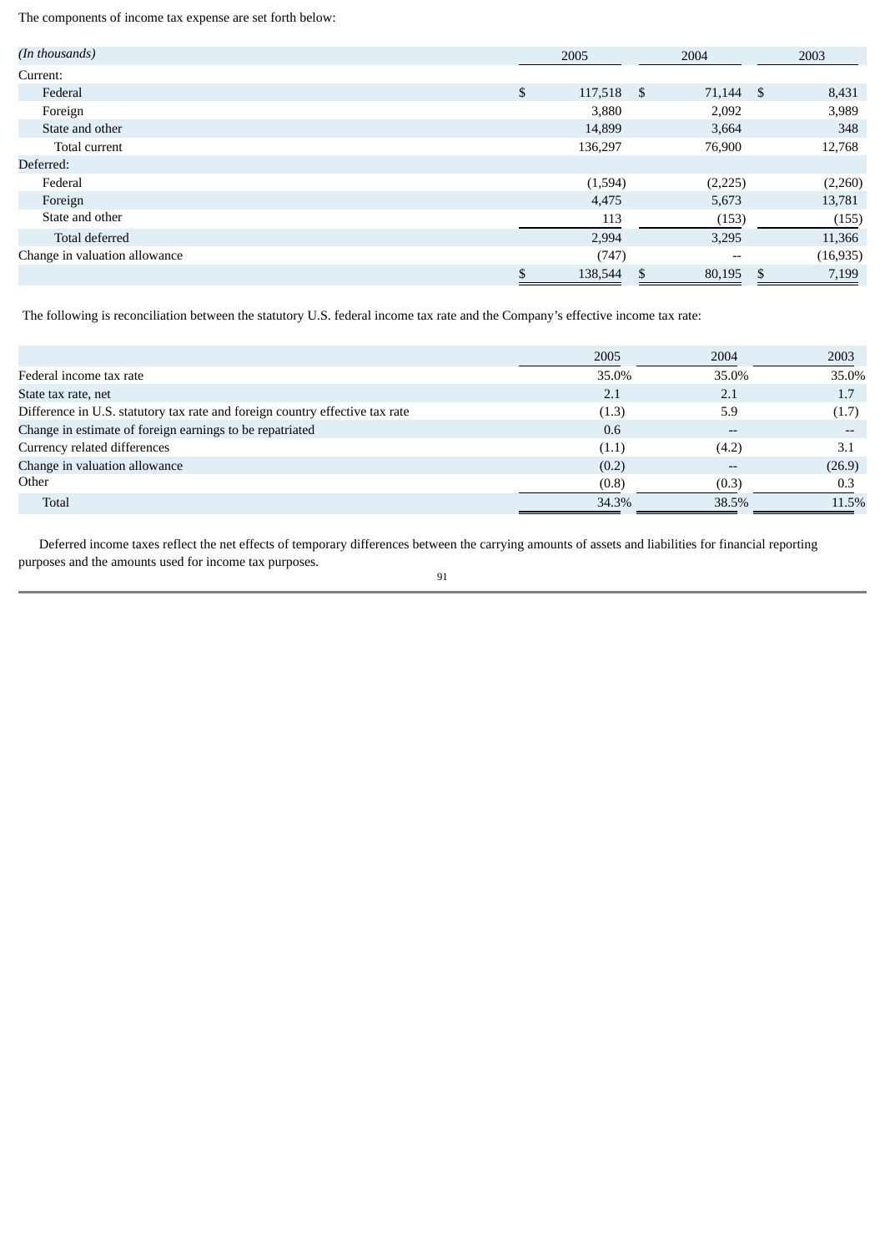The components of income tax expense are set forth below:

| (In thousands)                | 2005             | 2004        | 2003          |
|-------------------------------|------------------|-------------|---------------|
| Current:                      |                  |             |               |
| Federal                       | \$<br>117,518 \$ | 71,144      | 8,431<br>- \$ |
| Foreign                       | 3,880            | 2,092       | 3,989         |
| State and other               | 14,899           | 3,664       | 348           |
| Total current                 | 136,297          | 76,900      | 12,768        |
| Deferred:                     |                  |             |               |
| Federal                       | (1,594)          | (2,225)     | (2,260)       |
| Foreign                       | 4,475            | 5,673       | 13,781        |
| State and other               | 113              | (153)       | (155)         |
| Total deferred                | 2,994            | 3,295       | 11,366        |
| Change in valuation allowance | (747)            | $- -$       | (16, 935)     |
|                               | \$<br>138,544    | 80,195<br>S | 7,199<br>S    |

The following is reconciliation between the statutory U.S. federal income tax rate and the Company's effective income tax rate:

|                                                                              | 2005  | 2004  | 2003   |
|------------------------------------------------------------------------------|-------|-------|--------|
| Federal income tax rate                                                      | 35.0% | 35.0% | 35.0%  |
| State tax rate, net                                                          | 2.1   | 2.1   | 1.7    |
| Difference in U.S. statutory tax rate and foreign country effective tax rate | (1.3) | 5.9   | (1.7)  |
| Change in estimate of foreign earnings to be repatriated                     | 0.6   | $- -$ |        |
| Currency related differences                                                 | (1.1) | (4.2) | 3.1    |
| Change in valuation allowance                                                | (0.2) | $-$   | (26.9) |
| Other                                                                        | (0.8) | (0.3) | 0.3    |
| Total                                                                        | 34.3% | 38.5% | 11.5%  |

Deferred income taxes reflect the net effects of temporary differences between the carrying amounts of assets and liabilities for financial reporting purposes and the amounts used for income tax purposes.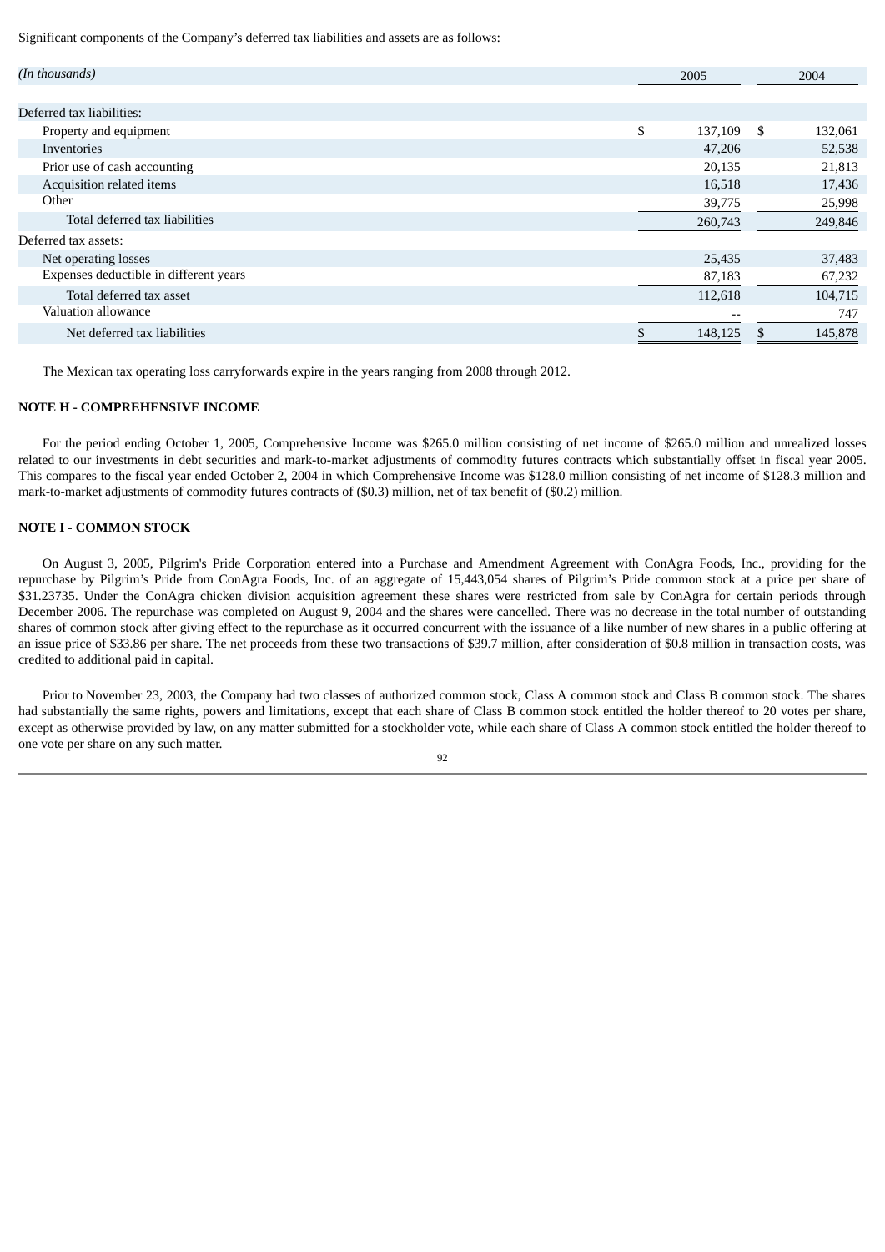Significant components of the Company's deferred tax liabilities and assets are as follows:

| (In thousands)                         | 2005 |         | 2004       |         |
|----------------------------------------|------|---------|------------|---------|
|                                        |      |         |            |         |
| Deferred tax liabilities:              |      |         |            |         |
| Property and equipment                 | \$   | 137,109 | $^{\circ}$ | 132,061 |
| Inventories                            |      | 47,206  |            | 52,538  |
| Prior use of cash accounting           |      | 20,135  |            | 21,813  |
| Acquisition related items              |      | 16,518  |            | 17,436  |
| Other                                  |      | 39,775  |            | 25,998  |
| Total deferred tax liabilities         |      | 260,743 |            | 249,846 |
| Deferred tax assets:                   |      |         |            |         |
| Net operating losses                   |      | 25,435  |            | 37,483  |
| Expenses deductible in different years |      | 87,183  |            | 67,232  |
| Total deferred tax asset               |      | 112,618 |            | 104,715 |
| Valuation allowance                    |      | --      |            | 747     |
| Net deferred tax liabilities           |      | 148,125 |            | 145,878 |

The Mexican tax operating loss carryforwards expire in the years ranging from 2008 through 2012.

### **NOTE H - COMPREHENSIVE INCOME**

For the period ending October 1, 2005, Comprehensive Income was \$265.0 million consisting of net income of \$265.0 million and unrealized losses related to our investments in debt securities and mark-to-market adjustments of commodity futures contracts which substantially offset in fiscal year 2005. This compares to the fiscal year ended October 2, 2004 in which Comprehensive Income was \$128.0 million consisting of net income of \$128.3 million and mark-to-market adjustments of commodity futures contracts of (\$0.3) million, net of tax benefit of (\$0.2) million.

## **NOTE I - COMMON STOCK**

On August 3, 2005, Pilgrim's Pride Corporation entered into a Purchase and Amendment Agreement with ConAgra Foods, Inc., providing for the repurchase by Pilgrim's Pride from ConAgra Foods, Inc. of an aggregate of 15,443,054 shares of Pilgrim's Pride common stock at a price per share of \$31.23735. Under the ConAgra chicken division acquisition agreement these shares were restricted from sale by ConAgra for certain periods through December 2006. The repurchase was completed on August 9, 2004 and the shares were cancelled. There was no decrease in the total number of outstanding shares of common stock after giving effect to the repurchase as it occurred concurrent with the issuance of a like number of new shares in a public offering at an issue price of \$33.86 per share. The net proceeds from these two transactions of \$39.7 million, after consideration of \$0.8 million in transaction costs, was credited to additional paid in capital.

Prior to November 23, 2003, the Company had two classes of authorized common stock, Class A common stock and Class B common stock. The shares had substantially the same rights, powers and limitations, except that each share of Class B common stock entitled the holder thereof to 20 votes per share, except as otherwise provided by law, on any matter submitted for a stockholder vote, while each share of Class A common stock entitled the holder thereof to one vote per share on any such matter.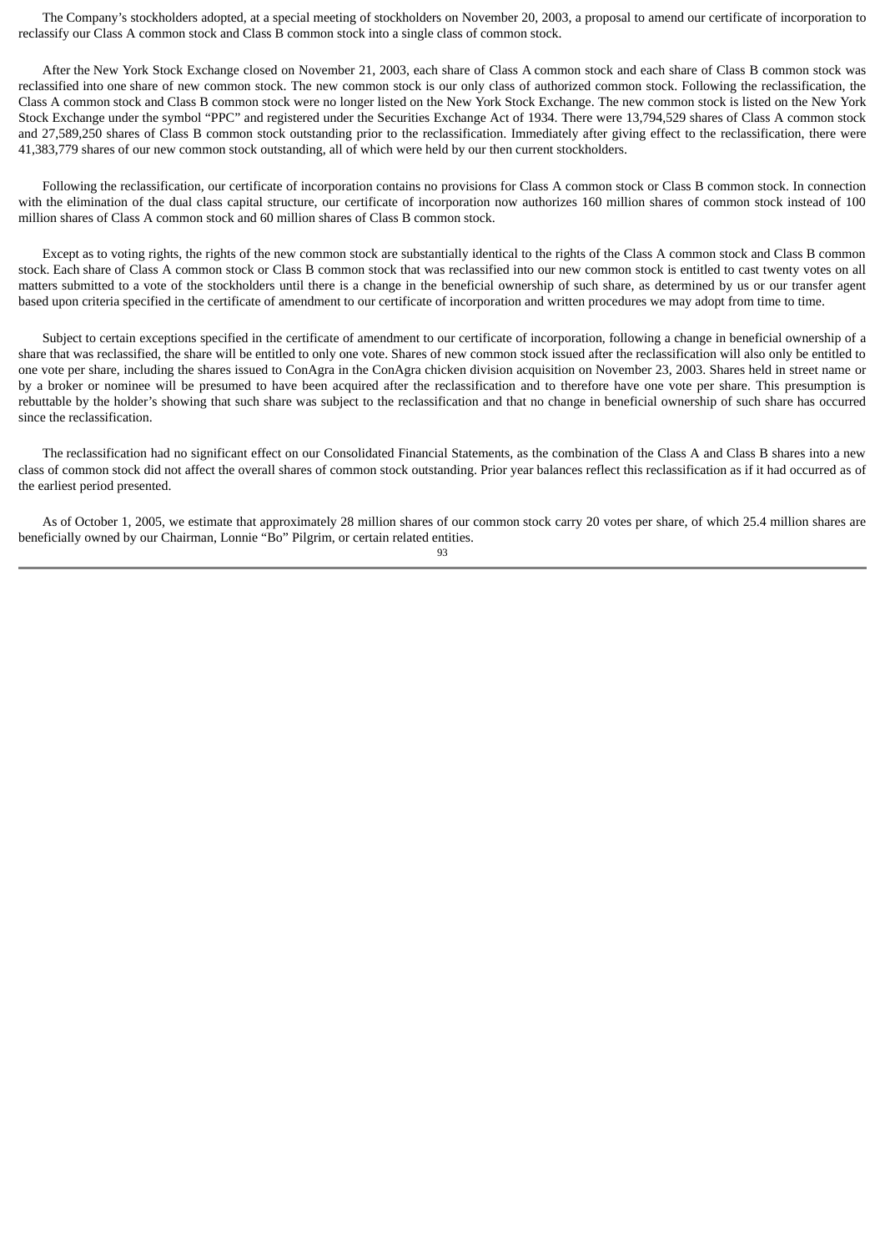The Company's stockholders adopted, at a special meeting of stockholders on November 20, 2003, a proposal to amend our certificate of incorporation to reclassify our Class A common stock and Class B common stock into a single class of common stock.

After the New York Stock Exchange closed on November 21, 2003, each share of Class A common stock and each share of Class B common stock was reclassified into one share of new common stock. The new common stock is our only class of authorized common stock. Following the reclassification, the Class A common stock and Class B common stock were no longer listed on the New York Stock Exchange. The new common stock is listed on the New York Stock Exchange under the symbol "PPC" and registered under the Securities Exchange Act of 1934. There were 13,794,529 shares of Class A common stock and 27,589,250 shares of Class B common stock outstanding prior to the reclassification. Immediately after giving effect to the reclassification, there were 41,383,779 shares of our new common stock outstanding, all of which were held by our then current stockholders.

Following the reclassification, our certificate of incorporation contains no provisions for Class A common stock or Class B common stock. In connection with the elimination of the dual class capital structure, our certificate of incorporation now authorizes 160 million shares of common stock instead of 100 million shares of Class A common stock and 60 million shares of Class B common stock.

Except as to voting rights, the rights of the new common stock are substantially identical to the rights of the Class A common stock and Class B common stock. Each share of Class A common stock or Class B common stock that was reclassified into our new common stock is entitled to cast twenty votes on all matters submitted to a vote of the stockholders until there is a change in the beneficial ownership of such share, as determined by us or our transfer agent based upon criteria specified in the certificate of amendment to our certificate of incorporation and written procedures we may adopt from time to time.

Subject to certain exceptions specified in the certificate of amendment to our certificate of incorporation, following a change in beneficial ownership of a share that was reclassified, the share will be entitled to only one vote. Shares of new common stock issued after the reclassification will also only be entitled to one vote per share, including the shares issued to ConAgra in the ConAgra chicken division acquisition on November 23, 2003. Shares held in street name or by a broker or nominee will be presumed to have been acquired after the reclassification and to therefore have one vote per share. This presumption is rebuttable by the holder's showing that such share was subject to the reclassification and that no change in beneficial ownership of such share has occurred since the reclassification.

The reclassification had no significant effect on our Consolidated Financial Statements, as the combination of the Class A and Class B shares into a new class of common stock did not affect the overall shares of common stock outstanding. Prior year balances reflect this reclassification as if it had occurred as of the earliest period presented.

As of October 1, 2005, we estimate that approximately 28 million shares of our common stock carry 20 votes per share, of which 25.4 million shares are beneficially owned by our Chairman, Lonnie "Bo" Pilgrim, or certain related entities.

<sup>93</sup>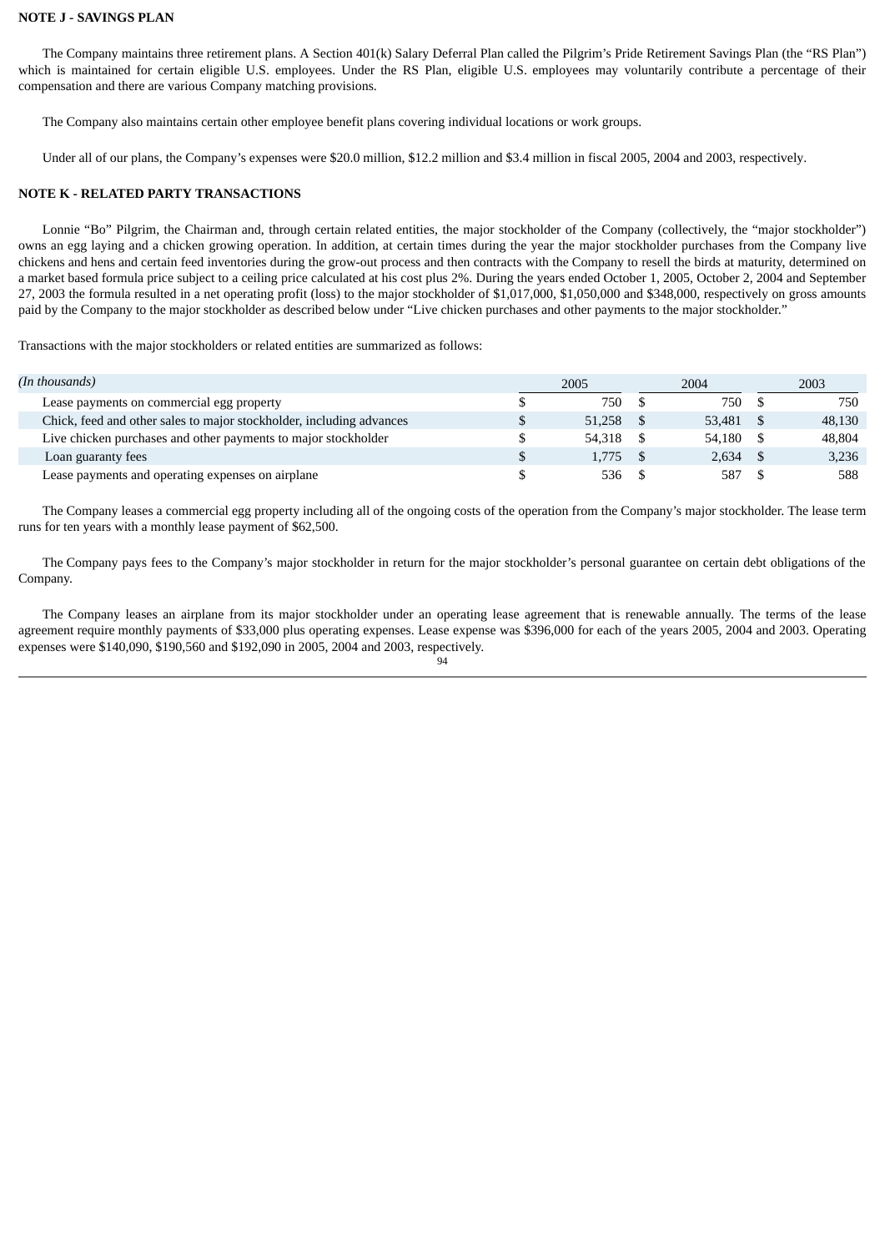## **NOTE J - SAVINGS PLAN**

The Company maintains three retirement plans. A Section 401(k) Salary Deferral Plan called the Pilgrim's Pride Retirement Savings Plan (the "RS Plan") which is maintained for certain eligible U.S. employees. Under the RS Plan, eligible U.S. employees may voluntarily contribute a percentage of their compensation and there are various Company matching provisions.

The Company also maintains certain other employee benefit plans covering individual locations or work groups.

Under all of our plans, the Company's expenses were \$20.0 million, \$12.2 million and \$3.4 million in fiscal 2005, 2004 and 2003, respectively.

## **NOTE K - RELATED PARTY TRANSACTIONS**

Lonnie "Bo" Pilgrim, the Chairman and, through certain related entities, the major stockholder of the Company (collectively, the "major stockholder") owns an egg laying and a chicken growing operation. In addition, at certain times during the year the major stockholder purchases from the Company live chickens and hens and certain feed inventories during the grow-out process and then contracts with the Company to resell the birds at maturity, determined on a market based formula price subject to a ceiling price calculated at his cost plus 2%. During the years ended October 1, 2005, October 2, 2004 and September 27, 2003 the formula resulted in a net operating profit (loss) to the major stockholder of \$1,017,000, \$1,050,000 and \$348,000, respectively on gross amounts paid by the Company to the major stockholder as described below under "Live chicken purchases and other payments to the major stockholder."

Transactions with the major stockholders or related entities are summarized as follows:

| (In thousands)                                                       | 2005   |  | 2004   |      | 2003   |  |
|----------------------------------------------------------------------|--------|--|--------|------|--------|--|
| Lease payments on commercial egg property                            | 750    |  | 750    |      | 750    |  |
| Chick, feed and other sales to major stockholder, including advances | 51.258 |  | 53.481 |      | 48,130 |  |
| Live chicken purchases and other payments to major stockholder       | 54.318 |  | 54.180 | - \$ | 48,804 |  |
| Loan guaranty fees                                                   | 1.775  |  | 2.634  |      | 3,236  |  |
| Lease payments and operating expenses on airplane                    | 536    |  | 587    |      | 588    |  |

The Company leases a commercial egg property including all of the ongoing costs of the operation from the Company's major stockholder. The lease term runs for ten years with a monthly lease payment of \$62,500.

The Company pays fees to the Company's major stockholder in return for the major stockholder's personal guarantee on certain debt obligations of the Company.

The Company leases an airplane from its major stockholder under an operating lease agreement that is renewable annually. The terms of the lease agreement require monthly payments of \$33,000 plus operating expenses. Lease expense was \$396,000 for each of the years 2005, 2004 and 2003. Operating expenses were \$140,090, \$190,560 and \$192,090 in 2005, 2004 and 2003, respectively. 94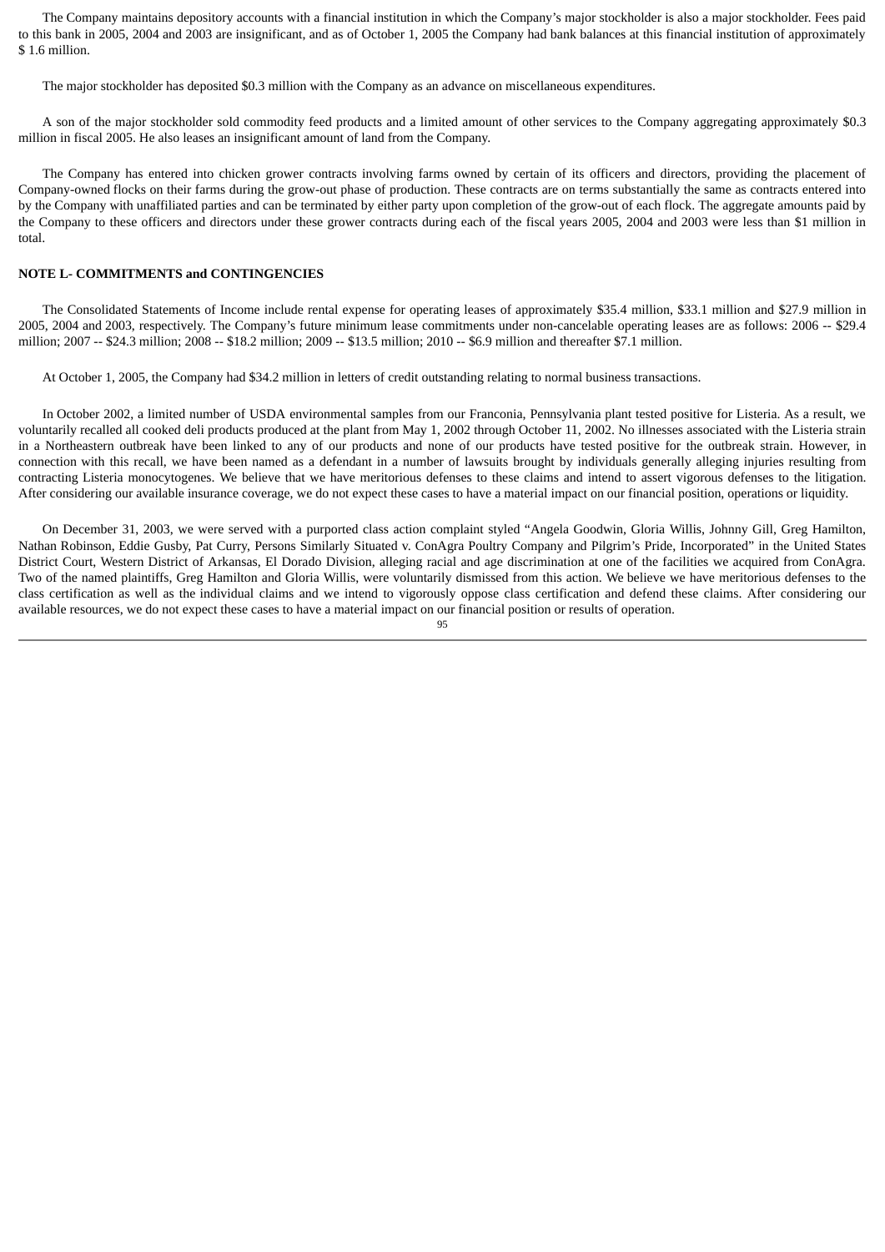The Company maintains depository accounts with a financial institution in which the Company's major stockholder is also a major stockholder. Fees paid to this bank in 2005, 2004 and 2003 are insignificant, and as of October 1, 2005 the Company had bank balances at this financial institution of approximately  $$16$  million.

The major stockholder has deposited \$0.3 million with the Company as an advance on miscellaneous expenditures.

A son of the major stockholder sold commodity feed products and a limited amount of other services to the Company aggregating approximately \$0.3 million in fiscal 2005. He also leases an insignificant amount of land from the Company.

The Company has entered into chicken grower contracts involving farms owned by certain of its officers and directors, providing the placement of Company-owned flocks on their farms during the grow-out phase of production. These contracts are on terms substantially the same as contracts entered into by the Company with unaffiliated parties and can be terminated by either party upon completion of the grow-out of each flock. The aggregate amounts paid by the Company to these officers and directors under these grower contracts during each of the fiscal years 2005, 2004 and 2003 were less than \$1 million in total.

## **NOTE L- COMMITMENTS and CONTINGENCIES**

The Consolidated Statements of Income include rental expense for operating leases of approximately \$35.4 million, \$33.1 million and \$27.9 million in 2005, 2004 and 2003, respectively. The Company's future minimum lease commitments under non-cancelable operating leases are as follows: 2006 -- \$29.4 million; 2007 -- \$24.3 million; 2008 -- \$18.2 million; 2009 -- \$13.5 million; 2010 -- \$6.9 million and thereafter \$7.1 million.

At October 1, 2005, the Company had \$34.2 million in letters of credit outstanding relating to normal business transactions.

In October 2002, a limited number of USDA environmental samples from our Franconia, Pennsylvania plant tested positive for Listeria. As a result, we voluntarily recalled all cooked deli products produced at the plant from May 1, 2002 through October 11, 2002. No illnesses associated with the Listeria strain in a Northeastern outbreak have been linked to any of our products and none of our products have tested positive for the outbreak strain. However, in connection with this recall, we have been named as a defendant in a number of lawsuits brought by individuals generally alleging injuries resulting from contracting Listeria monocytogenes. We believe that we have meritorious defenses to these claims and intend to assert vigorous defenses to the litigation. After considering our available insurance coverage, we do not expect these cases to have a material impact on our financial position, operations or liquidity.

On December 31, 2003, we were served with a purported class action complaint styled "Angela Goodwin, Gloria Willis, Johnny Gill, Greg Hamilton, Nathan Robinson, Eddie Gusby, Pat Curry, Persons Similarly Situated v. ConAgra Poultry Company and Pilgrim's Pride, Incorporated" in the United States District Court, Western District of Arkansas, El Dorado Division, alleging racial and age discrimination at one of the facilities we acquired from ConAgra. Two of the named plaintiffs, Greg Hamilton and Gloria Willis, were voluntarily dismissed from this action. We believe we have meritorious defenses to the class certification as well as the individual claims and we intend to vigorously oppose class certification and defend these claims. After considering our available resources, we do not expect these cases to have a material impact on our financial position or results of operation.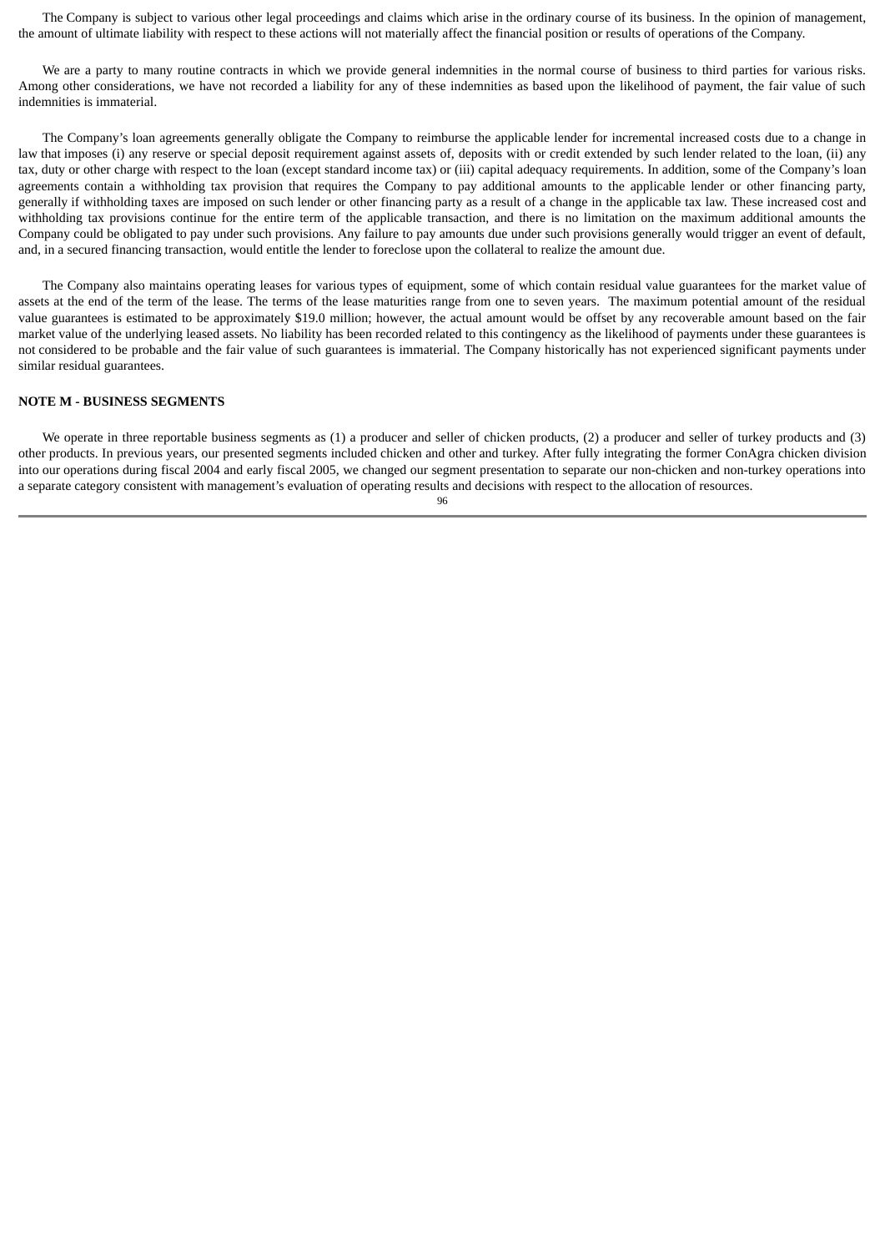The Company is subject to various other legal proceedings and claims which arise in the ordinary course of its business. In the opinion of management, the amount of ultimate liability with respect to these actions will not materially affect the financial position or results of operations of the Company.

We are a party to many routine contracts in which we provide general indemnities in the normal course of business to third parties for various risks. Among other considerations, we have not recorded a liability for any of these indemnities as based upon the likelihood of payment, the fair value of such indemnities is immaterial.

The Company's loan agreements generally obligate the Company to reimburse the applicable lender for incremental increased costs due to a change in law that imposes (i) any reserve or special deposit requirement against assets of, deposits with or credit extended by such lender related to the loan, (ii) any tax, duty or other charge with respect to the loan (except standard income tax) or (iii) capital adequacy requirements. In addition, some of the Company's loan agreements contain a withholding tax provision that requires the Company to pay additional amounts to the applicable lender or other financing party, generally if withholding taxes are imposed on such lender or other financing party as a result of a change in the applicable tax law. These increased cost and withholding tax provisions continue for the entire term of the applicable transaction, and there is no limitation on the maximum additional amounts the Company could be obligated to pay under such provisions. Any failure to pay amounts due under such provisions generally would trigger an event of default, and, in a secured financing transaction, would entitle the lender to foreclose upon the collateral to realize the amount due.

The Company also maintains operating leases for various types of equipment, some of which contain residual value guarantees for the market value of assets at the end of the term of the lease. The terms of the lease maturities range from one to seven years. The maximum potential amount of the residual value guarantees is estimated to be approximately \$19.0 million; however, the actual amount would be offset by any recoverable amount based on the fair market value of the underlying leased assets. No liability has been recorded related to this contingency as the likelihood of payments under these guarantees is not considered to be probable and the fair value of such guarantees is immaterial. The Company historically has not experienced significant payments under similar residual guarantees.

## **NOTE M - BUSINESS SEGMENTS**

We operate in three reportable business segments as (1) a producer and seller of chicken products, (2) a producer and seller of turkey products and (3) other products. In previous years, our presented segments included chicken and other and turkey. After fully integrating the former ConAgra chicken division into our operations during fiscal 2004 and early fiscal 2005, we changed our segment presentation to separate our non-chicken and non-turkey operations into a separate category consistent with management's evaluation of operating results and decisions with respect to the allocation of resources.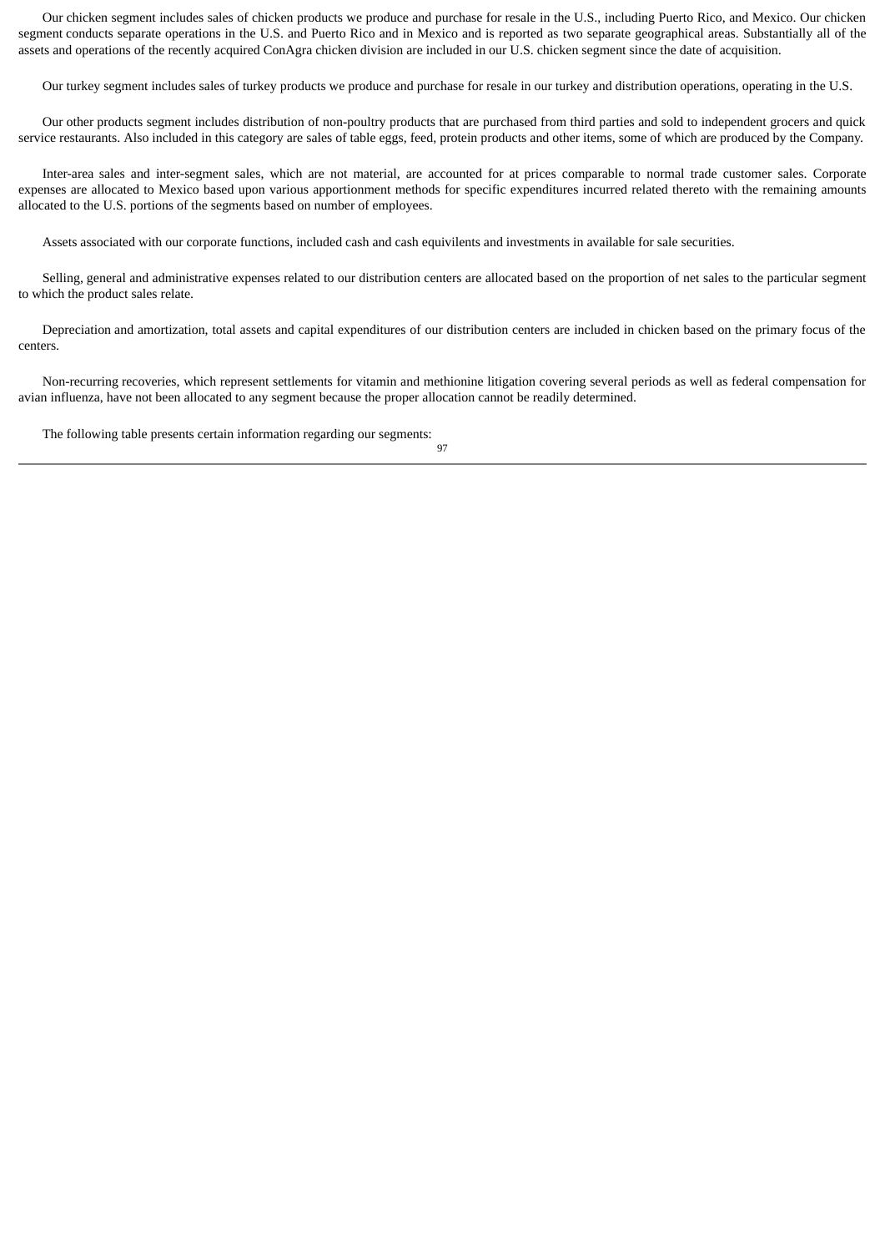Our chicken segment includes sales of chicken products we produce and purchase for resale in the U.S., including Puerto Rico, and Mexico. Our chicken segment conducts separate operations in the U.S. and Puerto Rico and in Mexico and is reported as two separate geographical areas. Substantially all of the assets and operations of the recently acquired ConAgra chicken division are included in our U.S. chicken segment since the date of acquisition.

Our turkey segment includes sales of turkey products we produce and purchase for resale in our turkey and distribution operations, operating in the U.S.

Our other products segment includes distribution of non-poultry products that are purchased from third parties and sold to independent grocers and quick service restaurants. Also included in this category are sales of table eggs, feed, protein products and other items, some of which are produced by the Company.

Inter-area sales and inter-segment sales, which are not material, are accounted for at prices comparable to normal trade customer sales. Corporate expenses are allocated to Mexico based upon various apportionment methods for specific expenditures incurred related thereto with the remaining amounts allocated to the U.S. portions of the segments based on number of employees.

Assets associated with our corporate functions, included cash and cash equivilents and investments in available for sale securities.

Selling, general and administrative expenses related to our distribution centers are allocated based on the proportion of net sales to the particular segment to which the product sales relate.

Depreciation and amortization, total assets and capital expenditures of our distribution centers are included in chicken based on the primary focus of the centers.

Non-recurring recoveries, which represent settlements for vitamin and methionine litigation covering several periods as well as federal compensation for avian influenza, have not been allocated to any segment because the proper allocation cannot be readily determined.

97

The following table presents certain information regarding our segments: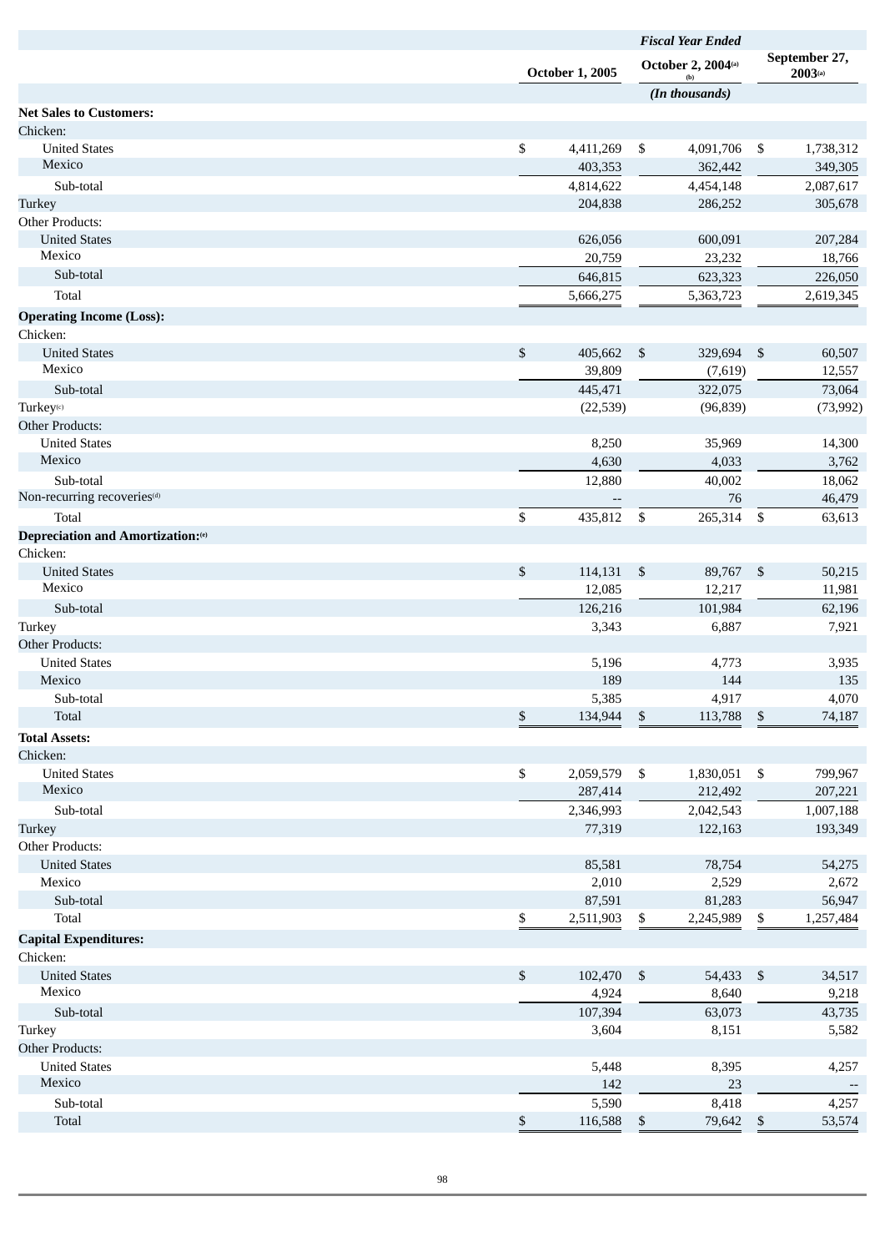|                                                      |                           | <b>October 1, 2005</b> |               | <b>Fiscal Year Ended</b><br>October 2, 2004(a)<br>(b) |                | September 27,<br>$2003^{(a)}$ |  |
|------------------------------------------------------|---------------------------|------------------------|---------------|-------------------------------------------------------|----------------|-------------------------------|--|
|                                                      |                           |                        |               |                                                       |                |                               |  |
|                                                      |                           |                        |               | (In thousands)                                        |                |                               |  |
| <b>Net Sales to Customers:</b><br>Chicken:           |                           |                        |               |                                                       |                |                               |  |
| <b>United States</b>                                 | \$                        | 4,411,269              | \$            | 4,091,706                                             | - \$           | 1,738,312                     |  |
| Mexico                                               |                           | 403,353                |               | 362,442                                               |                | 349,305                       |  |
| Sub-total                                            |                           | 4,814,622              |               | 4,454,148                                             |                | 2,087,617                     |  |
| <b>Turkey</b>                                        |                           | 204,838                |               | 286,252                                               |                | 305,678                       |  |
| Other Products:                                      |                           |                        |               |                                                       |                |                               |  |
| <b>United States</b>                                 |                           | 626,056                |               | 600,091                                               |                | 207,284                       |  |
| Mexico                                               |                           | 20,759                 |               | 23,232                                                |                | 18,766                        |  |
| Sub-total                                            |                           | 646,815                |               | 623,323                                               |                | 226,050                       |  |
| Total                                                |                           | 5,666,275              |               | 5,363,723                                             |                | 2,619,345                     |  |
| <b>Operating Income (Loss):</b>                      |                           |                        |               |                                                       |                |                               |  |
| Chicken:                                             |                           |                        |               |                                                       |                |                               |  |
| <b>United States</b>                                 | \$                        | 405,662                | \$            | 329,694                                               | \$             | 60,507                        |  |
| Mexico                                               |                           | 39,809                 |               | (7,619)                                               |                | 12,557                        |  |
| Sub-total                                            |                           | 445,471                |               | 322,075                                               |                | 73,064                        |  |
| Turkey <sup>(c)</sup>                                |                           | (22, 539)              |               | (96, 839)                                             |                | (73,992)                      |  |
| <b>Other Products:</b>                               |                           |                        |               |                                                       |                |                               |  |
| <b>United States</b>                                 |                           | 8,250                  |               | 35,969                                                |                | 14,300                        |  |
| Mexico                                               |                           | 4,630                  |               | 4,033                                                 |                | 3,762                         |  |
| Sub-total                                            |                           | 12,880                 |               | 40,002                                                |                | 18,062                        |  |
| Non-recurring recoveries <sup>(d)</sup>              |                           |                        |               | 76                                                    |                | 46,479                        |  |
| Total                                                | \$                        | 435,812                | \$            | 265,314                                               | $\mathfrak{S}$ | 63,613                        |  |
| <b>Depreciation and Amortization:</b> <sup>(e)</sup> |                           |                        |               |                                                       |                |                               |  |
| Chicken:                                             | \$                        |                        |               |                                                       |                |                               |  |
| <b>United States</b><br>Mexico                       |                           | 114,131                | ${\mathbb S}$ | 89,767                                                | $\mathfrak s$  | 50,215                        |  |
|                                                      |                           | 12,085                 |               | 12,217                                                |                | 11,981                        |  |
| Sub-total                                            |                           | 126,216                |               | 101,984                                               |                | 62,196<br>7,921               |  |
| Turkey<br><b>Other Products:</b>                     |                           | 3,343                  |               | 6,887                                                 |                |                               |  |
| <b>United States</b>                                 |                           | 5,196                  |               | 4,773                                                 |                | 3,935                         |  |
| Mexico                                               |                           | 189                    |               | 144                                                   |                | 135                           |  |
| Sub-total                                            |                           | 5,385                  |               | 4,917                                                 |                | 4,070                         |  |
| Total                                                | \$                        | 134,944                | \$            | 113,788                                               | \$             | 74,187                        |  |
| <b>Total Assets:</b>                                 |                           |                        |               |                                                       |                |                               |  |
| Chicken:                                             |                           |                        |               |                                                       |                |                               |  |
| <b>United States</b>                                 | \$                        | 2,059,579              | \$            | 1,830,051                                             | - \$           | 799,967                       |  |
| Mexico                                               |                           | 287,414                |               | 212,492                                               |                | 207,221                       |  |
| Sub-total                                            |                           | 2,346,993              |               | 2,042,543                                             |                | 1,007,188                     |  |
| <b>Turkey</b>                                        |                           | 77,319                 |               | 122,163                                               |                | 193,349                       |  |
| Other Products:                                      |                           |                        |               |                                                       |                |                               |  |
| <b>United States</b>                                 |                           | 85,581                 |               | 78,754                                                |                | 54,275                        |  |
| Mexico                                               |                           | 2,010                  |               | 2,529                                                 |                | 2,672                         |  |
| Sub-total                                            |                           | 87,591                 |               | 81,283                                                |                | 56,947                        |  |
| Total                                                | \$                        | 2,511,903              | \$            | 2,245,989                                             | \$             | 1,257,484                     |  |
| <b>Capital Expenditures:</b>                         |                           |                        |               |                                                       |                |                               |  |
| Chicken:                                             |                           |                        |               |                                                       |                |                               |  |
| <b>United States</b>                                 | $\boldsymbol{\mathsf{S}}$ | 102,470                | ${\mathbb S}$ | 54,433                                                | $\mathfrak{S}$ | 34,517                        |  |
| Mexico                                               |                           | 4,924                  |               | 8,640                                                 |                | 9,218                         |  |
| Sub-total                                            |                           | 107,394                |               | 63,073                                                |                | 43,735                        |  |
| Turkey                                               |                           | 3,604                  |               | 8,151                                                 |                | 5,582                         |  |
| <b>Other Products:</b>                               |                           |                        |               |                                                       |                |                               |  |
| <b>United States</b>                                 |                           | 5,448                  |               | 8,395                                                 |                | 4,257                         |  |
| Mexico                                               |                           | 142                    |               | 23                                                    |                |                               |  |
| Sub-total                                            |                           | 5,590                  |               | 8,418                                                 |                | 4,257                         |  |
| Total                                                | \$                        | 116,588                | \$            | 79,642                                                | $$\mathbb{S}$$ | 53,574                        |  |
|                                                      |                           |                        |               |                                                       |                |                               |  |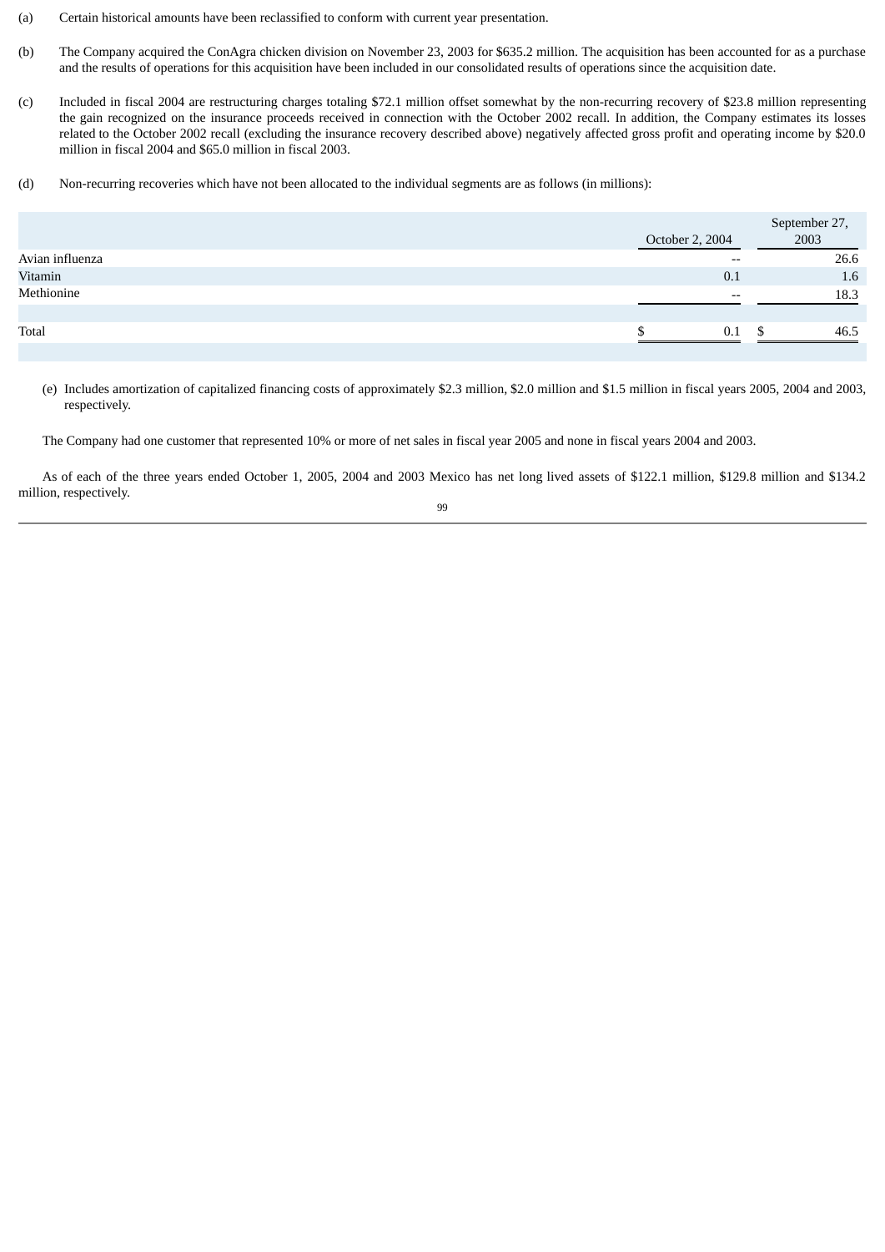- (a) Certain historical amounts have been reclassified to conform with current year presentation.
- (b) The Company acquired the ConAgra chicken division on November 23, 2003 for \$635.2 million. The acquisition has been accounted for as a purchase and the results of operations for this acquisition have been included in our consolidated results of operations since the acquisition date.
- (c) Included in fiscal 2004 are restructuring charges totaling \$72.1 million offset somewhat by the non-recurring recovery of \$23.8 million representing the gain recognized on the insurance proceeds received in connection with the October 2002 recall. In addition, the Company estimates its losses related to the October 2002 recall (excluding the insurance recovery described above) negatively affected gross profit and operating income by \$20.0 million in fiscal 2004 and \$65.0 million in fiscal 2003.
- (d) Non-recurring recoveries which have not been allocated to the individual segments are as follows (in millions):

|                 | October 2, 2004          | September 27,<br>2003 |
|-----------------|--------------------------|-----------------------|
| Avian influenza | $\overline{\phantom{m}}$ | 26.6                  |
| Vitamin         | 0.1                      | 1.6                   |
| Methionine      | $- -$                    | 18.3                  |
| Total           | 0.1                      | 46.5                  |

(e) Includes amortization of capitalized financing costs of approximately \$2.3 million, \$2.0 million and \$1.5 million in fiscal years 2005, 2004 and 2003, respectively.

The Company had one customer that represented 10% or more of net sales in fiscal year 2005 and none in fiscal years 2004 and 2003.

As of each of the three years ended October 1, 2005, 2004 and 2003 Mexico has net long lived assets of \$122.1 million, \$129.8 million and \$134.2 million, respectively.

99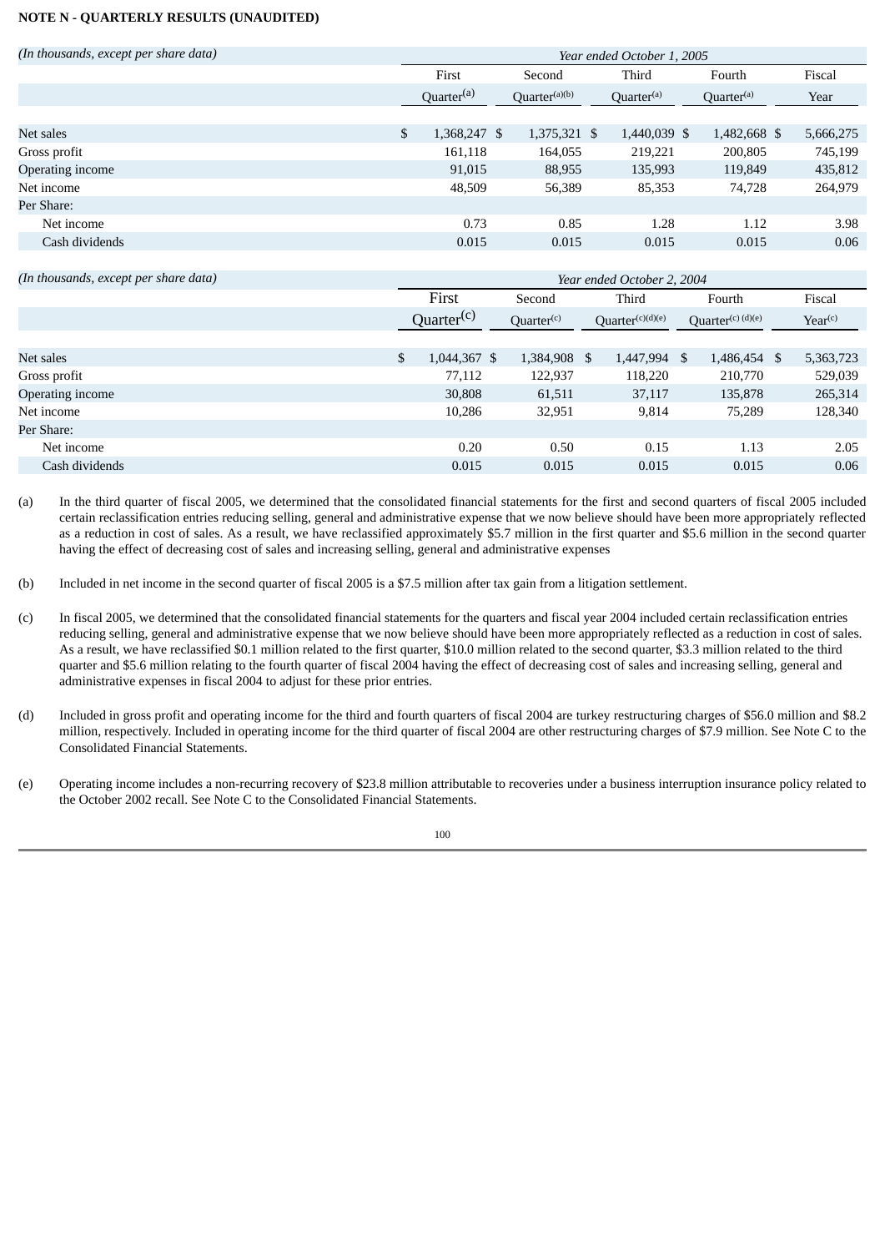### **NOTE N - QUARTERLY RESULTS (UNAUDITED)**

| (In thousands, except per share data) | Year ended October 1, 2005 |                           |                        |                        |                |  |
|---------------------------------------|----------------------------|---------------------------|------------------------|------------------------|----------------|--|
|                                       | First                      | Second                    | Third                  | Fourth                 | Fiscal<br>Year |  |
|                                       | Quarter <sup>(a)</sup>     | Quarter <sup>(a)(b)</sup> | Quarter <sup>(a)</sup> | Quarter <sup>(a)</sup> |                |  |
|                                       |                            |                           |                        |                        |                |  |
| Net sales                             | \$<br>1,368,247 \$         | 1,375,321 \$              | 1,440,039 \$           | 1,482,668 \$           | 5,666,275      |  |
| Gross profit                          | 161,118                    | 164,055                   | 219,221                | 200,805                | 745,199        |  |
| Operating income                      | 91,015                     | 88,955                    | 135,993                | 119,849                | 435,812        |  |
| Net income                            | 48,509                     | 56,389                    | 85,353                 | 74,728                 | 264,979        |  |
| Per Share:                            |                            |                           |                        |                        |                |  |
| Net income                            | 0.73                       | 0.85                      | 1.28                   | 1.12                   | 3.98           |  |
| Cash dividends                        | 0.015                      | 0.015                     | 0.015                  | 0.015                  | 0.06           |  |
|                                       |                            |                           |                        |                        |                |  |

| (In thousands, except per share data) | Year ended October 2, 2004 |                        |                              |                        |                     |  |
|---------------------------------------|----------------------------|------------------------|------------------------------|------------------------|---------------------|--|
|                                       | First                      | Second                 | Third                        | Fourth                 | Fiscal              |  |
|                                       | Quarter <sup>(c)</sup>     | Quarter <sup>(c)</sup> | Quarter <sup>(c)(d)(e)</sup> | Quarter $(c)$ $(d)(e)$ | Year <sup>(c)</sup> |  |
|                                       |                            |                        |                              |                        |                     |  |
| Net sales                             | \$<br>1,044,367 \$         | 1,384,908 \$           | 1,447,994 \$                 | 1,486,454 \$           | 5,363,723           |  |
| Gross profit                          | 77,112                     | 122,937                | 118,220                      | 210,770                | 529,039             |  |
| Operating income                      | 30,808                     | 61,511                 | 37,117                       | 135,878                | 265,314             |  |
| Net income                            | 10,286                     | 32,951                 | 9,814                        | 75,289                 | 128,340             |  |
| Per Share:                            |                            |                        |                              |                        |                     |  |
| Net income                            | 0.20                       | 0.50                   | 0.15                         | 1.13                   | 2.05                |  |
| Cash dividends                        | 0.015                      | 0.015                  | 0.015                        | 0.015                  | 0.06                |  |

- (a) In the third quarter of fiscal 2005, we determined that the consolidated financial statements for the first and second quarters of fiscal 2005 included certain reclassification entries reducing selling, general and administrative expense that we now believe should have been more appropriately reflected as a reduction in cost of sales. As a result, we have reclassified approximately \$5.7 million in the first quarter and \$5.6 million in the second quarter having the effect of decreasing cost of sales and increasing selling, general and administrative expenses
- (b) Included in net income in the second quarter of fiscal 2005 is a \$7.5 million after tax gain from a litigation settlement.
- (c) In fiscal 2005, we determined that the consolidated financial statements for the quarters and fiscal year 2004 included certain reclassification entries reducing selling, general and administrative expense that we now believe should have been more appropriately reflected as a reduction in cost of sales. As a result, we have reclassified \$0.1 million related to the first quarter, \$10.0 million related to the second quarter, \$3.3 million related to the third quarter and \$5.6 million relating to the fourth quarter of fiscal 2004 having the effect of decreasing cost of sales and increasing selling, general and administrative expenses in fiscal 2004 to adjust for these prior entries.
- (d) Included in gross profit and operating income for the third and fourth quarters of fiscal 2004 are turkey restructuring charges of \$56.0 million and \$8.2 million, respectively. Included in operating income for the third quarter of fiscal 2004 are other restructuring charges of \$7.9 million. See Note C to the Consolidated Financial Statements.
- (e) Operating income includes a non-recurring recovery of \$23.8 million attributable to recoveries under a business interruption insurance policy related to the October 2002 recall. See Note C to the Consolidated Financial Statements.

100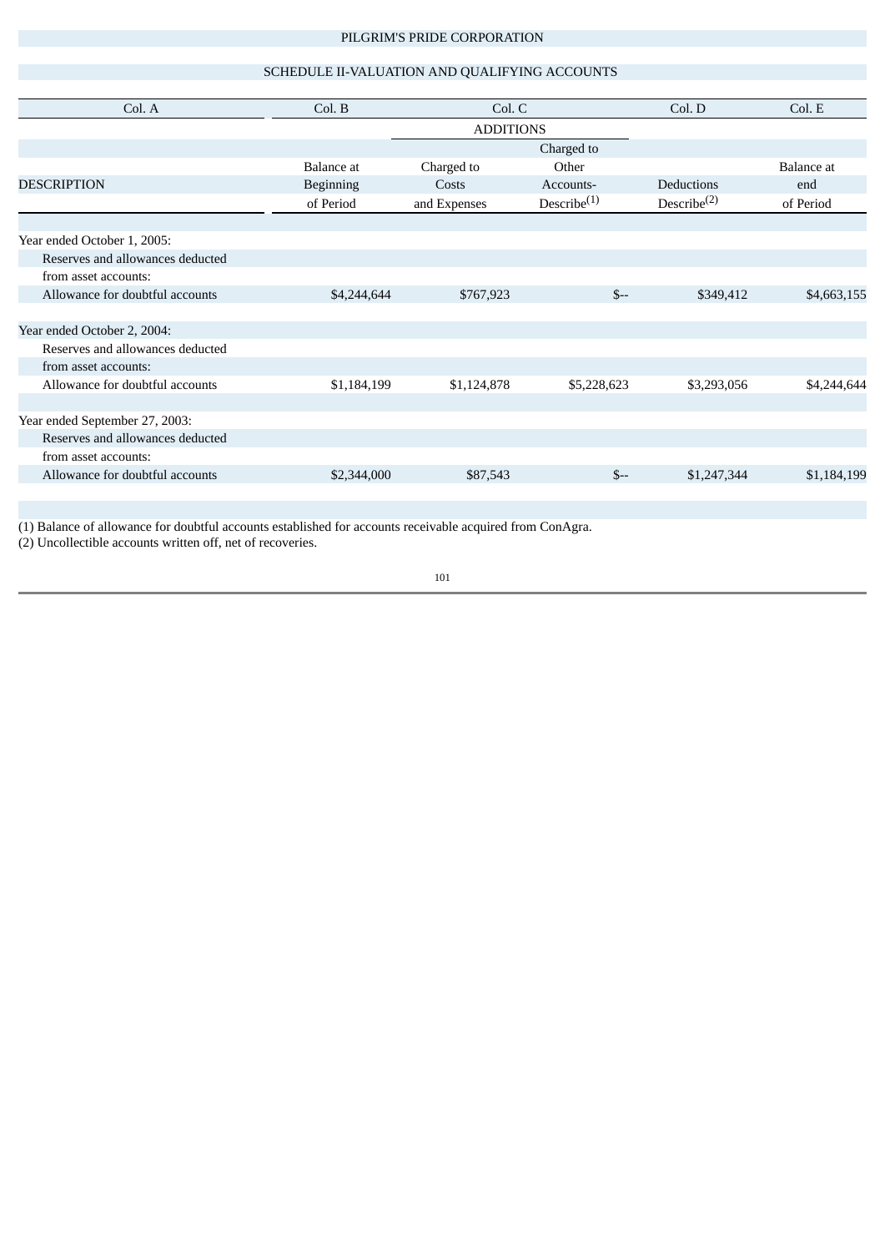# PILGRIM'S PRIDE CORPORATION

### SCHEDULE II-VALUATION AND QUALIFYING ACCOUNTS

| Col. A                           | Col. B      | Col. C           |                | Col. D            | Col. E      |
|----------------------------------|-------------|------------------|----------------|-------------------|-------------|
|                                  |             | <b>ADDITIONS</b> |                |                   |             |
|                                  |             |                  | Charged to     |                   |             |
|                                  | Balance at  | Charged to       | Other          |                   | Balance at  |
| <b>DESCRIPTION</b>               | Beginning   | Costs            | Accounts-      | Deductions        | end         |
|                                  | of Period   | and Expenses     | Describe $(1)$ | Describe $^{(2)}$ | of Period   |
|                                  |             |                  |                |                   |             |
| Year ended October 1, 2005:      |             |                  |                |                   |             |
| Reserves and allowances deducted |             |                  |                |                   |             |
| from asset accounts:             |             |                  |                |                   |             |
| Allowance for doubtful accounts  | \$4,244,644 | \$767,923        | $S-$           | \$349,412         | \$4,663,155 |
|                                  |             |                  |                |                   |             |
| Year ended October 2, 2004:      |             |                  |                |                   |             |
| Reserves and allowances deducted |             |                  |                |                   |             |
| from asset accounts:             |             |                  |                |                   |             |
| Allowance for doubtful accounts  | \$1,184,199 | \$1,124,878      | \$5,228,623    | \$3,293,056       | \$4,244,644 |
|                                  |             |                  |                |                   |             |
| Year ended September 27, 2003:   |             |                  |                |                   |             |
| Reserves and allowances deducted |             |                  |                |                   |             |
| from asset accounts:             |             |                  |                |                   |             |
| Allowance for doubtful accounts  | \$2,344,000 | \$87,543         | $S-$           | \$1,247,344       | \$1,184,199 |
|                                  |             |                  |                |                   |             |
|                                  |             |                  |                |                   |             |

(1) Balance of allowance for doubtful accounts established for accounts receivable acquired from ConAgra.

(2) Uncollectible accounts written off, net of recoveries.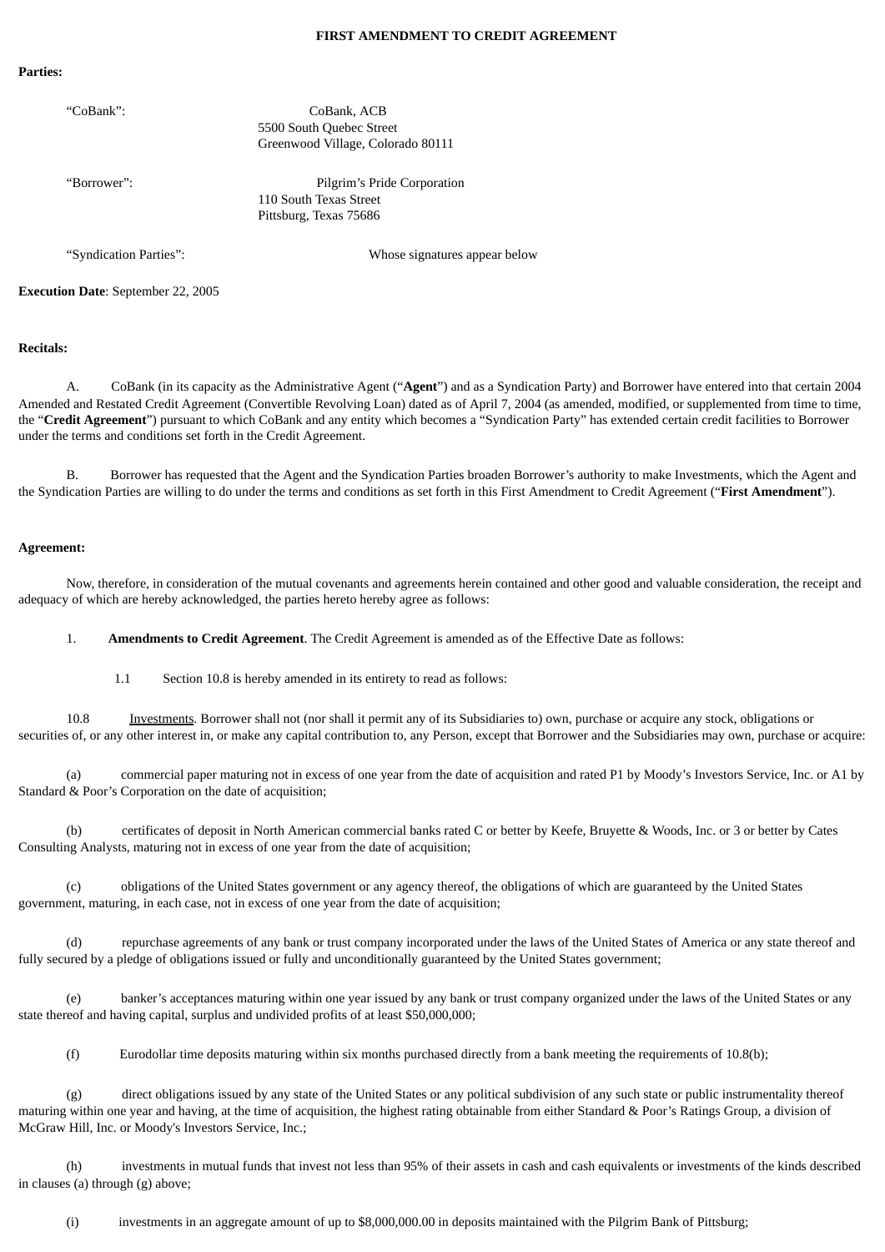#### **FIRST AMENDMENT TO CREDIT AGREEMENT**

#### **Parties:**

"CoBank": CoBank, ACB 5500 South Quebec Street Greenwood Village, Colorado 80111

"Borrower": Pilgrim's Pride Corporation 110 South Texas Street Pittsburg, Texas 75686

"Syndication Parties": Whose signatures appear below

**Execution Date**: September 22, 2005

#### **Recitals:**

A. CoBank (in its capacity as the Administrative Agent ("**Agent**") and as a Syndication Party) and Borrower have entered into that certain 2004 Amended and Restated Credit Agreement (Convertible Revolving Loan) dated as of April 7, 2004 (as amended, modified, or supplemented from time to time, the "**Credit Agreement**") pursuant to which CoBank and any entity which becomes a "Syndication Party" has extended certain credit facilities to Borrower under the terms and conditions set forth in the Credit Agreement.

B. Borrower has requested that the Agent and the Syndication Parties broaden Borrower's authority to make Investments, which the Agent and the Syndication Parties are willing to do under the terms and conditions as set forth in this First Amendment to Credit Agreement ("**First Amendment**").

#### **Agreement:**

Now, therefore, in consideration of the mutual covenants and agreements herein contained and other good and valuable consideration, the receipt and adequacy of which are hereby acknowledged, the parties hereto hereby agree as follows:

1. **Amendments to Credit Agreement**. The Credit Agreement is amended as of the Effective Date as follows:

1.1 Section 10.8 is hereby amended in its entirety to read as follows:

10.8 Investments. Borrower shall not (nor shall it permit any of its Subsidiaries to) own, purchase or acquire any stock, obligations or securities of, or any other interest in, or make any capital contribution to, any Person, except that Borrower and the Subsidiaries may own, purchase or acquire:

(a) commercial paper maturing not in excess of one year from the date of acquisition and rated P1 by Moody's Investors Service, Inc. or A1 by Standard & Poor's Corporation on the date of acquisition;

(b) certificates of deposit in North American commercial banks rated C or better by Keefe, Bruyette & Woods, Inc. or 3 or better by Cates Consulting Analysts, maturing not in excess of one year from the date of acquisition;

(c) obligations of the United States government or any agency thereof, the obligations of which are guaranteed by the United States government, maturing, in each case, not in excess of one year from the date of acquisition;

(d) repurchase agreements of any bank or trust company incorporated under the laws of the United States of America or any state thereof and fully secured by a pledge of obligations issued or fully and unconditionally guaranteed by the United States government;

(e) banker's acceptances maturing within one year issued by any bank or trust company organized under the laws of the United States or any state thereof and having capital, surplus and undivided profits of at least \$50,000,000;

(f) Eurodollar time deposits maturing within six months purchased directly from a bank meeting the requirements of 10.8(b);

(g) direct obligations issued by any state of the United States or any political subdivision of any such state or public instrumentality thereof maturing within one year and having, at the time of acquisition, the highest rating obtainable from either Standard & Poor's Ratings Group, a division of McGraw Hill, Inc. or Moody's Investors Service, Inc.;

(h) investments in mutual funds that invest not less than 95% of their assets in cash and cash equivalents or investments of the kinds described in clauses (a) through (g) above;

(i) investments in an aggregate amount of up to \$8,000,000.00 in deposits maintained with the Pilgrim Bank of Pittsburg;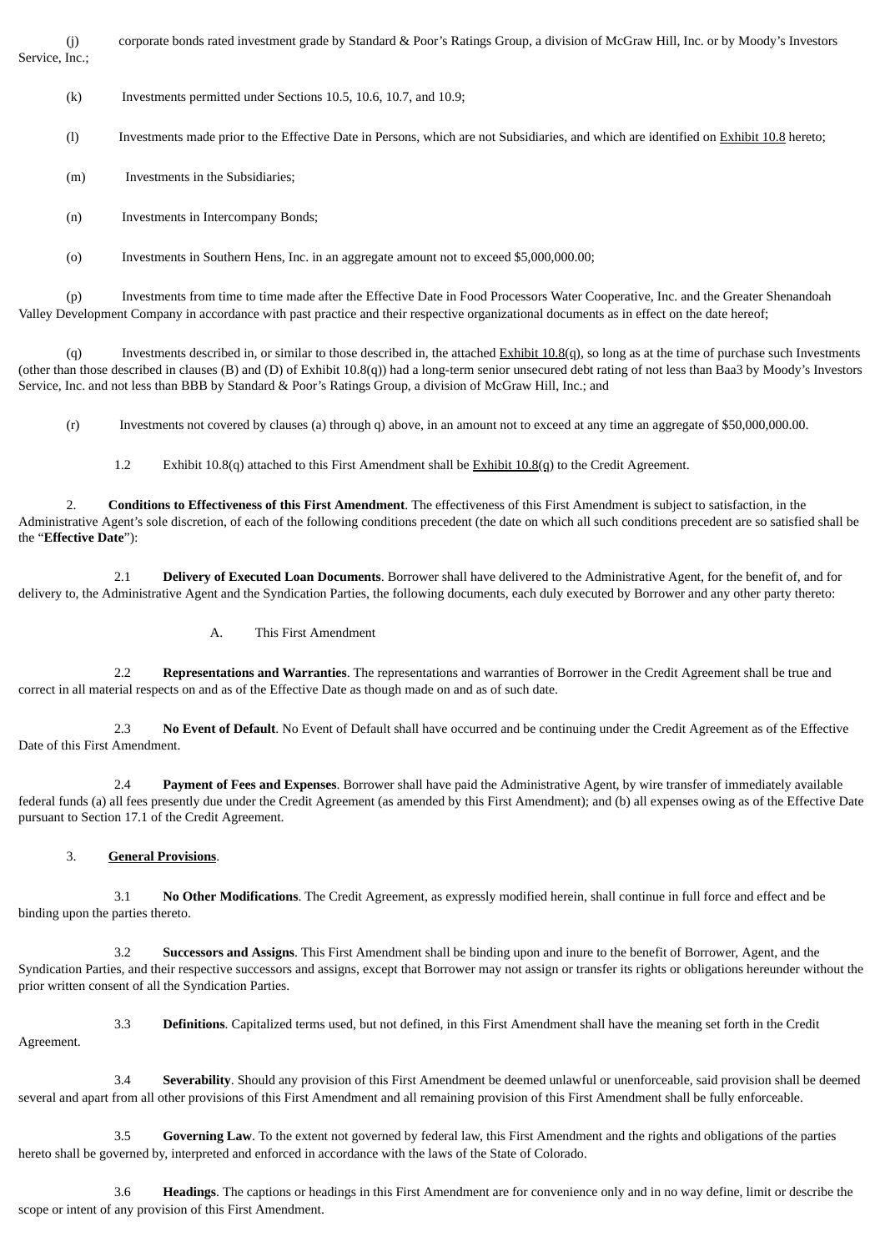(j) corporate bonds rated investment grade by Standard & Poor's Ratings Group, a division of McGraw Hill, Inc. or by Moody's Investors Service, Inc.;

(k) Investments permitted under Sections 10.5, 10.6, 10.7, and 10.9;

(l) Investments made prior to the Effective Date in Persons, which are not Subsidiaries, and which are identified on Exhibit 10.8 hereto;

(m) Investments in the Subsidiaries;

(n) Investments in Intercompany Bonds;

(o) Investments in Southern Hens, Inc. in an aggregate amount not to exceed \$5,000,000.00;

(p) Investments from time to time made after the Effective Date in Food Processors Water Cooperative, Inc. and the Greater Shenandoah Valley Development Company in accordance with past practice and their respective organizational documents as in effect on the date hereof;

(q) Investments described in, or similar to those described in, the attached Exhibit 10.8(q), so long as at the time of purchase such Investments (other than those described in clauses (B) and (D) of Exhibit 10.8(q)) had a long-term senior unsecured debt rating of not less than Baa3 by Moody's Investors Service, Inc. and not less than BBB by Standard & Poor's Ratings Group, a division of McGraw Hill, Inc.; and

(r) Investments not covered by clauses (a) through q) above, in an amount not to exceed at any time an aggregate of \$50,000,000.00.

1.2 Exhibit 10.8(q) attached to this First Amendment shall be  $Exhibit 10.8(q)$  to the Credit Agreement.

2. **Conditions to Effectiveness of this First Amendment**. The effectiveness of this First Amendment is subject to satisfaction, in the Administrative Agent's sole discretion, of each of the following conditions precedent (the date on which all such conditions precedent are so satisfied shall be the "**Effective Date**"):

2.1 **Delivery of Executed Loan Documents**. Borrower shall have delivered to the Administrative Agent, for the benefit of, and for delivery to, the Administrative Agent and the Syndication Parties, the following documents, each duly executed by Borrower and any other party thereto:

#### A. This First Amendment

2.2 **Representations and Warranties**. The representations and warranties of Borrower in the Credit Agreement shall be true and correct in all material respects on and as of the Effective Date as though made on and as of such date.

2.3 **No Event of Default**. No Event of Default shall have occurred and be continuing under the Credit Agreement as of the Effective Date of this First Amendment.

2.4 **Payment of Fees and Expenses**. Borrower shall have paid the Administrative Agent, by wire transfer of immediately available federal funds (a) all fees presently due under the Credit Agreement (as amended by this First Amendment); and (b) all expenses owing as of the Effective Date pursuant to Section 17.1 of the Credit Agreement.

#### 3. **General Provisions**.

3.1 **No Other Modifications**. The Credit Agreement, as expressly modified herein, shall continue in full force and effect and be binding upon the parties thereto.

3.2 **Successors and Assigns**. This First Amendment shall be binding upon and inure to the benefit of Borrower, Agent, and the Syndication Parties, and their respective successors and assigns, except that Borrower may not assign or transfer its rights or obligations hereunder without the prior written consent of all the Syndication Parties.

3.3 **Definitions**. Capitalized terms used, but not defined, in this First Amendment shall have the meaning set forth in the Credit Agreement.

3.4 **Severability**. Should any provision of this First Amendment be deemed unlawful or unenforceable, said provision shall be deemed several and apart from all other provisions of this First Amendment and all remaining provision of this First Amendment shall be fully enforceable.

3.5 **Governing Law**. To the extent not governed by federal law, this First Amendment and the rights and obligations of the parties hereto shall be governed by, interpreted and enforced in accordance with the laws of the State of Colorado.

3.6 **Headings**. The captions or headings in this First Amendment are for convenience only and in no way define, limit or describe the scope or intent of any provision of this First Amendment.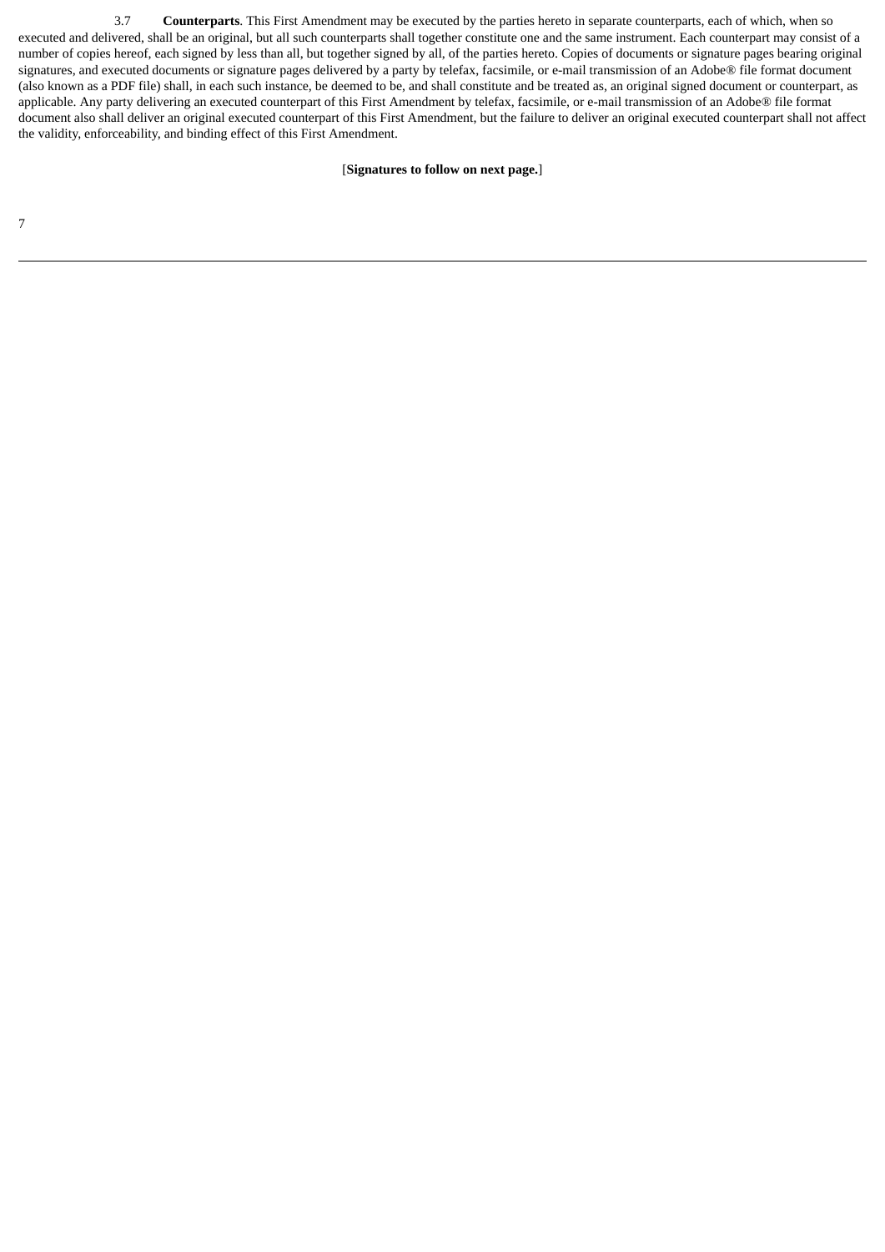3.7 **Counterparts**. This First Amendment may be executed by the parties hereto in separate counterparts, each of which, when so executed and delivered, shall be an original, but all such counterparts shall together constitute one and the same instrument. Each counterpart may consist of a number of copies hereof, each signed by less than all, but together signed by all, of the parties hereto. Copies of documents or signature pages bearing original signatures, and executed documents or signature pages delivered by a party by telefax, facsimile, or e-mail transmission of an Adobe® file format document (also known as a PDF file) shall, in each such instance, be deemed to be, and shall constitute and be treated as, an original signed document or counterpart, as applicable. Any party delivering an executed counterpart of this First Amendment by telefax, facsimile, or e-mail transmission of an Adobe® file format document also shall deliver an original executed counterpart of this First Amendment, but the failure to deliver an original executed counterpart shall not affect the validity, enforceability, and binding effect of this First Amendment.

#### [**Signatures to follow on next page.**]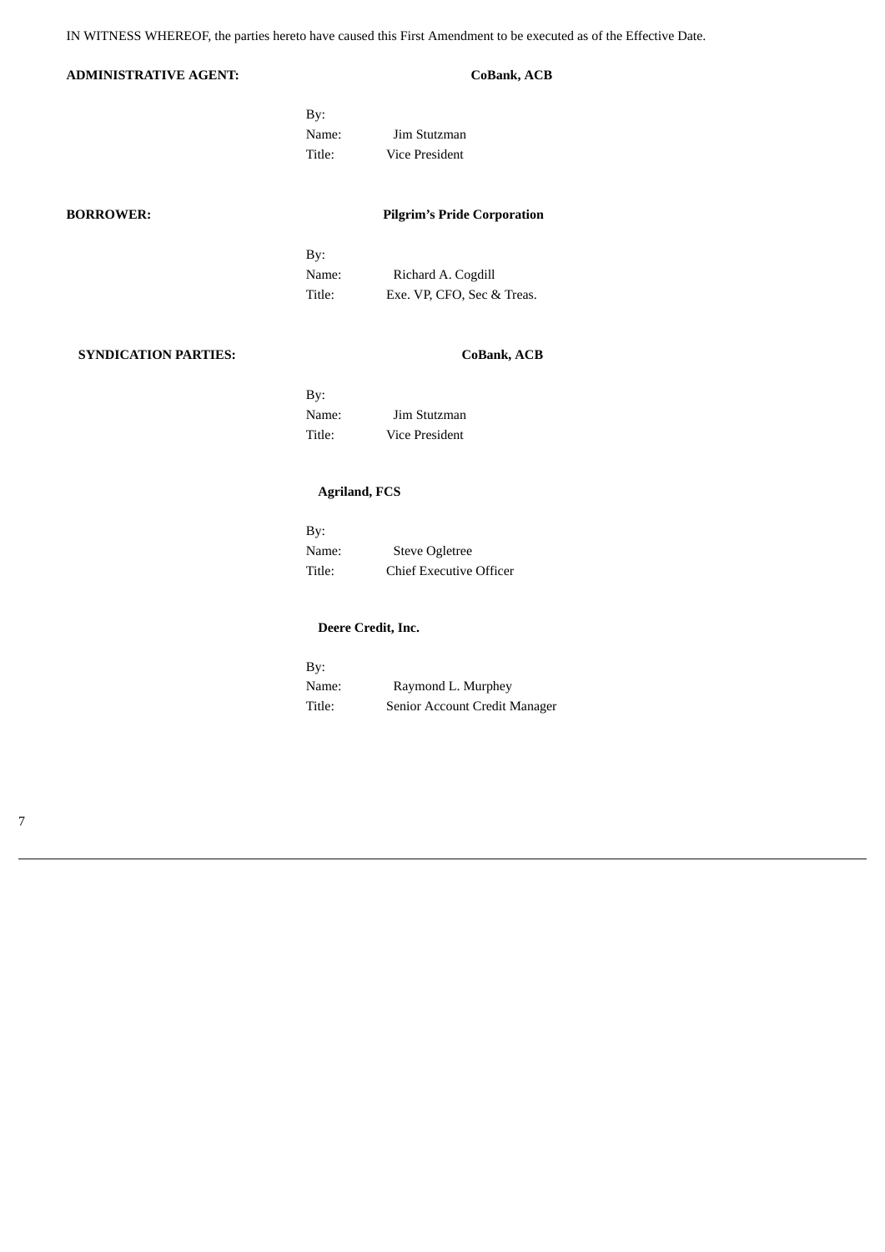IN WITNESS WHEREOF, the parties hereto have caused this First Amendment to be executed as of the Effective Date.

# **ADMINISTRATIVE AGENT: CoBank, ACB** By: Name: Jim Stutzman Title: Vice President **BORROWER: Pilgrim's Pride Corporation** By:

Name: Richard A. Cogdill Title: Exe. VP, CFO, Sec & Treas.

#### **SYNDICATION PARTIES: CoBank, ACB**

| By:    |                |
|--------|----------------|
| Name:  | Jim Stutzman   |
| Title: | Vice President |

### **Agriland, FCS**

| Bv:    |                         |
|--------|-------------------------|
| Name:  | <b>Steve Ogletree</b>   |
| Title: | Chief Executive Officer |

# **Deere Credit, Inc.**

| Bv:    |                               |
|--------|-------------------------------|
| Name:  | Raymond L. Murphey            |
| Title: | Senior Account Credit Manager |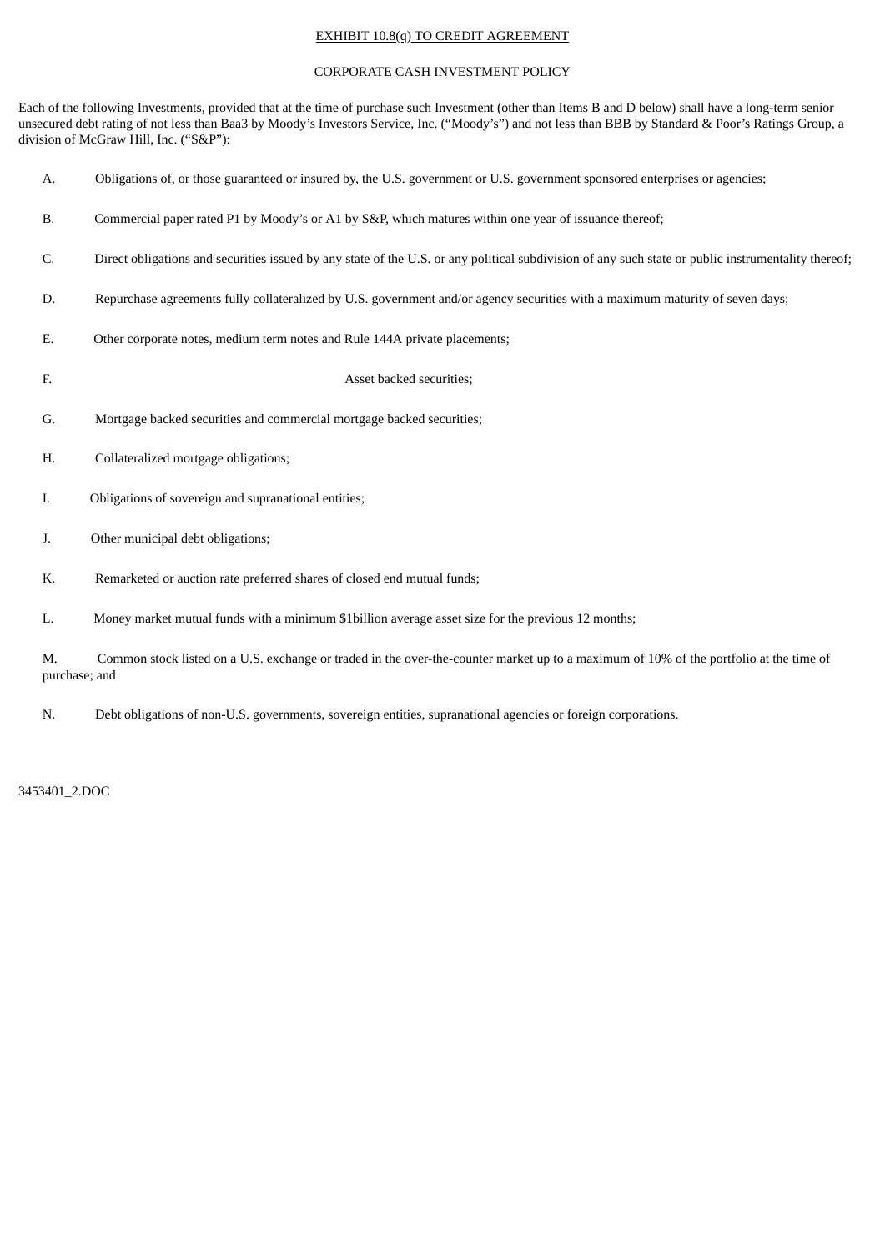#### EXHIBIT 10.8(q) TO CREDIT AGREEMENT

#### CORPORATE CASH INVESTMENT POLICY

Each of the following Investments, provided that at the time of purchase such Investment (other than Items B and D below) shall have a long-term senior unsecured debt rating of not less than Baa3 by Moody's Investors Service, Inc. ("Moody's") and not less than BBB by Standard & Poor's Ratings Group, a division of McGraw Hill, Inc. ("S&P"):

- A. Obligations of, or those guaranteed or insured by, the U.S. government or U.S. government sponsored enterprises or agencies;
- B. Commercial paper rated P1 by Moody's or A1 by S&P, which matures within one year of issuance thereof;
- C. Direct obligations and securities issued by any state of the U.S. or any political subdivision of any such state or public instrumentality thereof;
- D. Repurchase agreements fully collateralized by U.S. government and/or agency securities with a maximum maturity of seven days;
- E. Other corporate notes, medium term notes and Rule 144A private placements;
- F. Asset backed securities;
- G. Mortgage backed securities and commercial mortgage backed securities;
- H. Collateralized mortgage obligations;
- I. Obligations of sovereign and supranational entities;
- J. Other municipal debt obligations;
- K. Remarketed or auction rate preferred shares of closed end mutual funds;
- L. Money market mutual funds with a minimum \$1billion average asset size for the previous 12 months;
- M. Common stock listed on a U.S. exchange or traded in the over-the-counter market up to a maximum of 10% of the portfolio at the time of purchase; and
- N. Debt obligations of non-U.S. governments, sovereign entities, supranational agencies or foreign corporations.

3453401\_2.DOC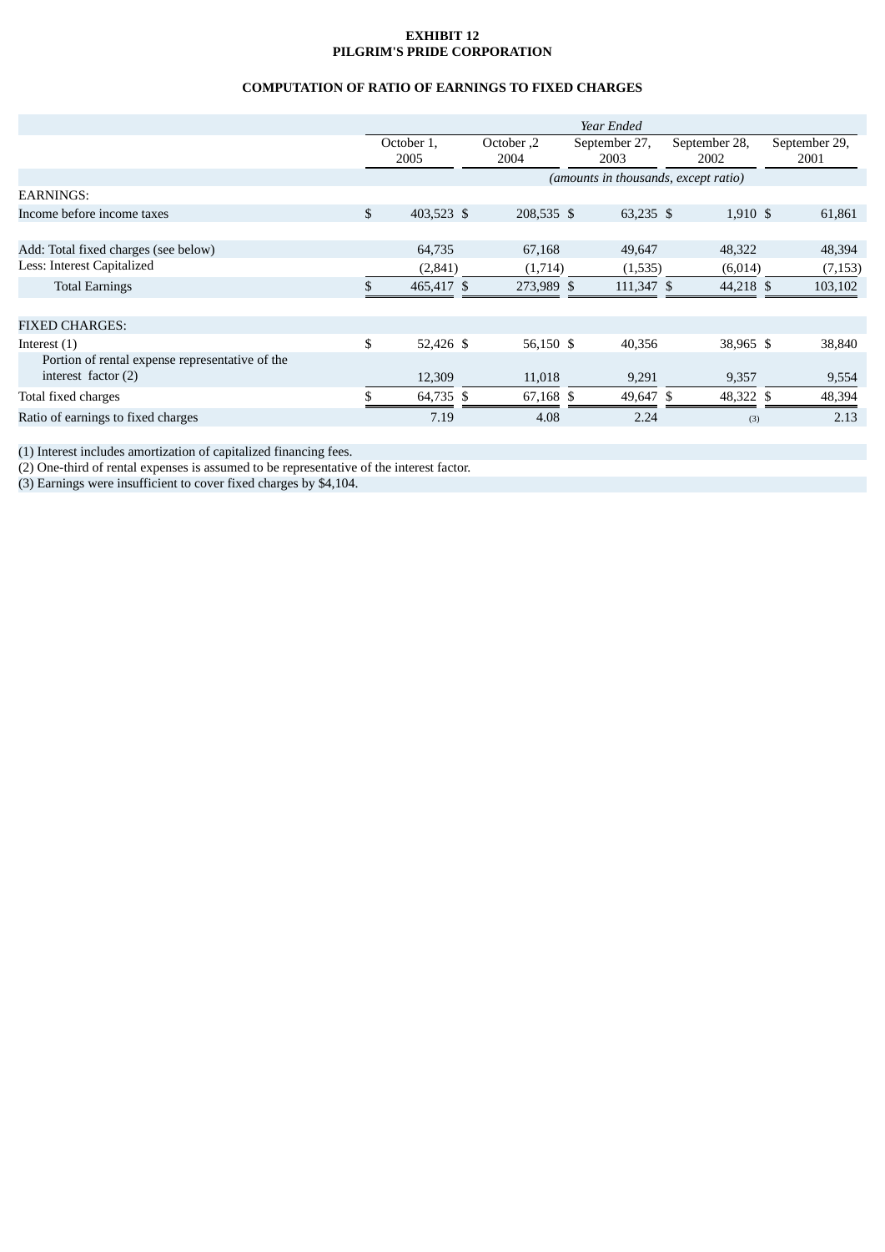### **EXHIBIT 12 PILGRIM'S PRIDE CORPORATION**

## **COMPUTATION OF RATIO OF EARNINGS TO FIXED CHARGES**

|                                                                        | <b>Year Ended</b>  |  |                    |                                      |                       |                       |  |                       |  |
|------------------------------------------------------------------------|--------------------|--|--------------------|--------------------------------------|-----------------------|-----------------------|--|-----------------------|--|
|                                                                        | October 1,<br>2005 |  | October, 2<br>2004 |                                      | September 27,<br>2003 | September 28,<br>2002 |  | September 29,<br>2001 |  |
|                                                                        |                    |  |                    | (amounts in thousands, except ratio) |                       |                       |  |                       |  |
| <b>EARNINGS:</b>                                                       |                    |  |                    |                                      |                       |                       |  |                       |  |
| Income before income taxes                                             | \$<br>403,523 \$   |  | 208,535 \$         |                                      | 63,235 \$             | $1,910 \text{ }$ \$   |  | 61,861                |  |
|                                                                        |                    |  |                    |                                      |                       |                       |  |                       |  |
| Add: Total fixed charges (see below)                                   | 64,735             |  | 67,168             |                                      | 49,647                | 48,322                |  | 48,394                |  |
| Less: Interest Capitalized                                             | (2,841)            |  | (1,714)            |                                      | (1,535)               | (6,014)               |  | (7, 153)              |  |
| <b>Total Earnings</b>                                                  | 465,417 \$         |  | 273,989 \$         |                                      | 111,347 \$            | 44,218 \$             |  | 103,102               |  |
| <b>FIXED CHARGES:</b>                                                  |                    |  |                    |                                      |                       |                       |  |                       |  |
| Interest $(1)$                                                         | \$<br>52,426 \$    |  | 56,150 \$          |                                      | 40,356                | 38,965 \$             |  | 38,840                |  |
| Portion of rental expense representative of the<br>interest factor (2) | 12,309             |  | 11,018             |                                      | 9,291                 | 9,357                 |  | 9,554                 |  |
| Total fixed charges                                                    | 64,735 \$          |  | 67,168 \$          |                                      | 49,647 \$             | 48,322 \$             |  | 48,394                |  |
| Ratio of earnings to fixed charges                                     | 7.19               |  | 4.08               |                                      | 2.24                  | (3)                   |  | 2.13                  |  |

(1) Interest includes amortization of capitalized financing fees.

(2) One-third of rental expenses is assumed to be representative of the interest factor.

(3) Earnings were insufficient to cover fixed charges by \$4,104.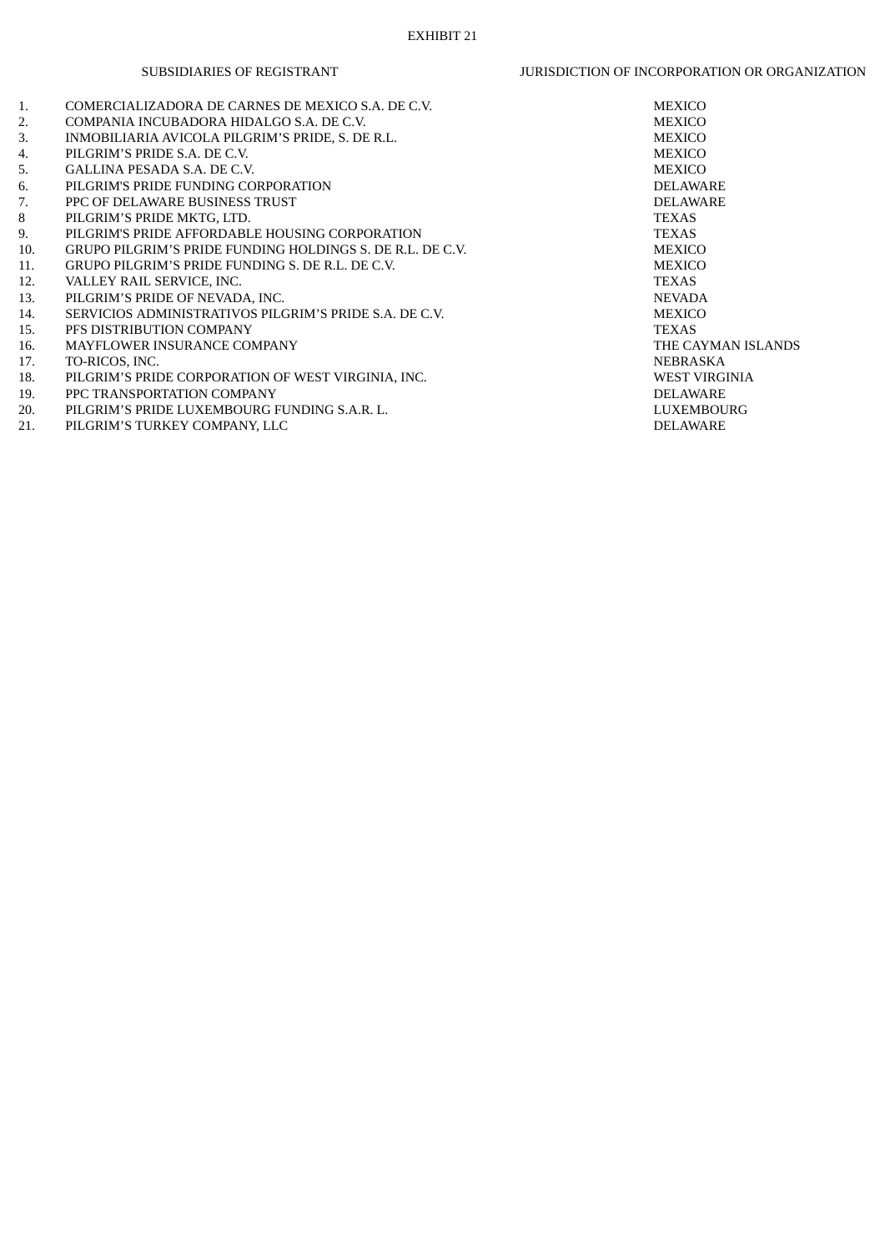- 1. COMERCIALIZADORA DE CARNES DE MEXICO S.A. DE C.V. MEXICO
- COMPANIA INCUBADORA HIDALGO S.A. DE C.V.
- 3. INMOBILIARIA AVICOLA PILGRIM'S PRIDE, S. DE R.L. MEXICO
- 4. PILGRIM'S PRIDE S.A. DE C.V. A CONSUMERTIES ON A CONSUMERTICO AND MEXICO POLITICAL AND MEXICO AND A CONSUMERTICO
- 5. GALLINA PESADA S.A. DE C.V.
- 6. PILGRIM'S PRIDE FUNDING CORPORATION DELAWARE
- 7. PPC OF DELAWARE BUSINESS TRUST
- 8 PILGRIM'S PRIDE MKTG, LTD. TEXAS
- 9. PILGRIM'S PRIDE AFFORDABLE HOUSING CORPORATION TEXAS
- 10. GRUPO PILGRIM'S PRIDE FUNDING HOLDINGS S. DE R.L. DE C.V. MEXICO
- 11. GRUPO PILGRIM'S PRIDE FUNDING S. DE R.L. DE C.V. MEXICO
- 12. VALLEY RAIL SERVICE, INC. TEXAS
- 13. PILGRIM'S PRIDE OF NEVADA, INC. NEVADA 14. SERVICIOS ADMINISTRATIVOS PILGRIM'S PRIDE S.A. DE C.V. MEXICO
- 15. PFS DISTRIBUTION COMPANY TEXAS
- 16. MAYFLOWER INSURANCE COMPANY **THE CAYMAN ISLANDS**
- 17. TO-RICOS, INC. NEBRASKA
- 18. PILGRIM'S PRIDE CORPORATION OF WEST VIRGINIA, INC. WEST VIRGINIA
- 19. PPC TRANSPORTATION COMPANY **DELAWARE**
- 20. PILGRIM'S PRIDE LUXEMBOURG FUNDING S.A.R. L. LUXEMBOURG LUXEMBOURG
- 21. PILGRIM'S TURKEY COMPANY, LLC

# SUBSIDIARIES OF REGISTRANT JURISDICTION OF INCORPORATION OR ORGANIZATION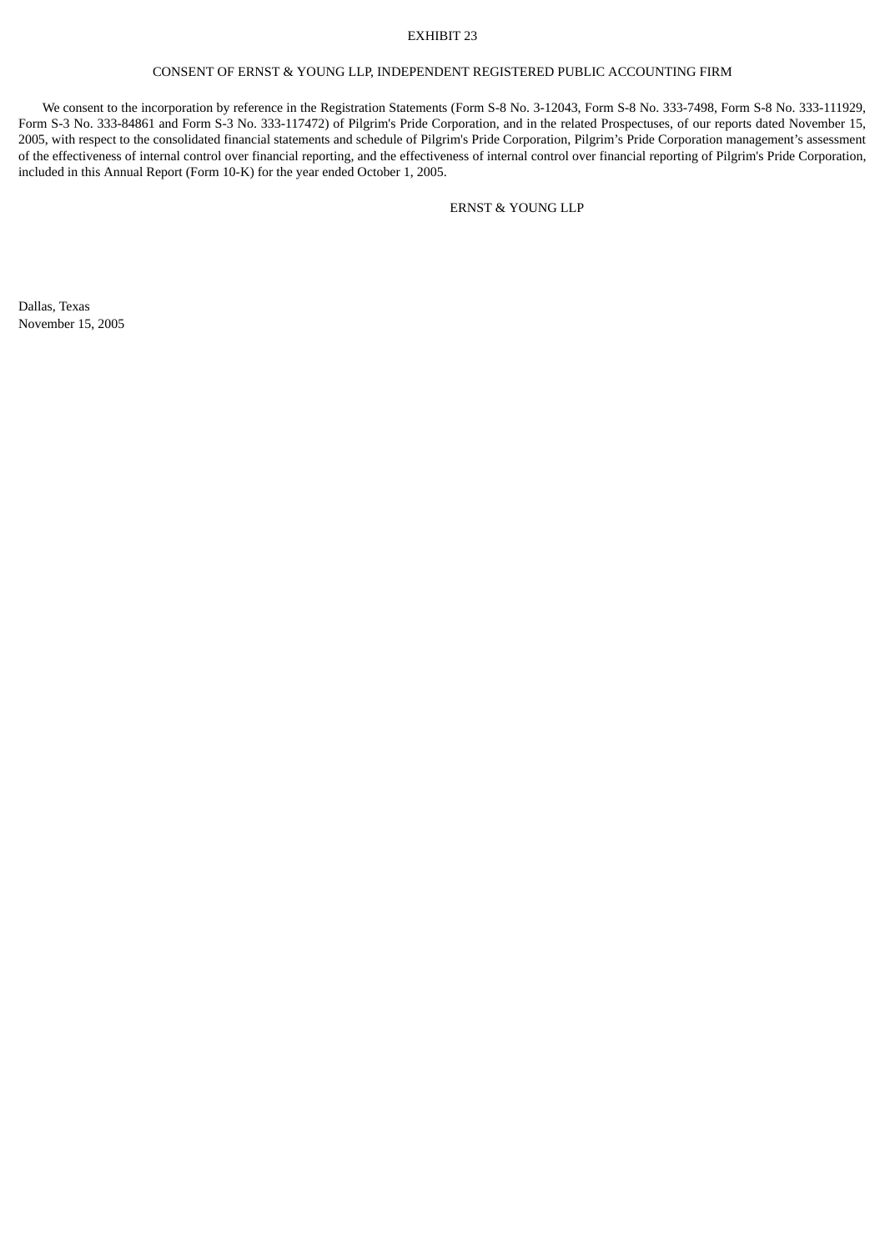#### EXHIBIT 23

### CONSENT OF ERNST & YOUNG LLP, INDEPENDENT REGISTERED PUBLIC ACCOUNTING FIRM

We consent to the incorporation by reference in the Registration Statements (Form S-8 No. 3-12043, Form S-8 No. 333-7498, Form S-8 No. 333-111929, Form S-3 No. 333-84861 and Form S-3 No. 333-117472) of Pilgrim's Pride Corporation, and in the related Prospectuses, of our reports dated November 15, 2005, with respect to the consolidated financial statements and schedule of Pilgrim's Pride Corporation, Pilgrim's Pride Corporation management's assessment of the effectiveness of internal control over financial reporting, and the effectiveness of internal control over financial reporting of Pilgrim's Pride Corporation, included in this Annual Report (Form 10-K) for the year ended October 1, 2005.

ERNST & YOUNG LLP

Dallas, Texas November 15, 2005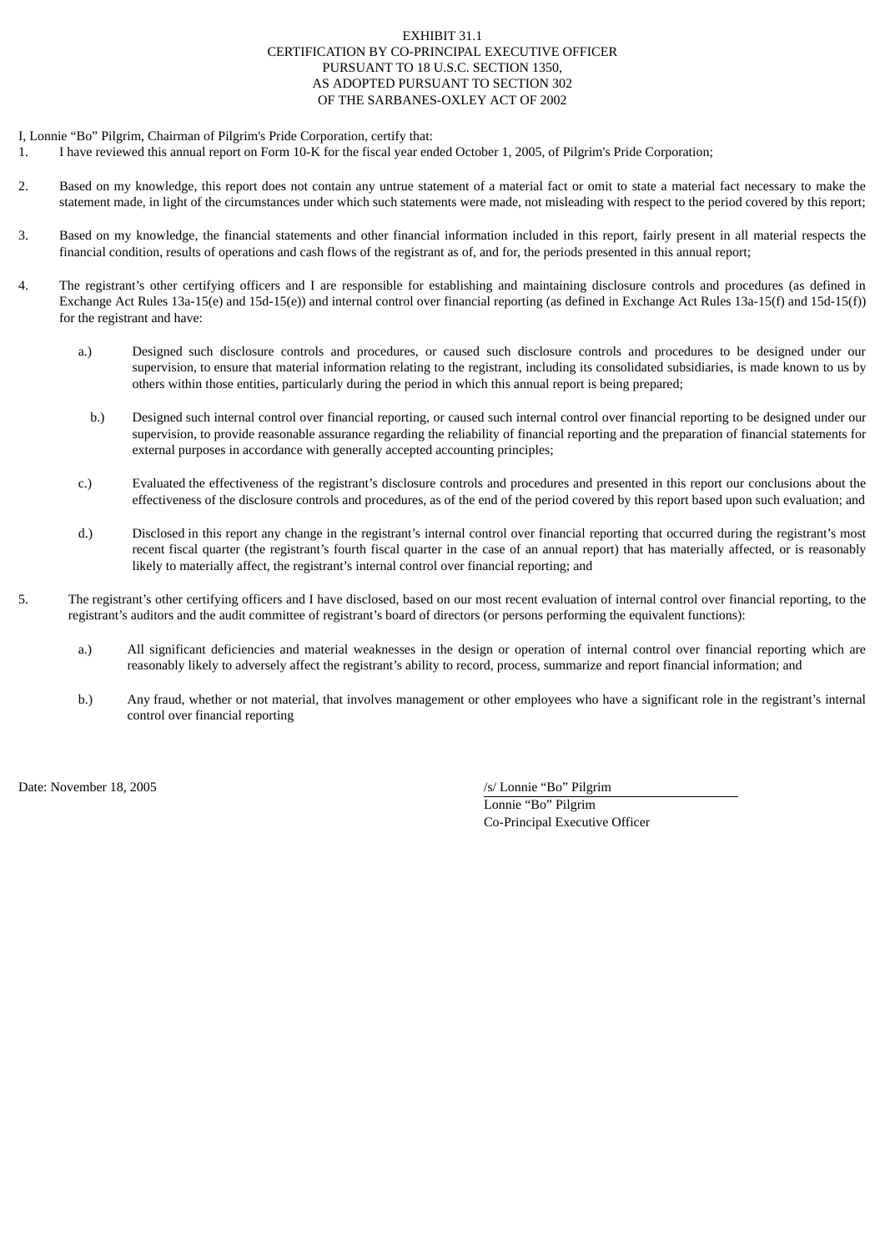#### EXHIBIT 31.1 CERTIFICATION BY CO-PRINCIPAL EXECUTIVE OFFICER PURSUANT TO 18 U.S.C. SECTION 1350, AS ADOPTED PURSUANT TO SECTION 302 OF THE SARBANES-OXLEY ACT OF 2002

I, Lonnie "Bo" Pilgrim, Chairman of Pilgrim's Pride Corporation, certify that:

- 1. I have reviewed this annual report on Form 10-K for the fiscal year ended October 1, 2005, of Pilgrim's Pride Corporation;
- 2. Based on my knowledge, this report does not contain any untrue statement of a material fact or omit to state a material fact necessary to make the statement made, in light of the circumstances under which such statements were made, not misleading with respect to the period covered by this report;
- 3. Based on my knowledge, the financial statements and other financial information included in this report, fairly present in all material respects the financial condition, results of operations and cash flows of the registrant as of, and for, the periods presented in this annual report;
- 4. The registrant's other certifying officers and I are responsible for establishing and maintaining disclosure controls and procedures (as defined in Exchange Act Rules 13a-15(e) and 15d-15(e)) and internal control over financial reporting (as defined in Exchange Act Rules 13a-15(f) and 15d-15(f)) for the registrant and have:
	- a.) Designed such disclosure controls and procedures, or caused such disclosure controls and procedures to be designed under our supervision, to ensure that material information relating to the registrant, including its consolidated subsidiaries, is made known to us by others within those entities, particularly during the period in which this annual report is being prepared;
		- b.) Designed such internal control over financial reporting, or caused such internal control over financial reporting to be designed under our supervision, to provide reasonable assurance regarding the reliability of financial reporting and the preparation of financial statements for external purposes in accordance with generally accepted accounting principles;
	- c.) Evaluated the effectiveness of the registrant's disclosure controls and procedures and presented in this report our conclusions about the effectiveness of the disclosure controls and procedures, as of the end of the period covered by this report based upon such evaluation; and
	- d.) Disclosed in this report any change in the registrant's internal control over financial reporting that occurred during the registrant's most recent fiscal quarter (the registrant's fourth fiscal quarter in the case of an annual report) that has materially affected, or is reasonably likely to materially affect, the registrant's internal control over financial reporting; and
- 5. The registrant's other certifying officers and I have disclosed, based on our most recent evaluation of internal control over financial reporting, to the registrant's auditors and the audit committee of registrant's board of directors (or persons performing the equivalent functions):
	- a.) All significant deficiencies and material weaknesses in the design or operation of internal control over financial reporting which are reasonably likely to adversely affect the registrant's ability to record, process, summarize and report financial information; and
	- b.) Any fraud, whether or not material, that involves management or other employees who have a significant role in the registrant's internal control over financial reporting

Date: November 18, 2005 /s/ Lonnie "Bo" Pilgrim

Lonnie "Bo" Pilgrim Co-Principal Executive Officer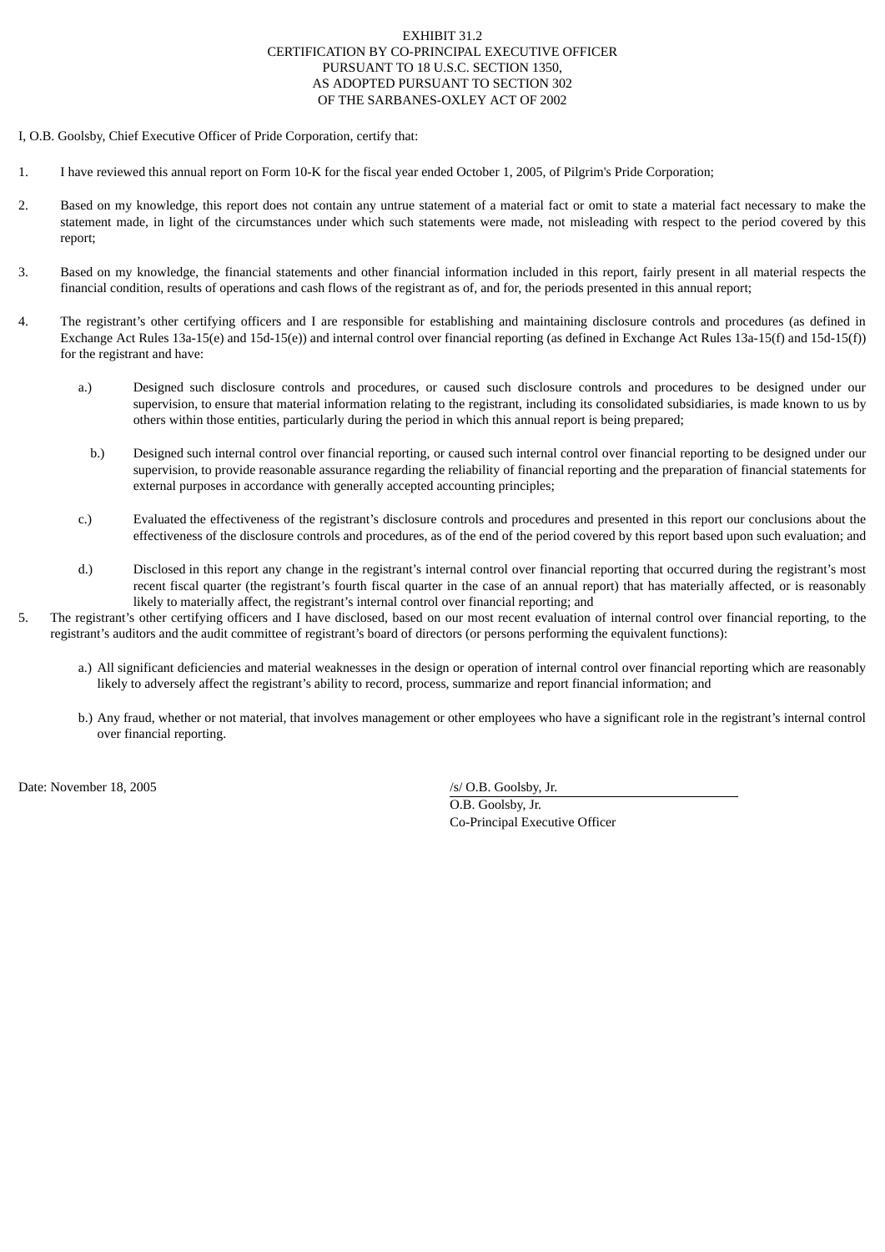#### EXHIBIT 31.2 CERTIFICATION BY CO-PRINCIPAL EXECUTIVE OFFICER PURSUANT TO 18 U.S.C. SECTION 1350, AS ADOPTED PURSUANT TO SECTION 302 OF THE SARBANES-OXLEY ACT OF 2002

I, O.B. Goolsby, Chief Executive Officer of Pride Corporation, certify that:

- 1. I have reviewed this annual report on Form 10-K for the fiscal year ended October 1, 2005, of Pilgrim's Pride Corporation;
- 2. Based on my knowledge, this report does not contain any untrue statement of a material fact or omit to state a material fact necessary to make the statement made, in light of the circumstances under which such statements were made, not misleading with respect to the period covered by this report;
- 3. Based on my knowledge, the financial statements and other financial information included in this report, fairly present in all material respects the financial condition, results of operations and cash flows of the registrant as of, and for, the periods presented in this annual report;
- 4. The registrant's other certifying officers and I are responsible for establishing and maintaining disclosure controls and procedures (as defined in Exchange Act Rules 13a-15(e) and 15d-15(e)) and internal control over financial reporting (as defined in Exchange Act Rules 13a-15(f) and 15d-15(f)) for the registrant and have:
	- a.) Designed such disclosure controls and procedures, or caused such disclosure controls and procedures to be designed under our supervision, to ensure that material information relating to the registrant, including its consolidated subsidiaries, is made known to us by others within those entities, particularly during the period in which this annual report is being prepared;
		- b.) Designed such internal control over financial reporting, or caused such internal control over financial reporting to be designed under our supervision, to provide reasonable assurance regarding the reliability of financial reporting and the preparation of financial statements for external purposes in accordance with generally accepted accounting principles;
	- c.) Evaluated the effectiveness of the registrant's disclosure controls and procedures and presented in this report our conclusions about the effectiveness of the disclosure controls and procedures, as of the end of the period covered by this report based upon such evaluation; and
	- d.) Disclosed in this report any change in the registrant's internal control over financial reporting that occurred during the registrant's most recent fiscal quarter (the registrant's fourth fiscal quarter in the case of an annual report) that has materially affected, or is reasonably likely to materially affect, the registrant's internal control over financial reporting; and
- 5. The registrant's other certifying officers and I have disclosed, based on our most recent evaluation of internal control over financial reporting, to the registrant's auditors and the audit committee of registrant's board of directors (or persons performing the equivalent functions):
	- a.) All significant deficiencies and material weaknesses in the design or operation of internal control over financial reporting which are reasonably likely to adversely affect the registrant's ability to record, process, summarize and report financial information; and
	- b.) Any fraud, whether or not material, that involves management or other employees who have a significant role in the registrant's internal control over financial reporting.

Date: November 18, 2005 /s/ O.B. Goolsby, Jr.

O.B. Goolsby, Jr. Co-Principal Executive Officer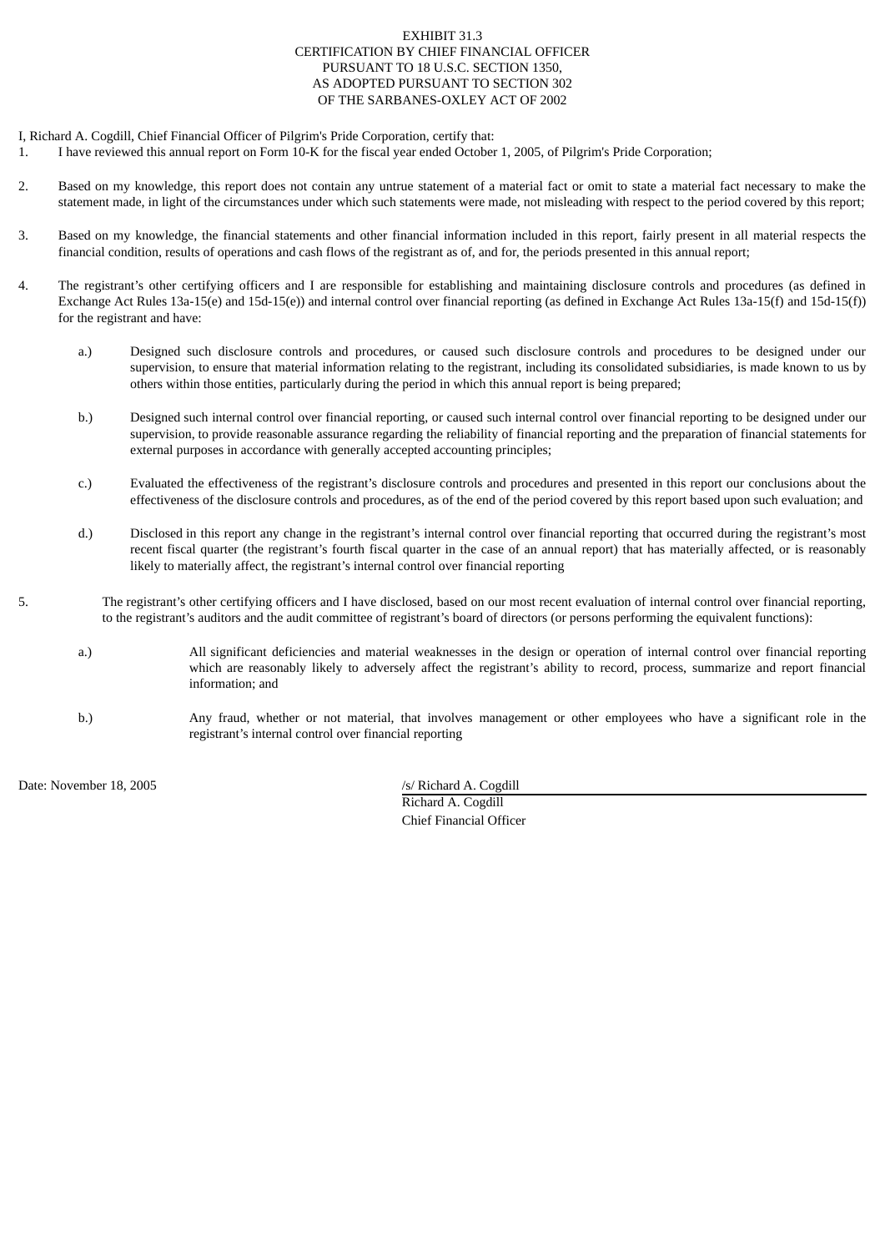#### EXHIBIT 31.3 CERTIFICATION BY CHIEF FINANCIAL OFFICER PURSUANT TO 18 U.S.C. SECTION 1350, AS ADOPTED PURSUANT TO SECTION 302 OF THE SARBANES-OXLEY ACT OF 2002

I, Richard A. Cogdill, Chief Financial Officer of Pilgrim's Pride Corporation, certify that:

- 1. I have reviewed this annual report on Form 10-K for the fiscal year ended October 1, 2005, of Pilgrim's Pride Corporation;
- 2. Based on my knowledge, this report does not contain any untrue statement of a material fact or omit to state a material fact necessary to make the statement made, in light of the circumstances under which such statements were made, not misleading with respect to the period covered by this report;
- 3. Based on my knowledge, the financial statements and other financial information included in this report, fairly present in all material respects the financial condition, results of operations and cash flows of the registrant as of, and for, the periods presented in this annual report;
- 4. The registrant's other certifying officers and I are responsible for establishing and maintaining disclosure controls and procedures (as defined in Exchange Act Rules 13a-15(e) and 15d-15(e)) and internal control over financial reporting (as defined in Exchange Act Rules 13a-15(f) and 15d-15(f)) for the registrant and have:
	- a.) Designed such disclosure controls and procedures, or caused such disclosure controls and procedures to be designed under our supervision, to ensure that material information relating to the registrant, including its consolidated subsidiaries, is made known to us by others within those entities, particularly during the period in which this annual report is being prepared;
	- b.) Designed such internal control over financial reporting, or caused such internal control over financial reporting to be designed under our supervision, to provide reasonable assurance regarding the reliability of financial reporting and the preparation of financial statements for external purposes in accordance with generally accepted accounting principles;
	- c.) Evaluated the effectiveness of the registrant's disclosure controls and procedures and presented in this report our conclusions about the effectiveness of the disclosure controls and procedures, as of the end of the period covered by this report based upon such evaluation; and
	- d.) Disclosed in this report any change in the registrant's internal control over financial reporting that occurred during the registrant's most recent fiscal quarter (the registrant's fourth fiscal quarter in the case of an annual report) that has materially affected, or is reasonably likely to materially affect, the registrant's internal control over financial reporting
- 5. The registrant's other certifying officers and I have disclosed, based on our most recent evaluation of internal control over financial reporting, to the registrant's auditors and the audit committee of registrant's board of directors (or persons performing the equivalent functions):
	- a.) All significant deficiencies and material weaknesses in the design or operation of internal control over financial reporting which are reasonably likely to adversely affect the registrant's ability to record, process, summarize and report financial information; and
	- b.) Any fraud, whether or not material, that involves management or other employees who have a significant role in the registrant's internal control over financial reporting

Date: November 18, 2005 /s/ Richard A. Cogdill

Richard A. Cogdill Chief Financial Officer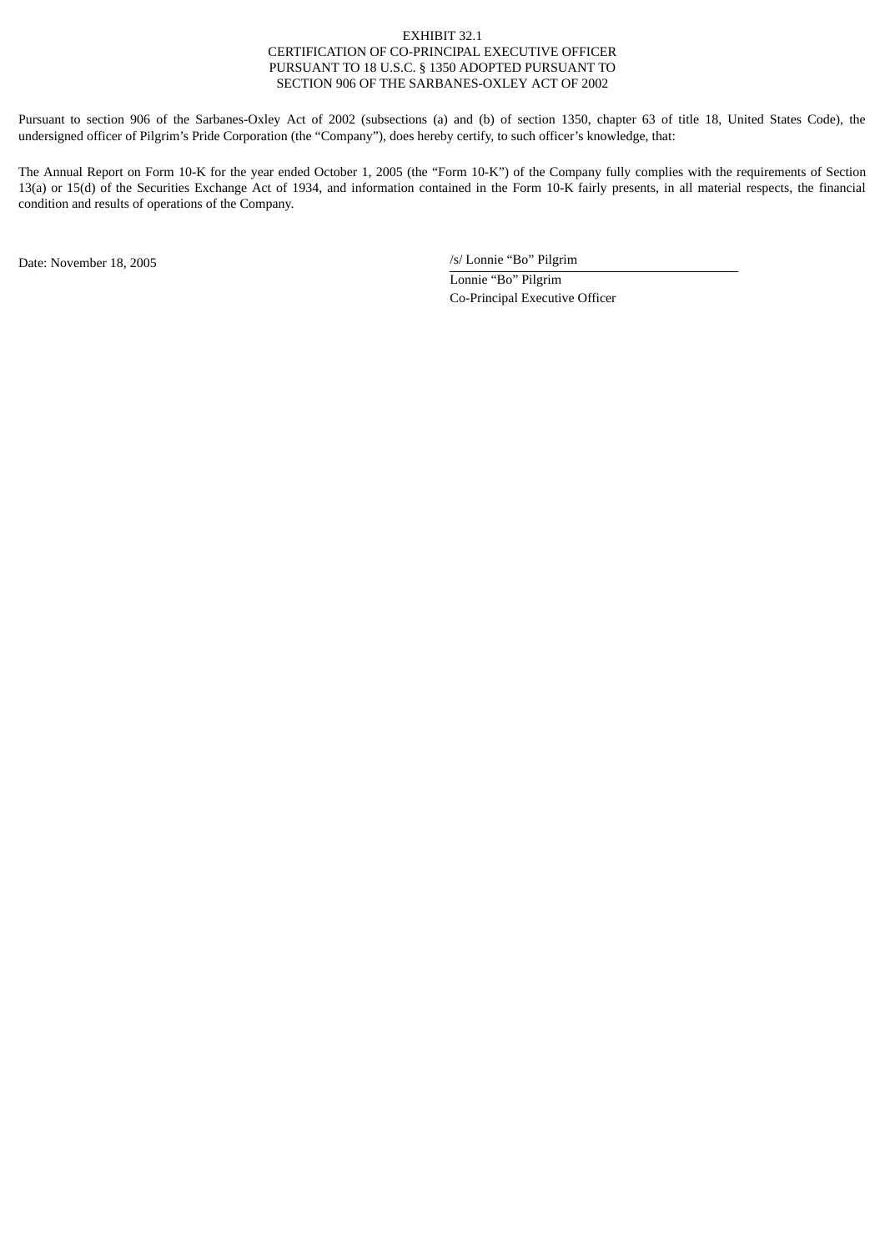#### EXHIBIT 32.1 CERTIFICATION OF CO-PRINCIPAL EXECUTIVE OFFICER PURSUANT TO 18 U.S.C. § 1350 ADOPTED PURSUANT TO SECTION 906 OF THE SARBANES-OXLEY ACT OF 2002

Pursuant to section 906 of the Sarbanes-Oxley Act of 2002 (subsections (a) and (b) of section 1350, chapter 63 of title 18, United States Code), the undersigned officer of Pilgrim's Pride Corporation (the "Company"), does hereby certify, to such officer's knowledge, that:

The Annual Report on Form 10-K for the year ended October 1, 2005 (the "Form 10-K") of the Company fully complies with the requirements of Section 13(a) or 15(d) of the Securities Exchange Act of 1934, and information contained in the Form 10-K fairly presents, in all material respects, the financial condition and results of operations of the Company.

Date: November 18, 2005 /s/ Lonnie "Bo" Pilgrim

Lonnie "Bo" Pilgrim Co-Principal Executive Officer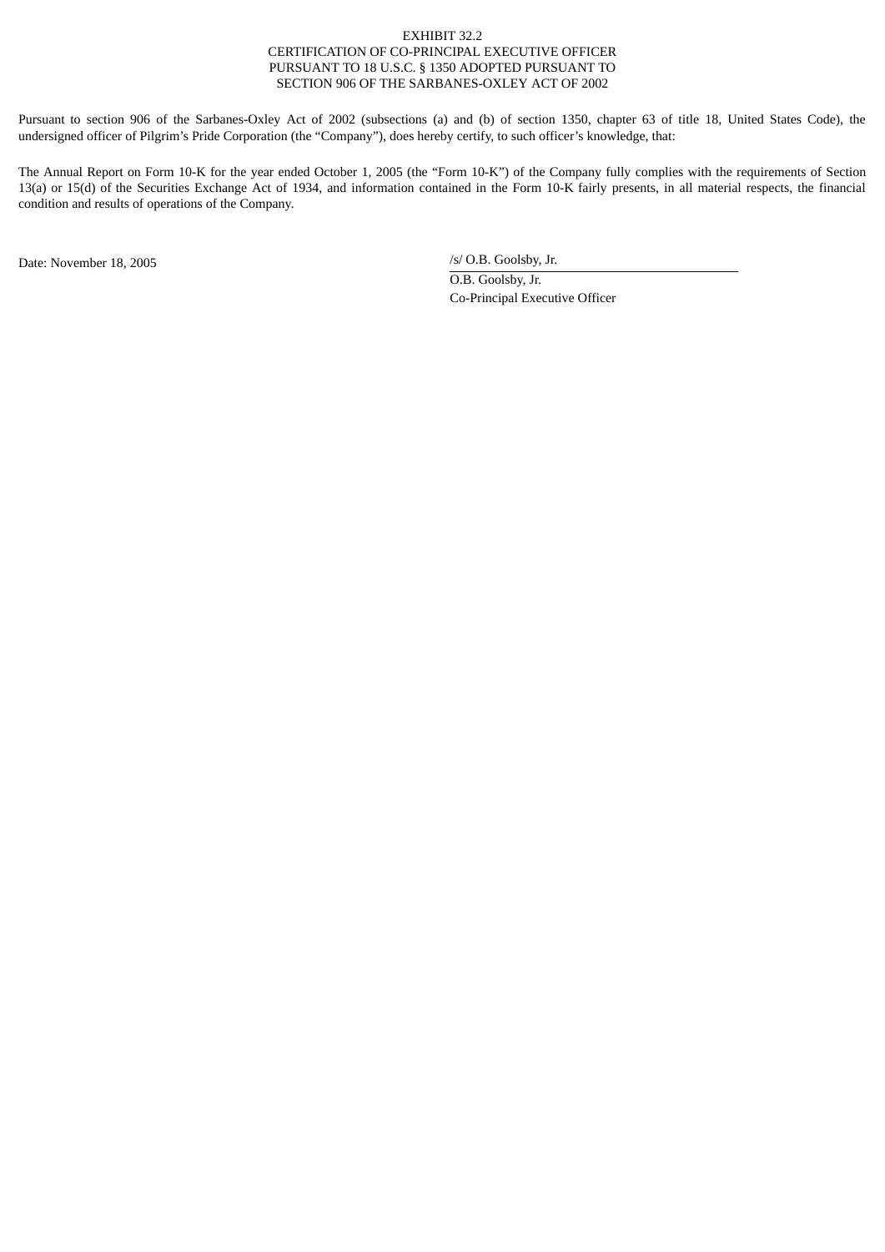#### EXHIBIT 32.2 CERTIFICATION OF CO-PRINCIPAL EXECUTIVE OFFICER PURSUANT TO 18 U.S.C. § 1350 ADOPTED PURSUANT TO SECTION 906 OF THE SARBANES-OXLEY ACT OF 2002

Pursuant to section 906 of the Sarbanes-Oxley Act of 2002 (subsections (a) and (b) of section 1350, chapter 63 of title 18, United States Code), the undersigned officer of Pilgrim's Pride Corporation (the "Company"), does hereby certify, to such officer's knowledge, that:

The Annual Report on Form 10-K for the year ended October 1, 2005 (the "Form 10-K") of the Company fully complies with the requirements of Section 13(a) or 15(d) of the Securities Exchange Act of 1934, and information contained in the Form 10-K fairly presents, in all material respects, the financial condition and results of operations of the Company.

Date: November 18, 2005 /s/ O.B. Goolsby, Jr.

O.B. Goolsby, Jr. Co-Principal Executive Officer